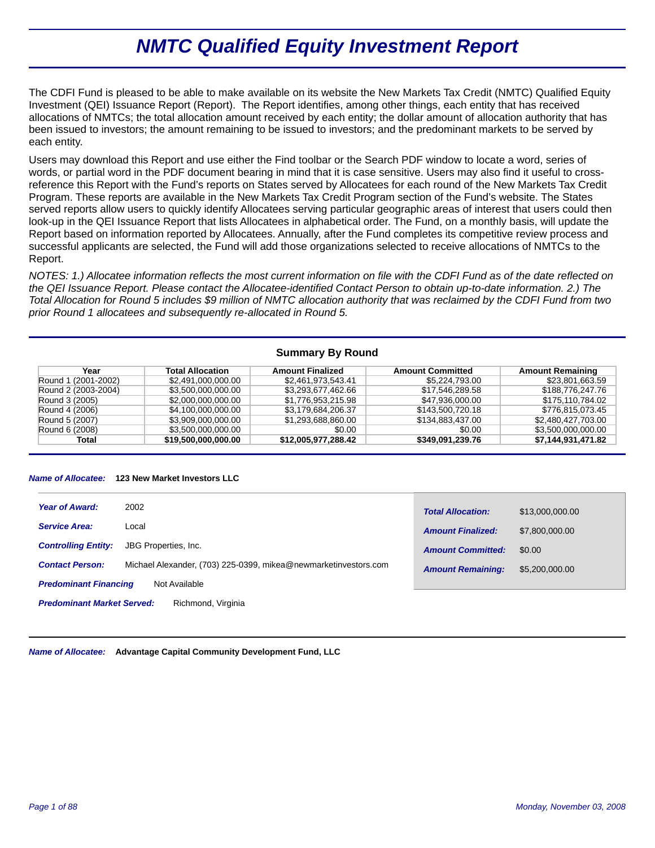# *NMTC Qualified Equity Investment Report*

The CDFI Fund is pleased to be able to make available on its website the New Markets Tax Credit (NMTC) Qualified Equity Investment (QEI) Issuance Report (Report). The Report identifies, among other things, each entity that has received allocations of NMTCs; the total allocation amount received by each entity; the dollar amount of allocation authority that has been issued to investors; the amount remaining to be issued to investors; and the predominant markets to be served by each entity.

Users may download this Report and use either the Find toolbar or the Search PDF window to locate a word, series of words, or partial word in the PDF document bearing in mind that it is case sensitive. Users may also find it useful to crossreference this Report with the Fund's reports on States served by Allocatees for each round of the New Markets Tax Credit Program. These reports are available in the New Markets Tax Credit Program section of the Fund's website. The States served reports allow users to quickly identify Allocatees serving particular geographic areas of interest that users could then look-up in the QEI Issuance Report that lists Allocatees in alphabetical order. The Fund, on a monthly basis, will update the Report based on information reported by Allocatees. Annually, after the Fund completes its competitive review process and successful applicants are selected, the Fund will add those organizations selected to receive allocations of NMTCs to the Report.

*NOTES: 1.) Allocatee information reflects the most current information on file with the CDFI Fund as of the date reflected on the QEI Issuance Report. Please contact the Allocatee-identified Contact Person to obtain up-to-date information. 2.) The Total Allocation for Round 5 includes \$9 million of NMTC allocation authority that was reclaimed by the CDFI Fund from two prior Round 1 allocatees and subsequently re-allocated in Round 5.*

# **Summary By Round**

| Year                | <b>Total Allocation</b> | <b>Amount Finalized</b> | <b>Amount Committed</b> | <b>Amount Remaining</b> |
|---------------------|-------------------------|-------------------------|-------------------------|-------------------------|
| Round 1 (2001-2002) | \$2,491,000,000.00      | \$2,461,973,543.41      | \$5.224.793.00          | \$23,801,663.59         |
| Round 2 (2003-2004) | \$3,500,000,000.00      | \$3,293,677,462.66      | \$17,546,289.58         | \$188,776,247.76        |
| Round 3 (2005)      | \$2,000,000,000.00      | \$1,776,953,215,98      | \$47.936.000.00         | \$175,110,784.02        |
| Round 4 (2006)      | \$4.100.000.000.00      | \$3,179,684,206.37      | \$143,500,720,18        | \$776,815,073.45        |
| Round 5 (2007)      | \$3.909.000.000.00      | \$1,293,688,860,00      | \$134.883.437.00        | \$2.480.427.703.00      |
| Round 6 (2008)      | \$3,500,000,000.00      | \$0.00                  | \$0.00                  | \$3,500,000,000.00      |
| Total               | \$19,500,000,000.00     | \$12,005,977,288.42     | \$349,091,239.76        | \$7,144,931,471.82      |

#### *Name of Allocatee:* **123 New Market Investors LLC**

| <b>Year of Award:</b>                                   | 2002                                                            | <b>Total Allocation:</b> | \$13,000,000.00 |
|---------------------------------------------------------|-----------------------------------------------------------------|--------------------------|-----------------|
| <b>Service Area:</b>                                    | Local                                                           | <b>Amount Finalized:</b> | \$7,800,000,00  |
| <b>Controlling Entity:</b>                              | JBG Properties, Inc.                                            | <b>Amount Committed:</b> | \$0.00          |
| <b>Contact Person:</b>                                  | Michael Alexander, (703) 225-0399, mikea@newmarketinvestors.com | <b>Amount Remaining:</b> | \$5,200,000.00  |
| Not Available<br><b>Predominant Financing</b>           |                                                                 |                          |                 |
| <b>Predominant Market Served:</b><br>Richmond, Virginia |                                                                 |                          |                 |

*Name of Allocatee:* **Advantage Capital Community Development Fund, LLC**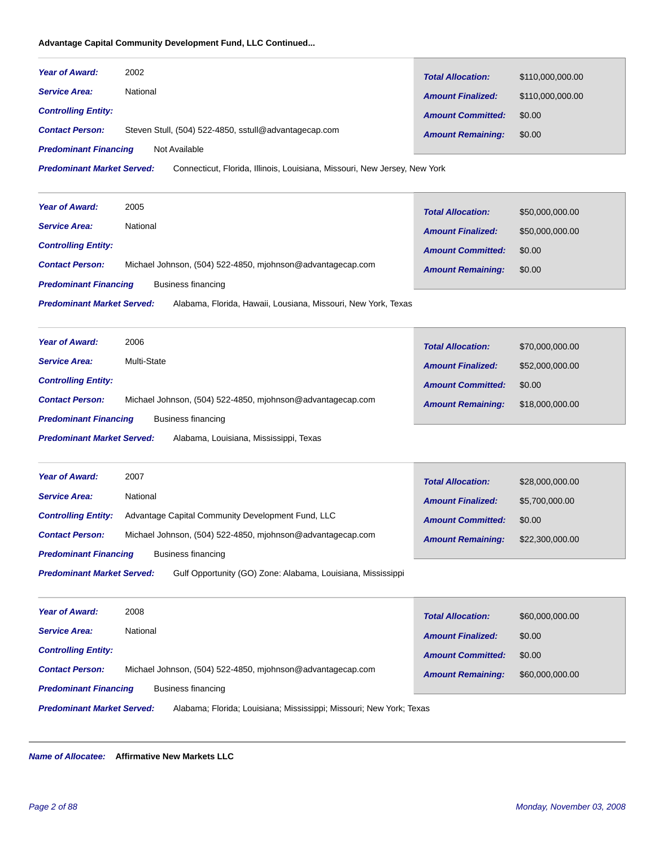# **Advantage Capital Community Development Fund, LLC Continued...**

| <b>Year of Award:</b>        | 2002                                                  | <b>Total Allocation:</b> | \$110,000,000.00 |
|------------------------------|-------------------------------------------------------|--------------------------|------------------|
| <b>Service Area:</b>         | National                                              | <b>Amount Finalized:</b> | \$110,000,000.00 |
| <b>Controlling Entity:</b>   |                                                       | <b>Amount Committed:</b> | \$0.00           |
| <b>Contact Person:</b>       | Steven Stull, (504) 522-4850, sstull@advantagecap.com | <b>Amount Remaining:</b> | \$0.00           |
| <b>Predominant Financing</b> | Not Available                                         |                          |                  |

Connecticut, Florida, Illinois, Louisiana, Missouri, New Jersey, New York *Predominant Market Served:*

| <b>Year of Award:</b>                                                                              | 2005                                                       | <b>Total Allocation:</b> | \$50,000,000.00 |
|----------------------------------------------------------------------------------------------------|------------------------------------------------------------|--------------------------|-----------------|
| <b>Service Area:</b>                                                                               | National                                                   | <b>Amount Finalized:</b> | \$50,000,000.00 |
| <b>Controlling Entity:</b>                                                                         |                                                            | <b>Amount Committed:</b> | \$0.00          |
| <b>Contact Person:</b>                                                                             | Michael Johnson, (504) 522-4850, miohnson@advantagecap.com | <b>Amount Remaining:</b> | \$0.00          |
| <b>Predominant Financing</b>                                                                       | Business financing                                         |                          |                 |
| <b>Predominant Market Served:</b><br>Alabama, Florida, Hawaii, Lousiana, Missouri, New York, Texas |                                                            |                          |                 |

| <b>Year of Award:</b>                                                       | 2006                                                       | <b>Total Allocation:</b> | \$70,000,000.00 |
|-----------------------------------------------------------------------------|------------------------------------------------------------|--------------------------|-----------------|
| <b>Service Area:</b>                                                        | Multi-State                                                | <b>Amount Finalized:</b> | \$52,000,000.00 |
| <b>Controlling Entity:</b>                                                  |                                                            | <b>Amount Committed:</b> | \$0.00          |
| <b>Contact Person:</b>                                                      | Michael Johnson, (504) 522-4850, miohnson@advantagecap.com | <b>Amount Remaining:</b> | \$18,000,000.00 |
| <b>Predominant Financing</b><br>Business financing                          |                                                            |                          |                 |
| <b>Predominant Market Served:</b><br>Alabama, Louisiana, Mississippi, Texas |                                                            |                          |                 |

| <b>Year of Award:</b>                              | 2007                                                        | <b>Total Allocation:</b> | \$28,000,000.00 |
|----------------------------------------------------|-------------------------------------------------------------|--------------------------|-----------------|
| <b>Service Area:</b>                               | National                                                    | <b>Amount Finalized:</b> | \$5,700,000,00  |
| <b>Controlling Entity:</b>                         | Advantage Capital Community Development Fund, LLC           | <b>Amount Committed:</b> | \$0.00          |
| <b>Contact Person:</b>                             | Michael Johnson, (504) 522-4850, miohnson@advantagecap.com  | <b>Amount Remaining:</b> | \$22,300,000.00 |
| <b>Predominant Financing</b><br>Business financing |                                                             |                          |                 |
| <b>Predominant Market Served:</b>                  | Gulf Opportunity (GO) Zone: Alabama, Louisiana, Mississippi |                          |                 |

| <b>Year of Award:</b>                                                                                    | 2008                                                       | <b>Total Allocation:</b> | \$60,000,000.00 |
|----------------------------------------------------------------------------------------------------------|------------------------------------------------------------|--------------------------|-----------------|
| <b>Service Area:</b>                                                                                     | National                                                   | <b>Amount Finalized:</b> | \$0.00          |
| <b>Controlling Entity:</b>                                                                               |                                                            | <b>Amount Committed:</b> | \$0.00          |
| <b>Contact Person:</b>                                                                                   | Michael Johnson, (504) 522-4850, miohnson@advantagecap.com | <b>Amount Remaining:</b> | \$60,000,000.00 |
| <b>Predominant Financing</b>                                                                             | Business financing                                         |                          |                 |
| <b>Predominant Market Served:</b><br>Alabama; Florida; Louisiana; Mississippi; Missouri; New York; Texas |                                                            |                          |                 |

*Name of Allocatee:* **Affirmative New Markets LLC**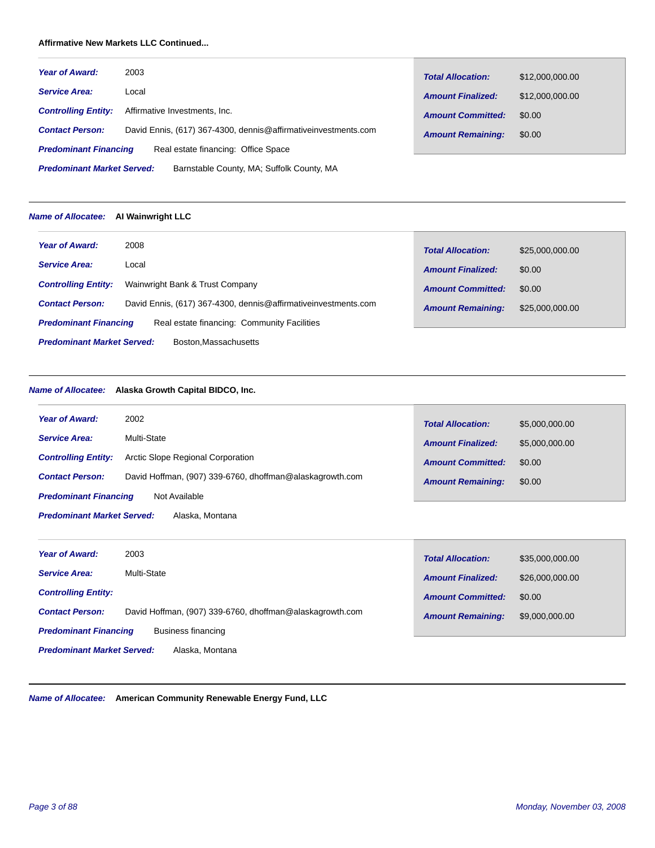# **Affirmative New Markets LLC Continued...**

| <b>Year of Award:</b>                                                          | 2003                                                            | <b>Total Allocation:</b> | \$12,000,000.00 |  |
|--------------------------------------------------------------------------------|-----------------------------------------------------------------|--------------------------|-----------------|--|
| <b>Service Area:</b>                                                           | Local                                                           | <b>Amount Finalized:</b> | \$12,000,000.00 |  |
| <b>Controlling Entity:</b>                                                     | Affirmative Investments, Inc.                                   | <b>Amount Committed:</b> | \$0.00          |  |
| <b>Contact Person:</b>                                                         | David Ennis, (617) 367-4300, dennis@affirmative investments.com | <b>Amount Remaining:</b> | \$0.00          |  |
| <b>Predominant Financing</b>                                                   | Real estate financing: Office Space                             |                          |                 |  |
| <b>Predominant Market Served:</b><br>Barnstable County, MA; Suffolk County, MA |                                                                 |                          |                 |  |

# *Name of Allocatee:* **AI Wainwright LLC**

| <b>Year of Award:</b>                                     | 2008                                                            | <b>Total Allocation:</b> | \$25,000,000.00 |  |
|-----------------------------------------------------------|-----------------------------------------------------------------|--------------------------|-----------------|--|
| <b>Service Area:</b>                                      | Local                                                           | <b>Amount Finalized:</b> | \$0.00          |  |
| <b>Controlling Entity:</b>                                | Wainwright Bank & Trust Company                                 | <b>Amount Committed:</b> | \$0.00          |  |
| <b>Contact Person:</b>                                    | David Ennis, (617) 367-4300, dennis@affirmative investments.com | <b>Amount Remaining:</b> | \$25,000,000,00 |  |
| <b>Predominant Financing</b>                              | Real estate financing: Community Facilities                     |                          |                 |  |
| <b>Predominant Market Served:</b><br>Boston.Massachusetts |                                                                 |                          |                 |  |

# *Name of Allocatee:* **Alaska Growth Capital BIDCO, Inc.**

| <b>Year of Award:</b>                                | 2002                                                     | <b>Total Allocation:</b> | \$5,000,000.00 |  |
|------------------------------------------------------|----------------------------------------------------------|--------------------------|----------------|--|
| <b>Service Area:</b>                                 | Multi-State                                              | <b>Amount Finalized:</b> | \$5,000,000.00 |  |
| <b>Controlling Entity:</b>                           | Arctic Slope Regional Corporation                        | <b>Amount Committed:</b> | \$0.00         |  |
| <b>Contact Person:</b>                               | David Hoffman, (907) 339-6760, dhoffman@alaskagrowth.com | <b>Amount Remaining:</b> | \$0.00         |  |
| <b>Predominant Financing</b>                         | Not Available                                            |                          |                |  |
| <b>Predominant Market Served:</b><br>Alaska, Montana |                                                          |                          |                |  |

| <b>Year of Award:</b>                                | 2003                                                     | <b>Total Allocation:</b> | \$35,000,000.00 |
|------------------------------------------------------|----------------------------------------------------------|--------------------------|-----------------|
| <b>Service Area:</b>                                 | Multi-State                                              | <b>Amount Finalized:</b> | \$26,000,000.00 |
| <b>Controlling Entity:</b>                           |                                                          | <b>Amount Committed:</b> | \$0.00          |
| <b>Contact Person:</b>                               | David Hoffman, (907) 339-6760, dhoffman@alaskagrowth.com | <b>Amount Remaining:</b> | \$9,000,000.00  |
| <b>Predominant Financing</b><br>Business financing   |                                                          |                          |                 |
| <b>Predominant Market Served:</b><br>Alaska, Montana |                                                          |                          |                 |

*Name of Allocatee:* **American Community Renewable Energy Fund, LLC**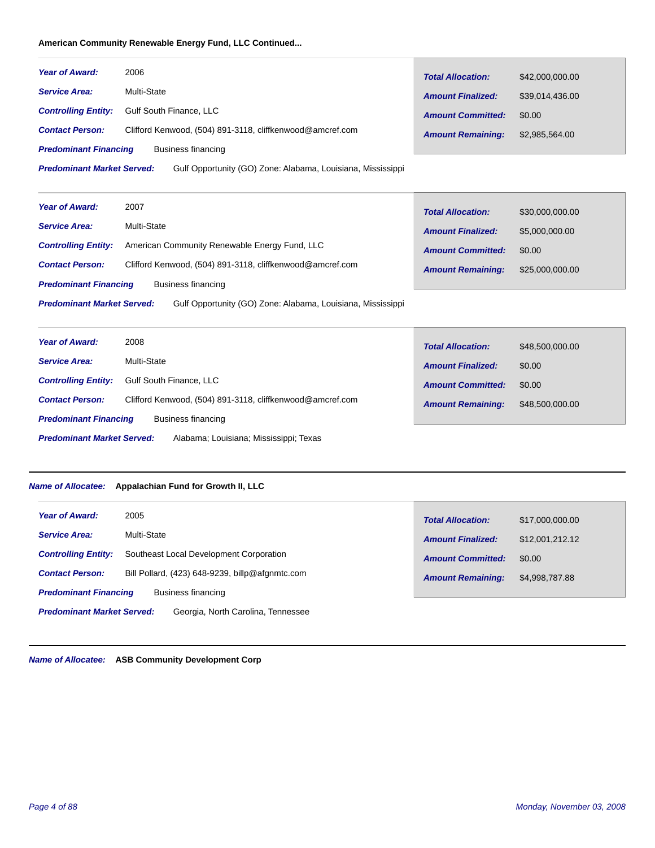# **American Community Renewable Energy Fund, LLC Continued...**

| <b>Year of Award:</b>             | 2006                                                        | <b>Total Allocation:</b> | \$42,000,000.00 |
|-----------------------------------|-------------------------------------------------------------|--------------------------|-----------------|
| <b>Service Area:</b>              | Multi-State                                                 | <b>Amount Finalized:</b> | \$39.014.436.00 |
| <b>Controlling Entity:</b>        | Gulf South Finance, LLC                                     | <b>Amount Committed:</b> | \$0.00          |
| <b>Contact Person:</b>            | Clifford Kenwood, (504) 891-3118, cliffkenwood@amcref.com   | <b>Amount Remaining:</b> | \$2,985,564.00  |
| <b>Predominant Financing</b>      | Business financing                                          |                          |                 |
| <b>Predominant Market Served:</b> | Gulf Opportunity (GO) Zone: Alabama, Louisiana, Mississippi |                          |                 |

| <b>Year of Award:</b>                              | 2007                                                        | <b>Total Allocation:</b> | \$30,000,000.00 |
|----------------------------------------------------|-------------------------------------------------------------|--------------------------|-----------------|
| <b>Service Area:</b>                               | Multi-State                                                 | <b>Amount Finalized:</b> | \$5,000,000.00  |
| <b>Controlling Entity:</b>                         | American Community Renewable Energy Fund, LLC               | <b>Amount Committed:</b> | \$0.00          |
| <b>Contact Person:</b>                             | Clifford Kenwood, (504) 891-3118, cliffkenwood@amcref.com   | <b>Amount Remaining:</b> | \$25,000,000.00 |
| <b>Predominant Financing</b><br>Business financing |                                                             |                          |                 |
| <b>Predominant Market Served:</b>                  | Gulf Opportunity (GO) Zone: Alabama, Louisiana, Mississippi |                          |                 |

| <b>Year of Award:</b>             | 2008                                                      | <b>Total Allocation:</b> | \$48,500,000.00 |
|-----------------------------------|-----------------------------------------------------------|--------------------------|-----------------|
| <b>Service Area:</b>              | Multi-State                                               | <b>Amount Finalized:</b> | \$0.00          |
| <b>Controlling Entity:</b>        | <b>Gulf South Finance, LLC</b>                            | <b>Amount Committed:</b> | \$0.00          |
| <b>Contact Person:</b>            | Clifford Kenwood, (504) 891-3118, cliffkenwood@amcref.com | <b>Amount Remaining:</b> | \$48,500,000.00 |
| <b>Predominant Financing</b>      | Business financing                                        |                          |                 |
| <b>Predominant Market Served:</b> | Alabama; Louisiana; Mississippi; Texas                    |                          |                 |

# *Name of Allocatee:* **Appalachian Fund for Growth II, LLC**

| <b>Year of Award:</b>             | 2005                                            | <b>Total Allocation:</b> | \$17,000,000.00 |
|-----------------------------------|-------------------------------------------------|--------------------------|-----------------|
| <b>Service Area:</b>              | Multi-State                                     | <b>Amount Finalized:</b> | \$12,001,212.12 |
| <b>Controlling Entity:</b>        | Southeast Local Development Corporation         | <b>Amount Committed:</b> | \$0.00          |
| <b>Contact Person:</b>            | Bill Pollard, (423) 648-9239, billp@afgnmtc.com | <b>Amount Remaining:</b> | \$4,998,787.88  |
| <b>Predominant Financing</b>      | Business financing                              |                          |                 |
| <b>Predominant Market Served:</b> | Georgia, North Carolina, Tennessee              |                          |                 |

*Name of Allocatee:* **ASB Community Development Corp**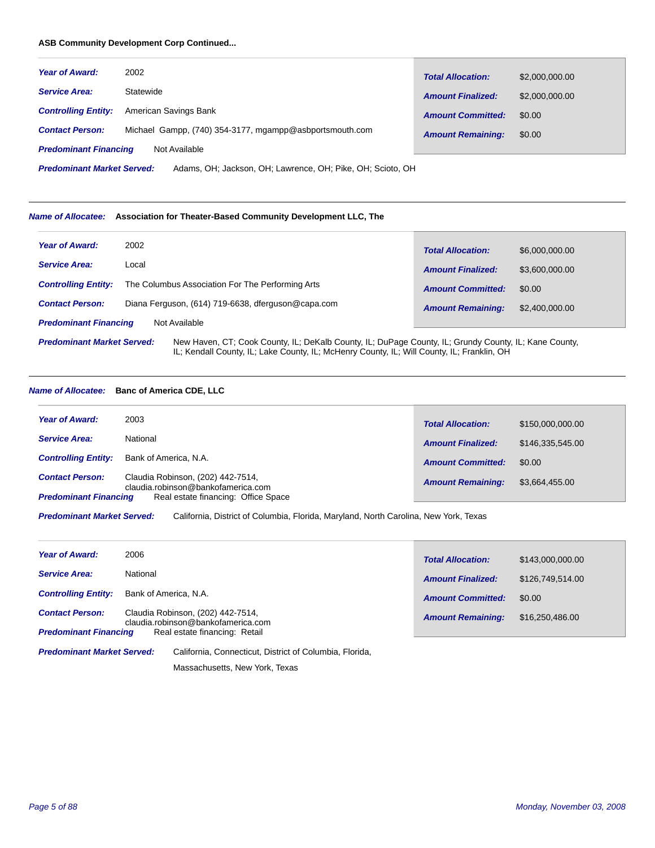#### **ASB Community Development Corp Continued...**

| <b>Year of Award:</b>        | 2002                                                    | <b>Total Allocation:</b> | \$2,000,000.00 |
|------------------------------|---------------------------------------------------------|--------------------------|----------------|
| <b>Service Area:</b>         | Statewide                                               | <b>Amount Finalized:</b> | \$2,000,000.00 |
| <b>Controlling Entity:</b>   | American Savings Bank                                   | <b>Amount Committed:</b> | \$0.00         |
| <b>Contact Person:</b>       | Michael Gampp, (740) 354-3177, mgampp@asbportsmouth.com | <b>Amount Remaining:</b> | \$0.00         |
| <b>Predominant Financing</b> | Not Available                                           |                          |                |

Adams, OH; Jackson, OH; Lawrence, OH; Pike, OH; Scioto, OH *Predominant Market Served:*

#### *Name of Allocatee:* **Association for Theater-Based Community Development LLC, The**

| <b>Year of Award:</b>                                                                                                                      | 2002                                               | <b>Total Allocation:</b> | \$6,000,000.00 |
|--------------------------------------------------------------------------------------------------------------------------------------------|----------------------------------------------------|--------------------------|----------------|
| <b>Service Area:</b>                                                                                                                       | Local                                              | <b>Amount Finalized:</b> | \$3,600,000.00 |
| <b>Controlling Entity:</b>                                                                                                                 | The Columbus Association For The Performing Arts   | <b>Amount Committed:</b> | \$0.00         |
| <b>Contact Person:</b>                                                                                                                     | Diana Ferguson, (614) 719-6638, dferguson@capa.com | <b>Amount Remaining:</b> | \$2,400,000.00 |
| <b>Predominant Financing</b>                                                                                                               | Not Available                                      |                          |                |
| <b>Predominant Market Served:</b><br>New Haven, CT; Cook County, IL; DeKalb County, IL; DuPage County, IL; Grundy County, IL; Kane County, |                                                    |                          |                |

IL; Kendall County, IL; Lake County, IL; McHenry County, IL; Will County, IL; Franklin, OH

*Name of Allocatee:* **Banc of America CDE, LLC**

| <b>Year of Award:</b>        | 2003                                                                    | <b>Total Allocation:</b> | \$150,000,000,00 |
|------------------------------|-------------------------------------------------------------------------|--------------------------|------------------|
| <b>Service Area:</b>         | National                                                                | <b>Amount Finalized:</b> | \$146,335,545,00 |
|                              | <b>Controlling Entity:</b> Bank of America, N.A.                        | <b>Amount Committed:</b> | \$0.00           |
| <b>Contact Person:</b>       | Claudia Robinson, (202) 442-7514,<br>claudia.robinson@bankofamerica.com | <b>Amount Remaining:</b> | \$3,664,455.00   |
| <b>Predominant Financing</b> | Real estate financing: Office Space                                     |                          |                  |

California, District of Columbia, Florida, Maryland, North Carolina, New York, Texas *Predominant Market Served:*

| <b>Year of Award:</b>        | 2006                                                                    |                          |                  |
|------------------------------|-------------------------------------------------------------------------|--------------------------|------------------|
|                              |                                                                         | <b>Total Allocation:</b> | \$143,000,000,00 |
| <b>Service Area:</b>         | National                                                                | <b>Amount Finalized:</b> | \$126.749.514.00 |
| <b>Controlling Entity:</b>   | Bank of America, N.A.                                                   | <b>Amount Committed:</b> | \$0.00           |
| <b>Contact Person:</b>       | Claudia Robinson, (202) 442-7514,<br>claudia.robinson@bankofamerica.com | <b>Amount Remaining:</b> | \$16,250,486.00  |
| <b>Predominant Financing</b> | Real estate financing: Retail                                           |                          |                  |

California, Connecticut, District of Columbia, Florida, *Predominant Market Served:*

Massachusetts, New York, Texas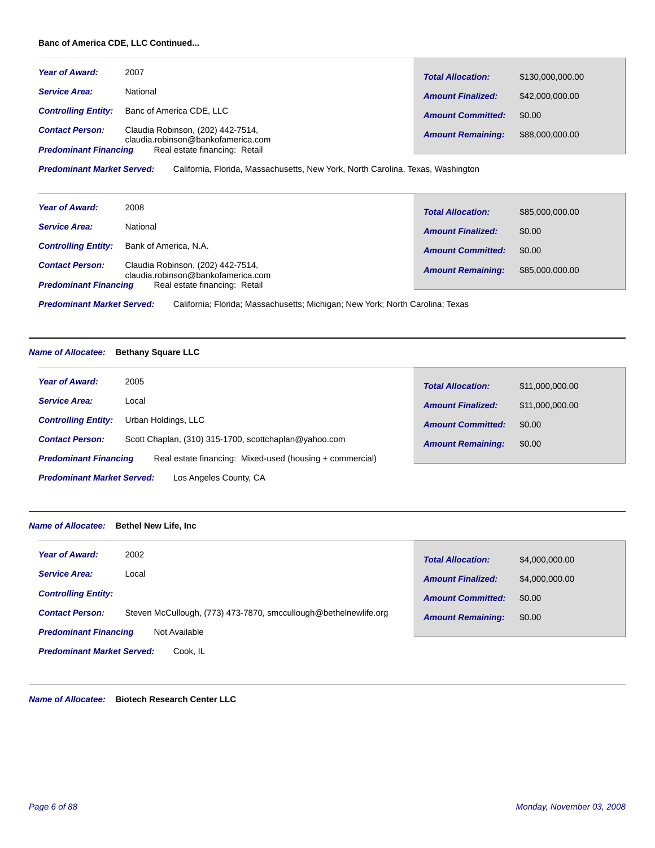# **Banc of America CDE, LLC Continued...**

| <b>Year of Award:</b>        | 2007                                                                    | <b>Total Allocation:</b> | \$130,000,000.00 |
|------------------------------|-------------------------------------------------------------------------|--------------------------|------------------|
| <b>Service Area:</b>         | National                                                                | <b>Amount Finalized:</b> | \$42,000,000,00  |
| <b>Controlling Entity:</b>   | Banc of America CDE, LLC                                                | <b>Amount Committed:</b> | \$0.00           |
| <b>Contact Person:</b>       | Claudia Robinson, (202) 442-7514,<br>claudia.robinson@bankofamerica.com | <b>Amount Remaining:</b> | \$88,000,000.00  |
| <b>Predominant Financing</b> | Real estate financing: Retail                                           |                          |                  |

California, Florida, Massachusetts, New York, North Carolina, Texas, Washington *Predominant Market Served:*

| <b>Year of Award:</b>        | 2008                                                                    |                          |                 |
|------------------------------|-------------------------------------------------------------------------|--------------------------|-----------------|
|                              |                                                                         | <b>Total Allocation:</b> | \$85,000,000.00 |
| <b>Service Area:</b>         | National                                                                | <b>Amount Finalized:</b> | \$0.00          |
| <b>Controlling Entity:</b>   | Bank of America, N.A.                                                   | <b>Amount Committed:</b> | \$0.00          |
| <b>Contact Person:</b>       | Claudia Robinson, (202) 442-7514,<br>claudia.robinson@bankofamerica.com | <b>Amount Remaining:</b> | \$85,000,000.00 |
| <b>Predominant Financing</b> | Real estate financing: Retail                                           |                          |                 |

California; Florida; Massachusetts; Michigan; New York; North Carolina; Texas *Predominant Market Served:*

# *Name of Allocatee:* **Bethany Square LLC**

| <b>Year of Award:</b>             | 2005                                                     | <b>Total Allocation:</b> | \$11,000,000.00 |
|-----------------------------------|----------------------------------------------------------|--------------------------|-----------------|
| <b>Service Area:</b>              | Local                                                    | <b>Amount Finalized:</b> | \$11,000,000,00 |
| <b>Controlling Entity:</b>        | Urban Holdings, LLC                                      | <b>Amount Committed:</b> | \$0.00          |
| <b>Contact Person:</b>            | Scott Chaplan, (310) 315-1700, scottchaplan@yahoo.com    | <b>Amount Remaining:</b> | \$0.00          |
| <b>Predominant Financing</b>      | Real estate financing: Mixed-used (housing + commercial) |                          |                 |
| <b>Predominant Market Served:</b> | Los Angeles County, CA                                   |                          |                 |

# *Name of Allocatee:* **Bethel New Life, Inc**

| 2002<br><b>Year of Award:</b>                                                              | <b>Total Allocation:</b> | \$4,000,000.00 |  |
|--------------------------------------------------------------------------------------------|--------------------------|----------------|--|
| <b>Service Area:</b><br>Local                                                              | <b>Amount Finalized:</b> | \$4,000,000.00 |  |
| <b>Controlling Entity:</b>                                                                 | <b>Amount Committed:</b> | \$0.00         |  |
| Steven McCullough, (773) 473-7870, smccullough@bethelnewlife.org<br><b>Contact Person:</b> | <b>Amount Remaining:</b> | \$0.00         |  |
| <b>Predominant Financing</b><br>Not Available                                              |                          |                |  |
| <b>Predominant Market Served:</b><br>Cook. IL                                              |                          |                |  |

*Name of Allocatee:* **Biotech Research Center LLC**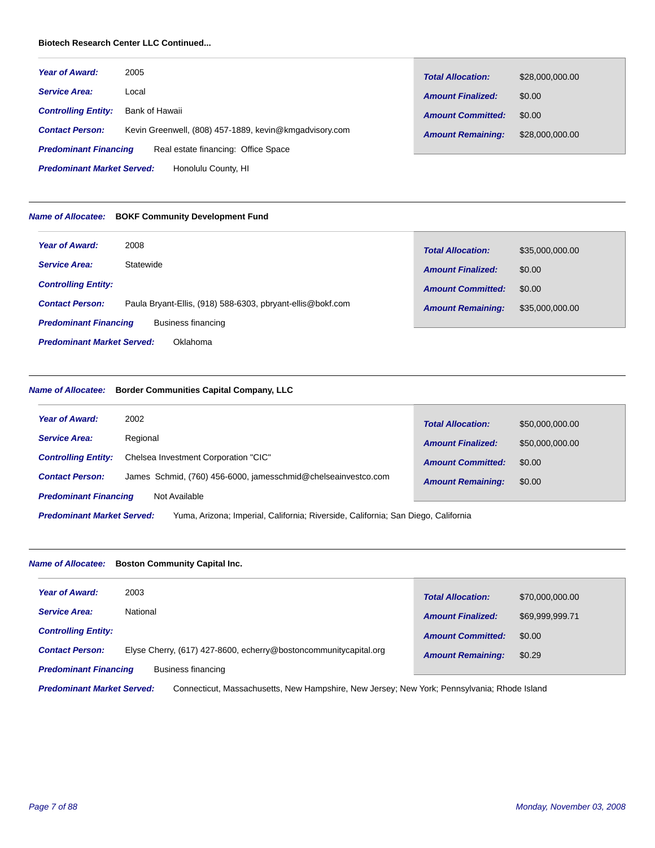# **Biotech Research Center LLC Continued...**

| <b>Year of Award:</b>        | 2005                                                   | <b>Total Allocation:</b> | \$28,000,000.00 |
|------------------------------|--------------------------------------------------------|--------------------------|-----------------|
| <b>Service Area:</b>         | Local                                                  | <b>Amount Finalized:</b> | \$0.00          |
| <b>Controlling Entity:</b>   | Bank of Hawaii                                         | <b>Amount Committed:</b> | \$0.00          |
| <b>Contact Person:</b>       | Kevin Greenwell, (808) 457-1889, kevin@kmgadvisory.com | <b>Amount Remaining:</b> | \$28,000,000.00 |
| <b>Predominant Financing</b> | Real estate financing: Office Space                    |                          |                 |

Honolulu County, HI *Predominant Market Served:*

#### *Name of Allocatee:* **BOKF Community Development Fund**

| <b>Year of Award:</b>                              | 2008                                                       | <b>Total Allocation:</b> | \$35,000,000.00 |
|----------------------------------------------------|------------------------------------------------------------|--------------------------|-----------------|
| <b>Service Area:</b>                               | Statewide                                                  | <b>Amount Finalized:</b> | \$0.00          |
| <b>Controlling Entity:</b>                         |                                                            | <b>Amount Committed:</b> | \$0.00          |
| <b>Contact Person:</b>                             | Paula Bryant-Ellis, (918) 588-6303, pbryant-ellis@bokf.com | <b>Amount Remaining:</b> | \$35,000,000.00 |
| Business financing<br><b>Predominant Financing</b> |                                                            |                          |                 |
| <b>Predominant Market Served:</b><br>Oklahoma      |                                                            |                          |                 |

# *Name of Allocatee:* **Border Communities Capital Company, LLC**

| <b>Year of Award:</b>        | 2002                                                          | <b>Total Allocation:</b> | \$50,000,000.00 |
|------------------------------|---------------------------------------------------------------|--------------------------|-----------------|
| <b>Service Area:</b>         | Regional                                                      | <b>Amount Finalized:</b> | \$50,000,000.00 |
| <b>Controlling Entity:</b>   | Chelsea Investment Corporation "CIC"                          | <b>Amount Committed:</b> | \$0.00          |
| <b>Contact Person:</b>       | James Schmid, (760) 456-6000, jamesschmid@chelseainvestco.com | <b>Amount Remaining:</b> | \$0.00          |
| <b>Predominant Financing</b> | Not Available                                                 |                          |                 |
|                              |                                                               |                          |                 |

Yuma, Arizona; Imperial, California; Riverside, California; San Diego, California *Predominant Market Served:*

# *Name of Allocatee:* **Boston Community Capital Inc.**

| <b>Year of Award:</b>        | 2003                                                             | <b>Total Allocation:</b> | \$70,000,000.00 |
|------------------------------|------------------------------------------------------------------|--------------------------|-----------------|
| <b>Service Area:</b>         | National                                                         | <b>Amount Finalized:</b> | \$69.999.999.71 |
| <b>Controlling Entity:</b>   |                                                                  | <b>Amount Committed:</b> | \$0.00          |
| <b>Contact Person:</b>       | Elyse Cherry, (617) 427-8600, echerry@bostoncommunitycapital.org | <b>Amount Remaining:</b> | \$0.29          |
| <b>Predominant Financing</b> | Business financing                                               |                          |                 |

Connecticut, Massachusetts, New Hampshire, New Jersey; New York; Pennsylvania; Rhode Island *Predominant Market Served:*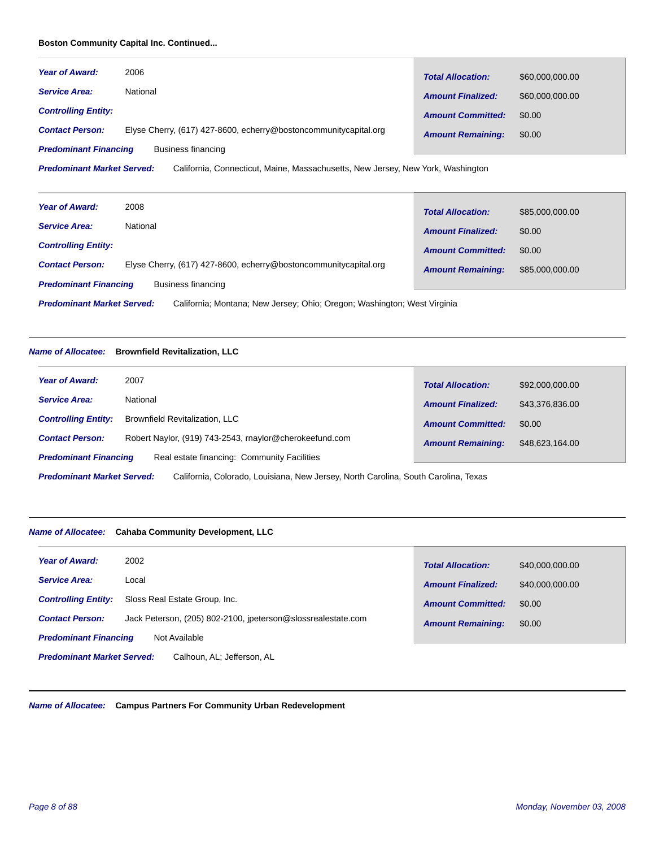# **Boston Community Capital Inc. Continued...**

| <b>Year of Award:</b>        | 2006                                                             | <b>Total Allocation:</b> | \$60,000,000.00 |
|------------------------------|------------------------------------------------------------------|--------------------------|-----------------|
| <b>Service Area:</b>         | National                                                         | <b>Amount Finalized:</b> | \$60,000,000.00 |
| <b>Controlling Entity:</b>   |                                                                  | <b>Amount Committed:</b> | \$0.00          |
| <b>Contact Person:</b>       | Elyse Cherry, (617) 427-8600, echerry@bostoncommunitycapital.org | <b>Amount Remaining:</b> | \$0.00          |
| <b>Predominant Financing</b> | Business financing                                               |                          |                 |

California, Connecticut, Maine, Massachusetts, New Jersey, New York, Washington *Predominant Market Served:*

| <b>Year of Award:</b>                                                                                         | 2008                                                             | <b>Total Allocation:</b> | \$85,000,000.00 |
|---------------------------------------------------------------------------------------------------------------|------------------------------------------------------------------|--------------------------|-----------------|
| <b>Service Area:</b>                                                                                          | National                                                         | <b>Amount Finalized:</b> | \$0.00          |
| <b>Controlling Entity:</b>                                                                                    |                                                                  | <b>Amount Committed:</b> | \$0.00          |
| <b>Contact Person:</b>                                                                                        | Elyse Cherry, (617) 427-8600, echerry@bostoncommunitycapital.org | <b>Amount Remaining:</b> | \$85,000,000.00 |
| <b>Predominant Financing</b>                                                                                  | Business financing                                               |                          |                 |
| <b>Predominant Market Served:</b><br>California; Montana; New Jersey; Ohio; Oregon; Washington; West Virginia |                                                                  |                          |                 |

# *Name of Allocatee:* **Brownfield Revitalization, LLC**

| <b>Year of Award:</b>        | 2007                                                    | <b>Total Allocation:</b> | \$92,000,000.00 |
|------------------------------|---------------------------------------------------------|--------------------------|-----------------|
| <b>Service Area:</b>         | National                                                | <b>Amount Finalized:</b> | \$43,376,836.00 |
| <b>Controlling Entity:</b>   | <b>Brownfield Revitalization, LLC</b>                   | <b>Amount Committed:</b> | \$0.00          |
| <b>Contact Person:</b>       | Robert Naylor, (919) 743-2543, rnaylor@cherokeefund.com | <b>Amount Remaining:</b> | \$48,623,164.00 |
| <b>Predominant Financing</b> | Real estate financing: Community Facilities             |                          |                 |

California, Colorado, Louisiana, New Jersey, North Carolina, South Carolina, Texas *Predominant Market Served:*

# *Name of Allocatee:* **Cahaba Community Development, LLC**

| <b>Year of Award:</b>                                           | 2002                                                         | <b>Total Allocation:</b> | \$40,000,000.00 |  |
|-----------------------------------------------------------------|--------------------------------------------------------------|--------------------------|-----------------|--|
| <b>Service Area:</b>                                            | Local                                                        | <b>Amount Finalized:</b> | \$40,000,000.00 |  |
| <b>Controlling Entity:</b>                                      | Sloss Real Estate Group, Inc.                                | <b>Amount Committed:</b> | \$0.00          |  |
| <b>Contact Person:</b>                                          | Jack Peterson, (205) 802-2100, ipeterson@slossrealestate.com | <b>Amount Remaining:</b> | \$0.00          |  |
| <b>Predominant Financing</b><br>Not Available                   |                                                              |                          |                 |  |
| <b>Predominant Market Served:</b><br>Calhoun, AL; Jefferson, AL |                                                              |                          |                 |  |

*Name of Allocatee:* **Campus Partners For Community Urban Redevelopment**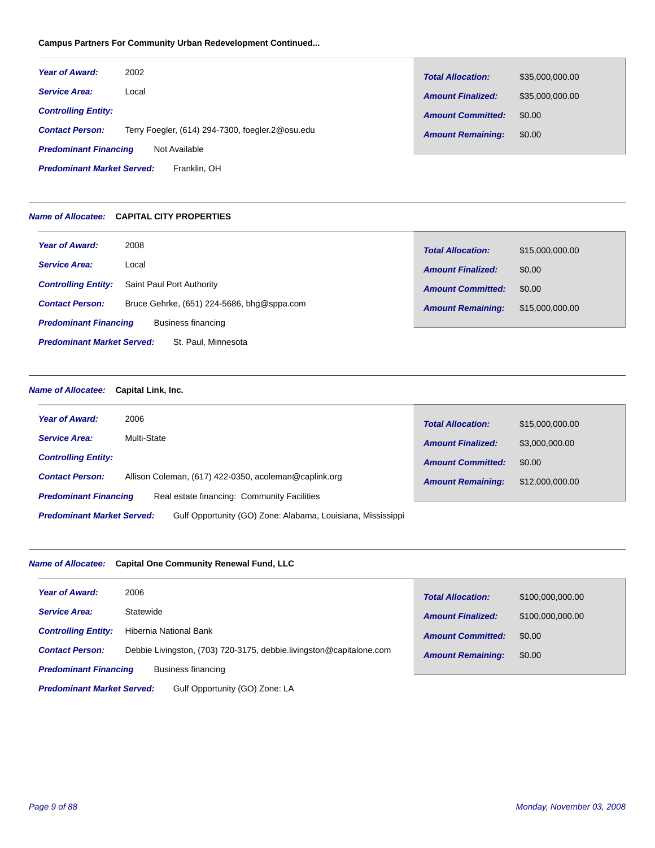# **Campus Partners For Community Urban Redevelopment Continued...**

| <b>Year of Award:</b>                             | 2002                                             | <b>Total Allocation:</b> | \$35,000,000.00 |
|---------------------------------------------------|--------------------------------------------------|--------------------------|-----------------|
| <b>Service Area:</b>                              | Local                                            | <b>Amount Finalized:</b> | \$35,000,000.00 |
| <b>Controlling Entity:</b>                        |                                                  | <b>Amount Committed:</b> | \$0.00          |
| <b>Contact Person:</b>                            | Terry Foegler, (614) 294-7300, foegler.2@osu.edu | <b>Amount Remaining:</b> | \$0.00          |
| <b>Predominant Financing</b><br>Not Available     |                                                  |                          |                 |
| <b>Predominant Market Served:</b><br>Franklin, OH |                                                  |                          |                 |

# *Name of Allocatee:* **CAPITAL CITY PROPERTIES**

| <b>Year of Award:</b>                                    | 2008                                       | <b>Total Allocation:</b> | \$15,000,000.00 |
|----------------------------------------------------------|--------------------------------------------|--------------------------|-----------------|
| <b>Service Area:</b>                                     | Local                                      | <b>Amount Finalized:</b> | \$0.00          |
| <b>Controlling Entity:</b>                               | Saint Paul Port Authority                  | <b>Amount Committed:</b> | \$0.00          |
| <b>Contact Person:</b>                                   | Bruce Gehrke, (651) 224-5686, bhg@sppa.com | <b>Amount Remaining:</b> | \$15,000,000.00 |
| <b>Predominant Financing</b>                             | Business financing                         |                          |                 |
| <b>Predominant Market Served:</b><br>St. Paul, Minnesota |                                            |                          |                 |

*Name of Allocatee:* **Capital Link, Inc.**

| <b>Year of Award:</b>                                                       | 2006                                                  | <b>Total Allocation:</b> | \$15,000,000.00 |
|-----------------------------------------------------------------------------|-------------------------------------------------------|--------------------------|-----------------|
| <b>Service Area:</b>                                                        | <b>Multi-State</b>                                    | <b>Amount Finalized:</b> | \$3,000,000.00  |
| <b>Controlling Entity:</b>                                                  |                                                       | <b>Amount Committed:</b> | \$0.00          |
| <b>Contact Person:</b>                                                      | Allison Coleman, (617) 422-0350, acoleman@caplink.org | <b>Amount Remaining:</b> | \$12,000,000.00 |
| Real estate financing: Community Facilities<br><b>Predominant Financing</b> |                                                       |                          |                 |
| <b>Predominant Market Served:</b>                                           |                                                       |                          |                 |

# *Name of Allocatee:* **Capital One Community Renewal Fund, LLC**

| <b>Year of Award:</b>                                               | 2006                                                                | <b>Total Allocation:</b> | \$100,000,000.00 |
|---------------------------------------------------------------------|---------------------------------------------------------------------|--------------------------|------------------|
| <b>Service Area:</b>                                                | Statewide                                                           | <b>Amount Finalized:</b> | \$100,000,000.00 |
| <b>Controlling Entity:</b>                                          | Hibernia National Bank                                              | <b>Amount Committed:</b> | \$0.00           |
| <b>Contact Person:</b>                                              | Debbie Livingston, (703) 720-3175, debbie livingston@capitalone.com | <b>Amount Remaining:</b> | \$0.00           |
| <b>Predominant Financing</b><br>Business financing                  |                                                                     |                          |                  |
| <b>Predominant Market Served:</b><br>Gulf Opportunity (GO) Zone: LA |                                                                     |                          |                  |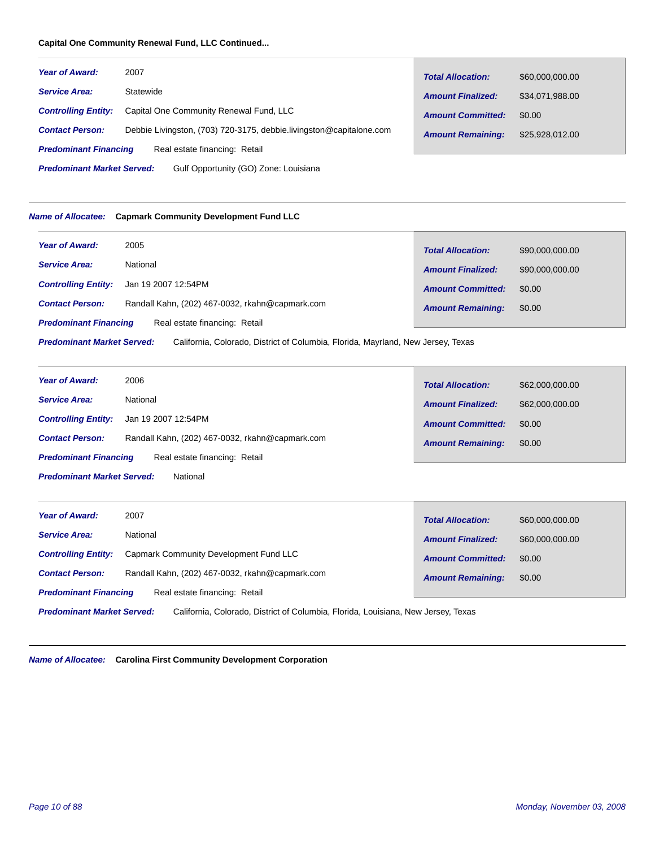# **Capital One Community Renewal Fund, LLC Continued...**

| <b>Year of Award:</b>                                                      | 2007                                                                | <b>Total Allocation:</b> | \$60,000,000,00 |  |
|----------------------------------------------------------------------------|---------------------------------------------------------------------|--------------------------|-----------------|--|
| <b>Service Area:</b>                                                       | Statewide                                                           | <b>Amount Finalized:</b> | \$34,071,988.00 |  |
| <b>Controlling Entity:</b>                                                 | Capital One Community Renewal Fund, LLC                             | <b>Amount Committed:</b> | \$0.00          |  |
| <b>Contact Person:</b>                                                     | Debbie Livingston, (703) 720-3175, debbie livingston@capitalone.com | <b>Amount Remaining:</b> | \$25,928,012.00 |  |
| <b>Predominant Financing</b>                                               | Real estate financing: Retail                                       |                          |                 |  |
| <b>Predominant Market Served:</b><br>Gulf Opportunity (GO) Zone: Louisiana |                                                                     |                          |                 |  |

# *Name of Allocatee:* **Capmark Community Development Fund LLC**

| <b>Year of Award:</b>                                                                                                 | 2005                                            | <b>Total Allocation:</b> | \$90,000,000.00 |  |
|-----------------------------------------------------------------------------------------------------------------------|-------------------------------------------------|--------------------------|-----------------|--|
| <b>Service Area:</b>                                                                                                  | National                                        | <b>Amount Finalized:</b> | \$90,000,000.00 |  |
| <b>Controlling Entity:</b>                                                                                            | Jan 19 2007 12:54PM                             | <b>Amount Committed:</b> | \$0.00          |  |
| <b>Contact Person:</b>                                                                                                | Randall Kahn, (202) 467-0032, rkahn@capmark.com | <b>Amount Remaining:</b> | \$0.00          |  |
| Real estate financing: Retail<br><b>Predominant Financing</b>                                                         |                                                 |                          |                 |  |
| <b>Predominant Market Served:</b><br>California, Colorado, District of Columbia, Florida, Mayrland, New Jersey, Texas |                                                 |                          |                 |  |

| <b>Year of Award:</b>                                         | 2006                                            | <b>Total Allocation:</b> | \$62,000,000.00 |
|---------------------------------------------------------------|-------------------------------------------------|--------------------------|-----------------|
| <b>Service Area:</b>                                          | National                                        | <b>Amount Finalized:</b> | \$62,000,000.00 |
| <b>Controlling Entity:</b>                                    | Jan 19 2007 12:54PM                             | <b>Amount Committed:</b> | \$0.00          |
| <b>Contact Person:</b>                                        | Randall Kahn, (202) 467-0032, rkahn@capmark.com | <b>Amount Remaining:</b> | \$0.00          |
| Real estate financing: Retail<br><b>Predominant Financing</b> |                                                 |                          |                 |
| <b>Predominant Market Served:</b><br>National                 |                                                 |                          |                 |

| <b>Year of Award:</b>                                                                                                  | 2007                                            | <b>Total Allocation:</b> | \$60,000,000.00 |  |
|------------------------------------------------------------------------------------------------------------------------|-------------------------------------------------|--------------------------|-----------------|--|
| <b>Service Area:</b>                                                                                                   | National                                        | <b>Amount Finalized:</b> | \$60,000,000.00 |  |
| <b>Controlling Entity:</b>                                                                                             | Capmark Community Development Fund LLC          | <b>Amount Committed:</b> | \$0.00          |  |
| <b>Contact Person:</b>                                                                                                 | Randall Kahn, (202) 467-0032, rkahn@capmark.com | <b>Amount Remaining:</b> | \$0.00          |  |
| Real estate financing: Retail<br><b>Predominant Financing</b>                                                          |                                                 |                          |                 |  |
| <b>Predominant Market Served:</b><br>California, Colorado, District of Columbia, Florida, Louisiana, New Jersey, Texas |                                                 |                          |                 |  |

*Name of Allocatee:* **Carolina First Community Development Corporation**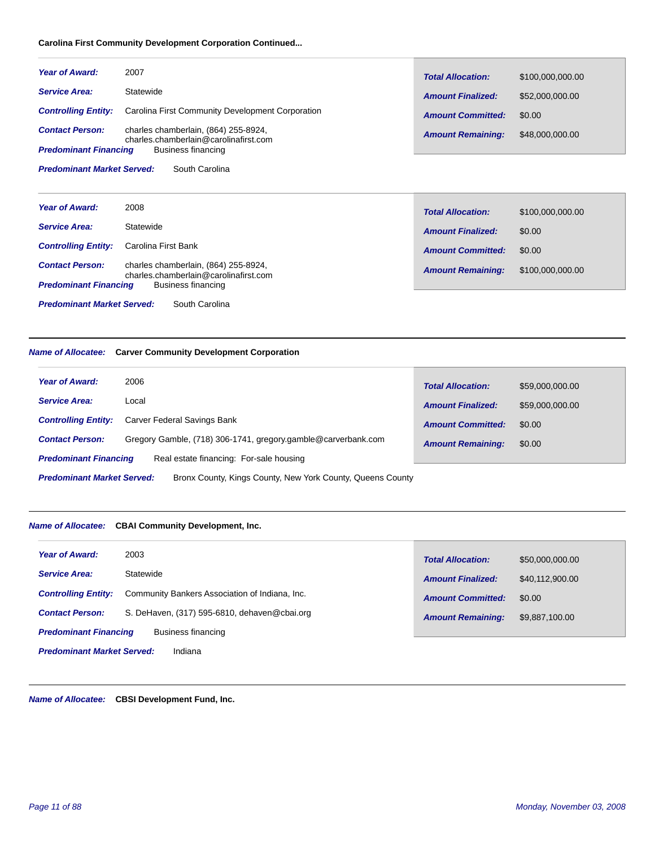# **Carolina First Community Development Corporation Continued...**

| <b>Year of Award:</b>                               | 2007                                                                          | <b>Total Allocation:</b> | \$100.000.000.00 |
|-----------------------------------------------------|-------------------------------------------------------------------------------|--------------------------|------------------|
| <b>Service Area:</b>                                | Statewide                                                                     | <b>Amount Finalized:</b> | \$52,000,000,00  |
| <b>Controlling Entity:</b>                          | Carolina First Community Development Corporation                              | <b>Amount Committed:</b> | \$0.00           |
| <b>Contact Person:</b>                              | charles chamberlain, (864) 255-8924,<br>charles.chamberlain@carolinafirst.com | <b>Amount Remaining:</b> | \$48,000,000.00  |
| <b>Predominant Financing</b>                        | Business financing                                                            |                          |                  |
| <b>Predominant Market Served:</b><br>South Carolina |                                                                               |                          |                  |

| <b>Year of Award:</b>             | 2008                                                                          | <b>Total Allocation:</b> | \$100,000,000.00 |
|-----------------------------------|-------------------------------------------------------------------------------|--------------------------|------------------|
| <b>Service Area:</b>              | Statewide                                                                     | <b>Amount Finalized:</b> | \$0.00           |
| <b>Controlling Entity:</b>        | Carolina First Bank                                                           | <b>Amount Committed:</b> | \$0.00           |
| <b>Contact Person:</b>            | charles chamberlain, (864) 255-8924,<br>charles.chamberlain@carolinafirst.com | <b>Amount Remaining:</b> | \$100,000,000.00 |
| <b>Predominant Financing</b>      | Business financing                                                            |                          |                  |
|                                   |                                                                               |                          |                  |
| <b>Predominant Market Served:</b> | South Carolina                                                                |                          |                  |

# *Name of Allocatee:* **Carver Community Development Corporation**

| <b>Year of Award:</b>                                                                           | 2006                                                          | <b>Total Allocation:</b> | \$59,000,000.00 |  |  |
|-------------------------------------------------------------------------------------------------|---------------------------------------------------------------|--------------------------|-----------------|--|--|
| <b>Service Area:</b>                                                                            | Local                                                         | <b>Amount Finalized:</b> | \$59,000,000.00 |  |  |
| <b>Controlling Entity:</b>                                                                      | Carver Federal Savings Bank                                   | <b>Amount Committed:</b> | \$0.00          |  |  |
| <b>Contact Person:</b>                                                                          | Gregory Gamble, (718) 306-1741, gregory.gamble@carverbank.com | <b>Amount Remaining:</b> | \$0.00          |  |  |
| <b>Predominant Financing</b><br>Real estate financing: For-sale housing                         |                                                               |                          |                 |  |  |
| <b>Predominant Market Served:</b><br>Bronx County, Kings County, New York County, Queens County |                                                               |                          |                 |  |  |

# *Name of Allocatee:* **CBAI Community Development, Inc.**

| <b>Year of Award:</b>                        | 2003                                           | <b>Total Allocation:</b> | \$50,000,000,00 |
|----------------------------------------------|------------------------------------------------|--------------------------|-----------------|
| <b>Service Area:</b>                         | Statewide                                      | <b>Amount Finalized:</b> | \$40,112,900.00 |
| <b>Controlling Entity:</b>                   | Community Bankers Association of Indiana, Inc. | <b>Amount Committed:</b> | \$0.00          |
| <b>Contact Person:</b>                       | S. DeHaven, (317) 595-6810, dehaven@cbai.org   | <b>Amount Remaining:</b> | \$9,887,100.00  |
| <b>Predominant Financing</b>                 | Business financing                             |                          |                 |
| <b>Predominant Market Served:</b><br>Indiana |                                                |                          |                 |

*Name of Allocatee:* **CBSI Development Fund, Inc.**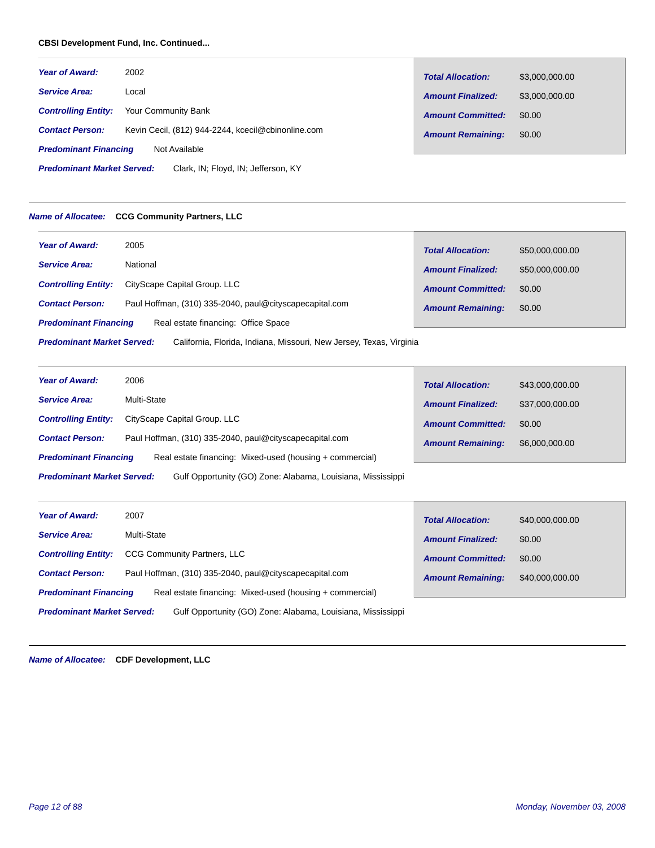# **CBSI Development Fund, Inc. Continued...**

| <b>Year of Award:</b>                                                    | 2002                                               | <b>Total Allocation:</b> | \$3,000,000.00 |
|--------------------------------------------------------------------------|----------------------------------------------------|--------------------------|----------------|
| <b>Service Area:</b>                                                     | Local                                              | <b>Amount Finalized:</b> | \$3,000,000.00 |
| <b>Controlling Entity:</b>                                               | Your Community Bank                                | <b>Amount Committed:</b> | \$0.00         |
| <b>Contact Person:</b>                                                   | Kevin Cecil, (812) 944-2244, kcecil@cbinonline.com | <b>Amount Remaining:</b> | \$0.00         |
| <b>Predominant Financing</b><br>Not Available                            |                                                    |                          |                |
| <b>Predominant Market Served:</b><br>Clark, IN; Floyd, IN; Jefferson, KY |                                                    |                          |                |

# *Name of Allocatee:* **CCG Community Partners, LLC**

| <b>Year of Award:</b>                                                                                    | 2005                                                    | <b>Total Allocation:</b> | \$50,000,000.00 |  |
|----------------------------------------------------------------------------------------------------------|---------------------------------------------------------|--------------------------|-----------------|--|
| <b>Service Area:</b>                                                                                     | National                                                | <b>Amount Finalized:</b> | \$50,000,000.00 |  |
| <b>Controlling Entity:</b>                                                                               | CityScape Capital Group. LLC                            | <b>Amount Committed:</b> | \$0.00          |  |
| <b>Contact Person:</b>                                                                                   | Paul Hoffman, (310) 335-2040, paul@cityscapecapital.com | <b>Amount Remaining:</b> | \$0.00          |  |
| <b>Predominant Financing</b><br>Real estate financing: Office Space                                      |                                                         |                          |                 |  |
| <b>Predominant Market Served:</b><br>California, Florida, Indiana, Missouri, New Jersey, Texas, Virginia |                                                         |                          |                 |  |

| <b>Year of Award:</b>             | 2006                                                        | <b>Total Allocation:</b> | \$43,000,000.00 |
|-----------------------------------|-------------------------------------------------------------|--------------------------|-----------------|
| <b>Service Area:</b>              | Multi-State                                                 | <b>Amount Finalized:</b> | \$37,000,000.00 |
| <b>Controlling Entity:</b>        | CityScape Capital Group. LLC                                | <b>Amount Committed:</b> | \$0.00          |
| <b>Contact Person:</b>            | Paul Hoffman, (310) 335-2040, paul@cityscapecapital.com     | <b>Amount Remaining:</b> | \$6,000,000.00  |
| <b>Predominant Financing</b>      | Real estate financing: Mixed-used (housing + commercial)    |                          |                 |
| <b>Predominant Market Served:</b> | Gulf Opportunity (GO) Zone: Alabama, Louisiana, Mississippi |                          |                 |

| Year of Award:                    | 2007                                                        | <b>Total Allocation:</b> | \$40,000,000.00 |
|-----------------------------------|-------------------------------------------------------------|--------------------------|-----------------|
| <b>Service Area:</b>              | Multi-State                                                 | <b>Amount Finalized:</b> | \$0.00          |
| <b>Controlling Entity:</b>        | <b>CCG Community Partners, LLC</b>                          | <b>Amount Committed:</b> | \$0.00          |
| <b>Contact Person:</b>            | Paul Hoffman, (310) 335-2040, paul@cityscapecapital.com     | <b>Amount Remaining:</b> | \$40,000,000.00 |
| <b>Predominant Financing</b>      | Real estate financing: Mixed-used (housing + commercial)    |                          |                 |
| <b>Predominant Market Served:</b> | Gulf Opportunity (GO) Zone: Alabama, Louisiana, Mississippi |                          |                 |

*Name of Allocatee:* **CDF Development, LLC**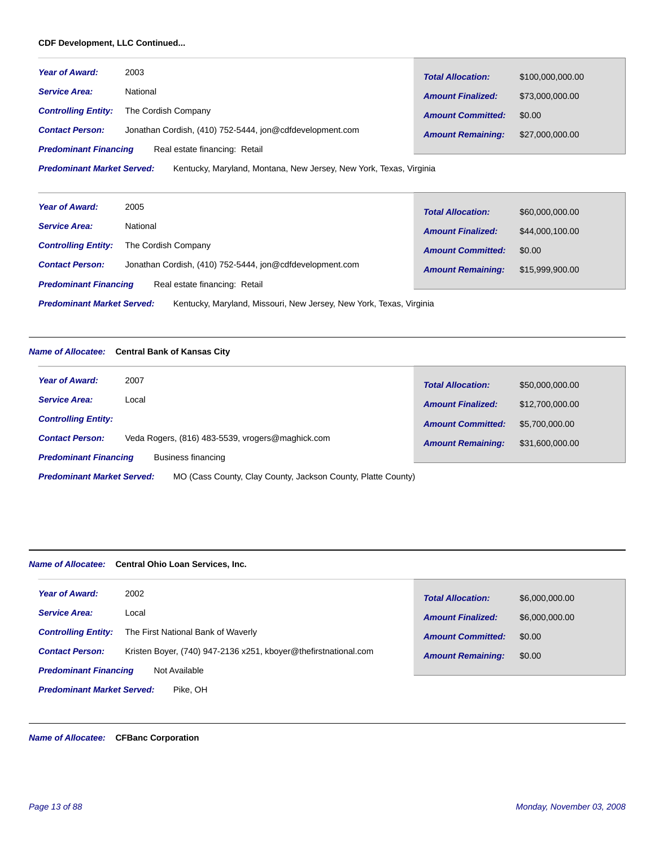# **CDF Development, LLC Continued...**

| <b>Year of Award:</b>                                                                                   | 2003                                                     | <b>Total Allocation:</b> | \$100,000,000.00 |
|---------------------------------------------------------------------------------------------------------|----------------------------------------------------------|--------------------------|------------------|
| <b>Service Area:</b>                                                                                    | National                                                 | <b>Amount Finalized:</b> | \$73,000,000.00  |
| <b>Controlling Entity:</b>                                                                              | The Cordish Company                                      | <b>Amount Committed:</b> | \$0.00           |
| <b>Contact Person:</b>                                                                                  | Jonathan Cordish, (410) 752-5444, jon@cdfdevelopment.com | <b>Amount Remaining:</b> | \$27,000,000.00  |
| Real estate financing: Retail<br><b>Predominant Financing</b>                                           |                                                          |                          |                  |
| <b>Predominant Market Served:</b><br>Kentucky, Maryland, Montana, New Jersey, New York, Texas, Virginia |                                                          |                          |                  |

| <b>Year of Award:</b>                                                                                    | 2005                                                     | <b>Total Allocation:</b> | \$60,000,000.00 |
|----------------------------------------------------------------------------------------------------------|----------------------------------------------------------|--------------------------|-----------------|
| <b>Service Area:</b>                                                                                     | National                                                 | <b>Amount Finalized:</b> | \$44,000,100.00 |
| <b>Controlling Entity:</b>                                                                               | The Cordish Company                                      | <b>Amount Committed:</b> | \$0.00          |
| <b>Contact Person:</b>                                                                                   | Jonathan Cordish, (410) 752-5444, jon@cdfdevelopment.com | <b>Amount Remaining:</b> | \$15,999,900.00 |
| Real estate financing: Retail<br><b>Predominant Financing</b>                                            |                                                          |                          |                 |
| <b>Predominant Market Served:</b><br>Kentucky, Maryland, Missouri, New Jersey, New York, Texas, Virginia |                                                          |                          |                 |

# *Name of Allocatee:* **Central Bank of Kansas City**

| <b>Year of Award:</b>                              | 2007                                                         | <b>Total Allocation:</b> | \$50,000,000.00 |
|----------------------------------------------------|--------------------------------------------------------------|--------------------------|-----------------|
| <b>Service Area:</b>                               | Local                                                        | <b>Amount Finalized:</b> | \$12,700,000,00 |
| <b>Controlling Entity:</b>                         |                                                              | <b>Amount Committed:</b> | \$5.700,000,00  |
| <b>Contact Person:</b>                             | Veda Rogers, (816) 483-5539, vrogers@maghick.com             | <b>Amount Remaining:</b> | \$31,600,000.00 |
| <b>Predominant Financing</b><br>Business financing |                                                              |                          |                 |
| <b>Predominant Market Served:</b>                  | MO (Cass County, Clay County, Jackson County, Platte County) |                          |                 |

# *Name of Allocatee:* **Central Ohio Loan Services, Inc.**

| <b>Year of Award:</b>                         | 2002                                                            | <b>Total Allocation:</b> | \$6,000,000.00 |  |
|-----------------------------------------------|-----------------------------------------------------------------|--------------------------|----------------|--|
| <b>Service Area:</b>                          | Local                                                           | <b>Amount Finalized:</b> | \$6,000,000.00 |  |
| <b>Controlling Entity:</b>                    | The First National Bank of Waverly                              |                          |                |  |
|                                               |                                                                 | <b>Amount Committed:</b> | \$0.00         |  |
| <b>Contact Person:</b>                        | Kristen Boyer, (740) 947-2136 x251, kboyer@thefirstnational.com | <b>Amount Remaining:</b> | \$0.00         |  |
| <b>Predominant Financing</b><br>Not Available |                                                                 |                          |                |  |
| <b>Predominant Market Served:</b><br>Pike, OH |                                                                 |                          |                |  |

# *Name of Allocatee:* **CFBanc Corporation**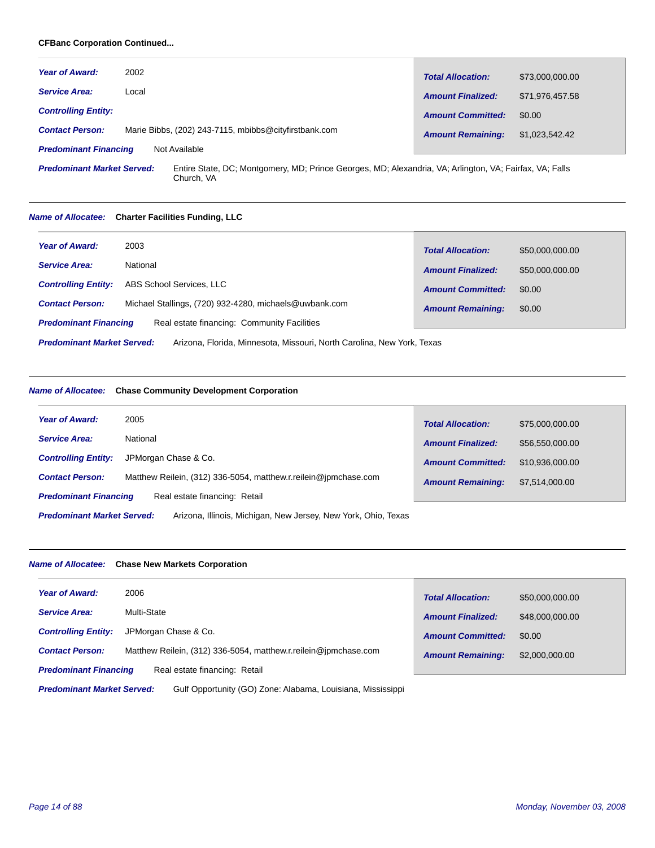# **CFBanc Corporation Continued...**

| <b>Year of Award:</b>        | 2002                                                  | <b>Total Allocation:</b> | \$73,000,000.00 |
|------------------------------|-------------------------------------------------------|--------------------------|-----------------|
| <b>Service Area:</b>         | Local                                                 | <b>Amount Finalized:</b> | \$71,976,457.58 |
| <b>Controlling Entity:</b>   |                                                       | <b>Amount Committed:</b> | \$0.00          |
| <b>Contact Person:</b>       | Marie Bibbs, (202) 243-7115, mbibbs@cityfirstbank.com | <b>Amount Remaining:</b> | \$1,023,542.42  |
| <b>Predominant Financing</b> | Not Available                                         |                          |                 |

Entire State, DC; Montgomery, MD; Prince Georges, MD; Alexandria, VA; Arlington, VA; Fairfax, VA; Falls Church, VA *Predominant Market Served:*

# *Name of Allocatee:* **Charter Facilities Funding, LLC**

| <b>Year of Award:</b>                                                                                       | 2003                                                   | <b>Total Allocation:</b> | \$50,000,000.00 |
|-------------------------------------------------------------------------------------------------------------|--------------------------------------------------------|--------------------------|-----------------|
| <b>Service Area:</b>                                                                                        | National                                               | <b>Amount Finalized:</b> | \$50,000,000,00 |
| <b>Controlling Entity:</b>                                                                                  | ABS School Services, LLC                               | <b>Amount Committed:</b> | \$0.00          |
| <b>Contact Person:</b>                                                                                      | Michael Stallings, (720) 932-4280, michaels@uwbank.com | <b>Amount Remaining:</b> | \$0.00          |
| Real estate financing: Community Facilities<br><b>Predominant Financing</b>                                 |                                                        |                          |                 |
| <b>Predominant Market Served:</b><br>Arizona, Florida, Minnesota, Missouri, North Carolina, New York, Texas |                                                        |                          |                 |

# *Name of Allocatee:* **Chase Community Development Corporation**

| 2005<br><b>Year of Award:</b>                                                                       |  | <b>Total Allocation:</b> | \$75,000,000.00 |  |
|-----------------------------------------------------------------------------------------------------|--|--------------------------|-----------------|--|
| National<br><b>Service Area:</b>                                                                    |  | <b>Amount Finalized:</b> | \$56,550,000.00 |  |
| JPMorgan Chase & Co.<br><b>Controlling Entity:</b>                                                  |  | <b>Amount Committed:</b> | \$10.936.000.00 |  |
| Matthew Reilein, (312) 336-5054, matthew.r.reilein@jpmchase.com<br><b>Contact Person:</b>           |  | <b>Amount Remaining:</b> | \$7.514.000.00  |  |
| Real estate financing: Retail<br><b>Predominant Financing</b>                                       |  |                          |                 |  |
| <b>Predominant Market Served:</b><br>Arizona, Illinois, Michigan, New Jersey, New York, Ohio, Texas |  |                          |                 |  |

# *Name of Allocatee:* **Chase New Markets Corporation**

| <b>Year of Award:</b>                                                                            | 2006                                                            | <b>Total Allocation:</b> | \$50,000,000.00 |
|--------------------------------------------------------------------------------------------------|-----------------------------------------------------------------|--------------------------|-----------------|
| <b>Service Area:</b>                                                                             | Multi-State                                                     | <b>Amount Finalized:</b> | \$48,000,000.00 |
| <b>Controlling Entity:</b>                                                                       | JPMorgan Chase & Co.                                            | <b>Amount Committed:</b> | \$0.00          |
| <b>Contact Person:</b>                                                                           | Matthew Reilein, (312) 336-5054, matthew.r.reilein@jpmchase.com | <b>Amount Remaining:</b> | \$2,000,000.00  |
| Real estate financing: Retail<br><b>Predominant Financing</b>                                    |                                                                 |                          |                 |
| Gulf Opportunity (GO) Zone: Alabama, Louisiana, Mississippi<br><b>Predominant Market Served:</b> |                                                                 |                          |                 |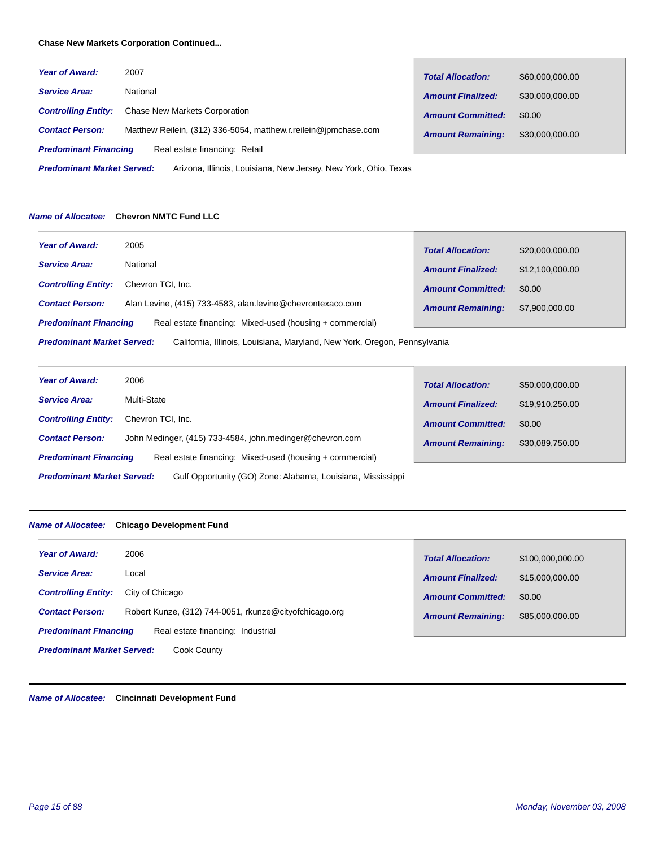# **Chase New Markets Corporation Continued...**

| Year of Award:                                                                                       | 2007                                                            | <b>Total Allocation:</b> | \$60,000,000.00 |
|------------------------------------------------------------------------------------------------------|-----------------------------------------------------------------|--------------------------|-----------------|
| <b>Service Area:</b>                                                                                 | National                                                        | <b>Amount Finalized:</b> | \$30,000,000.00 |
| <b>Controlling Entity:</b>                                                                           | <b>Chase New Markets Corporation</b>                            | <b>Amount Committed:</b> | \$0.00          |
| <b>Contact Person:</b>                                                                               | Matthew Reilein, (312) 336-5054, matthew.r.reilein@jpmchase.com | <b>Amount Remaining:</b> | \$30,000,000.00 |
| <b>Predominant Financing</b><br>Real estate financing: Retail                                        |                                                                 |                          |                 |
| <b>Predominant Market Served:</b><br>Arizona, Illinois, Louisiana, New Jersey, New York, Ohio, Texas |                                                                 |                          |                 |

# *Name of Allocatee:* **Chevron NMTC Fund LLC**

| <b>Year of Award:</b>                                                                                          | 2005                                                       |                          |                 |
|----------------------------------------------------------------------------------------------------------------|------------------------------------------------------------|--------------------------|-----------------|
|                                                                                                                |                                                            | <b>Total Allocation:</b> | \$20,000,000.00 |
| <b>Service Area:</b>                                                                                           | National                                                   | <b>Amount Finalized:</b> | \$12,100,000.00 |
| <b>Controlling Entity:</b>                                                                                     | Chevron TCI, Inc.                                          | <b>Amount Committed:</b> | \$0.00          |
| <b>Contact Person:</b>                                                                                         | Alan Levine, (415) 733-4583, alan.levine@chevrontexaco.com | <b>Amount Remaining:</b> | \$7,900,000.00  |
| Real estate financing: Mixed-used (housing + commercial)<br><b>Predominant Financing</b>                       |                                                            |                          |                 |
| <b>Predominant Market Served:</b><br>California, Illinois, Louisiana, Maryland, New York, Oregon, Pennsylvania |                                                            |                          |                 |

| <b>Year of Award:</b>                                                                            | 2006                                                     | <b>Total Allocation:</b> | \$50,000,000.00 |
|--------------------------------------------------------------------------------------------------|----------------------------------------------------------|--------------------------|-----------------|
| <b>Service Area:</b>                                                                             | Multi-State                                              | <b>Amount Finalized:</b> | \$19,910,250.00 |
| <b>Controlling Entity:</b>                                                                       | Chevron TCI, Inc.                                        | <b>Amount Committed:</b> | \$0.00          |
| <b>Contact Person:</b>                                                                           | John Medinger, (415) 733-4584, john.medinger@chevron.com | <b>Amount Remaining:</b> | \$30,089,750.00 |
| <b>Predominant Financing</b><br>Real estate financing: Mixed-used (housing + commercial)         |                                                          |                          |                 |
| Gulf Opportunity (GO) Zone: Alabama, Louisiana, Mississippi<br><b>Predominant Market Served:</b> |                                                          |                          |                 |

# *Name of Allocatee:* **Chicago Development Fund**

| 2006<br><b>Year of Award:</b>                                     |                                                        | <b>Total Allocation:</b> | \$100,000,000,00 |
|-------------------------------------------------------------------|--------------------------------------------------------|--------------------------|------------------|
| <b>Service Area:</b><br>Local                                     |                                                        | <b>Amount Finalized:</b> | \$15,000,000.00  |
| <b>Controlling Entity:</b><br>City of Chicago                     |                                                        | <b>Amount Committed:</b> | \$0.00           |
| <b>Contact Person:</b>                                            | Robert Kunze, (312) 744-0051, rkunze@cityofchicago.org | <b>Amount Remaining:</b> | \$85,000,000.00  |
| Real estate financing: Industrial<br><b>Predominant Financing</b> |                                                        |                          |                  |
| <b>Predominant Market Served:</b><br>Cook County                  |                                                        |                          |                  |

*Name of Allocatee:* **Cincinnati Development Fund**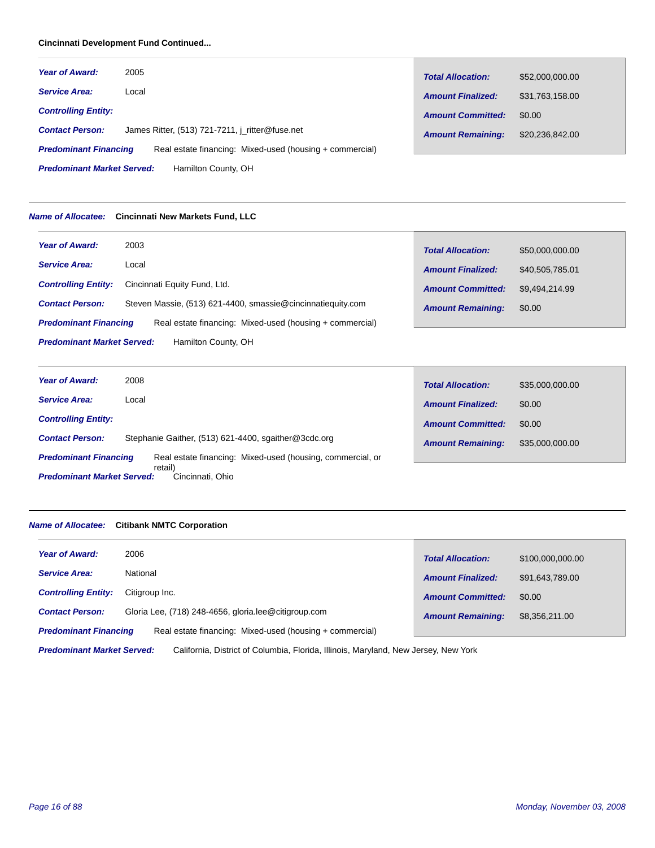# **Cincinnati Development Fund Continued...**

| <b>Year of Award:</b>                                                                    | 2005                                            | <b>Total Allocation:</b> | \$52,000,000.00 |
|------------------------------------------------------------------------------------------|-------------------------------------------------|--------------------------|-----------------|
| <b>Service Area:</b>                                                                     | Local                                           | <b>Amount Finalized:</b> | \$31,763,158.00 |
| <b>Controlling Entity:</b>                                                               |                                                 | <b>Amount Committed:</b> | \$0.00          |
| <b>Contact Person:</b>                                                                   | James Ritter, (513) 721-7211, j ritter@fuse.net | <b>Amount Remaining:</b> | \$20,236,842,00 |
| Real estate financing: Mixed-used (housing + commercial)<br><b>Predominant Financing</b> |                                                 |                          |                 |
| <b>Predominant Market Served:</b><br>Hamilton County, OH                                 |                                                 |                          |                 |

#### *Name of Allocatee:* **Cincinnati New Markets Fund, LLC**

| <b>Year of Award:</b>                                    | 2003                                                        | <b>Total Allocation:</b> | \$50,000,000.00 |
|----------------------------------------------------------|-------------------------------------------------------------|--------------------------|-----------------|
| <b>Service Area:</b>                                     | Local                                                       | <b>Amount Finalized:</b> | \$40,505,785.01 |
| <b>Controlling Entity:</b>                               | Cincinnati Equity Fund, Ltd.                                | <b>Amount Committed:</b> | \$9.494.214.99  |
| <b>Contact Person:</b>                                   | Steven Massie, (513) 621-4400, smassie@cincinnatiequity.com | <b>Amount Remaining:</b> | \$0.00          |
| <b>Predominant Financing</b>                             | Real estate financing: Mixed-used (housing + commercial)    |                          |                 |
| <b>Predominant Market Served:</b><br>Hamilton County, OH |                                                             |                          |                 |

| <b>Year of Award:</b>                                            | 2008                                                       | <b>Total Allocation:</b> | \$35,000,000.00 |
|------------------------------------------------------------------|------------------------------------------------------------|--------------------------|-----------------|
| <b>Service Area:</b>                                             | Local                                                      | <b>Amount Finalized:</b> | \$0.00          |
| <b>Controlling Entity:</b>                                       |                                                            | <b>Amount Committed:</b> | \$0.00          |
| <b>Contact Person:</b>                                           | Stephanie Gaither, (513) 621-4400, sqaither@3cdc.org       | <b>Amount Remaining:</b> | \$35,000,000.00 |
| <b>Predominant Financing</b>                                     | Real estate financing: Mixed-used (housing, commercial, or |                          |                 |
| retail)<br><b>Predominant Market Served:</b><br>Cincinnati, Ohio |                                                            |                          |                 |

# *Name of Allocatee:* **Citibank NMTC Corporation**

| <b>Year of Award:</b><br>2006                                                                                            | <b>Total Allocation:</b> | \$100,000,000,00 |
|--------------------------------------------------------------------------------------------------------------------------|--------------------------|------------------|
| National<br><b>Service Area:</b>                                                                                         | <b>Amount Finalized:</b> | \$91,643,789.00  |
| <b>Controlling Entity:</b><br>Citigroup Inc.                                                                             | <b>Amount Committed:</b> | \$0.00           |
| Gloria Lee, (718) 248-4656, gloria.lee@citigroup.com<br><b>Contact Person:</b>                                           | <b>Amount Remaining:</b> | \$8.356.211.00   |
| Real estate financing: Mixed-used (housing + commercial)<br><b>Predominant Financing</b>                                 |                          |                  |
| <b>Predominant Market Served:</b><br>California, District of Columbia, Florida, Illinois, Maryland, New Jersey, New York |                          |                  |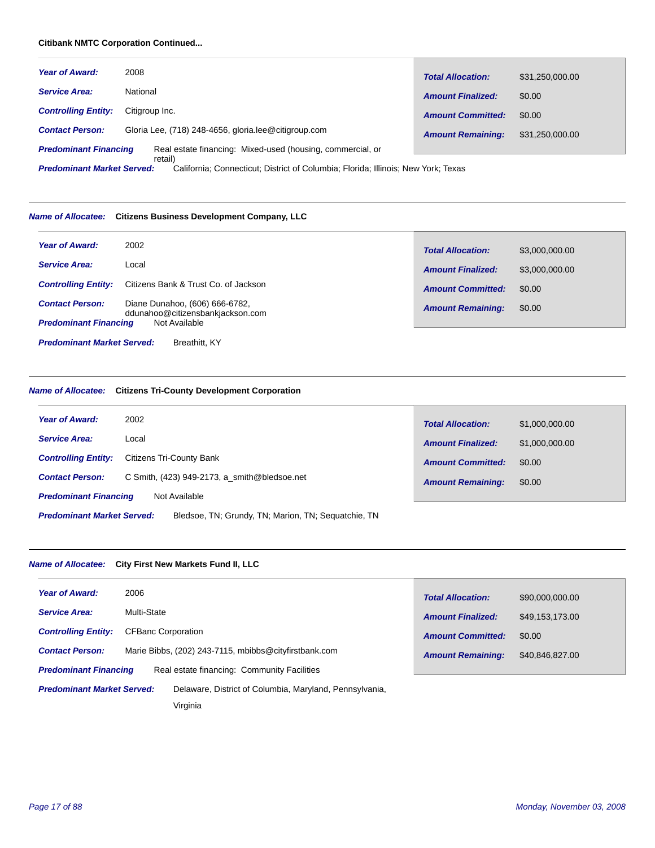# **Citibank NMTC Corporation Continued...**

| <b>Year of Award:</b>                                                                                 | 2008                                                 | <b>Total Allocation:</b> | \$31,250,000.00 |
|-------------------------------------------------------------------------------------------------------|------------------------------------------------------|--------------------------|-----------------|
| <b>Service Area:</b>                                                                                  | National                                             | <b>Amount Finalized:</b> | \$0.00          |
| <b>Controlling Entity:</b>                                                                            | Citigroup Inc.                                       | <b>Amount Committed:</b> | \$0.00          |
| <b>Contact Person:</b>                                                                                | Gloria Lee, (718) 248-4656, gloria.lee@citigroup.com | <b>Amount Remaining:</b> | \$31.250.000.00 |
| Real estate financing: Mixed-used (housing, commercial, or<br><b>Predominant Financing</b><br>retail) |                                                      |                          |                 |

California; Connecticut; District of Columbia; Florida; Illinois; New York; Texas *Predominant Market Served:*

# *Name of Allocatee:* **Citizens Business Development Company, LLC**

| <b>Year of Award:</b>                              | 2002                                                               | <b>Total Allocation:</b> | \$3,000,000.00 |
|----------------------------------------------------|--------------------------------------------------------------------|--------------------------|----------------|
| <b>Service Area:</b>                               | Local                                                              | <b>Amount Finalized:</b> | \$3,000,000,00 |
| <b>Controlling Entity:</b>                         | Citizens Bank & Trust Co. of Jackson                               | <b>Amount Committed:</b> | \$0.00         |
| <b>Contact Person:</b>                             | Diane Dunahoo, (606) 666-6782,<br>ddunahoo@citizensbankjackson.com | <b>Amount Remaining:</b> | \$0.00         |
| <b>Predominant Financing</b>                       | Not Available                                                      |                          |                |
| <b>Predominant Market Served:</b><br>Breathitt, KY |                                                                    |                          |                |

# *Name of Allocatee:* **Citizens Tri-County Development Corporation**

| <b>Year of Award:</b>                                                                    | 2002                                           | <b>Total Allocation:</b> | \$1,000,000.00 |
|------------------------------------------------------------------------------------------|------------------------------------------------|--------------------------|----------------|
| <b>Service Area:</b>                                                                     | Local                                          | <b>Amount Finalized:</b> | \$1,000,000.00 |
| <b>Controlling Entity:</b>                                                               | Citizens Tri-County Bank                       | <b>Amount Committed:</b> | \$0.00         |
| <b>Contact Person:</b>                                                                   | C Smith, $(423)$ 949-2173, a smith@bledsoe.net | <b>Amount Remaining:</b> | \$0.00         |
| <b>Predominant Financing</b>                                                             | Not Available                                  |                          |                |
| <b>Predominant Market Served:</b><br>Bledsoe, TN; Grundy, TN; Marion, TN; Sequatchie, TN |                                                |                          |                |

# *Name of Allocatee:* **City First New Markets Fund II, LLC**

| <b>Year of Award:</b>                                                                        | 2006                      |                                                       |                          |                 |
|----------------------------------------------------------------------------------------------|---------------------------|-------------------------------------------------------|--------------------------|-----------------|
|                                                                                              |                           |                                                       | <b>Total Allocation:</b> | \$90,000,000.00 |
| <b>Service Area:</b>                                                                         | Multi-State               |                                                       | <b>Amount Finalized:</b> | \$49,153,173.00 |
| <b>Controlling Entity:</b>                                                                   | <b>CFBanc Corporation</b> |                                                       | <b>Amount Committed:</b> | \$0.00          |
| <b>Contact Person:</b>                                                                       |                           | Marie Bibbs, (202) 243-7115, mbibbs@cityfirstbank.com | <b>Amount Remaining:</b> | \$40,846,827.00 |
| <b>Predominant Financing</b><br>Real estate financing: Community Facilities                  |                           |                                                       |                          |                 |
| <b>Predominant Market Served:</b><br>Delaware, District of Columbia, Maryland, Pennsylvania, |                           |                                                       |                          |                 |
|                                                                                              |                           | Virginia                                              |                          |                 |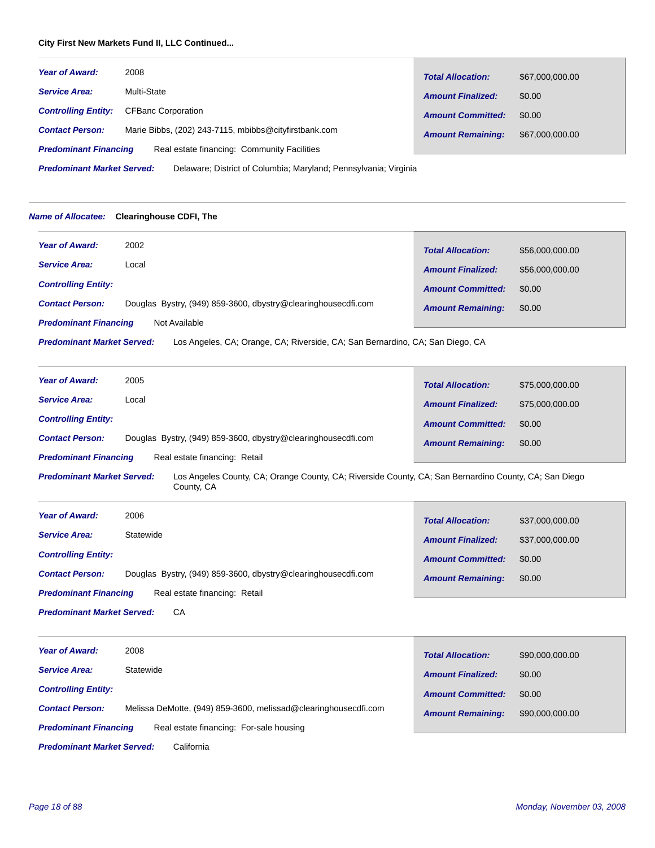# **City First New Markets Fund II, LLC Continued...**

| <b>Year of Award:</b>        | 2008                                                  | <b>Total Allocation:</b> | \$67,000,000.00 |
|------------------------------|-------------------------------------------------------|--------------------------|-----------------|
| <b>Service Area:</b>         | Multi-State                                           | <b>Amount Finalized:</b> | \$0.00          |
| <b>Controlling Entity:</b>   | <b>CFBanc Corporation</b>                             | <b>Amount Committed:</b> | \$0.00          |
| <b>Contact Person:</b>       | Marie Bibbs, (202) 243-7115, mbibbs@cityfirstbank.com | <b>Amount Remaining:</b> | \$67,000,000.00 |
| <b>Predominant Financing</b> | Real estate financing: Community Facilities           |                          |                 |

Delaware; District of Columbia; Maryland; Pennsylvania; Virginia *Predominant Market Served:*

#### *Name of Allocatee:* **Clearinghouse CDFI, The**

| <b>Year of Award:</b>                                                                                              | 2002                                                          | <b>Total Allocation:</b> | \$56,000,000.00 |
|--------------------------------------------------------------------------------------------------------------------|---------------------------------------------------------------|--------------------------|-----------------|
| <b>Service Area:</b>                                                                                               | Local                                                         | <b>Amount Finalized:</b> | \$56,000,000.00 |
| <b>Controlling Entity:</b>                                                                                         |                                                               | <b>Amount Committed:</b> | \$0.00          |
| <b>Contact Person:</b>                                                                                             | Douglas Bystry, (949) 859-3600, dbystry@clearinghousecdfi.com | <b>Amount Remaining:</b> | \$0.00          |
| <b>Predominant Financing</b><br>Not Available                                                                      |                                                               |                          |                 |
| <b>Predominant Market Served:</b><br>Los Angeles, CA; Orange, CA; Riverside, CA; San Bernardino, CA; San Diego, CA |                                                               |                          |                 |

| <b>Year of Award:</b>                                         | 2005                                                          | <b>Total Allocation:</b> | \$75,000,000.00 |
|---------------------------------------------------------------|---------------------------------------------------------------|--------------------------|-----------------|
| <b>Service Area:</b>                                          | Local                                                         | <b>Amount Finalized:</b> | \$75,000,000,00 |
| <b>Controlling Entity:</b>                                    |                                                               | <b>Amount Committed:</b> | \$0.00          |
| <b>Contact Person:</b>                                        | Douglas Bystry, (949) 859-3600, dbystry@clearinghousecdfi.com | <b>Amount Remaining:</b> | \$0.00          |
| Real estate financing: Retail<br><b>Predominant Financing</b> |                                                               |                          |                 |

Los Angeles County, CA; Orange County, CA; Riverside County, CA; San Bernardino County, CA; San Diego County, CA *Predominant Market Served:*

| <b>Year of Award:</b>                                         | 2006                                                          | <b>Total Allocation:</b> | \$37,000,000.00 |
|---------------------------------------------------------------|---------------------------------------------------------------|--------------------------|-----------------|
| <b>Service Area:</b>                                          | Statewide                                                     | <b>Amount Finalized:</b> | \$37,000,000,00 |
| <b>Controlling Entity:</b>                                    |                                                               | <b>Amount Committed:</b> | \$0.00          |
| <b>Contact Person:</b>                                        | Douglas Bystry, (949) 859-3600, dbystry@clearinghousecdfi.com | <b>Amount Remaining:</b> | \$0.00          |
| Real estate financing: Retail<br><b>Predominant Financing</b> |                                                               |                          |                 |

**CA** *Predominant Market Served:*

| <b>Year of Award:</b>                                                   | 2008                                                            | <b>Total Allocation:</b> | \$90,000,000.00 |
|-------------------------------------------------------------------------|-----------------------------------------------------------------|--------------------------|-----------------|
| <b>Service Area:</b>                                                    | Statewide                                                       | <b>Amount Finalized:</b> | \$0.00          |
| <b>Controlling Entity:</b>                                              |                                                                 | <b>Amount Committed:</b> | \$0.00          |
| <b>Contact Person:</b>                                                  | Melissa DeMotte, (949) 859-3600, melissad@clearinghousecdfi.com | <b>Amount Remaining:</b> | \$90,000,000.00 |
| Real estate financing: For-sale housing<br><b>Predominant Financing</b> |                                                                 |                          |                 |

**California** *Predominant Market Served:*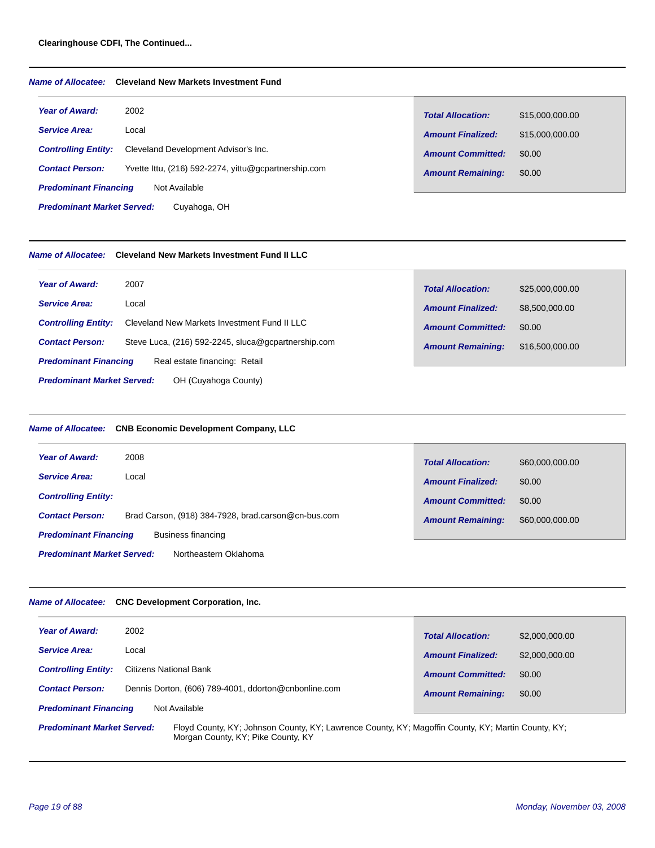# **Clearinghouse CDFI, The Continued...**

# *Name of Allocatee:* **Cleveland New Markets Investment Fund**

| <b>Year of Award:</b>             | 2002                                                 | <b>Total Allocation:</b> | \$15,000,000.00 |
|-----------------------------------|------------------------------------------------------|--------------------------|-----------------|
| <b>Service Area:</b>              | Local                                                | <b>Amount Finalized:</b> | \$15,000,000.00 |
| <b>Controlling Entity:</b>        | Cleveland Development Advisor's Inc.                 | <b>Amount Committed:</b> | \$0.00          |
| <b>Contact Person:</b>            | Yvette Ittu, (216) 592-2274, yittu@gcpartnership.com | <b>Amount Remaining:</b> | \$0.00          |
| <b>Predominant Financing</b>      | Not Available                                        |                          |                 |
| <b>Predominant Market Served:</b> | Cuyahoga, OH                                         |                          |                 |

#### *Name of Allocatee:* **Cleveland New Markets Investment Fund II LLC**

| <b>Year of Award:</b><br>2007                                                 | <b>Total Allocation:</b> | \$25,000,000.00 |
|-------------------------------------------------------------------------------|--------------------------|-----------------|
| <b>Service Area:</b><br>Local                                                 | <b>Amount Finalized:</b> | \$8,500,000.00  |
| Cleveland New Markets Investment Fund II LLC<br><b>Controlling Entity:</b>    | <b>Amount Committed:</b> | \$0.00          |
| Steve Luca, (216) 592-2245, sluca@gcpartnership.com<br><b>Contact Person:</b> | <b>Amount Remaining:</b> | \$16,500,000.00 |
| Real estate financing: Retail<br><b>Predominant Financing</b>                 |                          |                 |
| <b>Predominant Market Served:</b><br>OH (Cuyahoga County)                     |                          |                 |

# *Name of Allocatee:* **CNB Economic Development Company, LLC**

| <b>Year of Award:</b><br>2008                                                 | <b>Total Allocation:</b><br>\$60,000,000.00 |  |
|-------------------------------------------------------------------------------|---------------------------------------------|--|
| <b>Service Area:</b><br>Local                                                 | \$0.00<br><b>Amount Finalized:</b>          |  |
| <b>Controlling Entity:</b>                                                    | \$0.00<br><b>Amount Committed:</b>          |  |
| Brad Carson, (918) 384-7928, brad.carson@cn-bus.com<br><b>Contact Person:</b> | \$60,000,000.00<br><b>Amount Remaining:</b> |  |
| Business financing<br><b>Predominant Financing</b>                            |                                             |  |
| <b>Predominant Market Served:</b><br>Northeastern Oklahoma                    |                                             |  |

# *Name of Allocatee:* **CNC Development Corporation, Inc.**

| <b>Year of Award:</b>                                                                                                                                                         | 2002                                                 |                          |                |
|-------------------------------------------------------------------------------------------------------------------------------------------------------------------------------|------------------------------------------------------|--------------------------|----------------|
|                                                                                                                                                                               |                                                      | <b>Total Allocation:</b> | \$2,000,000,00 |
| <b>Service Area:</b>                                                                                                                                                          | Local                                                | <b>Amount Finalized:</b> | \$2,000,000.00 |
| <b>Controlling Entity:</b>                                                                                                                                                    | <b>Citizens National Bank</b>                        | <b>Amount Committed:</b> | \$0.00         |
| <b>Contact Person:</b>                                                                                                                                                        | Dennis Dorton, (606) 789-4001, ddorton@cnbonline.com | <b>Amount Remaining:</b> | \$0.00         |
| <b>Predominant Financing</b>                                                                                                                                                  | Not Available                                        |                          |                |
| Floyd County, KY; Johnson County, KY; Lawrence County, KY; Magoffin County, KY; Martin County, KY;<br><b>Predominant Market Served:</b><br>Morgan County, KY; Pike County, KY |                                                      |                          |                |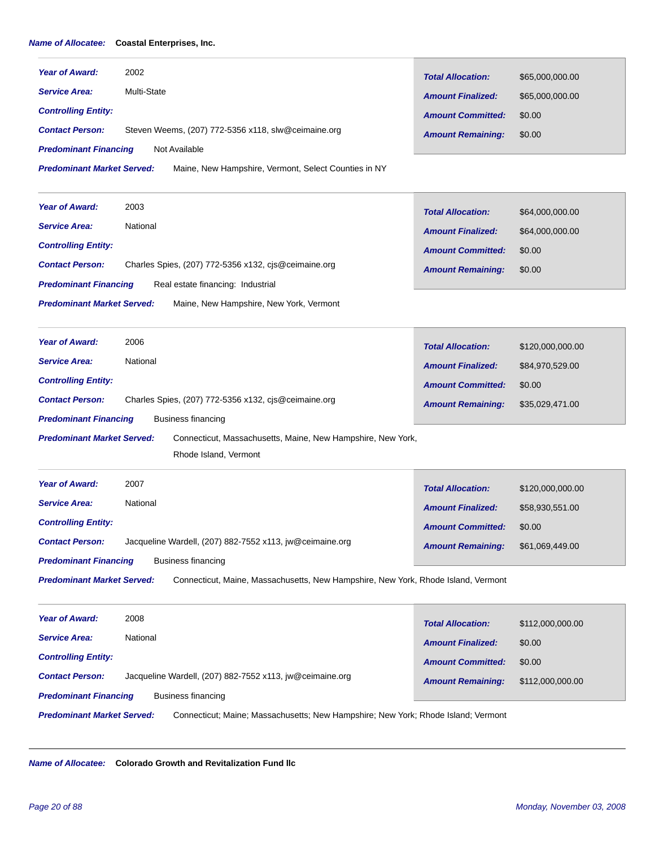# *Name of Allocatee:* **Coastal Enterprises, Inc.**

| <b>Year of Award:</b>             | 2002                                                                                 | <b>Total Allocation:</b> | \$65,000,000.00  |
|-----------------------------------|--------------------------------------------------------------------------------------|--------------------------|------------------|
| <b>Service Area:</b>              | Multi-State                                                                          | <b>Amount Finalized:</b> | \$65,000,000.00  |
| <b>Controlling Entity:</b>        |                                                                                      | <b>Amount Committed:</b> | \$0.00           |
| <b>Contact Person:</b>            | Steven Weems, (207) 772-5356 x118, slw@ceimaine.org                                  | <b>Amount Remaining:</b> | \$0.00           |
| <b>Predominant Financing</b>      | Not Available                                                                        |                          |                  |
| <b>Predominant Market Served:</b> | Maine, New Hampshire, Vermont, Select Counties in NY                                 |                          |                  |
| <b>Year of Award:</b>             | 2003                                                                                 | <b>Total Allocation:</b> | \$64,000,000.00  |
| <b>Service Area:</b>              | National                                                                             | <b>Amount Finalized:</b> | \$64,000,000.00  |
| <b>Controlling Entity:</b>        |                                                                                      | <b>Amount Committed:</b> | \$0.00           |
| <b>Contact Person:</b>            | Charles Spies, (207) 772-5356 x132, cjs@ceimaine.org                                 | <b>Amount Remaining:</b> | \$0.00           |
| <b>Predominant Financing</b>      | Real estate financing: Industrial                                                    |                          |                  |
| <b>Predominant Market Served:</b> | Maine, New Hampshire, New York, Vermont                                              |                          |                  |
| <b>Year of Award:</b>             | 2006                                                                                 | <b>Total Allocation:</b> | \$120,000,000.00 |
| <b>Service Area:</b>              | National                                                                             | <b>Amount Finalized:</b> | \$84,970,529.00  |
| <b>Controlling Entity:</b>        |                                                                                      | <b>Amount Committed:</b> | \$0.00           |
| <b>Contact Person:</b>            | Charles Spies, (207) 772-5356 x132, cjs@ceimaine.org                                 | <b>Amount Remaining:</b> | \$35,029,471.00  |
| <b>Predominant Financing</b>      | <b>Business financing</b>                                                            |                          |                  |
| <b>Predominant Market Served:</b> | Connecticut, Massachusetts, Maine, New Hampshire, New York,<br>Rhode Island, Vermont |                          |                  |
| <b>Year of Award:</b>             | 2007                                                                                 | <b>Total Allocation:</b> | \$120,000,000.00 |
| <b>Service Area:</b>              | National                                                                             | <b>Amount Finalized:</b> | \$58,930,551.00  |
| <b>Controlling Entity:</b>        |                                                                                      | <b>Amount Committed:</b> | \$0.00           |
| <b>Contact Person:</b>            | Jacqueline Wardell, (207) 882-7552 x113, jw@ceimaine.org                             | <b>Amount Remaining:</b> | \$61,069,449.00  |
| <b>Predominant Financing</b>      | <b>Business financing</b>                                                            |                          |                  |
| <b>Predominant Market Served:</b> | Connecticut, Maine, Massachusetts, New Hampshire, New York, Rhode Island, Vermont    |                          |                  |
| <b>Year of Award:</b>             | 2008                                                                                 | <b>Total Allocation:</b> | \$112,000,000.00 |
| <b>Service Area:</b>              | National                                                                             | <b>Amount Finalized:</b> | \$0.00           |
| <b>Controlling Entity:</b>        |                                                                                      | <b>Amount Committed:</b> | \$0.00           |
| <b>Contact Person:</b>            | Jacqueline Wardell, (207) 882-7552 x113, jw@ceimaine.org                             | <b>Amount Remaining:</b> | \$112,000,000.00 |
| <b>Predominant Financing</b>      | <b>Business financing</b>                                                            |                          |                  |
| <b>Predominant Market Served:</b> | Connecticut; Maine; Massachusetts; New Hampshire; New York; Rhode Island; Vermont    |                          |                  |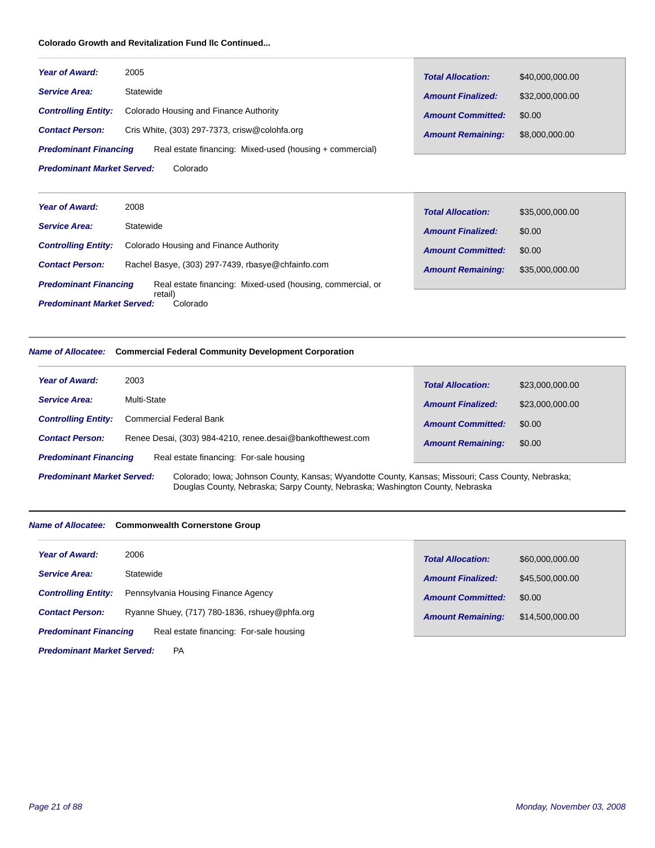# **Colorado Growth and Revitalization Fund llc Continued...**

| <b>Year of Award:</b>                         | 2005                                                     | <b>Total Allocation:</b> | \$40,000,000.00 |
|-----------------------------------------------|----------------------------------------------------------|--------------------------|-----------------|
| <b>Service Area:</b>                          | Statewide                                                | <b>Amount Finalized:</b> | \$32,000,000.00 |
| <b>Controlling Entity:</b>                    | Colorado Housing and Finance Authority                   | <b>Amount Committed:</b> | \$0.00          |
| <b>Contact Person:</b>                        | Cris White, $(303)$ 297-7373, crisw@colohfa.org          | <b>Amount Remaining:</b> | \$8,000,000.00  |
| <b>Predominant Financing</b>                  | Real estate financing: Mixed-used (housing + commercial) |                          |                 |
| <b>Predominant Market Served:</b><br>Colorado |                                                          |                          |                 |

| Year of Award:                    | 2008                                                       | <b>Total Allocation:</b> | \$35,000,000.00 |
|-----------------------------------|------------------------------------------------------------|--------------------------|-----------------|
| <b>Service Area:</b>              | Statewide                                                  | <b>Amount Finalized:</b> | \$0.00          |
| <b>Controlling Entity:</b>        | Colorado Housing and Finance Authority                     | <b>Amount Committed:</b> | \$0.00          |
| <b>Contact Person:</b>            | Rachel Basye, (303) 297-7439, rbasye@chfainfo.com          | <b>Amount Remaining:</b> | \$35,000,000.00 |
| <b>Predominant Financing</b>      | Real estate financing: Mixed-used (housing, commercial, or |                          |                 |
| <b>Predominant Market Served:</b> | retail)<br>Colorado                                        |                          |                 |

# *Name of Allocatee:* **Commercial Federal Community Development Corporation**

| <b>Year of Award:</b>                                                                                                                   | 2003                                                       | <b>Total Allocation:</b> | \$23,000,000.00 |
|-----------------------------------------------------------------------------------------------------------------------------------------|------------------------------------------------------------|--------------------------|-----------------|
| <b>Service Area:</b>                                                                                                                    | Multi-State                                                | <b>Amount Finalized:</b> | \$23,000,000.00 |
| <b>Controlling Entity:</b>                                                                                                              | <b>Commercial Federal Bank</b>                             | <b>Amount Committed:</b> | \$0.00          |
| <b>Contact Person:</b>                                                                                                                  | Renee Desai, (303) 984-4210, renee.desai@bankofthewest.com | <b>Amount Remaining:</b> | \$0.00          |
| <b>Predominant Financing</b>                                                                                                            | Real estate financing: For-sale housing                    |                          |                 |
| Colorado; Iowa; Johnson County, Kansas; Wyandotte County, Kansas; Missouri; Cass County, Nebraska;<br><b>Predominant Market Served:</b> |                                                            |                          |                 |

Г

Douglas County, Nebraska; Sarpy County, Nebraska; Washington County, Nebraska

# *Name of Allocatee:* **Commonwealth Cornerstone Group**

| <b>Year of Award:</b>        | 2006                                          | <b>Total Allocation:</b> | \$60,000,000.00 |
|------------------------------|-----------------------------------------------|--------------------------|-----------------|
| <b>Service Area:</b>         | Statewide                                     | <b>Amount Finalized:</b> | \$45,500,000.00 |
| <b>Controlling Entity:</b>   | Pennsylvania Housing Finance Agency           | <b>Amount Committed:</b> | \$0.00          |
| <b>Contact Person:</b>       | Ryanne Shuey, (717) 780-1836, rshuey@phfa.org | <b>Amount Remaining:</b> | \$14,500,000.00 |
| <b>Predominant Financing</b> | Real estate financing: For-sale housing       |                          |                 |

PA *Predominant Market Served:*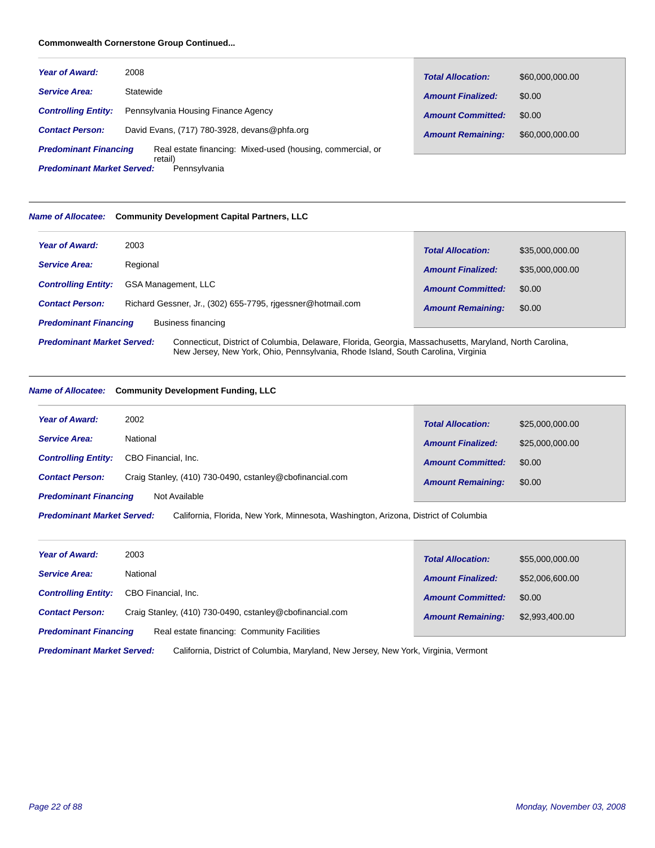#### **Commonwealth Cornerstone Group Continued...**

| <b>Year of Award:</b>        | 2008                                                                  | <b>Total Allocation:</b> | \$60,000,000.00 |
|------------------------------|-----------------------------------------------------------------------|--------------------------|-----------------|
| <b>Service Area:</b>         | Statewide                                                             | <b>Amount Finalized:</b> | \$0.00          |
| <b>Controlling Entity:</b>   | Pennsylvania Housing Finance Agency                                   | <b>Amount Committed:</b> | \$0.00          |
| <b>Contact Person:</b>       | David Evans, (717) 780-3928, devans@phfa.org                          | <b>Amount Remaining:</b> | \$60,000,000,00 |
| <b>Predominant Financing</b> | Real estate financing: Mixed-used (housing, commercial, or<br>retail) |                          |                 |

Pennsylvania *Predominant Market Served:*

# *Name of Allocatee:* **Community Development Capital Partners, LLC**

| <b>Year of Award:</b>                                                                                                                        | 2003                                                        | <b>Total Allocation:</b> | \$35,000,000.00 |
|----------------------------------------------------------------------------------------------------------------------------------------------|-------------------------------------------------------------|--------------------------|-----------------|
| <b>Service Area:</b>                                                                                                                         | Regional                                                    | <b>Amount Finalized:</b> | \$35,000,000.00 |
| <b>Controlling Entity:</b>                                                                                                                   | <b>GSA Management, LLC</b>                                  | <b>Amount Committed:</b> | \$0.00          |
| <b>Contact Person:</b>                                                                                                                       | Richard Gessner, Jr., (302) 655-7795, rigessner@hotmail.com | <b>Amount Remaining:</b> | \$0.00          |
| <b>Predominant Financing</b>                                                                                                                 | Business financing                                          |                          |                 |
| Connecticut, District of Columbia, Delaware, Florida, Georgia, Massachusetts, Maryland, North Carolina,<br><b>Predominant Market Served:</b> |                                                             |                          |                 |

New Jersey, New York, Ohio, Pennsylvania, Rhode Island, South Carolina, Virginia

# *Name of Allocatee:* **Community Development Funding, LLC**

| <b>Year of Award:</b>        | 2002                                                     | <b>Total Allocation:</b> | \$25,000,000.00 |
|------------------------------|----------------------------------------------------------|--------------------------|-----------------|
| <b>Service Area:</b>         | National                                                 | <b>Amount Finalized:</b> | \$25,000,000,00 |
| <b>Controlling Entity:</b>   | CBO Financial, Inc.                                      | <b>Amount Committed:</b> | \$0.00          |
| <b>Contact Person:</b>       | Craig Stanley, (410) 730-0490, cstanley@cbofinancial.com | <b>Amount Remaining:</b> | \$0.00          |
| <b>Predominant Financing</b> | Not Available                                            |                          |                 |

California, Florida, New York, Minnesota, Washington, Arizona, District of Columbia *Predominant Market Served:*

| <b>Year of Award:</b>                                                              | 2003                | <b>Total Allocation:</b> | \$55,000,000.00 |
|------------------------------------------------------------------------------------|---------------------|--------------------------|-----------------|
| <b>Service Area:</b>                                                               | National            | <b>Amount Finalized:</b> | \$52,006,600.00 |
| <b>Controlling Entity:</b>                                                         | CBO Financial, Inc. | <b>Amount Committed:</b> | \$0.00          |
| Craig Stanley, (410) 730-0490, cstanley@cbofinancial.com<br><b>Contact Person:</b> |                     | <b>Amount Remaining:</b> | \$2,993,400.00  |
| Real estate financing: Community Facilities<br><b>Predominant Financing</b>        |                     |                          |                 |

California, District of Columbia, Maryland, New Jersey, New York, Virginia, Vermont *Predominant Market Served:*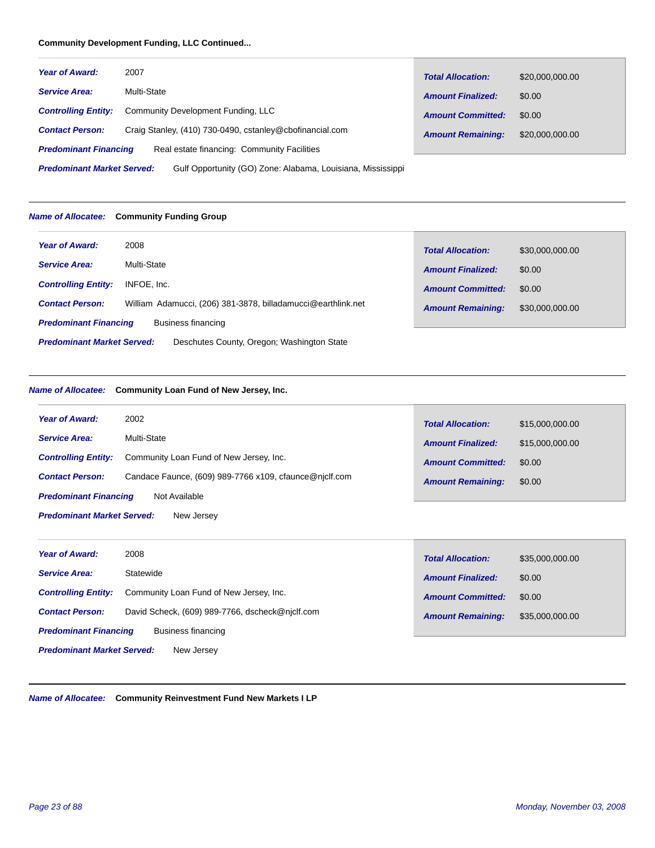# **Community Development Funding, LLC Continued...**

| <b>Year of Award:</b>                                                                            | 2007                                                     | <b>Total Allocation:</b> | \$20,000,000.00 |
|--------------------------------------------------------------------------------------------------|----------------------------------------------------------|--------------------------|-----------------|
| <b>Service Area:</b>                                                                             | Multi-State                                              | <b>Amount Finalized:</b> | \$0.00          |
| <b>Controlling Entity:</b>                                                                       | Community Development Funding, LLC                       | <b>Amount Committed:</b> | \$0.00          |
| <b>Contact Person:</b>                                                                           | Craig Stanley, (410) 730-0490, cstanley@cbofinancial.com | <b>Amount Remaining:</b> | \$20,000,000.00 |
| Real estate financing: Community Facilities<br><b>Predominant Financing</b>                      |                                                          |                          |                 |
| <b>Predominant Market Served:</b><br>Gulf Opportunity (GO) Zone: Alabama, Louisiana, Mississippi |                                                          |                          |                 |

# *Name of Allocatee:* **Community Funding Group**

| <b>Year of Award:</b>                                                           | 2008                                                         | <b>Total Allocation:</b> | \$30,000,000.00 |
|---------------------------------------------------------------------------------|--------------------------------------------------------------|--------------------------|-----------------|
| <b>Service Area:</b>                                                            | Multi-State                                                  | <b>Amount Finalized:</b> | \$0.00          |
| <b>Controlling Entity:</b>                                                      | INFOE, Inc.                                                  | <b>Amount Committed:</b> | \$0.00          |
| <b>Contact Person:</b>                                                          | William Adamucci, (206) 381-3878, billadamucci@earthlink.net | <b>Amount Remaining:</b> | \$30,000,000.00 |
| <b>Predominant Financing</b><br>Business financing                              |                                                              |                          |                 |
| <b>Predominant Market Served:</b><br>Deschutes County, Oregon; Washington State |                                                              |                          |                 |

# *Name of Allocatee:* **Community Loan Fund of New Jersey, Inc.**

| <b>Year of Award:</b>                           | 2002                                                   | <b>Total Allocation:</b> | \$15,000,000.00 |
|-------------------------------------------------|--------------------------------------------------------|--------------------------|-----------------|
| <b>Service Area:</b>                            | Multi-State                                            | <b>Amount Finalized:</b> | \$15,000,000.00 |
| <b>Controlling Entity:</b>                      | Community Loan Fund of New Jersey, Inc.                | <b>Amount Committed:</b> | \$0.00          |
| <b>Contact Person:</b>                          | Candace Faunce, (609) 989-7766 x109, cfaunce@niclf.com | <b>Amount Remaining:</b> | \$0.00          |
| Not Available<br><b>Predominant Financing</b>   |                                                        |                          |                 |
| <b>Predominant Market Served:</b><br>New Jersey |                                                        |                          |                 |

| <b>Year of Award:</b>                              | 2008                                            | <b>Total Allocation:</b> | \$35,000,000.00 |
|----------------------------------------------------|-------------------------------------------------|--------------------------|-----------------|
| <b>Service Area:</b>                               | Statewide                                       | <b>Amount Finalized:</b> | \$0.00          |
| <b>Controlling Entity:</b>                         | Community Loan Fund of New Jersey, Inc.         | <b>Amount Committed:</b> | \$0.00          |
| <b>Contact Person:</b>                             | David Scheck, (609) 989-7766, dscheck@njclf.com | <b>Amount Remaining:</b> | \$35,000,000.00 |
| <b>Predominant Financing</b><br>Business financing |                                                 |                          |                 |
| <b>Predominant Market Served:</b><br>New Jersey    |                                                 |                          |                 |

*Name of Allocatee:* **Community Reinvestment Fund New Markets I LP**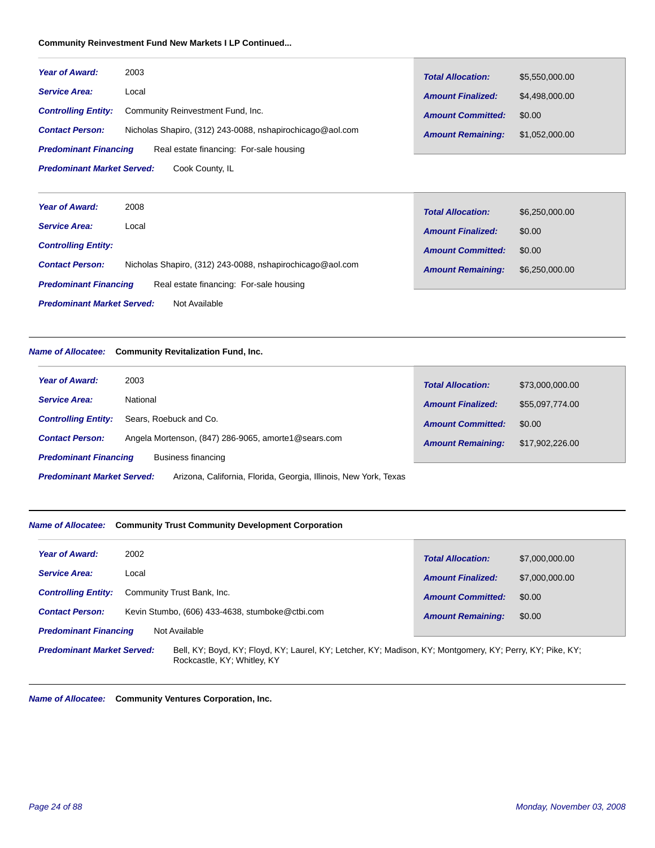# **Community Reinvestment Fund New Markets I LP Continued...**

| <b>Year of Award:</b>                                                   | 2003                                                      | <b>Total Allocation:</b> | \$5,550,000,00 |
|-------------------------------------------------------------------------|-----------------------------------------------------------|--------------------------|----------------|
| <b>Service Area:</b>                                                    | Local                                                     | <b>Amount Finalized:</b> | \$4,498,000.00 |
| <b>Controlling Entity:</b>                                              | Community Reinvestment Fund, Inc.                         | <b>Amount Committed:</b> | \$0.00         |
| <b>Contact Person:</b>                                                  | Nicholas Shapiro, (312) 243-0088, nshapirochicago@aol.com | <b>Amount Remaining:</b> | \$1.052.000.00 |
| Real estate financing: For-sale housing<br><b>Predominant Financing</b> |                                                           |                          |                |
| <b>Predominant Market Served:</b><br>Cook County, IL                    |                                                           |                          |                |

| <b>Year of Award:</b>                                                   | 2008                                                      | <b>Total Allocation:</b> | \$6,250,000.00 |
|-------------------------------------------------------------------------|-----------------------------------------------------------|--------------------------|----------------|
| <b>Service Area:</b>                                                    | Local                                                     |                          |                |
| <b>Controlling Entity:</b>                                              |                                                           | <b>Amount Finalized:</b> | \$0.00         |
|                                                                         |                                                           | <b>Amount Committed:</b> | \$0.00         |
| <b>Contact Person:</b>                                                  | Nicholas Shapiro, (312) 243-0088, nshapirochicago@aol.com | <b>Amount Remaining:</b> | \$6,250,000.00 |
| Real estate financing: For-sale housing<br><b>Predominant Financing</b> |                                                           |                          |                |
| <b>Predominant Market Served:</b><br>Not Available                      |                                                           |                          |                |

# *Name of Allocatee:* **Community Revitalization Fund, Inc.**

| <b>Year of Award:</b>                                                                                 | 2003                                                | <b>Total Allocation:</b> | \$73,000,000.00 |
|-------------------------------------------------------------------------------------------------------|-----------------------------------------------------|--------------------------|-----------------|
| <b>Service Area:</b>                                                                                  | National                                            | <b>Amount Finalized:</b> | \$55,097,774.00 |
| <b>Controlling Entity:</b>                                                                            | Sears, Roebuck and Co.                              | <b>Amount Committed:</b> | \$0.00          |
| <b>Contact Person:</b>                                                                                | Angela Mortenson, (847) 286-9065, amorte1@sears.com | <b>Amount Remaining:</b> | \$17,902,226.00 |
| <b>Predominant Financing</b><br>Business financing                                                    |                                                     |                          |                 |
| Arizona, California, Florida, Georgia, Illinois, New York, Texas<br><b>Predominant Market Served:</b> |                                                     |                          |                 |

#### *Name of Allocatee:* **Community Trust Community Development Corporation**

| <b>Year of Award:</b><br>2002                                             | <b>Total Allocation:</b> | \$7,000,000.00 |
|---------------------------------------------------------------------------|--------------------------|----------------|
| <b>Service Area:</b><br>Local                                             | <b>Amount Finalized:</b> | \$7,000,000,00 |
| Community Trust Bank, Inc.<br><b>Controlling Entity:</b>                  | <b>Amount Committed:</b> | \$0.00         |
| Kevin Stumbo, (606) 433-4638, stumboke@ctbi.com<br><b>Contact Person:</b> | <b>Amount Remaining:</b> | \$0.00         |
| Not Available<br><b>Predominant Financing</b>                             |                          |                |
|                                                                           |                          |                |

Bell, KY; Boyd, KY; Floyd, KY; Laurel, KY; Letcher, KY; Madison, KY; Montgomery, KY; Perry, KY; Pike, KY; Rockcastle, KY; Whitley, KY *Predominant Market Served:*

*Name of Allocatee:* **Community Ventures Corporation, Inc.**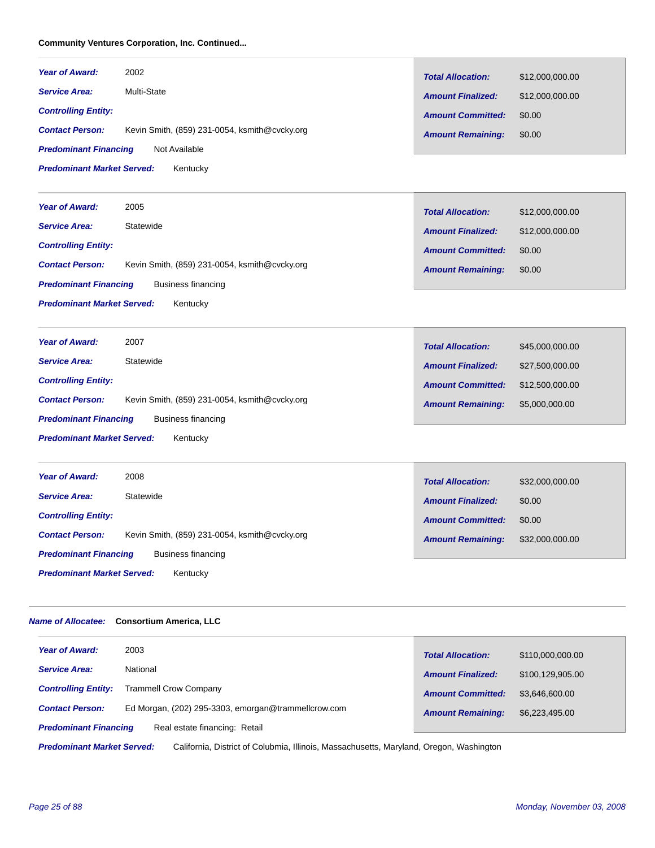# **Community Ventures Corporation, Inc. Continued...**

| <b>Year of Award:</b>                         | 2002                                          | <b>Total Allocation:</b> | \$12,000,000.00 |
|-----------------------------------------------|-----------------------------------------------|--------------------------|-----------------|
| <b>Service Area:</b>                          | Multi-State                                   | <b>Amount Finalized:</b> | \$12,000,000.00 |
| <b>Controlling Entity:</b>                    |                                               | <b>Amount Committed:</b> | \$0.00          |
| <b>Contact Person:</b>                        | Kevin Smith, (859) 231-0054, ksmith@cvcky.org | <b>Amount Remaining:</b> | \$0.00          |
| <b>Predominant Financing</b><br>Not Available |                                               |                          |                 |
| <b>Predominant Market Served:</b>             | Kentucky                                      |                          |                 |
|                                               |                                               |                          |                 |
| <b>Year of Award:</b>                         | 2005                                          | <b>Total Allocation:</b> | \$12,000,000.00 |
| <b>Service Area:</b>                          | Statewide                                     | <b>Amount Finalized:</b> | \$12,000,000.00 |

*Controlling Entity:*

|                                   |                                               | <b>Amount Committed:</b> | \$0.00 |
|-----------------------------------|-----------------------------------------------|--------------------------|--------|
| <b>Contact Person:</b>            | Kevin Smith, (859) 231-0054, ksmith@cvcky.org | <b>Amount Remaining:</b> | \$0.00 |
| <b>Predominant Financing</b>      | Business financing                            |                          |        |
| <b>Predominant Market Served:</b> | Kentucky                                      |                          |        |

| <b>Year of Award:</b>                              | 2007                                          | <b>Total Allocation:</b> | \$45,000,000.00 |
|----------------------------------------------------|-----------------------------------------------|--------------------------|-----------------|
| <b>Service Area:</b>                               | Statewide                                     | <b>Amount Finalized:</b> | \$27,500,000.00 |
| <b>Controlling Entity:</b>                         |                                               | <b>Amount Committed:</b> | \$12,500,000,00 |
| <b>Contact Person:</b>                             | Kevin Smith, (859) 231-0054, ksmith@cvcky.org | <b>Amount Remaining:</b> | \$5,000,000.00  |
| <b>Predominant Financing</b><br>Business financing |                                               |                          |                 |
| <b>Predominant Market Served:</b><br>Kentucky      |                                               |                          |                 |

*Amount Committed:*

\$0.00

| <b>Year of Award:</b>                              | 2008                                          | <b>Total Allocation:</b> | \$32,000,000.00 |
|----------------------------------------------------|-----------------------------------------------|--------------------------|-----------------|
| <b>Service Area:</b>                               | Statewide                                     | <b>Amount Finalized:</b> | \$0.00          |
| <b>Controlling Entity:</b>                         |                                               | <b>Amount Committed:</b> | \$0.00          |
| <b>Contact Person:</b>                             | Kevin Smith, (859) 231-0054, ksmith@cvcky.org | <b>Amount Remaining:</b> | \$32,000,000.00 |
| <b>Predominant Financing</b><br>Business financing |                                               |                          |                 |
| <b>Predominant Market Served:</b>                  | Kentucky                                      |                          |                 |

#### *Name of Allocatee:* **Consortium America, LLC**

| <b>Year of Award:</b>                                                                                                        | 2003                                                | <b>Total Allocation:</b> | \$110,000,000.00 |
|------------------------------------------------------------------------------------------------------------------------------|-----------------------------------------------------|--------------------------|------------------|
| <b>Service Area:</b>                                                                                                         | National                                            | <b>Amount Finalized:</b> | \$100,129,905.00 |
| <b>Controlling Entity:</b>                                                                                                   | <b>Trammell Crow Company</b>                        | <b>Amount Committed:</b> | \$3.646,600,00   |
| <b>Contact Person:</b>                                                                                                       | Ed Morgan, (202) 295-3303, emorgan@trammellcrow.com | <b>Amount Remaining:</b> | \$6,223,495.00   |
| <b>Predominant Financing</b><br>Real estate financing: Retail                                                                |                                                     |                          |                  |
| <b>Predominant Market Served:</b><br>California, District of Colubmia, Illinois, Massachusetts, Maryland, Oregon, Washington |                                                     |                          |                  |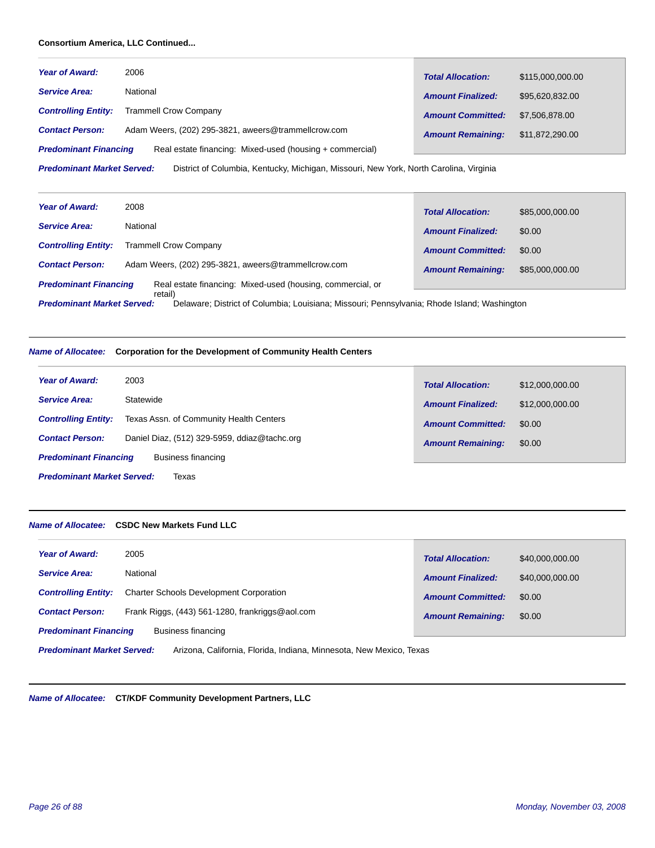# **Consortium America, LLC Continued...**

| <b>Year of Award:</b>                                                                                                       | 2006                                                | <b>Total Allocation:</b> | \$115,000,000.00 |
|-----------------------------------------------------------------------------------------------------------------------------|-----------------------------------------------------|--------------------------|------------------|
| <b>Service Area:</b>                                                                                                        | National                                            | <b>Amount Finalized:</b> | \$95,620,832.00  |
| <b>Controlling Entity:</b>                                                                                                  | <b>Trammell Crow Company</b>                        | <b>Amount Committed:</b> | \$7,506,878,00   |
| <b>Contact Person:</b>                                                                                                      | Adam Weers, (202) 295-3821, aweers@trammellcrow.com | <b>Amount Remaining:</b> | \$11,872,290.00  |
| <b>Predominant Financing</b><br>Real estate financing: Mixed-used (housing + commercial)                                    |                                                     |                          |                  |
| District of Columbia, Kentucky, Michigan, Missouri, New York, North Carolina, Virginia<br><b>Predominant Market Served:</b> |                                                     |                          |                  |

| <b>Year of Award:</b>                                                                                                                       | 2008                                                | <b>Total Allocation:</b> | \$85,000,000.00 |
|---------------------------------------------------------------------------------------------------------------------------------------------|-----------------------------------------------------|--------------------------|-----------------|
| <b>Service Area:</b>                                                                                                                        | National                                            | <b>Amount Finalized:</b> | \$0.00          |
| <b>Controlling Entity:</b>                                                                                                                  | <b>Trammell Crow Company</b>                        | <b>Amount Committed:</b> | \$0.00          |
| <b>Contact Person:</b>                                                                                                                      | Adam Weers, (202) 295-3821, aweers@trammellcrow.com | <b>Amount Remaining:</b> | \$85,000,000.00 |
| <b>Predominant Financing</b><br>Real estate financing: Mixed-used (housing, commercial, or                                                  |                                                     |                          |                 |
| retail)<br><b>Predominant Market Served:</b><br>Delaware; District of Columbia; Louisiana; Missouri; Pennsylvania; Rhode Island; Washington |                                                     |                          |                 |

# *Name of Allocatee:* **Corporation for the Development of Community Health Centers**

| 2003<br><b>Year of Award:</b>                      |                                              | <b>Total Allocation:</b> | \$12,000,000.00 |
|----------------------------------------------------|----------------------------------------------|--------------------------|-----------------|
| <b>Service Area:</b><br>Statewide                  |                                              | <b>Amount Finalized:</b> | \$12,000,000,00 |
| <b>Controlling Entity:</b>                         | Texas Assn. of Community Health Centers      | <b>Amount Committed:</b> | \$0.00          |
| <b>Contact Person:</b>                             | Daniel Diaz, (512) 329-5959, ddiaz@tachc.org | <b>Amount Remaining:</b> | \$0.00          |
| <b>Predominant Financing</b><br>Business financing |                                              |                          |                 |
| <b>Predominant Market Served:</b><br>Texas         |                                              |                          |                 |

Г

# *Name of Allocatee:* **CSDC New Markets Fund LLC**

| <b>Year of Award:</b>        | 2005                                            | <b>Total Allocation:</b> | \$40,000,000.00 |
|------------------------------|-------------------------------------------------|--------------------------|-----------------|
| <b>Service Area:</b>         | National                                        | <b>Amount Finalized:</b> | \$40,000,000.00 |
| <b>Controlling Entity:</b>   | <b>Charter Schools Development Corporation</b>  | <b>Amount Committed:</b> | \$0.00          |
| <b>Contact Person:</b>       | Frank Riggs, (443) 561-1280, frankriggs@aol.com | <b>Amount Remaining:</b> | \$0.00          |
| <b>Predominant Financing</b> | Business financing                              |                          |                 |
|                              |                                                 |                          |                 |

Arizona, California, Florida, Indiana, Minnesota, New Mexico, Texas *Predominant Market Served:*

*Name of Allocatee:* **CT/KDF Community Development Partners, LLC**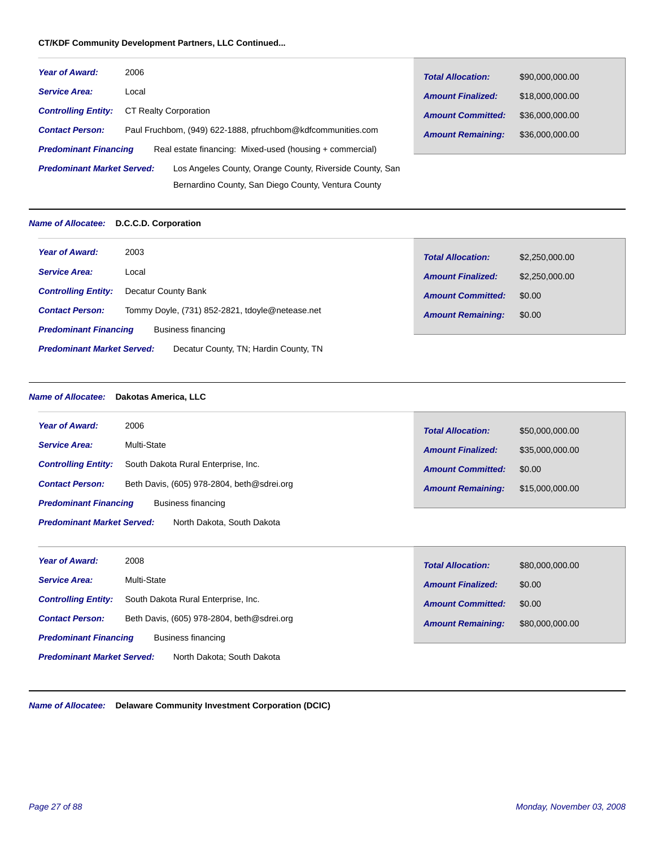# **CT/KDF Community Development Partners, LLC Continued...**

| <b>Year of Award:</b>                                                                         | 2006                                                        | <b>Total Allocation:</b> | \$90,000,000.00 |
|-----------------------------------------------------------------------------------------------|-------------------------------------------------------------|--------------------------|-----------------|
| <b>Service Area:</b>                                                                          | Local                                                       | <b>Amount Finalized:</b> | \$18,000,000.00 |
| <b>Controlling Entity:</b>                                                                    | CT Realty Corporation                                       | <b>Amount Committed:</b> | \$36,000,000.00 |
| <b>Contact Person:</b>                                                                        | Paul Fruchbom, (949) 622-1888, pfruchbom@kdfcommunities.com | <b>Amount Remaining:</b> | \$36,000,000.00 |
| <b>Predominant Financing</b>                                                                  | Real estate financing: Mixed-used (housing + commercial)    |                          |                 |
| <b>Predominant Market Served:</b><br>Los Angeles County, Orange County, Riverside County, San |                                                             |                          |                 |
|                                                                                               | Bernardino County, San Diego County, Ventura County         |                          |                 |

# *Name of Allocatee:* **D.C.C.D. Corporation**

| <b>Year of Award:</b>                                                      | 2003                                            | <b>Total Allocation:</b> | \$2,250,000.00 |
|----------------------------------------------------------------------------|-------------------------------------------------|--------------------------|----------------|
| <b>Service Area:</b>                                                       | Local                                           | <b>Amount Finalized:</b> | \$2,250,000.00 |
| <b>Controlling Entity:</b>                                                 | Decatur County Bank                             | <b>Amount Committed:</b> | \$0.00         |
| <b>Contact Person:</b>                                                     | Tommy Doyle, (731) 852-2821, tdoyle@netease.net | <b>Amount Remaining:</b> | \$0.00         |
| <b>Predominant Financing</b>                                               | Business financing                              |                          |                |
| <b>Predominant Market Served:</b><br>Decatur County, TN; Hardin County, TN |                                                 |                          |                |

# *Name of Allocatee:* **Dakotas America, LLC**

| <b>Year of Award:</b>                              | 2006                                       | <b>Total Allocation:</b> | \$50,000,000.00 |  |
|----------------------------------------------------|--------------------------------------------|--------------------------|-----------------|--|
| <b>Service Area:</b>                               | Multi-State                                | <b>Amount Finalized:</b> | \$35,000,000.00 |  |
| <b>Controlling Entity:</b>                         | South Dakota Rural Enterprise, Inc.        | <b>Amount Committed:</b> | \$0.00          |  |
| <b>Contact Person:</b>                             | Beth Davis, (605) 978-2804, beth@sdrei.org | <b>Amount Remaining:</b> | \$15,000,000.00 |  |
| <b>Predominant Financing</b><br>Business financing |                                            |                          |                 |  |
| <b>Predominant Market Served:</b>                  | North Dakota, South Dakota                 |                          |                 |  |
|                                                    |                                            |                          |                 |  |
| <b>Year of Award:</b>                              | 2008                                       | <b>Total Allocation:</b> | \$80,000,000.00 |  |
| <b>Service Area:</b>                               | Multi-State                                | <b>Amount Finalized:</b> | \$0.00          |  |
| <b>Controlling Entity:</b>                         | South Dakota Rural Enterprise, Inc.        | <b>Amount Committed:</b> | \$0.00          |  |

**Contact Person:** Beth Davis, (605) 978-2804, beth@sdrei.org **Contact Persons of Amount Remaining:** \$80,000,000.00

*Predominant Financing* Business financing

North Dakota; South Dakota *Predominant Market Served:*

*Name of Allocatee:* **Delaware Community Investment Corporation (DCIC)**

*Amount Remaining:*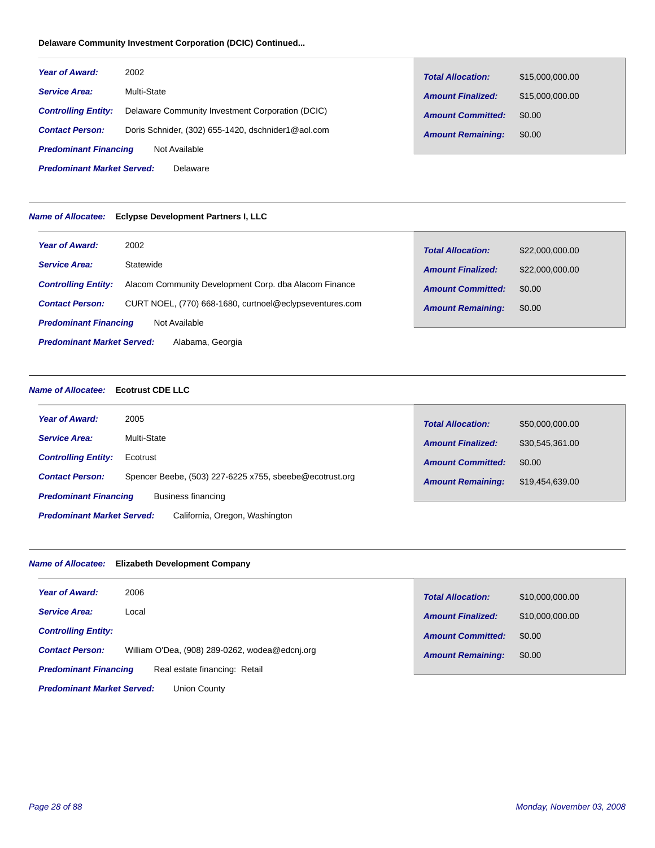# **Delaware Community Investment Corporation (DCIC) Continued...**

| <b>Year of Award:</b>                         | 2002                                               | <b>Total Allocation:</b> | \$15,000,000.00 |
|-----------------------------------------------|----------------------------------------------------|--------------------------|-----------------|
| <b>Service Area:</b>                          | Multi-State                                        | <b>Amount Finalized:</b> | \$15,000,000.00 |
| <b>Controlling Entity:</b>                    | Delaware Community Investment Corporation (DCIC)   | <b>Amount Committed:</b> | \$0.00          |
| <b>Contact Person:</b>                        | Doris Schnider, (302) 655-1420, dschnider1@aol.com | <b>Amount Remaining:</b> | \$0.00          |
| <b>Predominant Financing</b><br>Not Available |                                                    |                          |                 |
| <b>Predominant Market Served:</b><br>Delaware |                                                    |                          |                 |

# *Name of Allocatee:* **Eclypse Development Partners I, LLC**

| <b>Year of Award:</b>                                 | 2002                                                    | <b>Total Allocation:</b> | \$22,000,000.00 |
|-------------------------------------------------------|---------------------------------------------------------|--------------------------|-----------------|
| <b>Service Area:</b>                                  | Statewide                                               | <b>Amount Finalized:</b> | \$22,000,000.00 |
| <b>Controlling Entity:</b>                            | Alacom Community Development Corp. dba Alacom Finance   | <b>Amount Committed:</b> | \$0.00          |
| <b>Contact Person:</b>                                | CURT NOEL, (770) 668-1680, curtnoel@eclypseventures.com | <b>Amount Remaining:</b> | \$0.00          |
| <b>Predominant Financing</b><br>Not Available         |                                                         |                          |                 |
| <b>Predominant Market Served:</b><br>Alabama, Georgia |                                                         |                          |                 |

# *Name of Allocatee:* **Ecotrust CDE LLC**

| <b>Year of Award:</b><br>2005                                       |                                                         | <b>Total Allocation:</b> | \$50,000,000.00 |
|---------------------------------------------------------------------|---------------------------------------------------------|--------------------------|-----------------|
| Multi-State<br><b>Service Area:</b>                                 |                                                         | <b>Amount Finalized:</b> | \$30,545,361.00 |
| <b>Controlling Entity:</b><br>Ecotrust                              |                                                         | <b>Amount Committed:</b> | \$0.00          |
| <b>Contact Person:</b>                                              | Spencer Beebe, (503) 227-6225 x755, sbeebe@ecotrust.org | <b>Amount Remaining:</b> | \$19,454,639.00 |
| <b>Predominant Financing</b><br>Business financing                  |                                                         |                          |                 |
| <b>Predominant Market Served:</b><br>California, Oregon, Washington |                                                         |                          |                 |

# *Name of Allocatee:* **Elizabeth Development Company**

| <b>Year of Award:</b>                                         | 2006                                           | <b>Total Allocation:</b> | \$10,000,000.00 |
|---------------------------------------------------------------|------------------------------------------------|--------------------------|-----------------|
| <b>Service Area:</b>                                          | Local                                          | <b>Amount Finalized:</b> | \$10,000,000.00 |
| <b>Controlling Entity:</b>                                    |                                                | <b>Amount Committed:</b> | \$0.00          |
| <b>Contact Person:</b>                                        | William O'Dea, (908) 289-0262, wodea@edcni.org | <b>Amount Remaining:</b> | \$0.00          |
| Real estate financing: Retail<br><b>Predominant Financing</b> |                                                |                          |                 |

Union County *Predominant Market Served:*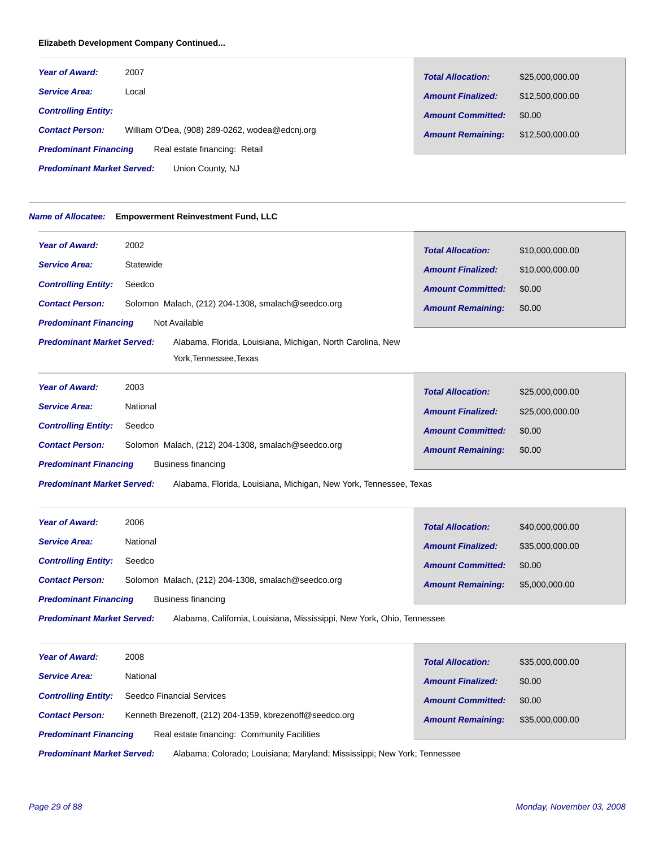# **Elizabeth Development Company Continued...**

| <b>Year of Award:</b>                                         | 2007                                           | <b>Total Allocation:</b> | \$25,000,000.00 |
|---------------------------------------------------------------|------------------------------------------------|--------------------------|-----------------|
| <b>Service Area:</b>                                          | Local                                          | <b>Amount Finalized:</b> | \$12,500,000.00 |
| <b>Controlling Entity:</b>                                    |                                                | <b>Amount Committed:</b> | \$0.00          |
| <b>Contact Person:</b>                                        | William O'Dea, (908) 289-0262, wodea@edcni.org | <b>Amount Remaining:</b> | \$12,500,000.00 |
| Real estate financing: Retail<br><b>Predominant Financing</b> |                                                |                          |                 |
| <b>Predominant Market Served:</b><br>Union County, NJ         |                                                |                          |                 |

# *Name of Allocatee:* **Empowerment Reinvestment Fund, LLC**

| <b>Year of Award:</b>             | 2002                                                       | <b>Total Allocation:</b> | \$10,000,000.00 |
|-----------------------------------|------------------------------------------------------------|--------------------------|-----------------|
| <b>Service Area:</b>              | Statewide                                                  | <b>Amount Finalized:</b> | \$10,000,000.00 |
| <b>Controlling Entity:</b>        | Seedco                                                     |                          |                 |
| <b>Contact Person:</b>            | Solomon Malach, (212) 204-1308, smalach@seedco.org         | <b>Amount Committed:</b> | \$0.00          |
|                                   |                                                            | <b>Amount Remaining:</b> | \$0.00          |
| <b>Predominant Financing</b>      | Not Available                                              |                          |                 |
| <b>Predominant Market Served:</b> | Alabama, Florida, Louisiana, Michigan, North Carolina, New |                          |                 |
|                                   | York, Tennessee, Texas                                     |                          |                 |
|                                   |                                                            |                          |                 |

| <b>Year of Award:</b>                              | 2003                                               | <b>Total Allocation:</b> | \$25,000,000.00 |
|----------------------------------------------------|----------------------------------------------------|--------------------------|-----------------|
| <b>Service Area:</b>                               | National                                           | <b>Amount Finalized:</b> | \$25,000,000.00 |
| <b>Controlling Entity:</b>                         | Seedco                                             | <b>Amount Committed:</b> | \$0.00          |
| <b>Contact Person:</b>                             | Solomon Malach, (212) 204-1308, smalach@seedco.org | <b>Amount Remaining:</b> | \$0.00          |
| <b>Predominant Financing</b><br>Business financing |                                                    |                          |                 |

Alabama, Florida, Louisiana, Michigan, New York, Tennessee, Texas *Predominant Market Served:*

| <b>Year of Award:</b>                              | 2006                                               | <b>Total Allocation:</b> | \$40,000,000.00 |
|----------------------------------------------------|----------------------------------------------------|--------------------------|-----------------|
| <b>Service Area:</b>                               | National                                           | <b>Amount Finalized:</b> | \$35,000,000.00 |
| <b>Controlling Entity:</b>                         | Seedco                                             | <b>Amount Committed:</b> | \$0.00          |
| <b>Contact Person:</b>                             | Solomon Malach, (212) 204-1308, smalach@seedco.org | <b>Amount Remaining:</b> | \$5,000,000.00  |
| <b>Predominant Financing</b><br>Business financing |                                                    |                          |                 |

Alabama, California, Louisiana, Mississippi, New York, Ohio, Tennessee *Predominant Market Served:*

| <b>Year of Award:</b>        | 2008                                                     | <b>Total Allocation:</b> | \$35,000,000.00 |
|------------------------------|----------------------------------------------------------|--------------------------|-----------------|
| <b>Service Area:</b>         | National                                                 | <b>Amount Finalized:</b> | \$0.00          |
| <b>Controlling Entity:</b>   | Seedco Financial Services                                | <b>Amount Committed:</b> | \$0.00          |
| <b>Contact Person:</b>       | Kenneth Brezenoff, (212) 204-1359, kbrezenoff@seedco.org | <b>Amount Remaining:</b> | \$35,000,000.00 |
| <b>Predominant Financing</b> | Real estate financing: Community Facilities              |                          |                 |
|                              |                                                          |                          |                 |

Alabama; Colorado; Louisiana; Maryland; Mississippi; New York; Tennessee *Predominant Market Served:*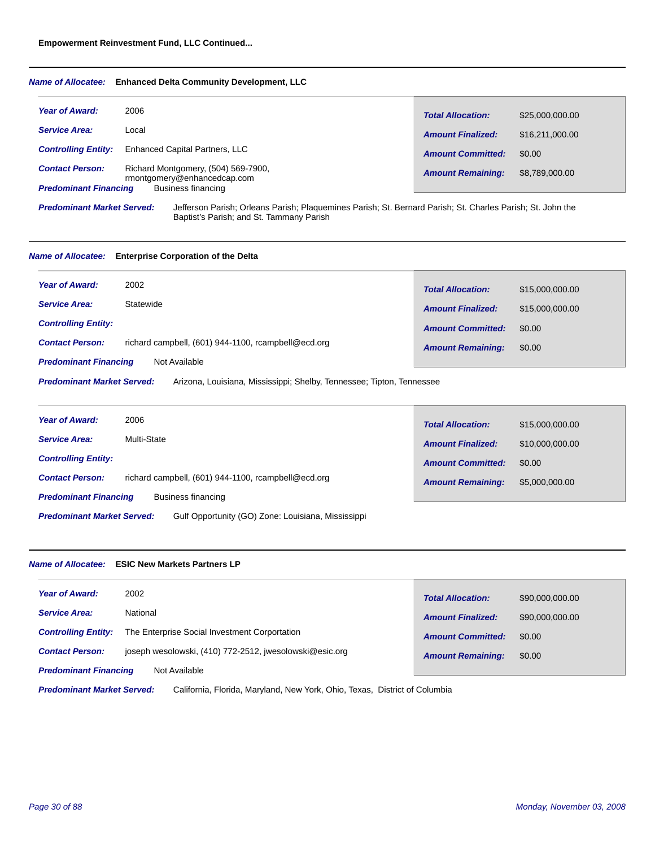#### *Name of Allocatee:* **Enhanced Delta Community Development, LLC**

| <b>Year of Award:</b>        | 2006                                                               | <b>Total Allocation:</b> | \$25,000,000.00 |
|------------------------------|--------------------------------------------------------------------|--------------------------|-----------------|
| <b>Service Area:</b>         | Local                                                              | <b>Amount Finalized:</b> | \$16,211,000,00 |
| <b>Controlling Entity:</b>   | <b>Enhanced Capital Partners, LLC</b>                              | <b>Amount Committed:</b> | \$0.00          |
| <b>Contact Person:</b>       | Richard Montgomery, (504) 569-7900,<br>rmontgomery@enhancedcap.com | <b>Amount Remaining:</b> | \$8,789,000.00  |
| <b>Predominant Financing</b> | <b>Business financing</b>                                          |                          |                 |

*Predominant Market Served:*

Jefferson Parish; Orleans Parish; Plaquemines Parish; St. Bernard Parish; St. Charles Parish; St. John the Baptist's Parish; and St. Tammany Parish

#### *Name of Allocatee:* **Enterprise Corporation of the Delta**

| <b>Year of Award:</b>        | 2002                                                | <b>Total Allocation:</b> | \$15,000,000.00 |
|------------------------------|-----------------------------------------------------|--------------------------|-----------------|
| <b>Service Area:</b>         | Statewide                                           | <b>Amount Finalized:</b> | \$15,000,000,00 |
| <b>Controlling Entity:</b>   |                                                     | <b>Amount Committed:</b> | \$0.00          |
| <b>Contact Person:</b>       | richard campbell, (601) 944-1100, rcampbell@ecd.org | <b>Amount Remaining:</b> | \$0.00          |
| <b>Predominant Financing</b> | Not Available                                       |                          |                 |

Arizona, Louisiana, Mississippi; Shelby, Tennessee; Tipton, Tennessee *Predominant Market Served:*

| <b>Year of Award:</b>                                                                   | 2006                                                | <b>Total Allocation:</b> | \$15,000,000.00 |
|-----------------------------------------------------------------------------------------|-----------------------------------------------------|--------------------------|-----------------|
| <b>Service Area:</b>                                                                    | Multi-State                                         | <b>Amount Finalized:</b> | \$10,000,000.00 |
| <b>Controlling Entity:</b>                                                              |                                                     | <b>Amount Committed:</b> | \$0.00          |
| <b>Contact Person:</b>                                                                  | richard campbell, (601) 944-1100, rcampbell@ecd.org | <b>Amount Remaining:</b> | \$5,000,000.00  |
| <b>Predominant Financing</b><br>Business financing                                      |                                                     |                          |                 |
| <b>Predominant Market Served:</b><br>Gulf Opportunity (GO) Zone: Louisiana, Mississippi |                                                     |                          |                 |

# *Name of Allocatee:* **ESIC New Markets Partners LP**

| <b>Year of Award:</b><br>2002                                                     | <b>Total Allocation:</b> | \$90,000,000.00 |  |
|-----------------------------------------------------------------------------------|--------------------------|-----------------|--|
| National<br><b>Service Area:</b>                                                  | <b>Amount Finalized:</b> | \$90,000,000.00 |  |
| The Enterprise Social Investment Corportation<br><b>Controlling Entity:</b>       | <b>Amount Committed:</b> | \$0.00          |  |
| joseph wesolowski, (410) 772-2512, jwesolowski@esic.org<br><b>Contact Person:</b> | <b>Amount Remaining:</b> | \$0.00          |  |
| <b>Predominant Financing</b><br>Not Available                                     |                          |                 |  |
|                                                                                   |                          |                 |  |

California, Florida, Maryland, New York, Ohio, Texas, District of Columbia *Predominant Market Served:*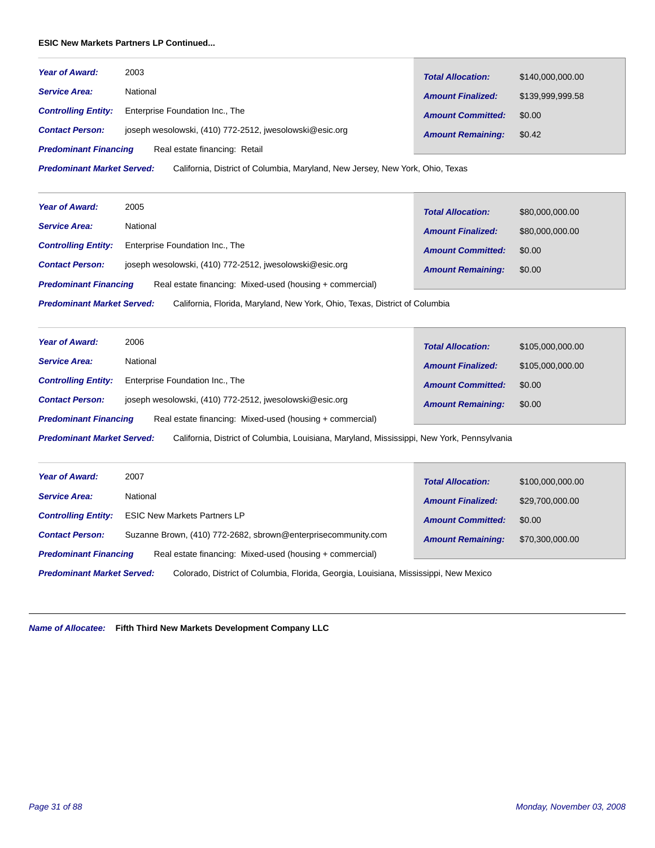# **ESIC New Markets Partners LP Continued...**

| <b>Year of Award:</b>        | 2003                                                    | <b>Total Allocation:</b> | \$140,000,000,00 |
|------------------------------|---------------------------------------------------------|--------------------------|------------------|
| <b>Service Area:</b>         | National                                                | <b>Amount Finalized:</b> | \$139.999.999.58 |
| <b>Controlling Entity:</b>   | Enterprise Foundation Inc., The                         | <b>Amount Committed:</b> | \$0.00           |
| <b>Contact Person:</b>       | joseph wesolowski, (410) 772-2512, jwesolowski@esic.org | <b>Amount Remaining:</b> | \$0.42           |
| <b>Predominant Financing</b> | Real estate financing: Retail                           |                          |                  |

California, District of Columbia, Maryland, New Jersey, New York, Ohio, Texas *Predominant Market Served:*

| <b>Year of Award:</b>        | 2005                                                     |                          |                 |
|------------------------------|----------------------------------------------------------|--------------------------|-----------------|
|                              |                                                          | <b>Total Allocation:</b> | \$80,000,000.00 |
| <b>Service Area:</b>         | National                                                 | <b>Amount Finalized:</b> | \$80,000,000.00 |
| <b>Controlling Entity:</b>   | Enterprise Foundation Inc., The                          | <b>Amount Committed:</b> | \$0.00          |
| <b>Contact Person:</b>       | joseph wesolowski, (410) 772-2512, jwesolowski@esic.org  | <b>Amount Remaining:</b> | \$0.00          |
| <b>Predominant Financing</b> | Real estate financing: Mixed-used (housing + commercial) |                          |                 |
|                              |                                                          |                          |                 |

California, Florida, Maryland, New York, Ohio, Texas, District of Columbia *Predominant Market Served:*

| <b>Year of Award:</b>        | 2006                                                     | <b>Total Allocation:</b> | \$105,000,000.00 |
|------------------------------|----------------------------------------------------------|--------------------------|------------------|
| <b>Service Area:</b>         | National                                                 | <b>Amount Finalized:</b> | \$105,000,000.00 |
| <b>Controlling Entity:</b>   | Enterprise Foundation Inc., The                          | <b>Amount Committed:</b> | \$0.00           |
| <b>Contact Person:</b>       | joseph wesolowski, (410) 772-2512, jwesolowski@esic.org  | <b>Amount Remaining:</b> | \$0.00           |
| <b>Predominant Financing</b> | Real estate financing: Mixed-used (housing + commercial) |                          |                  |

California, District of Columbia, Louisiana, Maryland, Mississippi, New York, Pennsylvania *Predominant Market Served:*

| <b>Year of Award:</b>                                                                                                     | 2007                                                          | <b>Total Allocation:</b> | \$100,000,000.00 |
|---------------------------------------------------------------------------------------------------------------------------|---------------------------------------------------------------|--------------------------|------------------|
| <b>Service Area:</b>                                                                                                      | National                                                      | <b>Amount Finalized:</b> | \$29,700,000.00  |
| <b>Controlling Entity:</b>                                                                                                | <b>ESIC New Markets Partners LP</b>                           | <b>Amount Committed:</b> | \$0.00           |
| <b>Contact Person:</b>                                                                                                    | Suzanne Brown, (410) 772-2682, sbrown@enterprisecommunity.com | <b>Amount Remaining:</b> | \$70,300,000,00  |
| <b>Predominant Financing</b>                                                                                              | Real estate financing: Mixed-used (housing + commercial)      |                          |                  |
| Colorado, District of Columbia, Florida, Georgia, Louisiana, Mississippi, New Mexico<br><b>Predominant Market Served:</b> |                                                               |                          |                  |

# *Name of Allocatee:* **Fifth Third New Markets Development Company LLC**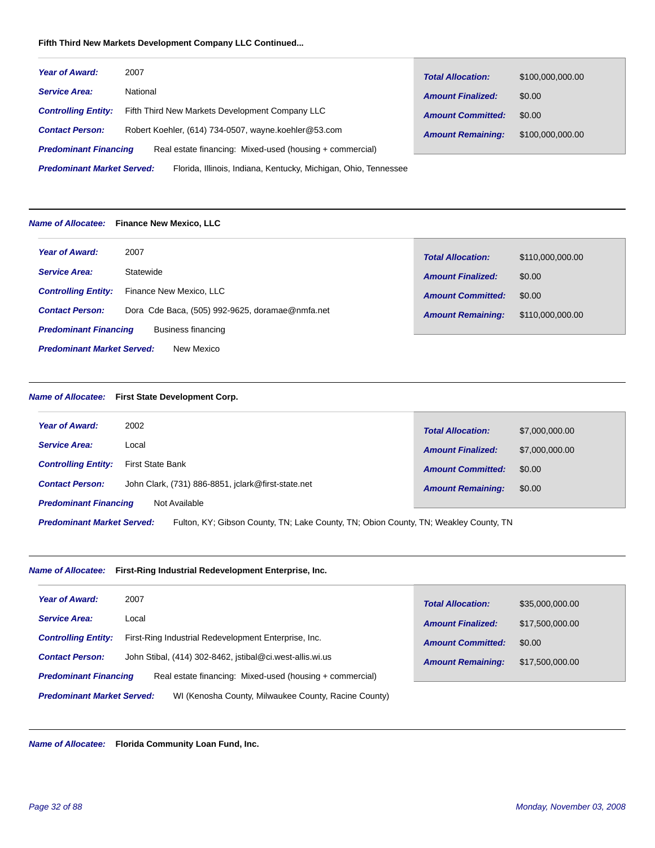# **Fifth Third New Markets Development Company LLC Continued...**

| <b>Year of Award:</b>                                                                                | 2007                                                 | <b>Total Allocation:</b> | \$100,000,000.00 |  |
|------------------------------------------------------------------------------------------------------|------------------------------------------------------|--------------------------|------------------|--|
| <b>Service Area:</b>                                                                                 | National                                             | <b>Amount Finalized:</b> | \$0.00           |  |
| <b>Controlling Entity:</b>                                                                           | Fifth Third New Markets Development Company LLC      | <b>Amount Committed:</b> | \$0.00           |  |
| <b>Contact Person:</b>                                                                               | Robert Koehler, (614) 734-0507, wayne.koehler@53.com | <b>Amount Remaining:</b> | \$100,000,000.00 |  |
| Real estate financing: Mixed-used (housing + commercial)<br><b>Predominant Financing</b>             |                                                      |                          |                  |  |
| <b>Predominant Market Served:</b><br>Florida, Illinois, Indiana, Kentucky, Michigan, Ohio, Tennessee |                                                      |                          |                  |  |

#### *Name of Allocatee:* **Finance New Mexico, LLC**

| <b>Year of Award:</b>                           | 2007                                            | <b>Total Allocation:</b> | \$110,000,000.00 |
|-------------------------------------------------|-------------------------------------------------|--------------------------|------------------|
| <b>Service Area:</b>                            | Statewide                                       | <b>Amount Finalized:</b> | \$0.00           |
| <b>Controlling Entity:</b>                      | Finance New Mexico, LLC                         | <b>Amount Committed:</b> | \$0.00           |
| <b>Contact Person:</b>                          | Dora Cde Baca, (505) 992-9625, doramae@nmfa.net | <b>Amount Remaining:</b> | \$110,000,000.00 |
| <b>Predominant Financing</b>                    | Business financing                              |                          |                  |
| <b>Predominant Market Served:</b><br>New Mexico |                                                 |                          |                  |

# *Name of Allocatee:* **First State Development Corp.**

| <b>Year of Award:</b><br>2002                                                                                             | <b>Total Allocation:</b> | \$7,000,000.00 |  |
|---------------------------------------------------------------------------------------------------------------------------|--------------------------|----------------|--|
| <b>Service Area:</b><br>Local                                                                                             | <b>Amount Finalized:</b> | \$7,000,000.00 |  |
| <b>Controlling Entity:</b><br>First State Bank                                                                            | <b>Amount Committed:</b> | \$0.00         |  |
| John Clark, (731) 886-8851, jclark@first-state.net<br><b>Contact Person:</b>                                              | <b>Amount Remaining:</b> | \$0.00         |  |
| <b>Predominant Financing</b><br>Not Available                                                                             |                          |                |  |
| <b>Predominant Market Served:</b><br>Fulton, KY; Gibson County, TN; Lake County, TN; Obion County, TN; Weakley County, TN |                          |                |  |

*Name of Allocatee:* **First-Ring Industrial Redevelopment Enterprise, Inc.**

| <b>Year of Award:</b>                                                                     | 2007                                                     | <b>Total Allocation:</b> | \$35,000,000.00 |
|-------------------------------------------------------------------------------------------|----------------------------------------------------------|--------------------------|-----------------|
| <b>Service Area:</b>                                                                      | Local                                                    | <b>Amount Finalized:</b> | \$17,500,000.00 |
| <b>Controlling Entity:</b>                                                                | First-Ring Industrial Redevelopment Enterprise, Inc.     | <b>Amount Committed:</b> | \$0.00          |
| <b>Contact Person:</b>                                                                    | John Stibal, (414) 302-8462, jstibal@ci.west-allis.wi.us | <b>Amount Remaining:</b> | \$17,500,000.00 |
| <b>Predominant Financing</b>                                                              | Real estate financing: Mixed-used (housing + commercial) |                          |                 |
| <b>Predominant Market Served:</b><br>WI (Kenosha County, Milwaukee County, Racine County) |                                                          |                          |                 |

*Name of Allocatee:* **Florida Community Loan Fund, Inc.**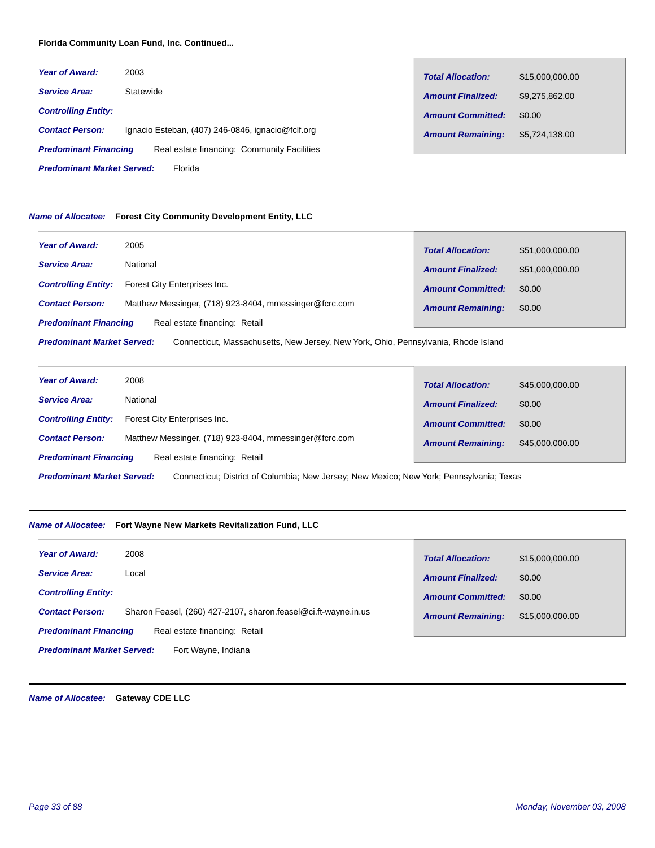# **Florida Community Loan Fund, Inc. Continued...**

| <b>Year of Award:</b>        | 2003                                              | <b>Total Allocation:</b> | \$15,000,000.00 |
|------------------------------|---------------------------------------------------|--------------------------|-----------------|
| <b>Service Area:</b>         | Statewide                                         | <b>Amount Finalized:</b> | \$9.275.862.00  |
| <b>Controlling Entity:</b>   |                                                   | <b>Amount Committed:</b> | \$0.00          |
| <b>Contact Person:</b>       | Ignacio Esteban, (407) 246-0846, ignacio@fclf.org | <b>Amount Remaining:</b> | \$5,724,138.00  |
| <b>Predominant Financing</b> | Real estate financing: Community Facilities       |                          |                 |

Florida *Predominant Market Served:*

# *Name of Allocatee:* **Forest City Community Development Entity, LLC**

| <b>Year of Award:</b>                                                                                                   | 2005                                                   | <b>Total Allocation:</b> | \$51,000,000.00 |
|-------------------------------------------------------------------------------------------------------------------------|--------------------------------------------------------|--------------------------|-----------------|
| <b>Service Area:</b>                                                                                                    | National                                               | <b>Amount Finalized:</b> | \$51,000,000.00 |
| <b>Controlling Entity:</b>                                                                                              | Forest City Enterprises Inc.                           | <b>Amount Committed:</b> | \$0.00          |
| <b>Contact Person:</b>                                                                                                  | Matthew Messinger, (718) 923-8404, mmessinger@fcrc.com | <b>Amount Remaining:</b> | \$0.00          |
| <b>Predominant Financing</b><br>Real estate financing: Retail                                                           |                                                        |                          |                 |
| <b>Predominant Market Served:</b><br>Connecticut, Massachusetts, New Jersey, New York, Ohio, Pennsylvania, Rhode Island |                                                        |                          |                 |

| <b>Year of Award:</b>                                                                                                         | 2008                                                   |                          |                 |  |
|-------------------------------------------------------------------------------------------------------------------------------|--------------------------------------------------------|--------------------------|-----------------|--|
|                                                                                                                               |                                                        | <b>Total Allocation:</b> | \$45,000,000.00 |  |
| <b>Service Area:</b>                                                                                                          | National                                               | <b>Amount Finalized:</b> | \$0.00          |  |
| <b>Controlling Entity:</b>                                                                                                    | Forest City Enterprises Inc.                           | <b>Amount Committed:</b> | \$0.00          |  |
| <b>Contact Person:</b>                                                                                                        | Matthew Messinger, (718) 923-8404, mmessinger@fcrc.com | <b>Amount Remaining:</b> | \$45,000,000.00 |  |
| Real estate financing: Retail<br><b>Predominant Financing</b>                                                                 |                                                        |                          |                 |  |
| <b>Predominant Market Served:</b><br>Connecticut; District of Columbia; New Jersey; New Mexico; New York; Pennsylvania; Texas |                                                        |                          |                 |  |

#### *Name of Allocatee:* **Fort Wayne New Markets Revitalization Fund, LLC**

| <b>Year of Award:</b>                                         | 2008                                                           | <b>Total Allocation:</b> | \$15,000,000.00 |
|---------------------------------------------------------------|----------------------------------------------------------------|--------------------------|-----------------|
| <b>Service Area:</b>                                          | Local                                                          | <b>Amount Finalized:</b> | \$0.00          |
| <b>Controlling Entity:</b>                                    |                                                                | <b>Amount Committed:</b> | \$0.00          |
| <b>Contact Person:</b>                                        | Sharon Feasel, (260) 427-2107, sharon.feasel@ci.ft-wayne.in.us | <b>Amount Remaining:</b> | \$15,000,000.00 |
| <b>Predominant Financing</b><br>Real estate financing: Retail |                                                                |                          |                 |
| <b>Predominant Market Served:</b><br>Fort Wavne, Indiana      |                                                                |                          |                 |

*Name of Allocatee:* **Gateway CDE LLC**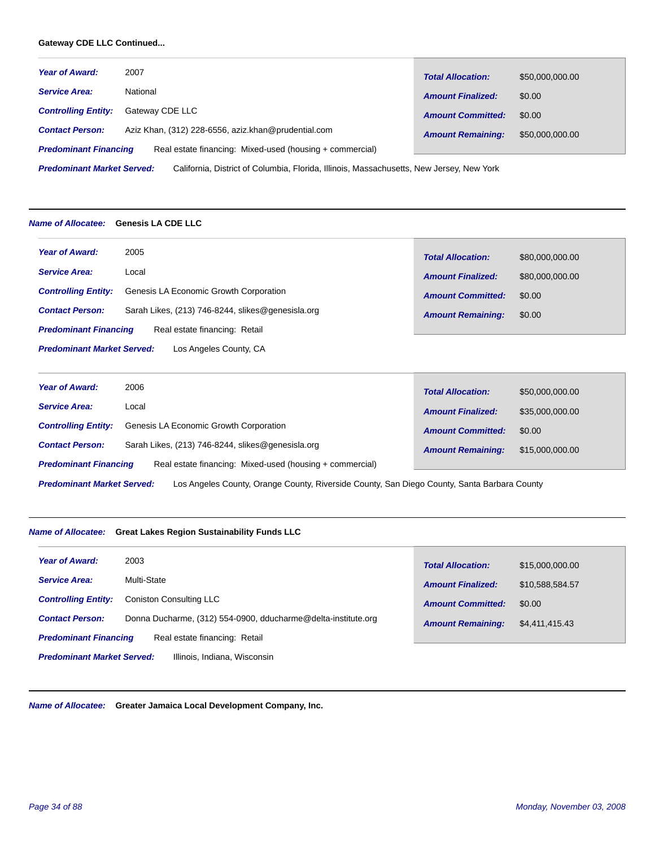# **Gateway CDE LLC Continued...**

| <b>Year of Award:</b>                                                                                                         | 2007                                                | <b>Total Allocation:</b> | \$50,000,000.00 |
|-------------------------------------------------------------------------------------------------------------------------------|-----------------------------------------------------|--------------------------|-----------------|
| <b>Service Area:</b>                                                                                                          | National                                            | <b>Amount Finalized:</b> | \$0.00          |
| <b>Controlling Entity:</b>                                                                                                    | Gateway CDE LLC                                     | <b>Amount Committed:</b> | \$0.00          |
| <b>Contact Person:</b>                                                                                                        | Aziz Khan, (312) 228-6556, aziz.khan@prudential.com | <b>Amount Remaining:</b> | \$50,000,000.00 |
| Real estate financing: Mixed-used (housing + commercial)<br><b>Predominant Financing</b>                                      |                                                     |                          |                 |
| <b>Predominant Market Served:</b><br>California, District of Columbia, Florida, Illinois, Massachusetts, New Jersey, New York |                                                     |                          |                 |

#### *Name of Allocatee:* **Genesis LA CDE LLC**

| Year of Award:                                              | 2005                                              | <b>Total Allocation:</b> | \$80,000,000.00 |  |
|-------------------------------------------------------------|---------------------------------------------------|--------------------------|-----------------|--|
| <b>Service Area:</b>                                        | Local                                             | <b>Amount Finalized:</b> | \$80,000,000.00 |  |
| <b>Controlling Entity:</b>                                  | Genesis LA Economic Growth Corporation            | <b>Amount Committed:</b> | \$0.00          |  |
| <b>Contact Person:</b>                                      | Sarah Likes, (213) 746-8244, slikes@genesisla.org | <b>Amount Remaining:</b> | \$0.00          |  |
| <b>Predominant Financing</b>                                | Real estate financing: Retail                     |                          |                 |  |
| <b>Predominant Market Served:</b><br>Los Angeles County, CA |                                                   |                          |                 |  |

| <b>Year of Award:</b>                                                                                                            | 2006                                              | <b>Total Allocation:</b> | \$50,000,000.00 |
|----------------------------------------------------------------------------------------------------------------------------------|---------------------------------------------------|--------------------------|-----------------|
| <b>Service Area:</b>                                                                                                             | Local                                             | <b>Amount Finalized:</b> | \$35,000,000.00 |
| <b>Controlling Entity:</b>                                                                                                       | Genesis LA Economic Growth Corporation            | <b>Amount Committed:</b> | \$0.00          |
| <b>Contact Person:</b>                                                                                                           | Sarah Likes, (213) 746-8244, slikes@genesisla.org | <b>Amount Remaining:</b> | \$15,000,000,00 |
| <b>Predominant Financing</b><br>Real estate financing: Mixed-used (housing + commercial)                                         |                                                   |                          |                 |
| <b>Predominant Market Served:</b><br>Los Angeles County, Orange County, Riverside County, San Diego County, Santa Barbara County |                                                   |                          |                 |

# *Name of Allocatee:* **Great Lakes Region Sustainability Funds LLC**

| <b>Year of Award:</b>                                             | 2003                                                          | <b>Total Allocation:</b> | \$15,000,000.00 |  |
|-------------------------------------------------------------------|---------------------------------------------------------------|--------------------------|-----------------|--|
| <b>Service Area:</b>                                              | Multi-State                                                   | <b>Amount Finalized:</b> | \$10,588,584.57 |  |
| <b>Controlling Entity:</b>                                        | Coniston Consulting LLC                                       | <b>Amount Committed:</b> | \$0.00          |  |
| <b>Contact Person:</b>                                            | Donna Ducharme, (312) 554-0900, dducharme@delta-institute.org | <b>Amount Remaining:</b> | \$4,411,415.43  |  |
| <b>Predominant Financing</b><br>Real estate financing: Retail     |                                                               |                          |                 |  |
| <b>Predominant Market Served:</b><br>Illinois, Indiana, Wisconsin |                                                               |                          |                 |  |

*Name of Allocatee:* **Greater Jamaica Local Development Company, Inc.**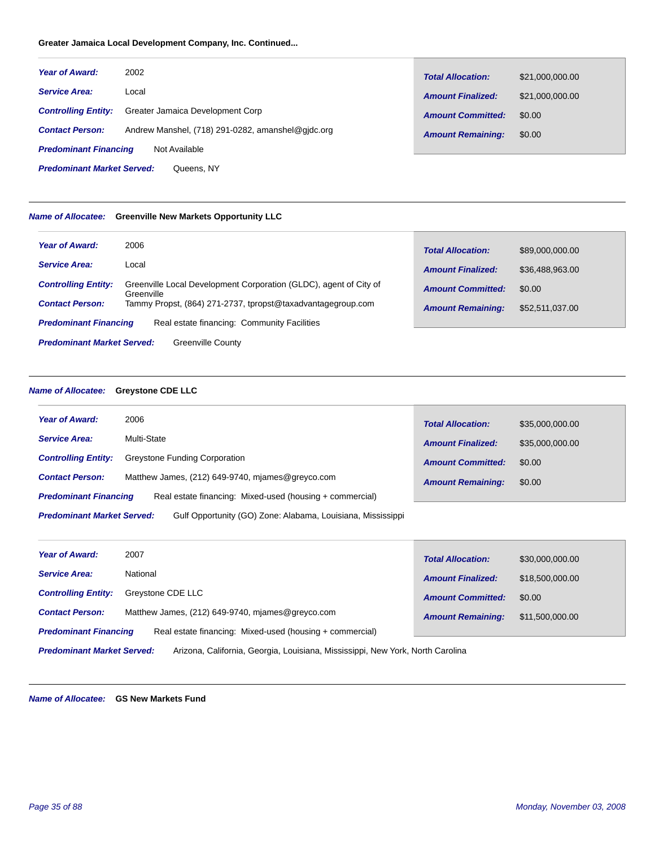# **Greater Jamaica Local Development Company, Inc. Continued...**

| <b>Year of Award:</b>                           | 2002                                              | <b>Total Allocation:</b> | \$21,000,000.00 |
|-------------------------------------------------|---------------------------------------------------|--------------------------|-----------------|
| <b>Service Area:</b>                            | Local                                             | <b>Amount Finalized:</b> | \$21,000,000.00 |
| <b>Controlling Entity:</b>                      | Greater Jamaica Development Corp                  | <b>Amount Committed:</b> | \$0.00          |
| <b>Contact Person:</b>                          | Andrew Manshel, (718) 291-0282, amanshel@gidc.org | <b>Amount Remaining:</b> | \$0.00          |
| <b>Predominant Financing</b><br>Not Available   |                                                   |                          |                 |
| <b>Predominant Market Served:</b><br>Queens, NY |                                                   |                          |                 |

# *Name of Allocatee:* **Greenville New Markets Opportunity LLC**

| <b>Year of Award:</b>                                                       | 2006                                                                            | <b>Total Allocation:</b> | \$89,000,000.00 |
|-----------------------------------------------------------------------------|---------------------------------------------------------------------------------|--------------------------|-----------------|
| <b>Service Area:</b>                                                        | Local                                                                           | <b>Amount Finalized:</b> | \$36,488,963.00 |
| <b>Controlling Entity:</b>                                                  | Greenville Local Development Corporation (GLDC), agent of City of<br>Greenville | <b>Amount Committed:</b> | \$0.00          |
| <b>Contact Person:</b>                                                      | Tammy Propst, (864) 271-2737, tpropst@taxadvantagegroup.com                     | <b>Amount Remaining:</b> | \$52,511,037.00 |
| Real estate financing: Community Facilities<br><b>Predominant Financing</b> |                                                                                 |                          |                 |
| <b>Predominant Market Served:</b><br><b>Greenville County</b>               |                                                                                 |                          |                 |

# *Name of Allocatee:* **Greystone CDE LLC**

| <b>Year of Award:</b>                                                                            | 2006                                                     | <b>Total Allocation:</b> | \$35,000,000.00 |
|--------------------------------------------------------------------------------------------------|----------------------------------------------------------|--------------------------|-----------------|
| <b>Service Area:</b>                                                                             | Multi-State                                              | <b>Amount Finalized:</b> | \$35,000,000.00 |
| <b>Controlling Entity:</b>                                                                       | Greystone Funding Corporation                            | <b>Amount Committed:</b> | \$0.00          |
| <b>Contact Person:</b>                                                                           | Matthew James, (212) 649-9740, miames@greyco.com         | <b>Amount Remaining:</b> | \$0.00          |
| <b>Predominant Financing</b>                                                                     | Real estate financing: Mixed-used (housing + commercial) |                          |                 |
| <b>Predominant Market Served:</b><br>Gulf Opportunity (GO) Zone: Alabama, Louisiana, Mississippi |                                                          |                          |                 |

| <b>Year of Award:</b>                                                                                               | 2007                                                     | <b>Total Allocation:</b> | \$30,000,000.00 |
|---------------------------------------------------------------------------------------------------------------------|----------------------------------------------------------|--------------------------|-----------------|
| <b>Service Area:</b>                                                                                                | National                                                 | <b>Amount Finalized:</b> | \$18,500,000.00 |
| <b>Controlling Entity:</b>                                                                                          | Greystone CDE LLC                                        | <b>Amount Committed:</b> | \$0.00          |
| <b>Contact Person:</b>                                                                                              | Matthew James, (212) 649-9740, miames@greyco.com         | <b>Amount Remaining:</b> | \$11,500,000.00 |
| <b>Predominant Financing</b>                                                                                        | Real estate financing: Mixed-used (housing + commercial) |                          |                 |
| Arizona, California, Georgia, Louisiana, Mississippi, New York, North Carolina<br><b>Predominant Market Served:</b> |                                                          |                          |                 |

*Name of Allocatee:* **GS New Markets Fund**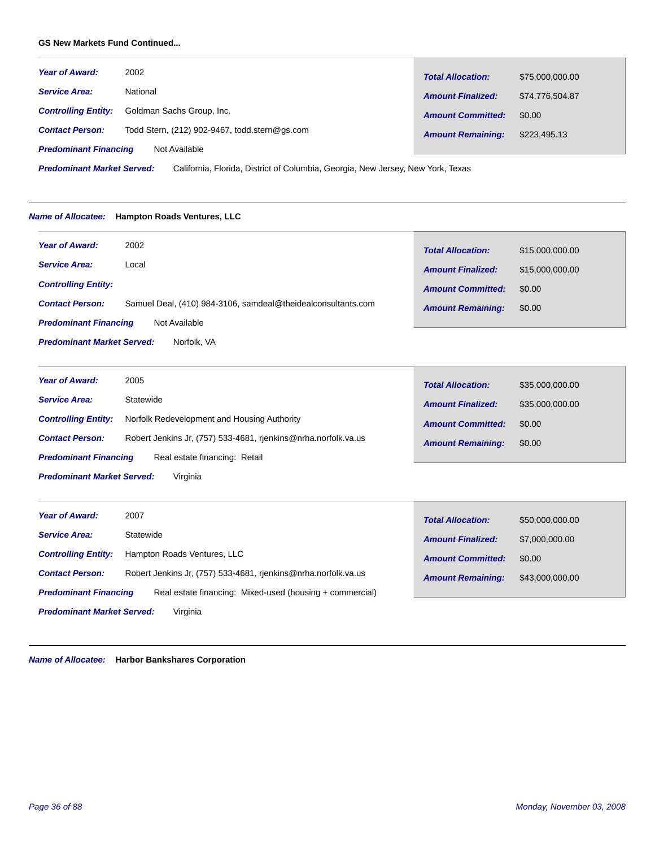# **GS New Markets Fund Continued...**

| <b>Year of Award:</b>                         | 2002                                          | <b>Total Allocation:</b> | \$75,000,000.00 |
|-----------------------------------------------|-----------------------------------------------|--------------------------|-----------------|
| <b>Service Area:</b>                          | National                                      | <b>Amount Finalized:</b> | \$74.776.504.87 |
| <b>Controlling Entity:</b>                    | Goldman Sachs Group, Inc.                     | <b>Amount Committed:</b> | \$0.00          |
| <b>Contact Person:</b>                        | Todd Stern, (212) 902-9467, todd.stern@gs.com | <b>Amount Remaining:</b> | \$223,495.13    |
| <b>Predominant Financing</b><br>Not Available |                                               |                          |                 |

California, Florida, District of Columbia, Georgia, New Jersey, New York, Texas *Predominant Market Served:*

# *Name of Allocatee:* **Hampton Roads Ventures, LLC**

| <b>Year of Award:</b>                            | 2002                                                         | <b>Total Allocation:</b> | \$15,000,000.00 |
|--------------------------------------------------|--------------------------------------------------------------|--------------------------|-----------------|
| <b>Service Area:</b>                             | Local                                                        | <b>Amount Finalized:</b> | \$15,000,000.00 |
| <b>Controlling Entity:</b>                       |                                                              | <b>Amount Committed:</b> | \$0.00          |
| <b>Contact Person:</b>                           | Samuel Deal, (410) 984-3106, samdeal@theidealconsultants.com | <b>Amount Remaining:</b> | \$0.00          |
| <b>Predominant Financing</b><br>Not Available    |                                                              |                          |                 |
| <b>Predominant Market Served:</b><br>Norfolk, VA |                                                              |                          |                 |

| <b>Year of Award:</b>                         | 2005                                                           | <b>Total Allocation:</b> | \$35,000,000.00 |
|-----------------------------------------------|----------------------------------------------------------------|--------------------------|-----------------|
| <b>Service Area:</b>                          | Statewide                                                      | <b>Amount Finalized:</b> | \$35,000,000.00 |
| <b>Controlling Entity:</b>                    | Norfolk Redevelopment and Housing Authority                    | <b>Amount Committed:</b> | \$0.00          |
| <b>Contact Person:</b>                        | Robert Jenkins Jr, (757) 533-4681, rjenkins@nrha.norfolk.va.us | <b>Amount Remaining:</b> | \$0.00          |
| <b>Predominant Financing</b>                  | Real estate financing: Retail                                  |                          |                 |
| Virginia<br><b>Predominant Market Served:</b> |                                                                |                          |                 |

П

| <b>Year of Award:</b>                                                                    | 2007                                                           | <b>Total Allocation:</b> | \$50,000,000.00 |
|------------------------------------------------------------------------------------------|----------------------------------------------------------------|--------------------------|-----------------|
| <b>Service Area:</b>                                                                     | Statewide                                                      | <b>Amount Finalized:</b> | \$7,000,000.00  |
| <b>Controlling Entity:</b>                                                               | Hampton Roads Ventures, LLC                                    | <b>Amount Committed:</b> | \$0.00          |
| <b>Contact Person:</b>                                                                   | Robert Jenkins Jr. (757) 533-4681, rienkins@nrha.norfolk.va.us | <b>Amount Remaining:</b> | \$43,000,000.00 |
| <b>Predominant Financing</b><br>Real estate financing: Mixed-used (housing + commercial) |                                                                |                          |                 |
| Virginia<br><b>Predominant Market Served:</b>                                            |                                                                |                          |                 |

*Name of Allocatee:* **Harbor Bankshares Corporation**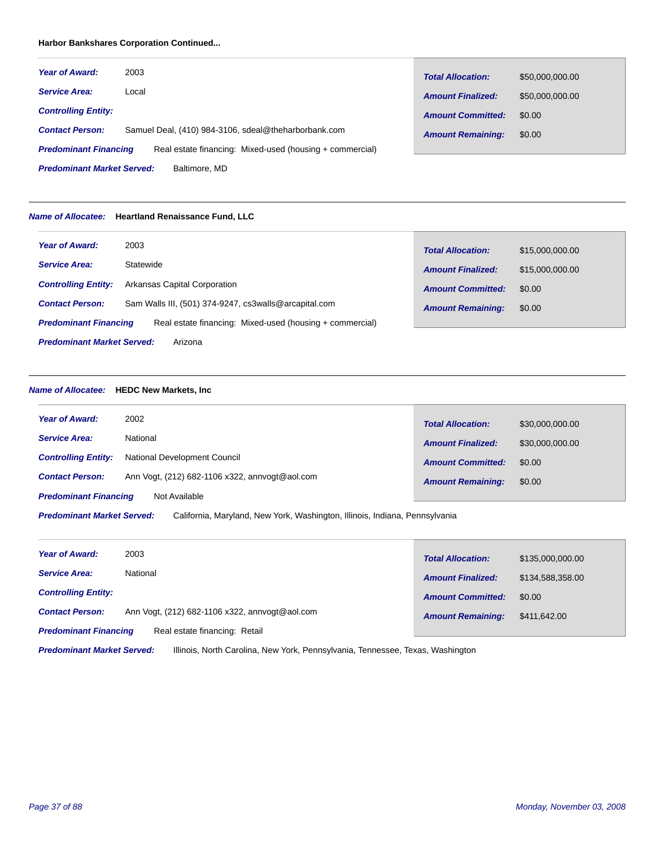# **Harbor Bankshares Corporation Continued...**

| <b>Year of Award:</b>             | 2003                                                     | <b>Total Allocation:</b> | \$50,000,000.00 |
|-----------------------------------|----------------------------------------------------------|--------------------------|-----------------|
| <b>Service Area:</b>              | Local                                                    | <b>Amount Finalized:</b> | \$50,000,000.00 |
| <b>Controlling Entity:</b>        |                                                          | <b>Amount Committed:</b> | \$0.00          |
| <b>Contact Person:</b>            | Samuel Deal, (410) 984-3106, sdeal@theharborbank.com     | <b>Amount Remaining:</b> | \$0.00          |
| <b>Predominant Financing</b>      | Real estate financing: Mixed-used (housing + commercial) |                          |                 |
| <b>Predominant Market Served:</b> | Baltimore, MD                                            |                          |                 |

#### *Name of Allocatee:* **Heartland Renaissance Fund, LLC**

| <b>Year of Award:</b>             | 2003                                                     | <b>Total Allocation:</b> | \$15,000,000,00 |
|-----------------------------------|----------------------------------------------------------|--------------------------|-----------------|
| <b>Service Area:</b>              | Statewide                                                | <b>Amount Finalized:</b> | \$15,000,000.00 |
| <b>Controlling Entity:</b>        | Arkansas Capital Corporation                             | <b>Amount Committed:</b> | \$0.00          |
| <b>Contact Person:</b>            | Sam Walls III, (501) 374-9247, cs3walls@arcapital.com    | <b>Amount Remaining:</b> | \$0.00          |
| <b>Predominant Financing</b>      | Real estate financing: Mixed-used (housing + commercial) |                          |                 |
| <b>Predominant Market Served:</b> | Arizona                                                  |                          |                 |

#### *Name of Allocatee:* **HEDC New Markets, Inc**

| <b>Year of Award:</b>        | 2002                                           | <b>Total Allocation:</b> | \$30,000,000.00 |
|------------------------------|------------------------------------------------|--------------------------|-----------------|
| <b>Service Area:</b>         | National                                       | <b>Amount Finalized:</b> | \$30,000,000.00 |
| <b>Controlling Entity:</b>   | National Development Council                   | <b>Amount Committed:</b> | \$0.00          |
| <b>Contact Person:</b>       | Ann Vogt, (212) 682-1106 x322, annvogt@aol.com | <b>Amount Remaining:</b> | \$0.00          |
| <b>Predominant Financing</b> | Not Available                                  |                          |                 |
|                              |                                                |                          |                 |

California, Maryland, New York, Washington, Illinois, Indiana, Pennsylvania *Predominant Market Served:*

| <b>Year of Award:</b>        | 2003                                           | <b>Total Allocation:</b> | \$135,000,000.00 |
|------------------------------|------------------------------------------------|--------------------------|------------------|
| <b>Service Area:</b>         | National                                       | <b>Amount Finalized:</b> | \$134,588,358.00 |
| <b>Controlling Entity:</b>   |                                                | <b>Amount Committed:</b> | \$0.00           |
| <b>Contact Person:</b>       | Ann Vogt, (212) 682-1106 x322, annvogt@aol.com | <b>Amount Remaining:</b> | \$411,642.00     |
| <b>Predominant Financing</b> | Real estate financing: Retail                  |                          |                  |

Illinois, North Carolina, New York, Pennsylvania, Tennessee, Texas, Washington *Predominant Market Served:*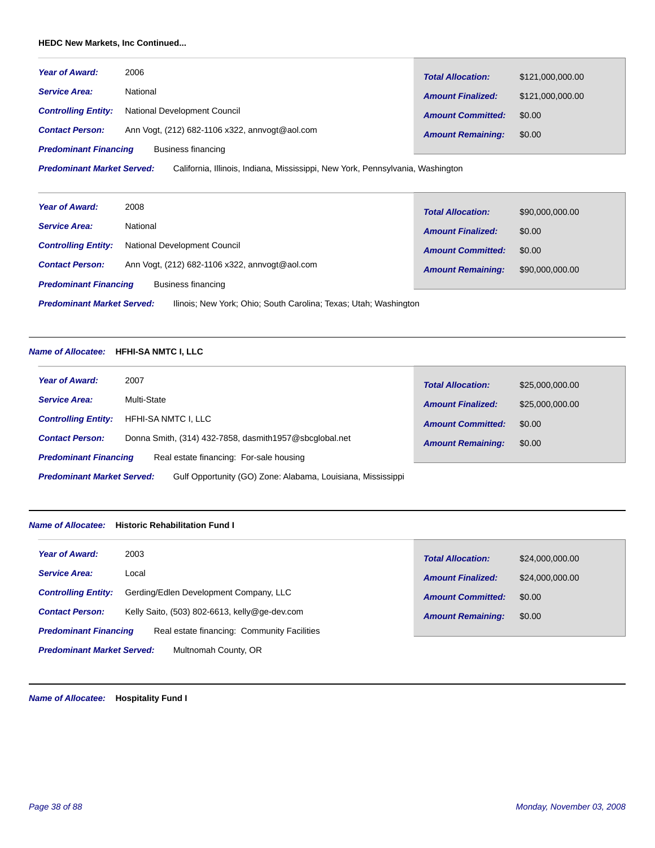# **HEDC New Markets, Inc Continued...**

| <b>Year of Award:</b>        | 2006                                           | <b>Total Allocation:</b> | \$121,000,000.00 |
|------------------------------|------------------------------------------------|--------------------------|------------------|
| <b>Service Area:</b>         | National                                       | <b>Amount Finalized:</b> | \$121,000,000.00 |
| <b>Controlling Entity:</b>   | National Development Council                   | <b>Amount Committed:</b> | \$0.00           |
| <b>Contact Person:</b>       | Ann Vogt, (212) 682-1106 x322, annvogt@aol.com | <b>Amount Remaining:</b> | \$0.00           |
| <b>Predominant Financing</b> | Business financing                             |                          |                  |

California, Illinois, Indiana, Mississippi, New York, Pennsylvania, Washington *Predominant Market Served:*

| <b>Year of Award:</b>                                                                                 | 2008                                           | <b>Total Allocation:</b> | \$90,000,000.00 |
|-------------------------------------------------------------------------------------------------------|------------------------------------------------|--------------------------|-----------------|
| <b>Service Area:</b>                                                                                  | National                                       | <b>Amount Finalized:</b> | \$0.00          |
| <b>Controlling Entity:</b>                                                                            | National Development Council                   | <b>Amount Committed:</b> | \$0.00          |
| <b>Contact Person:</b>                                                                                | Ann Vogt, (212) 682-1106 x322, annvogt@aol.com | <b>Amount Remaining:</b> | \$90,000,000.00 |
| <b>Predominant Financing</b>                                                                          | Business financing                             |                          |                 |
| <b>Predominant Market Served:</b><br>Ilinois; New York; Ohio; South Carolina; Texas; Utah; Washington |                                                |                          |                 |

# *Name of Allocatee:* **HFHI-SA NMTC I, LLC**

| <b>Year of Award:</b>             | 2007                                                        | <b>Total Allocation:</b> | \$25,000,000.00 |
|-----------------------------------|-------------------------------------------------------------|--------------------------|-----------------|
| <b>Service Area:</b>              | Multi-State                                                 | <b>Amount Finalized:</b> | \$25,000,000.00 |
| <b>Controlling Entity:</b>        | HFHI-SA NMTC I, LLC                                         | <b>Amount Committed:</b> | \$0.00          |
| <b>Contact Person:</b>            | Donna Smith, (314) 432-7858, dasmith1957@sbcqlobal.net      | <b>Amount Remaining:</b> | \$0.00          |
| <b>Predominant Financing</b>      | Real estate financing: For-sale housing                     |                          |                 |
| <b>Predominant Market Served:</b> | Gulf Opportunity (GO) Zone: Alabama, Louisiana, Mississippi |                          |                 |

#### *Name of Allocatee:* **Historic Rehabilitation Fund I**

| <b>Year of Award:</b>                                                       | \$24,000,000.00          |
|-----------------------------------------------------------------------------|--------------------------|
| 2003                                                                        | <b>Total Allocation:</b> |
| <b>Service Area:</b>                                                        | \$24,000,000.00          |
| Local                                                                       | <b>Amount Finalized:</b> |
| Gerding/Edlen Development Company, LLC                                      | <b>Amount Committed:</b> |
| <b>Controlling Entity:</b>                                                  | \$0.00                   |
| Kelly Saito, (503) 802-6613, kelly@ge-dev.com                               | <b>Amount Remaining:</b> |
| <b>Contact Person:</b>                                                      | \$0.00                   |
| Real estate financing: Community Facilities<br><b>Predominant Financing</b> |                          |
| <b>Predominant Market Served:</b><br>Multnomah County, OR                   |                          |

*Name of Allocatee:* **Hospitality Fund I**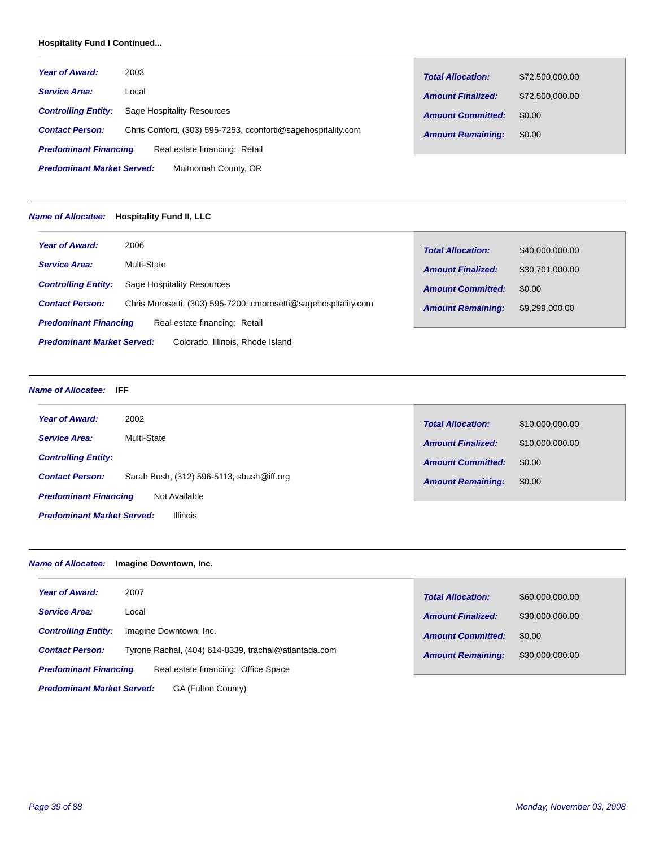# **Hospitality Fund I Continued...**

| <b>Year of Award:</b>             | 2003                                                          | <b>Total Allocation:</b> | \$72,500,000.00 |
|-----------------------------------|---------------------------------------------------------------|--------------------------|-----------------|
| <b>Service Area:</b>              | Local                                                         | <b>Amount Finalized:</b> | \$72,500,000.00 |
| <b>Controlling Entity:</b>        | Sage Hospitality Resources                                    | <b>Amount Committed:</b> | \$0.00          |
| <b>Contact Person:</b>            | Chris Conforti, (303) 595-7253, cconforti@sagehospitality.com | <b>Amount Remaining:</b> | \$0.00          |
| <b>Predominant Financing</b>      | Real estate financing: Retail                                 |                          |                 |
| <b>Predominant Market Served:</b> | Multnomah County, OR                                          |                          |                 |

#### *Name of Allocatee:* **Hospitality Fund II, LLC**

| <b>Year of Award:</b>                                                 | 2006                                                            | <b>Total Allocation:</b> | \$40,000,000.00 |
|-----------------------------------------------------------------------|-----------------------------------------------------------------|--------------------------|-----------------|
| <b>Service Area:</b>                                                  | Multi-State                                                     | <b>Amount Finalized:</b> | \$30,701,000.00 |
| <b>Controlling Entity:</b>                                            | Sage Hospitality Resources                                      | <b>Amount Committed:</b> | \$0.00          |
| <b>Contact Person:</b>                                                | Chris Morosetti, (303) 595-7200, cmorosetti@sagehospitality.com | <b>Amount Remaining:</b> | \$9,299,000.00  |
| <b>Predominant Financing</b>                                          | Real estate financing: Retail                                   |                          |                 |
| <b>Predominant Market Served:</b><br>Colorado, Illinois, Rhode Island |                                                                 |                          |                 |

#### *Name of Allocatee:* **IFF**

| <b>Year of Award:</b>                                | 2002                                      | <b>Total Allocation:</b> | \$10,000,000.00 |
|------------------------------------------------------|-------------------------------------------|--------------------------|-----------------|
| <b>Service Area:</b>                                 | Multi-State                               | <b>Amount Finalized:</b> | \$10,000,000.00 |
| <b>Controlling Entity:</b>                           |                                           | <b>Amount Committed:</b> | \$0.00          |
|                                                      |                                           |                          |                 |
| <b>Contact Person:</b>                               | Sarah Bush, (312) 596-5113, sbush@iff.org | <b>Amount Remaining:</b> | \$0.00          |
| Not Available<br><b>Predominant Financing</b>        |                                           |                          |                 |
| <b>Illinois</b><br><b>Predominant Market Served:</b> |                                           |                          |                 |

# *Name of Allocatee:* **Imagine Downtown, Inc.**

| <b>Year of Award:</b>        | 2007                                                 | <b>Total Allocation:</b> | \$60,000,000.00 |
|------------------------------|------------------------------------------------------|--------------------------|-----------------|
| <b>Service Area:</b>         | Local                                                | <b>Amount Finalized:</b> |                 |
|                              |                                                      |                          | \$30,000,000.00 |
| <b>Controlling Entity:</b>   | Imagine Downtown, Inc.                               | <b>Amount Committed:</b> | \$0.00          |
| <b>Contact Person:</b>       | Tyrone Rachal, (404) 614-8339, trachal@atlantada.com | <b>Amount Remaining:</b> | \$30,000,000.00 |
|                              |                                                      |                          |                 |
| <b>Predominant Financing</b> | Real estate financing: Office Space                  |                          |                 |

GA (Fulton County) *Predominant Market Served:*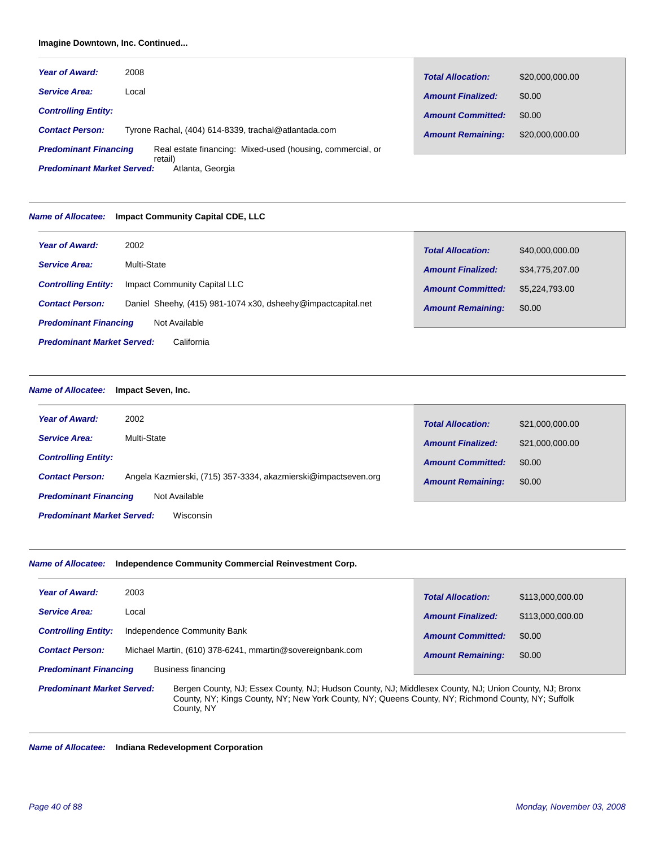# **Imagine Downtown, Inc. Continued...**

| <b>Year of Award:</b>                                            | 2008                                                       | <b>Total Allocation:</b> | \$20,000,000.00 |
|------------------------------------------------------------------|------------------------------------------------------------|--------------------------|-----------------|
| <b>Service Area:</b>                                             | Local                                                      | <b>Amount Finalized:</b> | \$0.00          |
| <b>Controlling Entity:</b>                                       |                                                            | <b>Amount Committed:</b> | \$0.00          |
| <b>Contact Person:</b>                                           | Tyrone Rachal, (404) 614-8339, trachal@atlantada.com       | <b>Amount Remaining:</b> | \$20,000,000,00 |
| <b>Predominant Financing</b>                                     | Real estate financing: Mixed-used (housing, commercial, or |                          |                 |
| retail)<br><b>Predominant Market Served:</b><br>Atlanta, Georgia |                                                            |                          |                 |

#### *Name of Allocatee:* **Impact Community Capital CDE, LLC**

| <b>Year of Award:</b>                           | 2002                                                         | <b>Total Allocation:</b> | \$40,000,000.00 |
|-------------------------------------------------|--------------------------------------------------------------|--------------------------|-----------------|
| <b>Service Area:</b>                            | Multi-State                                                  | <b>Amount Finalized:</b> | \$34,775,207.00 |
| <b>Controlling Entity:</b>                      | Impact Community Capital LLC                                 | <b>Amount Committed:</b> | \$5.224.793.00  |
| <b>Contact Person:</b>                          | Daniel Sheehy, (415) 981-1074 x30, dsheehy@impactcapital.net | <b>Amount Remaining:</b> | \$0.00          |
| <b>Predominant Financing</b>                    | Not Available                                                |                          |                 |
| <b>Predominant Market Served:</b><br>California |                                                              |                          |                 |

#### *Name of Allocatee:* **Impact Seven, Inc.**

| <b>Year of Award:</b>                          | 2002                                                           | <b>Total Allocation:</b> | \$21,000,000.00 |
|------------------------------------------------|----------------------------------------------------------------|--------------------------|-----------------|
| <b>Service Area:</b>                           | Multi-State                                                    | <b>Amount Finalized:</b> | \$21,000,000.00 |
| <b>Controlling Entity:</b>                     |                                                                | <b>Amount Committed:</b> | \$0.00          |
| <b>Contact Person:</b>                         | Angela Kazmierski, (715) 357-3334, akazmierski@impactseven.org | <b>Amount Remaining:</b> | \$0.00          |
| <b>Predominant Financing</b><br>Not Available  |                                                                |                          |                 |
| <b>Predominant Market Served:</b><br>Wisconsin |                                                                |                          |                 |

#### *Name of Allocatee:* **Independence Community Commercial Reinvestment Corp.**

County, NY

| <b>Year of Award:</b>                                                                                                                                                                                                                            | 2003                                                      | <b>Total Allocation:</b> | \$113,000,000.00 |
|--------------------------------------------------------------------------------------------------------------------------------------------------------------------------------------------------------------------------------------------------|-----------------------------------------------------------|--------------------------|------------------|
| <b>Service Area:</b>                                                                                                                                                                                                                             | Local                                                     | <b>Amount Finalized:</b> | \$113,000,000.00 |
| <b>Controlling Entity:</b>                                                                                                                                                                                                                       | Independence Community Bank                               | <b>Amount Committed:</b> | \$0.00           |
| <b>Contact Person:</b>                                                                                                                                                                                                                           | Michael Martin, (610) 378-6241, mmartin@sovereignbank.com | <b>Amount Remaining:</b> | \$0.00           |
| <b>Predominant Financing</b><br>Business financing                                                                                                                                                                                               |                                                           |                          |                  |
| <b>Predominant Market Served:</b><br>Bergen County, NJ; Essex County, NJ; Hudson County, NJ; Middlesex County, NJ; Union County, NJ; Bronx<br>County, NY; Kings County, NY; New York County, NY; Queens County, NY; Richmond County, NY; Suffolk |                                                           |                          |                  |

*Name of Allocatee:* **Indiana Redevelopment Corporation**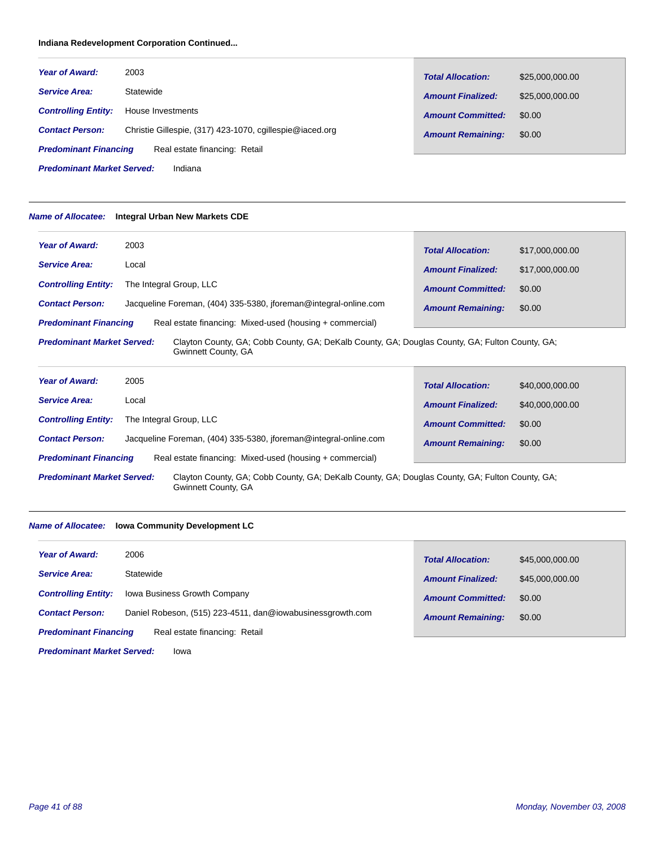# **Indiana Redevelopment Corporation Continued...**

| <b>Year of Award:</b>        | 2003                                                     | <b>Total Allocation:</b> | \$25,000,000.00 |
|------------------------------|----------------------------------------------------------|--------------------------|-----------------|
| <b>Service Area:</b>         | Statewide                                                | <b>Amount Finalized:</b> | \$25,000,000.00 |
| <b>Controlling Entity:</b>   | House Investments                                        | <b>Amount Committed:</b> | \$0.00          |
| <b>Contact Person:</b>       | Christie Gillespie, (317) 423-1070, cgillespie@iaced.org | <b>Amount Remaining:</b> | \$0.00          |
| <b>Predominant Financing</b> | Real estate financing: Retail                            |                          |                 |

Indiana *Predominant Market Served:*

# *Name of Allocatee:* **Integral Urban New Markets CDE**

| <b>Year of Award:</b>                                                                                                                                      | 2003                                                             | <b>Total Allocation:</b> | \$17,000,000,00 |
|------------------------------------------------------------------------------------------------------------------------------------------------------------|------------------------------------------------------------------|--------------------------|-----------------|
| <b>Service Area:</b>                                                                                                                                       | Local                                                            | <b>Amount Finalized:</b> | \$17,000,000.00 |
| <b>Controlling Entity:</b>                                                                                                                                 | The Integral Group, LLC                                          | <b>Amount Committed:</b> | \$0.00          |
| <b>Contact Person:</b>                                                                                                                                     | Jacqueline Foreman, (404) 335-5380, iforeman@integral-online.com | <b>Amount Remaining:</b> | \$0.00          |
| <b>Predominant Financing</b>                                                                                                                               | Real estate financing: Mixed-used (housing + commercial)         |                          |                 |
| Clayton County, GA; Cobb County, GA; DeKalb County, GA; Douglas County, GA; Fulton County, GA;<br><b>Predominant Market Served:</b><br>Gwinnett County, GA |                                                                  |                          |                 |

| <b>Year of Award:</b>                                                                                                                                      | 2005                                                             | <b>Total Allocation:</b> | \$40,000,000.00 |
|------------------------------------------------------------------------------------------------------------------------------------------------------------|------------------------------------------------------------------|--------------------------|-----------------|
| <b>Service Area:</b>                                                                                                                                       | Local                                                            | <b>Amount Finalized:</b> | \$40,000,000.00 |
| <b>Controlling Entity:</b>                                                                                                                                 | The Integral Group, LLC                                          | <b>Amount Committed:</b> | \$0.00          |
| <b>Contact Person:</b>                                                                                                                                     | Jacqueline Foreman, (404) 335-5380, iforeman@integral-online.com | <b>Amount Remaining:</b> | \$0.00          |
| <b>Predominant Financing</b>                                                                                                                               | Real estate financing: Mixed-used (housing + commercial)         |                          |                 |
| <b>Predominant Market Served:</b><br>Clayton County, GA; Cobb County, GA; DeKalb County, GA; Douglas County, GA; Fulton County, GA;<br>Gwinnett County, GA |                                                                  |                          |                 |

Г

# *Name of Allocatee:* **Iowa Community Development LC**

| <b>Year of Award:</b>                                         | 2006                                                       | <b>Total Allocation:</b> | \$45,000,000.00 |
|---------------------------------------------------------------|------------------------------------------------------------|--------------------------|-----------------|
| <b>Service Area:</b>                                          | Statewide                                                  | <b>Amount Finalized:</b> | \$45,000,000.00 |
| <b>Controlling Entity:</b>                                    | <b>Iowa Business Growth Company</b>                        | <b>Amount Committed:</b> | \$0.00          |
| <b>Contact Person:</b>                                        | Daniel Robeson, (515) 223-4511, dan@iowabusinessgrowth.com | <b>Amount Remaining:</b> | \$0.00          |
| <b>Predominant Financing</b><br>Real estate financing: Retail |                                                            |                          |                 |
| <b>Predominant Market Served:</b><br>Iowa                     |                                                            |                          |                 |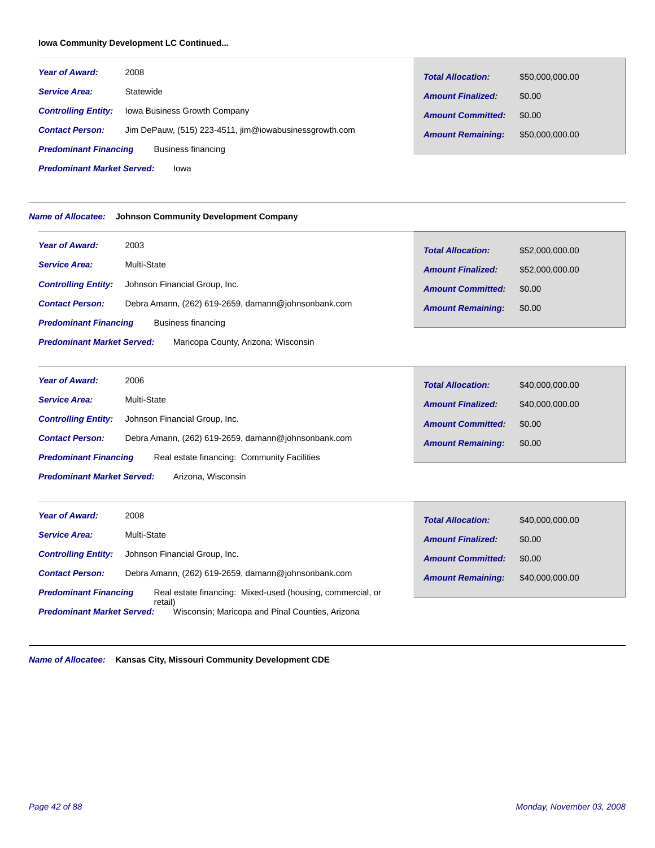# **Iowa Community Development LC Continued...**

*Predominant Market Served:*

| <b>Year of Award:</b>        | 2008                                                   | <b>Total Allocation:</b> | \$50,000,000.00 |
|------------------------------|--------------------------------------------------------|--------------------------|-----------------|
| <b>Service Area:</b>         | Statewide                                              | <b>Amount Finalized:</b> | \$0.00          |
| <b>Controlling Entity:</b>   | <b>Iowa Business Growth Company</b>                    | <b>Amount Committed:</b> | \$0.00          |
| <b>Contact Person:</b>       | Jim DePauw, (515) 223-4511, jim@iowabusinessgrowth.com | <b>Amount Remaining:</b> | \$50,000,000.00 |
| <b>Predominant Financing</b> | Business financing                                     |                          |                 |

*Name of Allocatee:* **Johnson Community Development Company**

Iowa

| <b>Year of Award:</b>                                                    | 2003                                                | <b>Total Allocation:</b> | \$52,000,000.00 |
|--------------------------------------------------------------------------|-----------------------------------------------------|--------------------------|-----------------|
| <b>Service Area:</b>                                                     | Multi-State                                         | <b>Amount Finalized:</b> | \$52,000,000.00 |
| <b>Controlling Entity:</b>                                               | Johnson Financial Group, Inc.                       | <b>Amount Committed:</b> | \$0.00          |
| <b>Contact Person:</b>                                                   | Debra Amann, (262) 619-2659, damann@johnsonbank.com | <b>Amount Remaining:</b> | \$0.00          |
| <b>Predominant Financing</b>                                             | Business financing                                  |                          |                 |
| <b>Predominant Market Served:</b><br>Maricopa County, Arizona; Wisconsin |                                                     |                          |                 |

| <b>Year of Award:</b>                                   | 2006                                                | <b>Total Allocation:</b> | \$40,000,000.00 |
|---------------------------------------------------------|-----------------------------------------------------|--------------------------|-----------------|
| <b>Service Area:</b>                                    | Multi-State                                         | <b>Amount Finalized:</b> | \$40,000,000.00 |
| <b>Controlling Entity:</b>                              | Johnson Financial Group, Inc.                       | <b>Amount Committed:</b> | \$0.00          |
| <b>Contact Person:</b>                                  | Debra Amann, (262) 619-2659, damann@johnsonbank.com | <b>Amount Remaining:</b> | \$0.00          |
| <b>Predominant Financing</b>                            | Real estate financing: Community Facilities         |                          |                 |
| <b>Predominant Market Served:</b><br>Arizona, Wisconsin |                                                     |                          |                 |

| <b>Year of Award:</b>                                                                           | 2008                                                       | <b>Total Allocation:</b> | \$40,000,000.00 |
|-------------------------------------------------------------------------------------------------|------------------------------------------------------------|--------------------------|-----------------|
| <b>Service Area:</b>                                                                            | Multi-State                                                | <b>Amount Finalized:</b> | \$0.00          |
| <b>Controlling Entity:</b>                                                                      | Johnson Financial Group, Inc.                              | <b>Amount Committed:</b> | \$0.00          |
| <b>Contact Person:</b>                                                                          | Debra Amann, (262) 619-2659, damann@johnsonbank.com        | <b>Amount Remaining:</b> | \$40,000,000.00 |
| <b>Predominant Financing</b>                                                                    | Real estate financing: Mixed-used (housing, commercial, or |                          |                 |
| retail)<br>Wisconsin; Maricopa and Pinal Counties, Arizona<br><b>Predominant Market Served:</b> |                                                            |                          |                 |

*Name of Allocatee:* **Kansas City, Missouri Community Development CDE**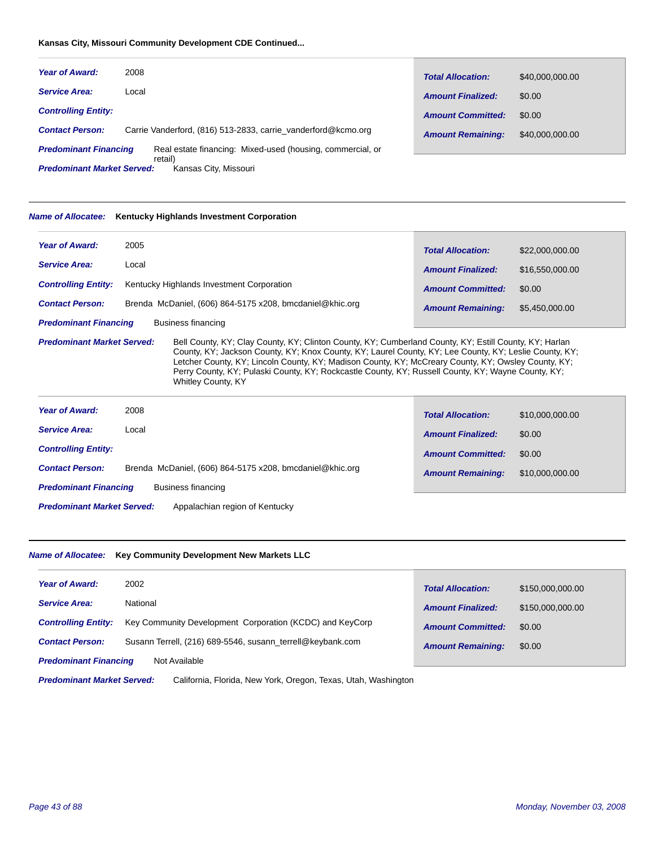# **Kansas City, Missouri Community Development CDE Continued...**

| <b>Year of Award:</b>        | 2008  |                                                                       | <b>Total Allocation:</b> | \$40,000,000.00 |
|------------------------------|-------|-----------------------------------------------------------------------|--------------------------|-----------------|
| <b>Service Area:</b>         | Local |                                                                       | <b>Amount Finalized:</b> | \$0.00          |
| <b>Controlling Entity:</b>   |       |                                                                       | <b>Amount Committed:</b> | \$0.00          |
| <b>Contact Person:</b>       |       | Carrie Vanderford, (816) 513-2833, carrie vanderford@kcmo.org         | <b>Amount Remaining:</b> | \$40,000,000.00 |
| <b>Predominant Financing</b> |       | Real estate financing: Mixed-used (housing, commercial, or<br>retail) |                          |                 |

Kansas City, Missouri *Predominant Market Served:*

# *Name of Allocatee:* **Kentucky Highlands Investment Corporation**

| <b>Year of Award:</b>                                                                                                                                                                                                                                                                                                                                                                                                                                                                           | 2005                                                     | <b>Total Allocation:</b> | \$22,000,000.00 |  |
|-------------------------------------------------------------------------------------------------------------------------------------------------------------------------------------------------------------------------------------------------------------------------------------------------------------------------------------------------------------------------------------------------------------------------------------------------------------------------------------------------|----------------------------------------------------------|--------------------------|-----------------|--|
| <b>Service Area:</b>                                                                                                                                                                                                                                                                                                                                                                                                                                                                            | Local                                                    | <b>Amount Finalized:</b> | \$16,550,000.00 |  |
| <b>Controlling Entity:</b>                                                                                                                                                                                                                                                                                                                                                                                                                                                                      | Kentucky Highlands Investment Corporation                | <b>Amount Committed:</b> | \$0.00          |  |
| <b>Contact Person:</b>                                                                                                                                                                                                                                                                                                                                                                                                                                                                          | Brenda McDaniel, (606) 864-5175 x208, bmcdaniel@khic.org | <b>Amount Remaining:</b> | \$5,450,000.00  |  |
| <b>Predominant Financing</b>                                                                                                                                                                                                                                                                                                                                                                                                                                                                    | <b>Business financing</b>                                |                          |                 |  |
| <b>Predominant Market Served:</b><br>Bell County, KY; Clay County, KY; Clinton County, KY; Cumberland County, KY; Estill County, KY; Harlan<br>County, KY; Jackson County, KY; Knox County, KY; Laurel County, KY; Lee County, KY; Leslie County, KY;<br>Letcher County, KY; Lincoln County, KY; Madison County, KY; McCreary County, KY; Owsley County, KY;<br>Perry County, KY; Pulaski County, KY; Rockcastle County, KY; Russell County, KY; Wayne County, KY;<br><b>Whitley County, KY</b> |                                                          |                          |                 |  |
| <b>Year of Award:</b>                                                                                                                                                                                                                                                                                                                                                                                                                                                                           | 2008                                                     | <b>Total Allocation:</b> | \$10,000,000.00 |  |
| <b>Service Area:</b>                                                                                                                                                                                                                                                                                                                                                                                                                                                                            | Local                                                    | <b>Amount Finalized:</b> | \$0.00          |  |
| <b>Controlling Entity:</b>                                                                                                                                                                                                                                                                                                                                                                                                                                                                      |                                                          | <b>Amount Committed:</b> | \$0.00          |  |
| <b>Contact Person:</b>                                                                                                                                                                                                                                                                                                                                                                                                                                                                          | Brenda McDaniel, (606) 864-5175 x208, bmcdaniel@khic.org | <b>Amount Remaining:</b> | \$10,000,000.00 |  |
| <b>Predominant Financing</b>                                                                                                                                                                                                                                                                                                                                                                                                                                                                    | <b>Business financing</b>                                |                          |                 |  |
| <b>Predominant Market Served:</b><br>Appalachian region of Kentucky                                                                                                                                                                                                                                                                                                                                                                                                                             |                                                          |                          |                 |  |

# *Name of Allocatee:* **Key Community Development New Markets LLC**

| <b>Year of Award:</b>                         | 2002                                                       | <b>Total Allocation:</b> | \$150,000,000.00 |
|-----------------------------------------------|------------------------------------------------------------|--------------------------|------------------|
| <b>Service Area:</b>                          | National                                                   | <b>Amount Finalized:</b> | \$150,000,000.00 |
| <b>Controlling Entity:</b>                    | Key Community Development Corporation (KCDC) and KeyCorp   | <b>Amount Committed:</b> | \$0.00           |
| <b>Contact Person:</b>                        | Susann Terrell, (216) 689-5546, susann terrell@keybank.com | <b>Amount Remaining:</b> | \$0.00           |
| <b>Predominant Financing</b><br>Not Available |                                                            |                          |                  |
|                                               |                                                            |                          |                  |

California, Florida, New York, Oregon, Texas, Utah, Washington *Predominant Market Served:*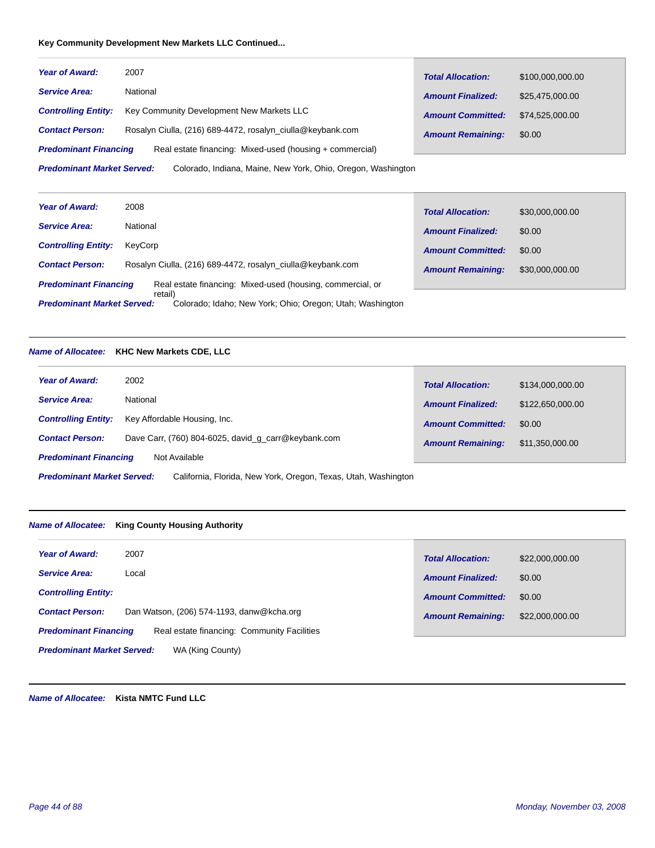# **Key Community Development New Markets LLC Continued...**

| <b>Year of Award:</b>                                                                             | 2007                                                       | <b>Total Allocation:</b> | \$100,000,000.00 |
|---------------------------------------------------------------------------------------------------|------------------------------------------------------------|--------------------------|------------------|
| <b>Service Area:</b>                                                                              | National                                                   | <b>Amount Finalized:</b> | \$25,475,000.00  |
| <b>Controlling Entity:</b>                                                                        | Key Community Development New Markets LLC                  | <b>Amount Committed:</b> | \$74.525.000.00  |
| <b>Contact Person:</b>                                                                            | Rosalyn Ciulla, (216) 689-4472, rosalyn ciulla@keybank.com | <b>Amount Remaining:</b> | \$0.00           |
| <b>Predominant Financing</b>                                                                      | Real estate financing: Mixed-used (housing + commercial)   |                          |                  |
| <b>Predominant Market Served:</b><br>Colorado, Indiana, Maine, New York, Ohio, Oregon, Washington |                                                            |                          |                  |

| <b>Year of Award:</b>             | 2008                                                                 | <b>Total Allocation:</b> | \$30,000,000.00 |
|-----------------------------------|----------------------------------------------------------------------|--------------------------|-----------------|
| <b>Service Area:</b>              | National                                                             | <b>Amount Finalized:</b> | \$0.00          |
| <b>Controlling Entity:</b>        | KevCorp                                                              | <b>Amount Committed:</b> | \$0.00          |
| <b>Contact Person:</b>            | Rosalyn Ciulla, (216) 689-4472, rosalyn ciulla@keybank.com           | <b>Amount Remaining:</b> | \$30,000,000.00 |
| <b>Predominant Financing</b>      | Real estate financing: Mixed-used (housing, commercial, or           |                          |                 |
| <b>Predominant Market Served:</b> | retail)<br>Colorado; Idaho; New York; Ohio; Oregon; Utah; Washington |                          |                 |

# *Name of Allocatee:* **KHC New Markets CDE, LLC**

| <b>Year of Award:</b>                                                                               | 2002                                                | <b>Total Allocation:</b> | \$134,000,000.00 |
|-----------------------------------------------------------------------------------------------------|-----------------------------------------------------|--------------------------|------------------|
| <b>Service Area:</b>                                                                                | National                                            | <b>Amount Finalized:</b> | \$122,650,000.00 |
| <b>Controlling Entity:</b>                                                                          | Key Affordable Housing, Inc.                        | <b>Amount Committed:</b> | \$0.00           |
| <b>Contact Person:</b>                                                                              | Dave Carr, (760) 804-6025, david g carr@keybank.com | <b>Amount Remaining:</b> | \$11,350,000.00  |
| <b>Predominant Financing</b><br>Not Available                                                       |                                                     |                          |                  |
| California, Florida, New York, Oregon, Texas, Utah, Washington<br><b>Predominant Market Served:</b> |                                                     |                          |                  |

# *Name of Allocatee:* **King County Housing Authority**

| <b>Year of Award:</b>                                                       | 2007                                      | <b>Total Allocation:</b> | \$22,000,000.00 |
|-----------------------------------------------------------------------------|-------------------------------------------|--------------------------|-----------------|
| <b>Service Area:</b>                                                        | Local                                     | <b>Amount Finalized:</b> | \$0.00          |
| <b>Controlling Entity:</b>                                                  |                                           | <b>Amount Committed:</b> | \$0.00          |
| <b>Contact Person:</b>                                                      | Dan Watson, (206) 574-1193, danw@kcha.org | <b>Amount Remaining:</b> | \$22,000,000.00 |
| Real estate financing: Community Facilities<br><b>Predominant Financing</b> |                                           |                          |                 |
| <b>Predominant Market Served:</b>                                           | WA (King County)                          |                          |                 |

*Name of Allocatee:* **Kista NMTC Fund LLC**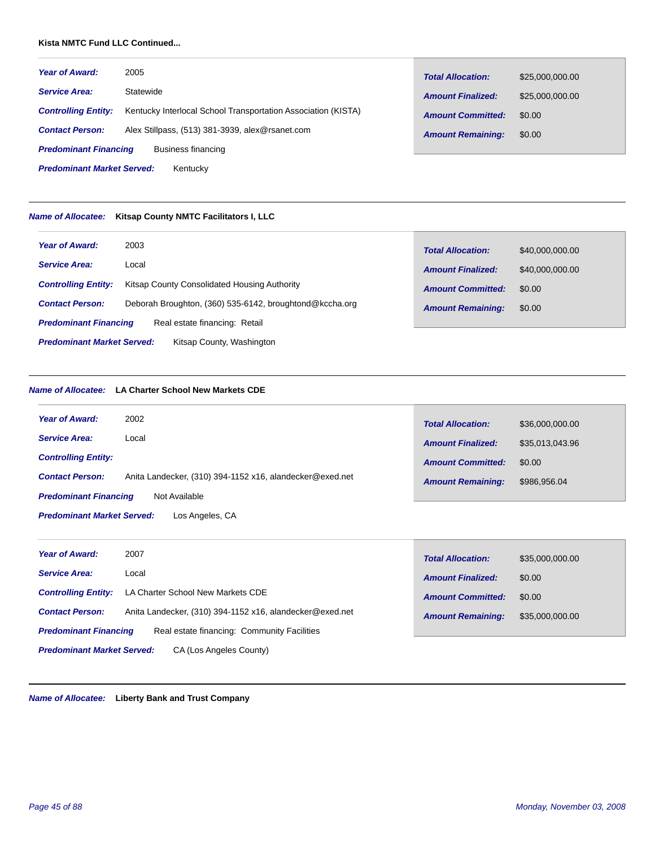#### **Kista NMTC Fund LLC Continued...**

| <b>Year of Award:</b>                              | 2005                                                          | <b>Total Allocation:</b> | \$25,000,000.00 |
|----------------------------------------------------|---------------------------------------------------------------|--------------------------|-----------------|
| <b>Service Area:</b>                               | Statewide                                                     | <b>Amount Finalized:</b> | \$25,000,000.00 |
| <b>Controlling Entity:</b>                         | Kentucky Interlocal School Transportation Association (KISTA) | <b>Amount Committed:</b> | \$0.00          |
| <b>Contact Person:</b>                             | Alex Stillpass, (513) 381-3939, alex@rsanet.com               | <b>Amount Remaining:</b> | \$0.00          |
| <b>Predominant Financing</b><br>Business financing |                                                               |                          |                 |
| <b>Predominant Market Served:</b>                  | Kentucky                                                      |                          |                 |

#### *Name of Allocatee:* **Kitsap County NMTC Facilitators I, LLC**

| <b>Year of Award:</b>                                          | 2003                                                    | <b>Total Allocation:</b> | \$40,000,000.00 |
|----------------------------------------------------------------|---------------------------------------------------------|--------------------------|-----------------|
| <b>Service Area:</b>                                           | Local                                                   | <b>Amount Finalized:</b> | \$40,000,000.00 |
| <b>Controlling Entity:</b>                                     | Kitsap County Consolidated Housing Authority            | <b>Amount Committed:</b> | \$0.00          |
| <b>Contact Person:</b>                                         | Deborah Broughton, (360) 535-6142, broughtond@kccha.org | <b>Amount Remaining:</b> | \$0.00          |
| <b>Predominant Financing</b>                                   | Real estate financing: Retail                           |                          |                 |
| <b>Predominant Market Served:</b><br>Kitsap County, Washington |                                                         |                          |                 |

### *Name of Allocatee:* **LA Charter School New Markets CDE**

| <b>Year of Award:</b>                                | 2002                                                     | <b>Total Allocation:</b> | \$36,000,000.00 |  |
|------------------------------------------------------|----------------------------------------------------------|--------------------------|-----------------|--|
| <b>Service Area:</b>                                 | Local                                                    | <b>Amount Finalized:</b> | \$35,013,043.96 |  |
| <b>Controlling Entity:</b>                           |                                                          | <b>Amount Committed:</b> | \$0.00          |  |
| <b>Contact Person:</b>                               | Anita Landecker, (310) 394-1152 x16, alandecker@exed.net | <b>Amount Remaining:</b> | \$986,956.04    |  |
| Not Available<br><b>Predominant Financing</b>        |                                                          |                          |                 |  |
| <b>Predominant Market Served:</b><br>Los Angeles, CA |                                                          |                          |                 |  |
|                                                      |                                                          |                          |                 |  |

| <b>Year of Award:</b>                                        | 2007                                                     | <b>Total Allocation:</b> | \$35,000,000.00 |
|--------------------------------------------------------------|----------------------------------------------------------|--------------------------|-----------------|
| <b>Service Area:</b>                                         | Local                                                    | <b>Amount Finalized:</b> | \$0.00          |
| <b>Controlling Entity:</b>                                   | LA Charter School New Markets CDE                        | <b>Amount Committed:</b> | \$0.00          |
| <b>Contact Person:</b>                                       | Anita Landecker, (310) 394-1152 x16, alandecker@exed.net | <b>Amount Remaining:</b> | \$35,000,000.00 |
| <b>Predominant Financing</b>                                 | Real estate financing: Community Facilities              |                          |                 |
| <b>Predominant Market Served:</b><br>CA (Los Angeles County) |                                                          |                          |                 |

*Name of Allocatee:* **Liberty Bank and Trust Company**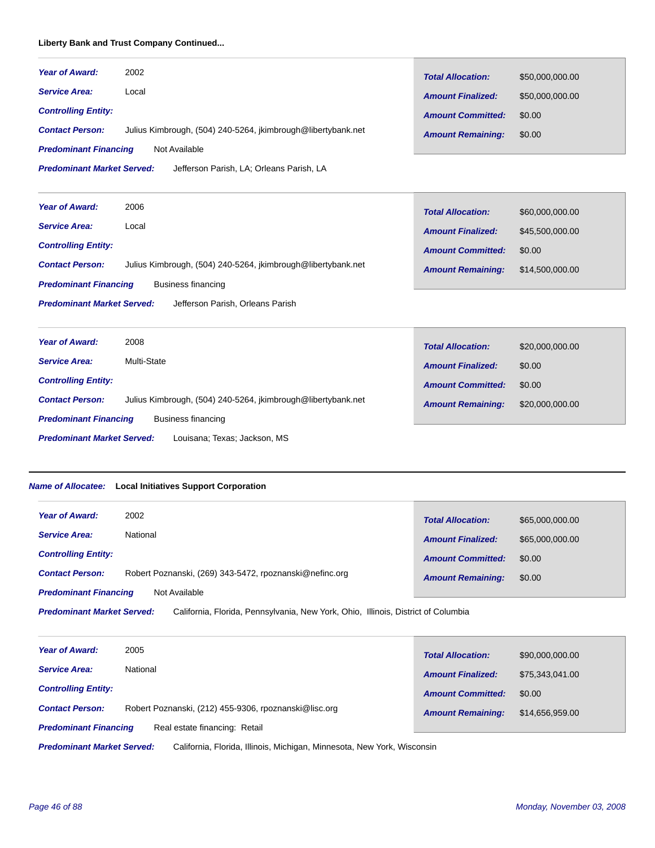# **Liberty Bank and Trust Company Continued...**

| <b>Year of Award:</b>             | 2002                                                         | <b>Total Allocation:</b> | \$50,000,000.00 |
|-----------------------------------|--------------------------------------------------------------|--------------------------|-----------------|
| <b>Service Area:</b>              | Local                                                        | <b>Amount Finalized:</b> | \$50,000,000.00 |
| <b>Controlling Entity:</b>        |                                                              | <b>Amount Committed:</b> | \$0.00          |
| <b>Contact Person:</b>            | Julius Kimbrough, (504) 240-5264, jkimbrough@libertybank.net | <b>Amount Remaining:</b> | \$0.00          |
| <b>Predominant Financing</b>      | Not Available                                                |                          |                 |
| <b>Predominant Market Served:</b> | Jefferson Parish, LA; Orleans Parish, LA                     |                          |                 |
|                                   |                                                              |                          |                 |
| <b>Year of Award:</b>             | 2006                                                         | <b>Total Allocation:</b> | \$60,000,000.00 |
| <b>Service Area:</b>              | Local                                                        | <b>Amount Finalized:</b> | \$45,500,000.00 |
| <b>Controlling Entity:</b>        |                                                              | <b>Amount Committed:</b> | \$0.00          |
| <b>Contact Person:</b>            | Julius Kimbrough, (504) 240-5264, jkimbrough@libertybank.net | <b>Amount Remaining:</b> | \$14,500,000.00 |
| <b>Predominant Financing</b>      | <b>Business financing</b>                                    |                          |                 |
| <b>Predominant Market Served:</b> | Jefferson Parish, Orleans Parish                             |                          |                 |
|                                   |                                                              |                          |                 |
| <b>Year of Award:</b>             | 2008                                                         | <b>Total Allocation:</b> | \$20,000,000.00 |
| <b>Service Area:</b>              | Multi-State                                                  | <b>Amount Finalized:</b> | \$0.00          |
| <b>Controlling Entity:</b>        |                                                              | <b>Amount Committed:</b> | \$0.00          |
| <b>Contact Person:</b>            | Julius Kimbrough, (504) 240-5264, jkimbrough@libertybank.net | <b>Amount Remaining:</b> | \$20,000,000.00 |
| <b>Predominant Financing</b>      | <b>Business financing</b>                                    |                          |                 |

Louisana; Texas; Jackson, MS *Predominant Market Served:*

#### *Name of Allocatee:* **Local Initiatives Support Corporation**

| <b>Year of Award:</b>        | 2002                                                    | <b>Total Allocation:</b> | \$65,000,000.00 |
|------------------------------|---------------------------------------------------------|--------------------------|-----------------|
| <b>Service Area:</b>         | National                                                | <b>Amount Finalized:</b> | \$65,000,000.00 |
| <b>Controlling Entity:</b>   |                                                         | <b>Amount Committed:</b> | \$0.00          |
| <b>Contact Person:</b>       | Robert Poznanski, (269) 343-5472, rpoznanski@nefinc.org | <b>Amount Remaining:</b> | \$0.00          |
| <b>Predominant Financing</b> | Not Available                                           |                          |                 |

California, Florida, Pennsylvania, New York, Ohio, Illinois, District of Columbia *Predominant Market Served:*

| <b>Year of Award:</b>                                         | 2005                                                  | <b>Total Allocation:</b> | \$90,000,000.00 |
|---------------------------------------------------------------|-------------------------------------------------------|--------------------------|-----------------|
| <b>Service Area:</b>                                          | National                                              | <b>Amount Finalized:</b> | \$75,343,041,00 |
| <b>Controlling Entity:</b>                                    |                                                       | <b>Amount Committed:</b> | \$0.00          |
| <b>Contact Person:</b>                                        | Robert Poznanski, (212) 455-9306, rpoznanski@lisc.org | <b>Amount Remaining:</b> | \$14,656,959.00 |
| Real estate financing: Retail<br><b>Predominant Financing</b> |                                                       |                          |                 |

California, Florida, Illinois, Michigan, Minnesota, New York, Wisconsin *Predominant Market Served:*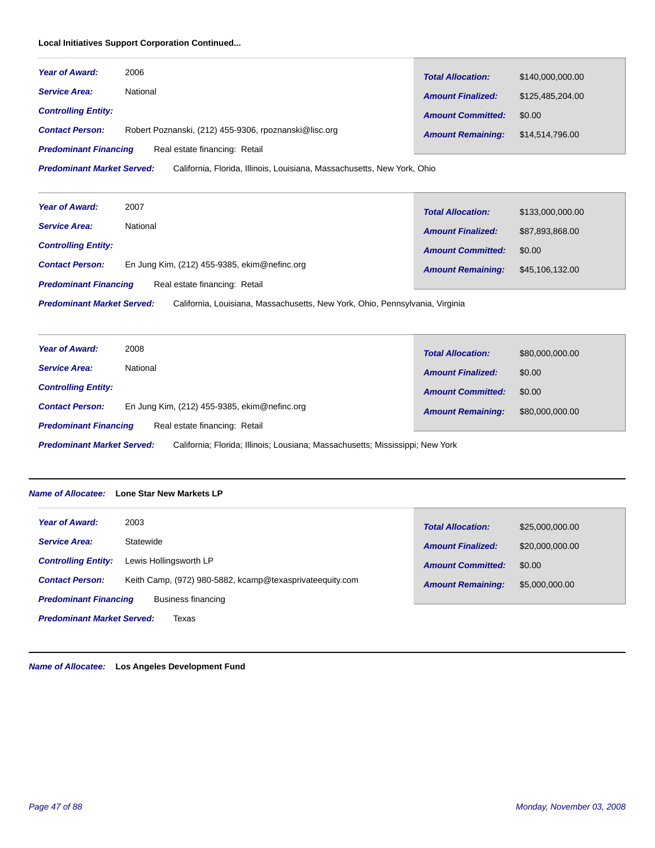# **Local Initiatives Support Corporation Continued...**

| <b>Year of Award:</b>                                         | 2006                                                  | <b>Total Allocation:</b> | \$140,000,000,00 |
|---------------------------------------------------------------|-------------------------------------------------------|--------------------------|------------------|
| <b>Service Area:</b>                                          | National                                              | <b>Amount Finalized:</b> | \$125.485.204.00 |
| <b>Controlling Entity:</b>                                    |                                                       | <b>Amount Committed:</b> | \$0.00           |
| <b>Contact Person:</b>                                        | Robert Poznanski, (212) 455-9306, rpoznanski@lisc.org | <b>Amount Remaining:</b> | \$14,514,796.00  |
| Real estate financing: Retail<br><b>Predominant Financing</b> |                                                       |                          |                  |

California, Florida, Illinois, Louisiana, Massachusetts, New York, Ohio *Predominant Market Served:*

| <b>Year of Award:</b>                                         | 2007                                           | <b>Total Allocation:</b> | \$133,000,000.00 |
|---------------------------------------------------------------|------------------------------------------------|--------------------------|------------------|
| <b>Service Area:</b>                                          | National                                       | <b>Amount Finalized:</b> | \$87,893,868.00  |
| <b>Controlling Entity:</b>                                    |                                                | <b>Amount Committed:</b> | \$0.00           |
| <b>Contact Person:</b>                                        | En Jung Kim, $(212)$ 455-9385, ekim@nefinc.org | <b>Amount Remaining:</b> | \$45,106,132.00  |
| Real estate financing: Retail<br><b>Predominant Financing</b> |                                                |                          |                  |

California, Louisiana, Massachusetts, New York, Ohio, Pennsylvania, Virginia *Predominant Market Served:*

| <b>Year of Award:</b>                                                                                              |                                              |                          |                 |
|--------------------------------------------------------------------------------------------------------------------|----------------------------------------------|--------------------------|-----------------|
|                                                                                                                    | 2008                                         | <b>Total Allocation:</b> | \$80,000,000.00 |
| <b>Service Area:</b>                                                                                               | National                                     | <b>Amount Finalized:</b> | \$0.00          |
| <b>Controlling Entity:</b>                                                                                         |                                              | <b>Amount Committed:</b> | \$0.00          |
| <b>Contact Person:</b>                                                                                             | En Jung Kim, (212) 455-9385, ekim@nefinc.org | <b>Amount Remaining:</b> | \$80,000,000.00 |
| Real estate financing: Retail<br><b>Predominant Financing</b>                                                      |                                              |                          |                 |
| <b>Predominant Market Served:</b><br>California: Florida: Illinois: Lousiana: Massachusetts: Mississippi: New York |                                              |                          |                 |

*Name of Allocatee:* **Lone Star New Markets LP**

| Year of Award:                                     | 2003                                                     | <b>Total Allocation:</b> | \$25,000,000.00 |
|----------------------------------------------------|----------------------------------------------------------|--------------------------|-----------------|
| <b>Service Area:</b>                               | Statewide                                                | <b>Amount Finalized:</b> | \$20,000,000.00 |
| <b>Controlling Entity:</b>                         | Lewis Hollingsworth LP                                   | <b>Amount Committed:</b> | \$0.00          |
| <b>Contact Person:</b>                             | Keith Camp, (972) 980-5882, kcamp@texasprivateequity.com | <b>Amount Remaining:</b> | \$5,000,000.00  |
| <b>Predominant Financing</b><br>Business financing |                                                          |                          |                 |
| <b>Predominant Market Served:</b><br>Texas         |                                                          |                          |                 |

*Name of Allocatee:* **Los Angeles Development Fund**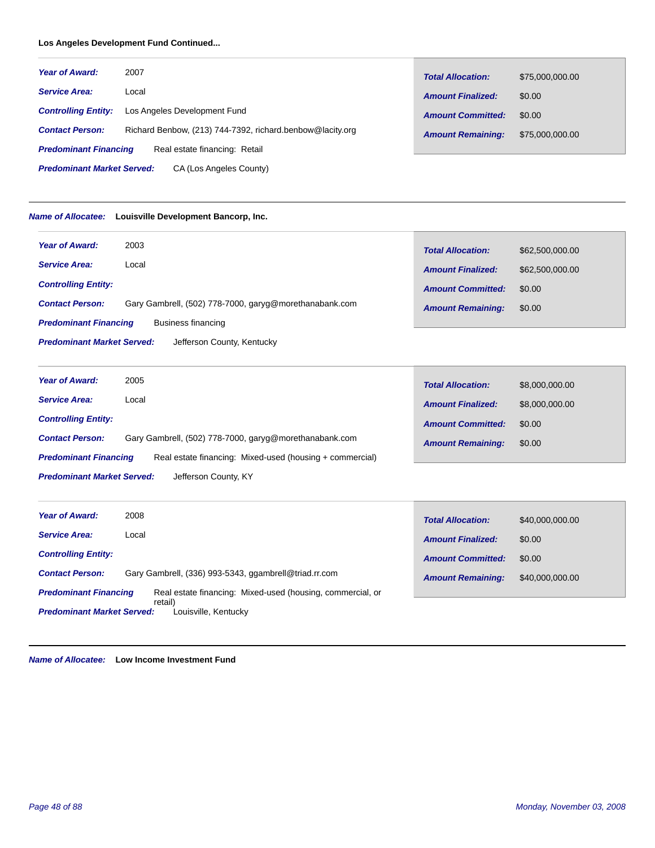# **Los Angeles Development Fund Continued...**

| <b>Year of Award:</b>        | 2007                                                      | <b>Total Allocation:</b> | \$75,000,000.00 |
|------------------------------|-----------------------------------------------------------|--------------------------|-----------------|
| <b>Service Area:</b>         | Local                                                     | <b>Amount Finalized:</b> | \$0.00          |
| <b>Controlling Entity:</b>   | Los Angeles Development Fund                              | <b>Amount Committed:</b> | \$0.00          |
| <b>Contact Person:</b>       | Richard Benbow, (213) 744-7392, richard.benbow@lacity.org | <b>Amount Remaining:</b> | \$75,000,000.00 |
| <b>Predominant Financing</b> | Real estate financing: Retail                             |                          |                 |

CA (Los Angeles County) *Predominant Market Served:*

#### *Name of Allocatee:* **Louisville Development Bancorp, Inc.**

| <b>Year of Award:</b><br>2003                                                    | <b>Total Allocation:</b> | \$62,500,000.00 |
|----------------------------------------------------------------------------------|--------------------------|-----------------|
| <b>Service Area:</b><br>Local                                                    | <b>Amount Finalized:</b> | \$62,500,000.00 |
| <b>Controlling Entity:</b>                                                       | <b>Amount Committed:</b> | \$0.00          |
| <b>Contact Person:</b><br>Gary Gambrell, (502) 778-7000, garyg@morethanabank.com | <b>Amount Remaining:</b> | \$0.00          |
| <b>Predominant Financing</b><br>Business financing                               |                          |                 |
| <b>Predominant Market Served:</b><br>Jefferson County, Kentucky                  |                          |                 |

| <b>Year of Award:</b>                                                                    | 2005                                                   | <b>Total Allocation:</b> | \$8,000,000.00 |
|------------------------------------------------------------------------------------------|--------------------------------------------------------|--------------------------|----------------|
| <b>Service Area:</b>                                                                     | Local                                                  | <b>Amount Finalized:</b> | \$8,000,000,00 |
| <b>Controlling Entity:</b>                                                               |                                                        | <b>Amount Committed:</b> | \$0.00         |
| <b>Contact Person:</b>                                                                   | Gary Gambrell, (502) 778-7000, garyg@morethanabank.com | <b>Amount Remaining:</b> | \$0.00         |
| <b>Predominant Financing</b><br>Real estate financing: Mixed-used (housing + commercial) |                                                        |                          |                |
| <b>Predominant Market Served:</b><br>Jefferson County, KY                                |                                                        |                          |                |

| <b>Year of Award:</b>                                                                      | 2008                                                  | <b>Total Allocation:</b> | \$40,000,000.00 |
|--------------------------------------------------------------------------------------------|-------------------------------------------------------|--------------------------|-----------------|
| <b>Service Area:</b>                                                                       | Local                                                 | <b>Amount Finalized:</b> | \$0.00          |
| <b>Controlling Entity:</b>                                                                 |                                                       | <b>Amount Committed:</b> | \$0.00          |
| <b>Contact Person:</b>                                                                     | Gary Gambrell, (336) 993-5343, ggambrell@triad.rr.com | <b>Amount Remaining:</b> | \$40,000,000.00 |
| Real estate financing: Mixed-used (housing, commercial, or<br><b>Predominant Financing</b> |                                                       |                          |                 |
| retail)<br><b>Predominant Market Served:</b><br>Louisville, Kentucky                       |                                                       |                          |                 |

*Name of Allocatee:* **Low Income Investment Fund**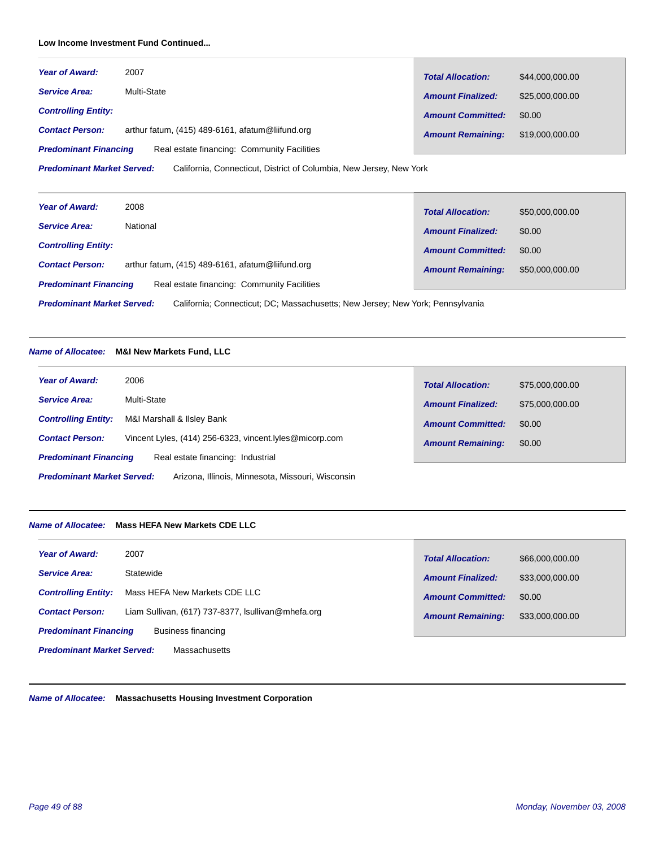# **Low Income Investment Fund Continued...**

| <b>Year of Award:</b>                                                       | 2007        | <b>Total Allocation:</b> | \$44,000,000.00 |
|-----------------------------------------------------------------------------|-------------|--------------------------|-----------------|
| <b>Service Area:</b>                                                        | Multi-State | <b>Amount Finalized:</b> | \$25,000,000,00 |
| <b>Controlling Entity:</b>                                                  |             | <b>Amount Committed:</b> | \$0.00          |
| arthur fatum, (415) 489-6161, afatum@liifund.org<br><b>Contact Person:</b>  |             | <b>Amount Remaining:</b> | \$19,000,000.00 |
| Real estate financing: Community Facilities<br><b>Predominant Financing</b> |             |                          |                 |

California, Connecticut, District of Columbia, New Jersey, New York *Predominant Market Served:*

| <b>Year of Award:</b>                                                                                               | 2008                                             | <b>Total Allocation:</b> | \$50,000,000.00 |
|---------------------------------------------------------------------------------------------------------------------|--------------------------------------------------|--------------------------|-----------------|
| <b>Service Area:</b>                                                                                                | National                                         | <b>Amount Finalized:</b> | \$0.00          |
| <b>Controlling Entity:</b>                                                                                          |                                                  | <b>Amount Committed:</b> | \$0.00          |
| <b>Contact Person:</b>                                                                                              | arthur fatum, (415) 489-6161, afatum@liifund.org | <b>Amount Remaining:</b> | \$50,000,000.00 |
| Real estate financing: Community Facilities<br><b>Predominant Financing</b>                                         |                                                  |                          |                 |
| <b>Predominant Market Served:</b><br>California; Connecticut; DC; Massachusetts; New Jersey; New York; Pennsylvania |                                                  |                          |                 |

# *Name of Allocatee:* **M&I New Markets Fund, LLC**

| <b>Year of Award:</b>                                                                  | 2006                                                    |                          |                 |
|----------------------------------------------------------------------------------------|---------------------------------------------------------|--------------------------|-----------------|
|                                                                                        |                                                         | <b>Total Allocation:</b> | \$75,000,000.00 |
| <b>Service Area:</b>                                                                   | Multi-State                                             | <b>Amount Finalized:</b> | \$75,000,000.00 |
| <b>Controlling Entity:</b>                                                             | M&I Marshall & Ilsley Bank                              | <b>Amount Committed:</b> | \$0.00          |
| <b>Contact Person:</b>                                                                 | Vincent Lyles, (414) 256-6323, vincent.lyles@micorp.com | <b>Amount Remaining:</b> | \$0.00          |
| <b>Predominant Financing</b>                                                           | Real estate financing: Industrial                       |                          |                 |
| <b>Predominant Market Served:</b><br>Arizona, Illinois, Minnesota, Missouri, Wisconsin |                                                         |                          |                 |

#### *Name of Allocatee:* **Mass HEFA New Markets CDE LLC**

| <b>Year of Award:</b>                                     | \$66,000,000.00          |  |
|-----------------------------------------------------------|--------------------------|--|
| 2007                                                      | <b>Total Allocation:</b> |  |
| <b>Service Area:</b>                                      | \$33,000,000.00          |  |
| Statewide                                                 | <b>Amount Finalized:</b> |  |
| Mass HEFA New Markets CDE LLC                             | <b>Amount Committed:</b> |  |
| <b>Controlling Entity:</b>                                | \$0.00                   |  |
| Liam Sullivan, (617) 737-8377, Isullivan@mhefa.org        | \$33,000,000.00          |  |
| <b>Contact Person:</b>                                    | <b>Amount Remaining:</b> |  |
| <b>Predominant Financing</b><br>Business financing        |                          |  |
| <b>Predominant Market Served:</b><br><b>Massachusetts</b> |                          |  |

*Name of Allocatee:* **Massachusetts Housing Investment Corporation**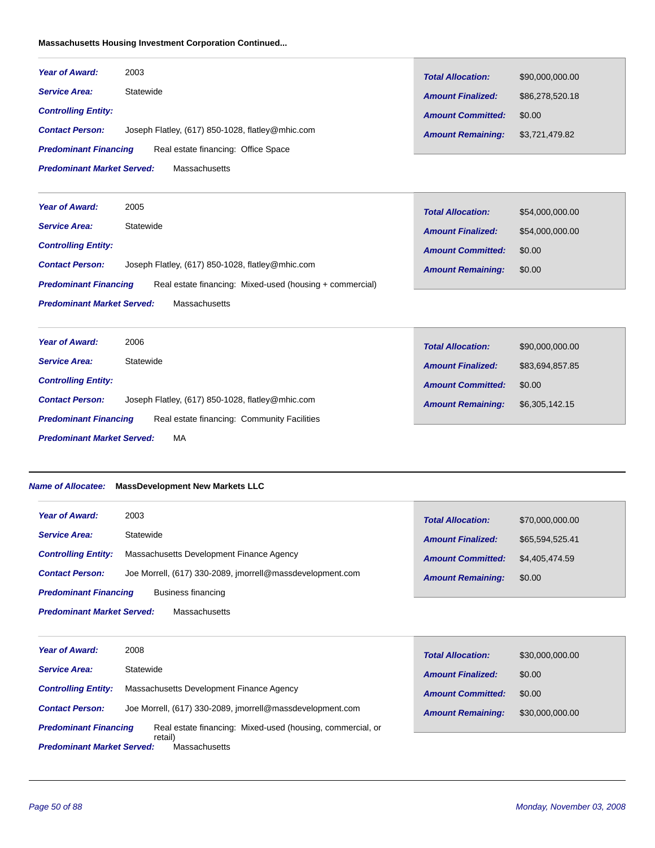# **Massachusetts Housing Investment Corporation Continued...**

| <b>Year of Award:</b>                                               | 2003                                             | <b>Total Allocation:</b> | \$90,000,000.00 |
|---------------------------------------------------------------------|--------------------------------------------------|--------------------------|-----------------|
| <b>Service Area:</b>                                                | Statewide                                        | <b>Amount Finalized:</b> | \$86,278,520.18 |
| <b>Controlling Entity:</b>                                          |                                                  | <b>Amount Committed:</b> | \$0.00          |
| <b>Contact Person:</b>                                              | Joseph Flatley, (617) 850-1028, flatley@mhic.com | <b>Amount Remaining:</b> | \$3,721,479.82  |
| Real estate financing: Office Space<br><b>Predominant Financing</b> |                                                  |                          |                 |
| <b>Predominant Market Served:</b><br><b>Massachusetts</b>           |                                                  |                          |                 |

| <b>Year of Award:</b>                                                                    | 2005                                             | <b>Total Allocation:</b> | \$54,000,000.00 |
|------------------------------------------------------------------------------------------|--------------------------------------------------|--------------------------|-----------------|
| <b>Service Area:</b>                                                                     | Statewide                                        | <b>Amount Finalized:</b> | \$54,000,000.00 |
| <b>Controlling Entity:</b>                                                               |                                                  | <b>Amount Committed:</b> | \$0.00          |
| <b>Contact Person:</b>                                                                   | Joseph Flatley, (617) 850-1028, flatley@mhic.com | <b>Amount Remaining:</b> | \$0.00          |
| Real estate financing: Mixed-used (housing + commercial)<br><b>Predominant Financing</b> |                                                  |                          |                 |
| <b>Predominant Market Served:</b><br>Massachusetts                                       |                                                  |                          |                 |

| <b>Year of Award:</b>                                                       | 2006                                             | <b>Total Allocation:</b> | \$90,000,000.00 |
|-----------------------------------------------------------------------------|--------------------------------------------------|--------------------------|-----------------|
| <b>Service Area:</b>                                                        | Statewide                                        | <b>Amount Finalized:</b> | \$83,694,857.85 |
| <b>Controlling Entity:</b>                                                  |                                                  | <b>Amount Committed:</b> | \$0.00          |
| <b>Contact Person:</b>                                                      | Joseph Flatley, (617) 850-1028, flatley@mhic.com | <b>Amount Remaining:</b> | \$6,305,142.15  |
| Real estate financing: Community Facilities<br><b>Predominant Financing</b> |                                                  |                          |                 |
| <b>Predominant Market Served:</b><br>МA                                     |                                                  |                          |                 |

# *Name of Allocatee:* **MassDevelopment New Markets LLC**

| <b>Year of Award:</b>                              | 2003                                                      | <b>Total Allocation:</b> | \$70,000,000.00 |
|----------------------------------------------------|-----------------------------------------------------------|--------------------------|-----------------|
| <b>Service Area:</b>                               | Statewide                                                 | <b>Amount Finalized:</b> | \$65,594,525.41 |
| <b>Controlling Entity:</b>                         | Massachusetts Development Finance Agency                  | <b>Amount Committed:</b> | \$4.405.474.59  |
| <b>Contact Person:</b>                             | Joe Morrell, (617) 330-2089, imorrell@massdevelopment.com | <b>Amount Remaining:</b> | \$0.00          |
| <b>Predominant Financing</b><br>Business financing |                                                           |                          |                 |
| <b>Predominant Market Served:</b><br>Massachusetts |                                                           |                          |                 |

| <b>Year of Award:</b>             | 2008                                                       | <b>Total Allocation:</b> | \$30,000,000.00 |
|-----------------------------------|------------------------------------------------------------|--------------------------|-----------------|
| <b>Service Area:</b>              | Statewide                                                  | <b>Amount Finalized:</b> | \$0.00          |
| <b>Controlling Entity:</b>        | Massachusetts Development Finance Agency                   | <b>Amount Committed:</b> | \$0.00          |
| <b>Contact Person:</b>            | Joe Morrell, (617) 330-2089, imorrell@massdevelopment.com  | <b>Amount Remaining:</b> | \$30,000,000.00 |
| <b>Predominant Financing</b>      | Real estate financing: Mixed-used (housing, commercial, or |                          |                 |
| <b>Predominant Market Served:</b> | retail)<br>Massachusetts                                   |                          |                 |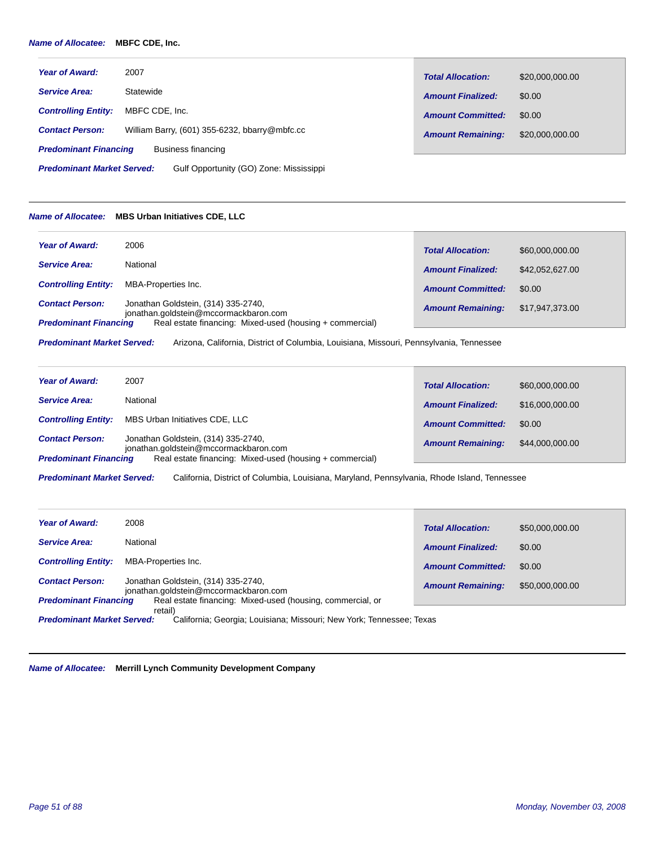#### *Name of Allocatee:* **MBFC CDE, Inc.**

| <b>Year of Award:</b>        | 2007                                          | <b>Total Allocation:</b> | \$20,000,000.00 |
|------------------------------|-----------------------------------------------|--------------------------|-----------------|
| <b>Service Area:</b>         | Statewide                                     | <b>Amount Finalized:</b> | \$0.00          |
| <b>Controlling Entity:</b>   | MBFC CDE. Inc.                                | <b>Amount Committed:</b> | \$0.00          |
| <b>Contact Person:</b>       | William Barry, (601) 355-6232, bbarry@mbfc.cc | <b>Amount Remaining:</b> | \$20,000,000.00 |
| <b>Predominant Financing</b> | Business financing                            |                          |                 |

Gulf Opportunity (GO) Zone: Mississippi *Predominant Market Served:*

#### *Name of Allocatee:* **MBS Urban Initiatives CDE, LLC**

| <b>Year of Award:</b>        | 2006                                                                         | <b>Total Allocation:</b> | \$60,000,000.00 |
|------------------------------|------------------------------------------------------------------------------|--------------------------|-----------------|
| <b>Service Area:</b>         | National                                                                     | <b>Amount Finalized:</b> | \$42,052,627,00 |
| <b>Controlling Entity:</b>   | MBA-Properties Inc.                                                          | <b>Amount Committed:</b> | \$0.00          |
| <b>Contact Person:</b>       | Jonathan Goldstein, (314) 335-2740,<br>jonathan.goldstein@mccormackbaron.com | <b>Amount Remaining:</b> | \$17,947,373.00 |
| <b>Predominant Financing</b> | Real estate financing: Mixed-used (housing + commercial)                     |                          |                 |

Arizona, California, District of Columbia, Louisiana, Missouri, Pennsylvania, Tennessee *Predominant Market Served:*

| <b>Year of Award:</b>                                  | 2007                                                                                                                                     | <b>Total Allocation:</b> | \$60,000,000.00 |
|--------------------------------------------------------|------------------------------------------------------------------------------------------------------------------------------------------|--------------------------|-----------------|
| <b>Service Area:</b>                                   | National                                                                                                                                 | <b>Amount Finalized:</b> | \$16,000,000,00 |
| <b>Controlling Entity:</b>                             | MBS Urban Initiatives CDE, LLC                                                                                                           | <b>Amount Committed:</b> | \$0.00          |
| <b>Contact Person:</b><br><b>Predominant Financing</b> | Jonathan Goldstein, (314) 335-2740,<br>jonathan.goldstein@mccormackbaron.com<br>Real estate financing: Mixed-used (housing + commercial) | <b>Amount Remaining:</b> | \$44,000,000,00 |

California, District of Columbia, Louisiana, Maryland, Pennsylvania, Rhode Island, Tennessee *Predominant Market Served:*

| <b>Year of Award:</b>             | 2008                                                                         | <b>Total Allocation:</b> | \$50,000,000.00 |
|-----------------------------------|------------------------------------------------------------------------------|--------------------------|-----------------|
| <b>Service Area:</b>              | National                                                                     | <b>Amount Finalized:</b> | \$0.00          |
| <b>Controlling Entity:</b>        | MBA-Properties Inc.                                                          | <b>Amount Committed:</b> | \$0.00          |
| <b>Contact Person:</b>            | Jonathan Goldstein, (314) 335-2740.<br>jonathan.goldstein@mccormackbaron.com | <b>Amount Remaining:</b> | \$50,000,000.00 |
| <b>Predominant Financing</b>      | Real estate financing: Mixed-used (housing, commercial, or                   |                          |                 |
|                                   | retail)                                                                      |                          |                 |
| <b>Predominant Market Served:</b> | California; Georgia; Louisiana; Missouri; New York; Tennessee; Texas         |                          |                 |

*Name of Allocatee:* **Merrill Lynch Community Development Company**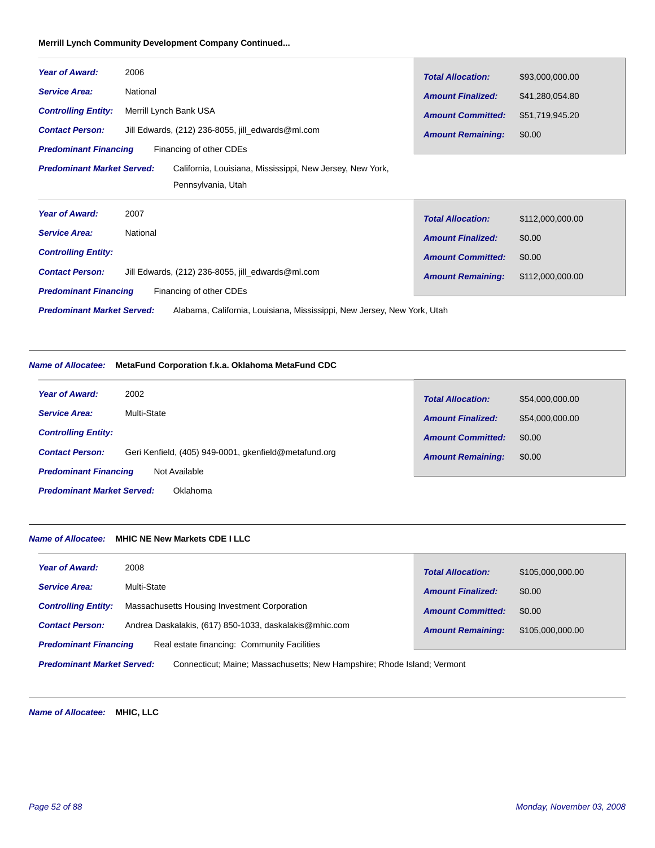# **Merrill Lynch Community Development Company Continued...**

| <b>Year of Award:</b>                                                                          | 2006                                              | <b>Total Allocation:</b> | \$93,000,000.00  |
|------------------------------------------------------------------------------------------------|---------------------------------------------------|--------------------------|------------------|
| <b>Service Area:</b>                                                                           | National                                          | <b>Amount Finalized:</b> | \$41,280,054.80  |
| <b>Controlling Entity:</b>                                                                     | Merrill Lynch Bank USA                            | <b>Amount Committed:</b> | \$51,719,945.20  |
| <b>Contact Person:</b>                                                                         | Jill Edwards, (212) 236-8055, jill_edwards@ml.com | <b>Amount Remaining:</b> | \$0.00           |
| <b>Predominant Financing</b>                                                                   | Financing of other CDEs                           |                          |                  |
| <b>Predominant Market Served:</b><br>California, Louisiana, Mississippi, New Jersey, New York, |                                                   |                          |                  |
|                                                                                                | Pennsylvania, Utah                                |                          |                  |
| <b>Year of Award:</b>                                                                          | 2007                                              | <b>Total Allocation:</b> | \$112,000,000.00 |
| <b>Service Area:</b>                                                                           | National                                          | <b>Amount Finalized:</b> | \$0.00           |
| <b>Controlling Entity:</b>                                                                     |                                                   | <b>Amount Committed:</b> | \$0.00           |
| <b>Contact Person:</b>                                                                         | Jill Edwards, (212) 236-8055, jill edwards@ml.com | <b>Amount Remaining:</b> | \$112,000,000.00 |
| <b>Predominant Financing</b>                                                                   | Financing of other CDEs                           |                          |                  |

Alabama, California, Louisiana, Mississippi, New Jersey, New York, Utah *Predominant Market Served:*

# *Name of Allocatee:* **MetaFund Corporation f.k.a. Oklahoma MetaFund CDC**

| <b>Year of Award:</b>                         | 2002                                                  | <b>Total Allocation:</b> | \$54,000,000.00 |
|-----------------------------------------------|-------------------------------------------------------|--------------------------|-----------------|
| <b>Service Area:</b>                          | Multi-State                                           | <b>Amount Finalized:</b> | \$54,000,000.00 |
| <b>Controlling Entity:</b>                    |                                                       | <b>Amount Committed:</b> | \$0.00          |
| <b>Contact Person:</b>                        | Geri Kenfield, (405) 949-0001, gkenfield@metafund.org | <b>Amount Remaining:</b> | \$0.00          |
| Not Available<br><b>Predominant Financing</b> |                                                       |                          |                 |
| <b>Predominant Market Served:</b><br>Oklahoma |                                                       |                          |                 |

# *Name of Allocatee:* **MHIC NE New Markets CDE I LLC**

| <b>Year of Award:</b>                                                                                        | 2008                                                   | <b>Total Allocation:</b> | \$105,000,000.00 |
|--------------------------------------------------------------------------------------------------------------|--------------------------------------------------------|--------------------------|------------------|
| <b>Service Area:</b>                                                                                         | Multi-State                                            | <b>Amount Finalized:</b> | \$0.00           |
| <b>Controlling Entity:</b>                                                                                   | Massachusetts Housing Investment Corporation           | <b>Amount Committed:</b> | \$0.00           |
| <b>Contact Person:</b>                                                                                       | Andrea Daskalakis, (617) 850-1033, daskalakis@mhic.com | <b>Amount Remaining:</b> | \$105,000,000.00 |
| <b>Predominant Financing</b>                                                                                 | Real estate financing: Community Facilities            |                          |                  |
| Connecticut; Maine; Massachusetts; New Hampshire; Rhode Island; Vermont<br><b>Predominant Market Served:</b> |                                                        |                          |                  |

*Name of Allocatee:* **MHIC, LLC**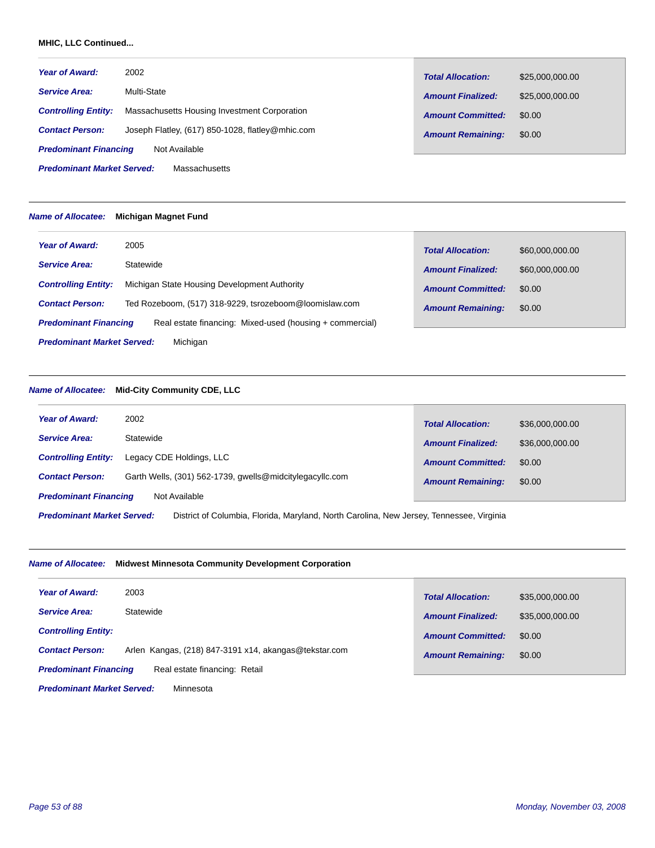### **MHIC, LLC Continued...**

| <b>Year of Award:</b>                                     | 2002                                             | <b>Total Allocation:</b> | \$25,000,000.00 |
|-----------------------------------------------------------|--------------------------------------------------|--------------------------|-----------------|
| <b>Service Area:</b>                                      | Multi-State                                      | <b>Amount Finalized:</b> | \$25,000,000,00 |
| <b>Controlling Entity:</b>                                | Massachusetts Housing Investment Corporation     | <b>Amount Committed:</b> | \$0.00          |
| <b>Contact Person:</b>                                    | Joseph Flatley, (617) 850-1028, flatley@mhic.com | <b>Amount Remaining:</b> | \$0.00          |
| <b>Predominant Financing</b>                              | Not Available                                    |                          |                 |
| <b>Predominant Market Served:</b><br><b>Massachusetts</b> |                                                  |                          |                 |

#### *Name of Allocatee:* **Michigan Magnet Fund**

| <b>Year of Award:</b>                         | 2005                                                     | <b>Total Allocation:</b> | \$60,000,000.00 |
|-----------------------------------------------|----------------------------------------------------------|--------------------------|-----------------|
| <b>Service Area:</b>                          | Statewide                                                | <b>Amount Finalized:</b> | \$60,000,000.00 |
| <b>Controlling Entity:</b>                    | Michigan State Housing Development Authority             | <b>Amount Committed:</b> | \$0.00          |
| <b>Contact Person:</b>                        | Ted Rozeboom, (517) 318-9229, tsrozeboom@loomislaw.com   | <b>Amount Remaining:</b> | \$0.00          |
| <b>Predominant Financing</b>                  | Real estate financing: Mixed-used (housing + commercial) |                          |                 |
| <b>Predominant Market Served:</b><br>Michigan |                                                          |                          |                 |

# *Name of Allocatee:* **Mid-City Community CDE, LLC**

| <b>Year of Award:</b>                                                                                                         | 2002                                                     | <b>Total Allocation:</b> | \$36,000,000,00 |
|-------------------------------------------------------------------------------------------------------------------------------|----------------------------------------------------------|--------------------------|-----------------|
| <b>Service Area:</b>                                                                                                          | Statewide                                                | <b>Amount Finalized:</b> | \$36,000,000,00 |
| <b>Controlling Entity:</b>                                                                                                    | Legacy CDE Holdings, LLC                                 | <b>Amount Committed:</b> | \$0.00          |
| <b>Contact Person:</b>                                                                                                        | Garth Wells, (301) 562-1739, gwells@midcitylegacyllc.com | <b>Amount Remaining:</b> | \$0.00          |
| <b>Predominant Financing</b><br>Not Available                                                                                 |                                                          |                          |                 |
| <b>Predominant Market Served:</b><br>District of Columbia, Florida, Maryland, North Carolina, New Jersey, Tennessee, Virginia |                                                          |                          |                 |

# *Name of Allocatee:* **Midwest Minnesota Community Development Corporation**

| <b>Year of Award:</b>                                         | 2003                                                  | <b>Total Allocation:</b> | \$35,000,000.00 |
|---------------------------------------------------------------|-------------------------------------------------------|--------------------------|-----------------|
| <b>Service Area:</b>                                          | Statewide                                             | <b>Amount Finalized:</b> | \$35,000,000.00 |
| <b>Controlling Entity:</b>                                    |                                                       | <b>Amount Committed:</b> | \$0.00          |
| <b>Contact Person:</b>                                        | Arlen Kangas, (218) 847-3191 x14, akangas@tekstar.com | <b>Amount Remaining:</b> | \$0.00          |
| Real estate financing: Retail<br><b>Predominant Financing</b> |                                                       |                          |                 |
| <b>Predominant Market Served:</b><br>Minnesota                |                                                       |                          |                 |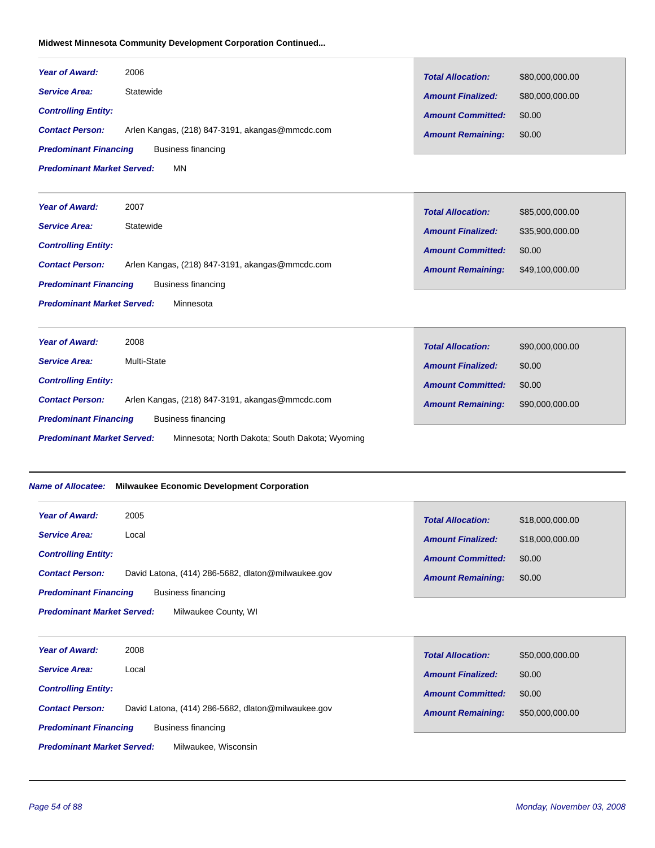# **Midwest Minnesota Community Development Corporation Continued...**

| <b>Year of Award:</b>             | 2006                                                          | <b>Total Allocation:</b> | \$80,000,000.00 |
|-----------------------------------|---------------------------------------------------------------|--------------------------|-----------------|
| <b>Service Area:</b>              | Statewide                                                     | <b>Amount Finalized:</b> | \$80,000,000.00 |
| <b>Controlling Entity:</b>        |                                                               | <b>Amount Committed:</b> | \$0.00          |
| <b>Contact Person:</b>            | Arlen Kangas, (218) 847-3191, akangas@mmcdc.com               | <b>Amount Remaining:</b> | \$0.00          |
| <b>Predominant Financing</b>      | <b>Business financing</b>                                     |                          |                 |
| <b>Predominant Market Served:</b> | <b>MN</b>                                                     |                          |                 |
| <b>Year of Award:</b>             | 2007                                                          | <b>Total Allocation:</b> | \$85,000,000.00 |
| <b>Service Area:</b>              | Statewide                                                     | <b>Amount Finalized:</b> | \$35,900,000.00 |
| <b>Controlling Entity:</b>        |                                                               | <b>Amount Committed:</b> | \$0.00          |
| <b>Contact Person:</b>            | Arlen Kangas, (218) 847-3191, akangas@mmcdc.com               | <b>Amount Remaining:</b> | \$49,100,000.00 |
| <b>Predominant Financing</b>      | <b>Business financing</b>                                     |                          |                 |
| <b>Predominant Market Served:</b> | Minnesota                                                     |                          |                 |
| <b>Year of Award:</b>             | 2008                                                          | <b>Total Allocation:</b> | \$90,000,000.00 |
| <b>Service Area:</b>              | Multi-State                                                   | <b>Amount Finalized:</b> | \$0.00          |
| <b>Controlling Entity:</b>        |                                                               | <b>Amount Committed:</b> | \$0.00          |
| <b>Contact Person:</b>            | Arlen Kangas, (218) 847-3191, akangas@mmcdc.com               | <b>Amount Remaining:</b> | \$90,000,000.00 |
| <b>Predominant Financing</b>      | <b>Business financing</b>                                     |                          |                 |
| <b>Predominant Market Served:</b> | Minnesota; North Dakota; South Dakota; Wyoming                |                          |                 |
|                                   | Name of Allocatee: Milwaukee Economic Development Corporation |                          |                 |
| <b>Year of Award:</b>             | 2005                                                          | <b>Total Allocation:</b> | \$18,000,000.00 |
| <b>Service Area:</b>              | Local                                                         | <b>Amount Finalized:</b> | \$18,000,000.00 |
| <b>Controlling Entity:</b>        |                                                               | <b>Amount Committed:</b> | \$0.00          |
| <b>Contact Person:</b>            | David Latona, (414) 286-5682, dlaton@milwaukee.gov            | <b>Amount Remaining:</b> | \$0.00          |
| <b>Predominant Financing</b>      | <b>Business financing</b>                                     |                          |                 |
| <b>Predominant Market Served:</b> | Milwaukee County, WI                                          |                          |                 |
| <b>Year of Award:</b>             | 2008                                                          | <b>Total Allocation:</b> | \$50,000,000.00 |
| <b>Service Area:</b>              | Local                                                         | <b>Amount Finalized:</b> | \$0.00          |
| <b>Controlling Entity:</b>        |                                                               | <b>Amount Committed:</b> | \$0.00          |

*Predominant Financing* Contact Person: David Latona, (414) 286-5682, dlaton@milwaukee.gov **Contact Person: \$50,000,000.00 \$50,000,000.00** Business financing

Milwaukee, Wisconsin

*Predominant Market Served:*

*Amount Remaining:*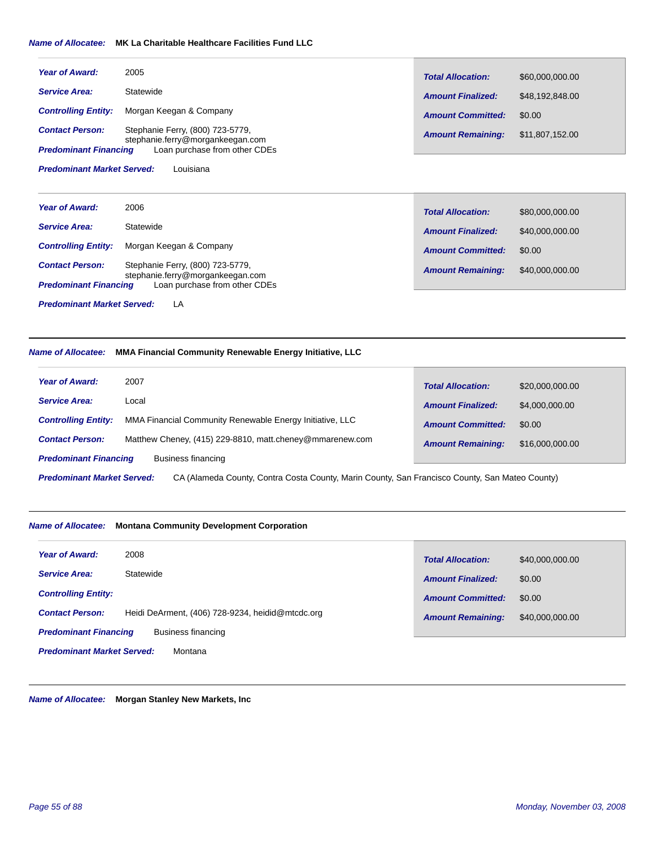#### *Name of Allocatee:* **MK La Charitable Healthcare Facilities Fund LLC**

| <b>Year of Award:</b>                          | 2005                                                                 | <b>Total Allocation:</b> | \$60,000,000.00 |
|------------------------------------------------|----------------------------------------------------------------------|--------------------------|-----------------|
| <b>Service Area:</b>                           | Statewide                                                            | <b>Amount Finalized:</b> | \$48,192,848.00 |
| <b>Controlling Entity:</b>                     | Morgan Keegan & Company                                              | <b>Amount Committed:</b> | \$0.00          |
| <b>Contact Person:</b>                         | Stephanie Ferry, (800) 723-5779,<br>stephanie.ferry@morgankeegan.com | <b>Amount Remaining:</b> | \$11,807,152.00 |
| <b>Predominant Financing</b>                   | Loan purchase from other CDEs                                        |                          |                 |
| Louisiana<br><b>Predominant Market Served:</b> |                                                                      |                          |                 |

| <b>Year of Award:</b>                   | 2006                                                                 | <b>Total Allocation:</b> | \$80,000,000.00 |
|-----------------------------------------|----------------------------------------------------------------------|--------------------------|-----------------|
| <b>Service Area:</b>                    | Statewide                                                            | <b>Amount Finalized:</b> | \$40,000,000.00 |
| <b>Controlling Entity:</b>              | Morgan Keegan & Company                                              | <b>Amount Committed:</b> | \$0.00          |
| <b>Contact Person:</b>                  | Stephanie Ferry, (800) 723-5779,<br>stephanie.ferry@morgankeegan.com | <b>Amount Remaining:</b> | \$40,000,000.00 |
| <b>Predominant Financing</b>            | Loan purchase from other CDEs                                        |                          |                 |
| <b>Predominant Market Served:</b><br>LA |                                                                      |                          |                 |

# *Name of Allocatee:* **MMA Financial Community Renewable Energy Initiative, LLC**

| <b>Year of Award:</b>                                                                                                               | 2007                                                     | <b>Total Allocation:</b> | \$20,000,000.00 |  |
|-------------------------------------------------------------------------------------------------------------------------------------|----------------------------------------------------------|--------------------------|-----------------|--|
| <b>Service Area:</b>                                                                                                                | Local                                                    |                          |                 |  |
|                                                                                                                                     |                                                          | <b>Amount Finalized:</b> | \$4,000,000.00  |  |
| <b>Controlling Entity:</b>                                                                                                          | MMA Financial Community Renewable Energy Initiative, LLC |                          |                 |  |
|                                                                                                                                     |                                                          | <b>Amount Committed:</b> | \$0.00          |  |
| <b>Contact Person:</b>                                                                                                              | Matthew Cheney, (415) 229-8810, matt.cheney@mmarenew.com | <b>Amount Remaining:</b> | \$16,000,000.00 |  |
| <b>Predominant Financing</b>                                                                                                        | Business financing                                       |                          |                 |  |
|                                                                                                                                     |                                                          |                          |                 |  |
| CA (Alameda County, Contra Costa County, Marin County, San Francisco County, San Mateo County)<br><b>Predominant Market Served:</b> |                                                          |                          |                 |  |

#### *Name of Allocatee:* **Montana Community Development Corporation**

| <b>Year of Award:</b>                              | 2008                                             | <b>Total Allocation:</b> | \$40,000,000.00 |
|----------------------------------------------------|--------------------------------------------------|--------------------------|-----------------|
| <b>Service Area:</b>                               | Statewide                                        | <b>Amount Finalized:</b> | \$0.00          |
| <b>Controlling Entity:</b>                         |                                                  | <b>Amount Committed:</b> | \$0.00          |
| <b>Contact Person:</b>                             | Heidi DeArment, (406) 728-9234, heidid@mtcdc.org | <b>Amount Remaining:</b> | \$40,000,000.00 |
| <b>Predominant Financing</b><br>Business financing |                                                  |                          |                 |
| <b>Predominant Market Served:</b>                  | Montana                                          |                          |                 |

*Name of Allocatee:* **Morgan Stanley New Markets, Inc**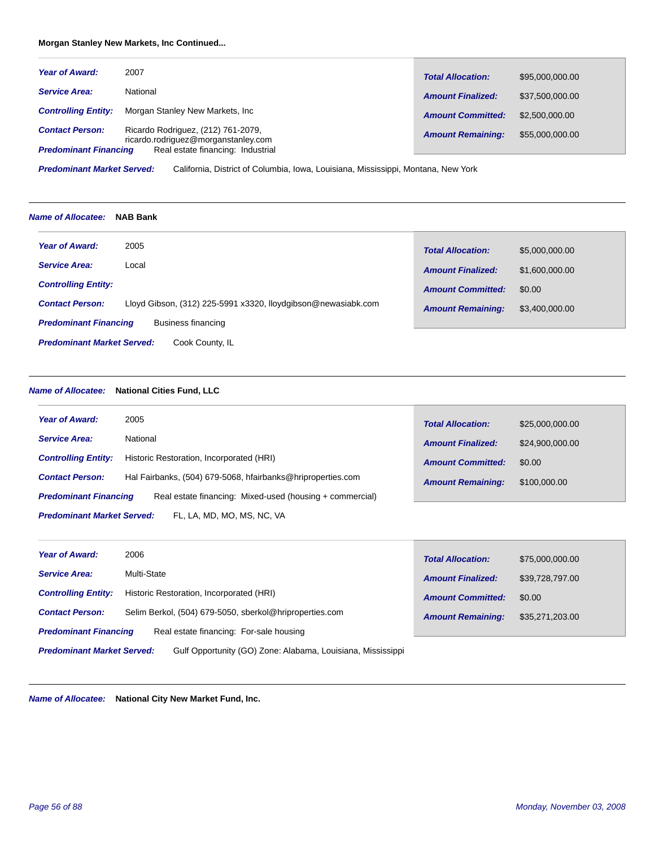# **Morgan Stanley New Markets, Inc Continued...**

| <b>Year of Award:</b>                                  | 2007                                                                                                           | <b>Total Allocation:</b> | \$95,000,000.00 |
|--------------------------------------------------------|----------------------------------------------------------------------------------------------------------------|--------------------------|-----------------|
| <b>Service Area:</b>                                   | National                                                                                                       | <b>Amount Finalized:</b> | \$37,500,000,00 |
| <b>Controlling Entity:</b>                             | Morgan Stanley New Markets, Inc.                                                                               | <b>Amount Committed:</b> | \$2,500,000,00  |
| <b>Contact Person:</b><br><b>Predominant Financing</b> | Ricardo Rodriguez, (212) 761-2079,<br>ricardo.rodriguez@morganstanley.com<br>Real estate financing: Industrial | <b>Amount Remaining:</b> | \$55,000,000.00 |

California, District of Columbia, Iowa, Louisiana, Mississippi, Montana, New York *Predominant Market Served:*

#### *Name of Allocatee:* **NAB Bank**

| <b>Year of Award:</b><br>2005                        |                                                               | <b>Total Allocation:</b> | \$5,000,000.00 |
|------------------------------------------------------|---------------------------------------------------------------|--------------------------|----------------|
| <b>Service Area:</b><br>Local                        |                                                               | <b>Amount Finalized:</b> | \$1,600,000.00 |
| <b>Controlling Entity:</b>                           |                                                               | <b>Amount Committed:</b> | \$0.00         |
| <b>Contact Person:</b>                               | Lloyd Gibson, (312) 225-5991 x3320, lloydgibson@newasiabk.com | <b>Amount Remaining:</b> | \$3,400,000.00 |
| Business financing<br><b>Predominant Financing</b>   |                                                               |                          |                |
| <b>Predominant Market Served:</b><br>Cook County, IL |                                                               |                          |                |

# *Name of Allocatee:* **National Cities Fund, LLC**

| <b>Year of Award:</b>                                           | 2005                                                        | <b>Total Allocation:</b> | \$25,000,000.00 |
|-----------------------------------------------------------------|-------------------------------------------------------------|--------------------------|-----------------|
| <b>Service Area:</b>                                            | National                                                    | <b>Amount Finalized:</b> | \$24,900,000.00 |
| <b>Controlling Entity:</b>                                      | Historic Restoration, Incorporated (HRI)                    | <b>Amount Committed:</b> | \$0.00          |
| <b>Contact Person:</b>                                          | Hal Fairbanks, (504) 679-5068, hfairbanks@hriproperties.com | <b>Amount Remaining:</b> | \$100,000,00    |
| <b>Predominant Financing</b>                                    | Real estate financing: Mixed-used (housing + commercial)    |                          |                 |
| <b>Predominant Market Served:</b><br>FL, LA, MD, MO, MS, NC, VA |                                                             |                          |                 |

| <b>Year of Award:</b>                                                                            | 2006                                                    | <b>Total Allocation:</b> | \$75,000,000.00 |
|--------------------------------------------------------------------------------------------------|---------------------------------------------------------|--------------------------|-----------------|
| <b>Service Area:</b>                                                                             | Multi-State                                             | <b>Amount Finalized:</b> | \$39,728,797.00 |
| <b>Controlling Entity:</b>                                                                       | Historic Restoration, Incorporated (HRI)                | <b>Amount Committed:</b> | \$0.00          |
| <b>Contact Person:</b>                                                                           | Selim Berkol, (504) 679-5050, sberkol@hriproperties.com | <b>Amount Remaining:</b> | \$35,271,203.00 |
| <b>Predominant Financing</b>                                                                     | Real estate financing: For-sale housing                 |                          |                 |
| <b>Predominant Market Served:</b><br>Gulf Opportunity (GO) Zone: Alabama, Louisiana, Mississippi |                                                         |                          |                 |

*Name of Allocatee:* **National City New Market Fund, Inc.**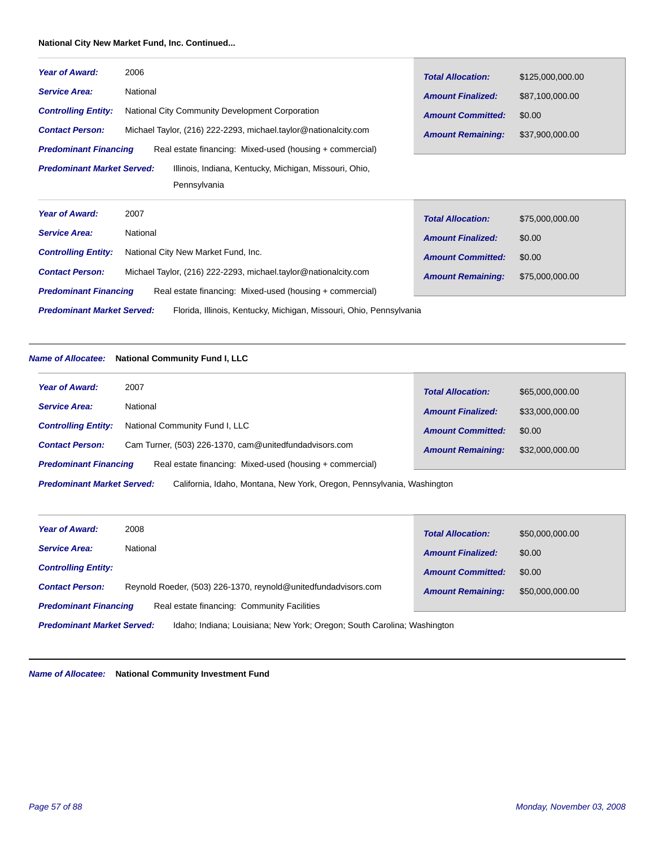#### **National City New Market Fund, Inc. Continued...**

| <b>Year of Award:</b>             | 2006                                                                | <b>Total Allocation:</b> | \$125,000,000.00 |
|-----------------------------------|---------------------------------------------------------------------|--------------------------|------------------|
| <b>Service Area:</b>              | National                                                            | <b>Amount Finalized:</b> | \$87,100,000.00  |
| <b>Controlling Entity:</b>        | National City Community Development Corporation                     | <b>Amount Committed:</b> | \$0.00           |
| <b>Contact Person:</b>            | Michael Taylor, (216) 222-2293, michael.taylor@nationalcity.com     | <b>Amount Remaining:</b> | \$37,900,000.00  |
| <b>Predominant Financing</b>      | Real estate financing: Mixed-used (housing + commercial)            |                          |                  |
| <b>Predominant Market Served:</b> | Illinois, Indiana, Kentucky, Michigan, Missouri, Ohio,              |                          |                  |
|                                   | Pennsylvania                                                        |                          |                  |
| <b>Year of Award:</b>             | 2007                                                                | <b>Total Allocation:</b> | \$75,000,000.00  |
| <b>Service Area:</b>              | National                                                            | <b>Amount Finalized:</b> | \$0.00           |
| <b>Controlling Entity:</b>        | National City New Market Fund, Inc.                                 | <b>Amount Committed:</b> | \$0.00           |
| <b>Contact Person:</b>            | Michael Taylor, (216) 222-2293, michael.taylor@nationalcity.com     | <b>Amount Remaining:</b> | \$75,000,000.00  |
| <b>Predominant Financing</b>      | Real estate financing: Mixed-used (housing + commercial)            |                          |                  |
| <b>Predominant Market Served:</b> | Florida, Illinois, Kentucky, Michigan, Missouri, Ohio, Pennsylvania |                          |                  |

#### *Name of Allocatee:* **National Community Fund I, LLC**

| <b>Year of Award:</b>                                                                                       | 2007                                                   | <b>Total Allocation:</b> | \$65,000,000.00 |  |
|-------------------------------------------------------------------------------------------------------------|--------------------------------------------------------|--------------------------|-----------------|--|
| <b>Service Area:</b>                                                                                        | National                                               | <b>Amount Finalized:</b> | \$33,000,000.00 |  |
| <b>Controlling Entity:</b>                                                                                  | National Community Fund I, LLC                         | <b>Amount Committed:</b> | \$0.00          |  |
| <b>Contact Person:</b>                                                                                      | Cam Turner, (503) 226-1370, cam@unitedfundadvisors.com | <b>Amount Remaining:</b> | \$32,000,000.00 |  |
| <b>Predominant Financing</b><br>Real estate financing: Mixed-used (housing + commercial)                    |                                                        |                          |                 |  |
| <b>Predominant Market Served:</b><br>California, Idaho, Montana, New York, Oregon, Pennsylvania, Washington |                                                        |                          |                 |  |

| Year of Award:                                                                                               | 2008                                                           | <b>Total Allocation:</b> | \$50,000,000.00 |
|--------------------------------------------------------------------------------------------------------------|----------------------------------------------------------------|--------------------------|-----------------|
| <b>Service Area:</b>                                                                                         | National                                                       | <b>Amount Finalized:</b> | \$0.00          |
| <b>Controlling Entity:</b>                                                                                   |                                                                | <b>Amount Committed:</b> | \$0.00          |
| <b>Contact Person:</b>                                                                                       | Reynold Roeder, (503) 226-1370, reynold@unitedfundadvisors.com | <b>Amount Remaining:</b> | \$50,000,000.00 |
| <b>Predominant Financing</b>                                                                                 | Real estate financing: Community Facilities                    |                          |                 |
| <b>Predominant Market Served:</b><br>Idaho; Indiana; Louisiana; New York; Oregon; South Carolina; Washington |                                                                |                          |                 |

*Name of Allocatee:* **National Community Investment Fund**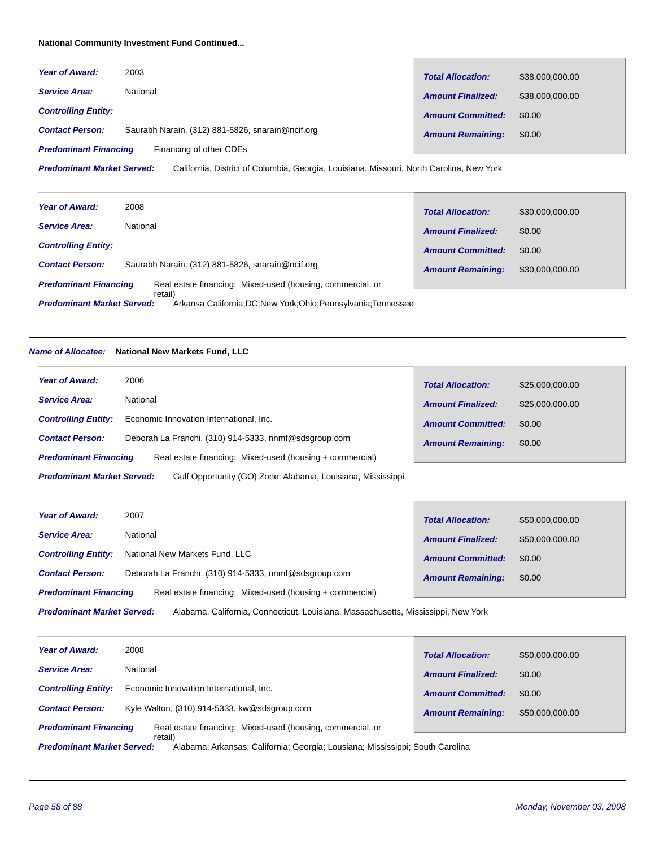# **National Community Investment Fund Continued...**

| <b>Year of Award:</b>        | 2003                                             | <b>Total Allocation:</b> | \$38,000,000.00 |
|------------------------------|--------------------------------------------------|--------------------------|-----------------|
| <b>Service Area:</b>         | National                                         | <b>Amount Finalized:</b> | \$38,000,000.00 |
| <b>Controlling Entity:</b>   |                                                  | <b>Amount Committed:</b> | \$0.00          |
| <b>Contact Person:</b>       | Saurabh Narain, (312) 881-5826, snarain@ncif.org | <b>Amount Remaining:</b> | \$0.00          |
| <b>Predominant Financing</b> | Financing of other CDEs                          |                          |                 |

California, District of Columbia, Georgia, Louisiana, Missouri, North Carolina, New York *Predominant Market Served:*

| <b>Year of Award:</b>                                                                                            | 2008                                             | <b>Total Allocation:</b> | \$30,000,000.00 |
|------------------------------------------------------------------------------------------------------------------|--------------------------------------------------|--------------------------|-----------------|
| <b>Service Area:</b>                                                                                             | National                                         | <b>Amount Finalized:</b> | \$0.00          |
| <b>Controlling Entity:</b>                                                                                       |                                                  | <b>Amount Committed:</b> | \$0.00          |
| <b>Contact Person:</b>                                                                                           | Saurabh Narain, (312) 881-5826, snarain@ncif.org | <b>Amount Remaining:</b> | \$30,000,000,00 |
| <b>Predominant Financing</b><br>Real estate financing: Mixed-used (housing, commercial, or                       |                                                  |                          |                 |
| retail)<br>Arkansa: California: DC: New York: Ohio: Pennsylvania: Tennessee<br><b>Predominant Market Served:</b> |                                                  |                          |                 |

# *Name of Allocatee:* **National New Markets Fund, LLC**

| <b>Year of Award:</b>                                                                            | 2006                                                     | <b>Total Allocation:</b> | \$25,000,000.00 |  |
|--------------------------------------------------------------------------------------------------|----------------------------------------------------------|--------------------------|-----------------|--|
| <b>Service Area:</b>                                                                             | National                                                 | <b>Amount Finalized:</b> | \$25,000,000.00 |  |
| <b>Controlling Entity:</b>                                                                       | Economic Innovation International, Inc.                  | <b>Amount Committed:</b> | \$0.00          |  |
| <b>Contact Person:</b>                                                                           | Deborah La Franchi, (310) 914-5333, nnmf@sdsgroup.com    | <b>Amount Remaining:</b> | \$0.00          |  |
| <b>Predominant Financing</b>                                                                     | Real estate financing: Mixed-used (housing + commercial) |                          |                 |  |
| Gulf Opportunity (GO) Zone: Alabama, Louisiana, Mississippi<br><b>Predominant Market Served:</b> |                                                          |                          |                 |  |

Г

| <b>Year of Award:</b>                                                                                                  | 2007                                                  | <b>Total Allocation:</b> | \$50,000,000.00 |  |
|------------------------------------------------------------------------------------------------------------------------|-------------------------------------------------------|--------------------------|-----------------|--|
| <b>Service Area:</b>                                                                                                   | National                                              | <b>Amount Finalized:</b> | \$50,000,000.00 |  |
| <b>Controlling Entity:</b>                                                                                             | National New Markets Fund, LLC                        | <b>Amount Committed:</b> | \$0.00          |  |
| <b>Contact Person:</b>                                                                                                 | Deborah La Franchi, (310) 914-5333, nnmf@sdsgroup.com | <b>Amount Remaining:</b> | \$0.00          |  |
| Real estate financing: Mixed-used (housing + commercial)<br><b>Predominant Financing</b>                               |                                                       |                          |                 |  |
| <b>Predominant Market Served:</b><br>Alabama, California, Connecticut, Louisiana, Massachusetts, Mississippi, New York |                                                       |                          |                 |  |

| <b>Year of Award:</b>                                                                                                         | 2008                                                       | <b>Total Allocation:</b> | \$50,000,000.00 |
|-------------------------------------------------------------------------------------------------------------------------------|------------------------------------------------------------|--------------------------|-----------------|
| <b>Service Area:</b>                                                                                                          | National                                                   | <b>Amount Finalized:</b> | \$0.00          |
| <b>Controlling Entity:</b>                                                                                                    | Economic Innovation International, Inc.                    | <b>Amount Committed:</b> | \$0.00          |
| <b>Contact Person:</b>                                                                                                        | Kyle Walton, (310) 914-5333, kw@sdsgroup.com               | <b>Amount Remaining:</b> | \$50,000,000.00 |
| <b>Predominant Financing</b>                                                                                                  | Real estate financing: Mixed-used (housing, commercial, or |                          |                 |
| retail)<br>Alabama; Arkansas; California; Georgia; Lousiana; Mississippi; South Carolina<br><b>Predominant Market Served:</b> |                                                            |                          |                 |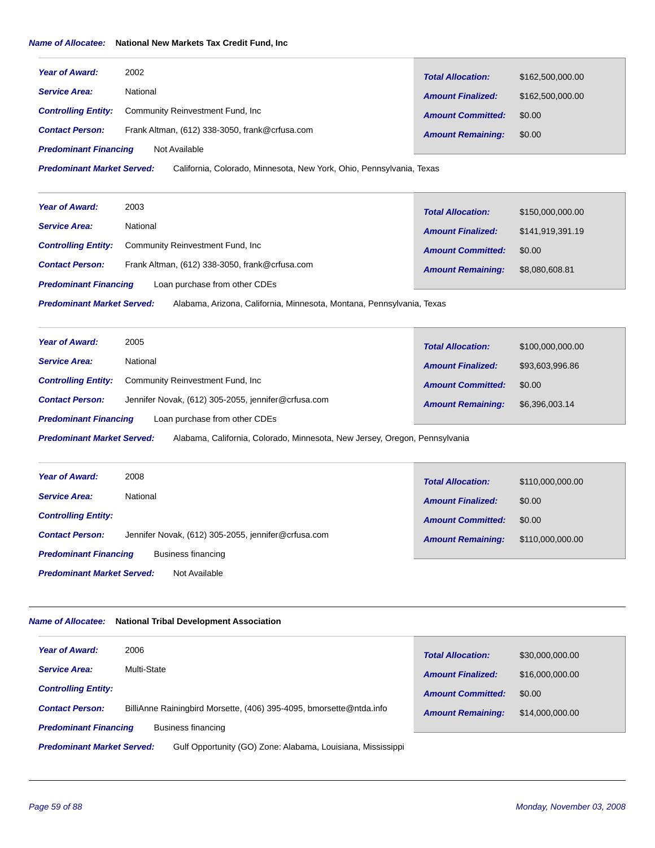#### *Name of Allocatee:* **National New Markets Tax Credit Fund, Inc**

| <b>Year of Award:</b>        | 2002                                           | <b>Total Allocation:</b> | \$162,500,000.00 |
|------------------------------|------------------------------------------------|--------------------------|------------------|
| <b>Service Area:</b>         | National                                       | <b>Amount Finalized:</b> | \$162,500,000,00 |
| <b>Controlling Entity:</b>   | Community Reinvestment Fund, Inc.              | <b>Amount Committed:</b> | \$0.00           |
| <b>Contact Person:</b>       | Frank Altman, (612) 338-3050, frank@crfusa.com | <b>Amount Remaining:</b> | \$0.00           |
| <b>Predominant Financing</b> | Not Available                                  |                          |                  |

California, Colorado, Minnesota, New York, Ohio, Pennsylvania, Texas *Predominant Market Served:*

| <b>Year of Award:</b>        | 2003                                           | <b>Total Allocation:</b> | \$150,000,000.00 |
|------------------------------|------------------------------------------------|--------------------------|------------------|
| <b>Service Area:</b>         | National                                       | <b>Amount Finalized:</b> | \$141,919,391.19 |
| <b>Controlling Entity:</b>   | Community Reinvestment Fund, Inc               | <b>Amount Committed:</b> | \$0.00           |
| <b>Contact Person:</b>       | Frank Altman, (612) 338-3050, frank@crfusa.com | <b>Amount Remaining:</b> | \$8,080,608.81   |
| <b>Predominant Financing</b> | Loan purchase from other CDEs                  |                          |                  |

Alabama, Arizona, California, Minnesota, Montana, Pennsylvania, Texas *Predominant Market Served:*

| <b>Year of Award:</b>        | 2005                                                | <b>Total Allocation:</b> | \$100,000,000.00 |
|------------------------------|-----------------------------------------------------|--------------------------|------------------|
| <b>Service Area:</b>         | National                                            | <b>Amount Finalized:</b> | \$93,603,996.86  |
| <b>Controlling Entity:</b>   | Community Reinvestment Fund, Inc.                   | <b>Amount Committed:</b> | \$0.00           |
| <b>Contact Person:</b>       | Jennifer Novak, (612) 305-2055, jennifer@crfusa.com | <b>Amount Remaining:</b> | \$6,396,003.14   |
| <b>Predominant Financing</b> | Loan purchase from other CDEs                       |                          |                  |

Alabama, California, Colorado, Minnesota, New Jersey, Oregon, Pennsylvania *Predominant Market Served:*

| <b>Year of Award:</b>                              | 2008                                                | <b>Total Allocation:</b> | \$110,000,000.00 |
|----------------------------------------------------|-----------------------------------------------------|--------------------------|------------------|
| <b>Service Area:</b>                               | National                                            | <b>Amount Finalized:</b> | \$0.00           |
| <b>Controlling Entity:</b>                         |                                                     | <b>Amount Committed:</b> | \$0.00           |
| <b>Contact Person:</b>                             | Jennifer Novak, (612) 305-2055, jennifer@crfusa.com | <b>Amount Remaining:</b> | \$110,000,000.00 |
| <b>Predominant Financing</b><br>Business financing |                                                     |                          |                  |
| <b>Predominant Market Served:</b><br>Not Available |                                                     |                          |                  |

#### *Name of Allocatee:* **National Tribal Development Association**

| <b>Year of Award:</b>                                                                            | 2006                                                                | <b>Total Allocation:</b> | \$30,000,000.00 |  |
|--------------------------------------------------------------------------------------------------|---------------------------------------------------------------------|--------------------------|-----------------|--|
| <b>Service Area:</b>                                                                             | Multi-State                                                         | <b>Amount Finalized:</b> | \$16,000,000.00 |  |
| <b>Controlling Entity:</b>                                                                       |                                                                     | <b>Amount Committed:</b> | \$0.00          |  |
| <b>Contact Person:</b>                                                                           | BilliAnne Rainingbird Morsette, (406) 395-4095, bmorsette@ntda.info | <b>Amount Remaining:</b> | \$14,000,000.00 |  |
| <b>Predominant Financing</b><br>Business financing                                               |                                                                     |                          |                 |  |
| <b>Predominant Market Served:</b><br>Gulf Opportunity (GO) Zone: Alabama, Louisiana, Mississippi |                                                                     |                          |                 |  |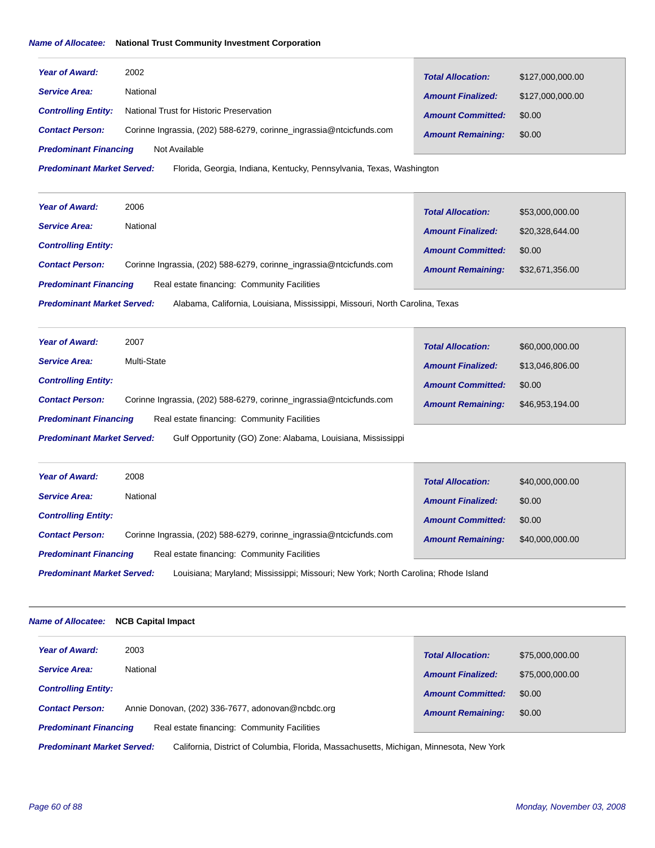# *Name of Allocatee:* **National Trust Community Investment Corporation**

| <b>Year of Award:</b>        | 2002                                                                | <b>Total Allocation:</b> | \$127,000,000.00 |
|------------------------------|---------------------------------------------------------------------|--------------------------|------------------|
| <b>Service Area:</b>         | National                                                            | <b>Amount Finalized:</b> | \$127,000,000.00 |
| <b>Controlling Entity:</b>   | National Trust for Historic Preservation                            | <b>Amount Committed:</b> | \$0.00           |
| <b>Contact Person:</b>       | Corinne Ingrassia, (202) 588-6279, corinne_ingrassia@ntcicfunds.com | <b>Amount Remaining:</b> | \$0.00           |
| <b>Predominant Financing</b> | Not Available                                                       |                          |                  |

Florida, Georgia, Indiana, Kentucky, Pennsylvania, Texas, Washington *Predominant Market Served:*

| National<br><b>Service Area:</b><br><b>Amount Finalized:</b><br>\$20,328,644.00<br><b>Controlling Entity:</b><br><b>Amount Committed:</b><br>\$0.00 | <b>Year of Award:</b> | 2006 | <b>Total Allocation:</b> | \$53,000,000.00 |
|-----------------------------------------------------------------------------------------------------------------------------------------------------|-----------------------|------|--------------------------|-----------------|
|                                                                                                                                                     |                       |      |                          |                 |
|                                                                                                                                                     |                       |      |                          |                 |
| Corinne Ingrassia, (202) 588-6279, corinne_ingrassia@ntcicfunds.com<br><b>Contact Person:</b><br>\$32,671,356.00<br><b>Amount Remaining:</b>        |                       |      |                          |                 |
| Real estate financing: Community Facilities<br><b>Predominant Financing</b>                                                                         |                       |      |                          |                 |

Alabama, California, Louisiana, Mississippi, Missouri, North Carolina, Texas *Predominant Market Served:*

| <b>Year of Award:</b>                                                                            | 2007                                                                | <b>Total Allocation:</b> | \$60,000,000.00 |
|--------------------------------------------------------------------------------------------------|---------------------------------------------------------------------|--------------------------|-----------------|
| <b>Service Area:</b>                                                                             | Multi-State                                                         | <b>Amount Finalized:</b> | \$13,046,806.00 |
| <b>Controlling Entity:</b>                                                                       |                                                                     | <b>Amount Committed:</b> | \$0.00          |
| <b>Contact Person:</b>                                                                           | Corinne Ingrassia, (202) 588-6279, corinne ingrassia@ntcicfunds.com | <b>Amount Remaining:</b> | \$46,953,194.00 |
| Real estate financing: Community Facilities<br><b>Predominant Financing</b>                      |                                                                     |                          |                 |
| Gulf Opportunity (GO) Zone: Alabama, Louisiana, Mississippi<br><b>Predominant Market Served:</b> |                                                                     |                          |                 |

| <b>Year of Award:</b>                                                                                                   | 2008                                                                | <b>Total Allocation:</b> | \$40,000,000.00 |
|-------------------------------------------------------------------------------------------------------------------------|---------------------------------------------------------------------|--------------------------|-----------------|
| <b>Service Area:</b>                                                                                                    | National                                                            | <b>Amount Finalized:</b> | \$0.00          |
| <b>Controlling Entity:</b>                                                                                              |                                                                     | <b>Amount Committed:</b> | \$0.00          |
| <b>Contact Person:</b>                                                                                                  | Corinne Ingrassia, (202) 588-6279, corinne ingrassia@ntcicfunds.com | <b>Amount Remaining:</b> | \$40,000,000,00 |
| Real estate financing: Community Facilities<br><b>Predominant Financing</b>                                             |                                                                     |                          |                 |
| <b>Predominant Market Served:</b><br>Louisiana; Maryland; Mississippi; Missouri; New York; North Carolina; Rhode Island |                                                                     |                          |                 |

#### *Name of Allocatee:* **NCB Capital Impact**

| <b>Year of Award:</b><br>2003                                               | \$75,000,000,00<br><b>Total Allocation:</b> |  |  |
|-----------------------------------------------------------------------------|---------------------------------------------|--|--|
| National<br><b>Service Area:</b>                                            | \$75,000,000.00<br><b>Amount Finalized:</b> |  |  |
| <b>Controlling Entity:</b>                                                  | <b>Amount Committed:</b><br>\$0.00          |  |  |
| Annie Donovan, (202) 336-7677, adonovan@ncbdc.org<br><b>Contact Person:</b> | <b>Amount Remaining:</b><br>\$0.00          |  |  |
| Real estate financing: Community Facilities<br><b>Predominant Financing</b> |                                             |  |  |
|                                                                             |                                             |  |  |

California, District of Columbia, Florida, Massachusetts, Michigan, Minnesota, New York *Predominant Market Served:*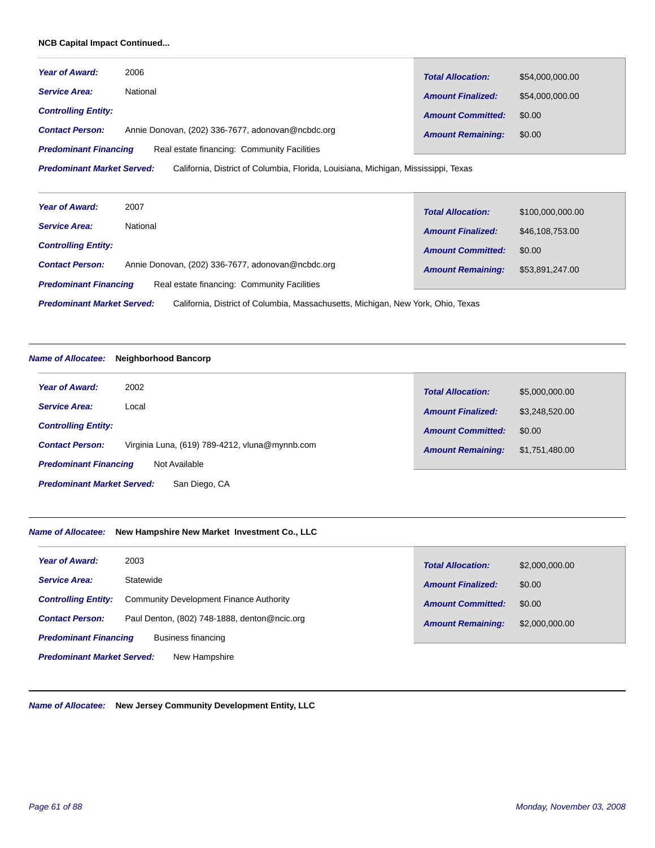# **NCB Capital Impact Continued...**

| <b>Year of Award:</b>        | 2006                                              | <b>Total Allocation:</b> | \$54,000,000.00 |
|------------------------------|---------------------------------------------------|--------------------------|-----------------|
| <b>Service Area:</b>         | National                                          | <b>Amount Finalized:</b> | \$54,000,000.00 |
| <b>Controlling Entity:</b>   |                                                   | <b>Amount Committed:</b> | \$0.00          |
| <b>Contact Person:</b>       | Annie Donovan, (202) 336-7677, adonovan@ncbdc.org | <b>Amount Remaining:</b> | \$0.00          |
| <b>Predominant Financing</b> | Real estate financing: Community Facilities       |                          |                 |

California, District of Columbia, Florida, Louisiana, Michigan, Mississippi, Texas *Predominant Market Served:*

| <b>Year of Award:</b>                                                       | 2007                                              | <b>Total Allocation:</b> | \$100,000,000.00 |
|-----------------------------------------------------------------------------|---------------------------------------------------|--------------------------|------------------|
| <b>Service Area:</b>                                                        | National                                          | <b>Amount Finalized:</b> | \$46,108,753.00  |
| <b>Controlling Entity:</b>                                                  |                                                   | <b>Amount Committed:</b> | \$0.00           |
| <b>Contact Person:</b>                                                      | Annie Donovan, (202) 336-7677, adonovan@ncbdc.org | <b>Amount Remaining:</b> | \$53,891,247.00  |
| Real estate financing: Community Facilities<br><b>Predominant Financing</b> |                                                   |                          |                  |
|                                                                             |                                                   |                          |                  |

California, District of Columbia, Massachusetts, Michigan, New York, Ohio, Texas *Predominant Market Served:*

#### *Name of Allocatee:* **Neighborhood Bancorp**

| <b>Year of Award:</b>                         | 2002                                           | <b>Total Allocation:</b> | \$5,000,000.00 |
|-----------------------------------------------|------------------------------------------------|--------------------------|----------------|
| <b>Service Area:</b>                          | Local                                          | <b>Amount Finalized:</b> | \$3,248,520.00 |
| <b>Controlling Entity:</b>                    |                                                | <b>Amount Committed:</b> | \$0.00         |
| <b>Contact Person:</b>                        | Virginia Luna, (619) 789-4212, vluna@mynnb.com | <b>Amount Remaining:</b> | \$1,751,480.00 |
| <b>Predominant Financing</b><br>Not Available |                                                |                          |                |
| <b>Predominant Market Served:</b>             | San Diego, CA                                  |                          |                |

#### *Name of Allocatee:* **New Hampshire New Market Investment Co., LLC**

| 2003                                               | \$2,000,000.00           |
|----------------------------------------------------|--------------------------|
| <b>Year of Award:</b>                              | <b>Total Allocation:</b> |
| Statewide                                          | <b>Amount Finalized:</b> |
| <b>Service Area:</b>                               | \$0.00                   |
| Community Development Finance Authority            | <b>Amount Committed:</b> |
| <b>Controlling Entity:</b>                         | \$0.00                   |
| Paul Denton, (802) 748-1888, denton@ncic.org       | \$2,000,000.00           |
| <b>Contact Person:</b>                             | <b>Amount Remaining:</b> |
| <b>Predominant Financing</b><br>Business financing |                          |
| <b>Predominant Market Served:</b><br>New Hampshire |                          |

*Name of Allocatee:* **New Jersey Community Development Entity, LLC**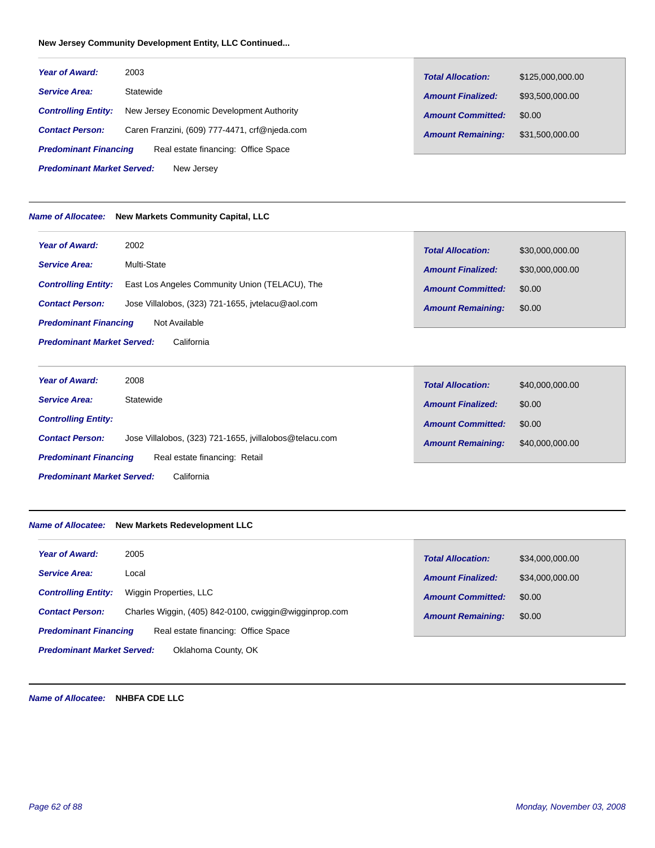# **New Jersey Community Development Entity, LLC Continued...**

| <b>Year of Award:</b>             | 2003                                          | <b>Total Allocation:</b> | \$125,000,000.00 |
|-----------------------------------|-----------------------------------------------|--------------------------|------------------|
| <b>Service Area:</b>              | Statewide                                     | <b>Amount Finalized:</b> | \$93,500,000.00  |
| <b>Controlling Entity:</b>        | New Jersey Economic Development Authority     | <b>Amount Committed:</b> | \$0.00           |
| <b>Contact Person:</b>            | Caren Franzini, (609) 777-4471, crf@njeda.com | <b>Amount Remaining:</b> | \$31,500,000.00  |
| <b>Predominant Financing</b>      | Real estate financing: Office Space           |                          |                  |
| <b>Predominant Market Served:</b> | New Jersey                                    |                          |                  |

#### *Name of Allocatee:* **New Markets Community Capital, LLC**

| <b>Year of Award:</b>                           | 2002                                              | <b>Total Allocation:</b> | \$30,000,000.00 |
|-------------------------------------------------|---------------------------------------------------|--------------------------|-----------------|
| <b>Service Area:</b>                            | Multi-State                                       | <b>Amount Finalized:</b> | \$30,000,000.00 |
| <b>Controlling Entity:</b>                      | East Los Angeles Community Union (TELACU), The    | <b>Amount Committed:</b> | \$0.00          |
| <b>Contact Person:</b>                          | Jose Villalobos, (323) 721-1655, ivtelacu@aol.com | <b>Amount Remaining:</b> | \$0.00          |
| <b>Predominant Financing</b>                    | Not Available                                     |                          |                 |
| <b>Predominant Market Served:</b><br>California |                                                   |                          |                 |

| <b>Year of Award:</b>                           | 2008                                                    | <b>Total Allocation:</b> | \$40,000,000.00 |
|-------------------------------------------------|---------------------------------------------------------|--------------------------|-----------------|
| <b>Service Area:</b>                            | Statewide                                               | <b>Amount Finalized:</b> | \$0.00          |
| <b>Controlling Entity:</b>                      |                                                         | <b>Amount Committed:</b> | \$0.00          |
| <b>Contact Person:</b>                          | Jose Villalobos, (323) 721-1655, ivillalobos@telacu.com | <b>Amount Remaining:</b> | \$40,000,000.00 |
| <b>Predominant Financing</b>                    | Real estate financing: Retail                           |                          |                 |
| <b>Predominant Market Served:</b><br>California |                                                         |                          |                 |

#### *Name of Allocatee:* **New Markets Redevelopment LLC**

| 2005<br><b>Year of Award:</b>     |                                                        | <b>Total Allocation:</b> | \$34,000,000,00 |
|-----------------------------------|--------------------------------------------------------|--------------------------|-----------------|
| <b>Service Area:</b><br>Local     |                                                        | <b>Amount Finalized:</b> | \$34,000,000.00 |
| <b>Controlling Entity:</b>        | Wiggin Properties, LLC                                 | <b>Amount Committed:</b> | \$0.00          |
| <b>Contact Person:</b>            | Charles Wiggin, (405) 842-0100, cwiggin@wigginprop.com | <b>Amount Remaining:</b> | \$0.00          |
| <b>Predominant Financing</b>      | Real estate financing: Office Space                    |                          |                 |
| <b>Predominant Market Served:</b> | Oklahoma County, OK                                    |                          |                 |

*Name of Allocatee:* **NHBFA CDE LLC**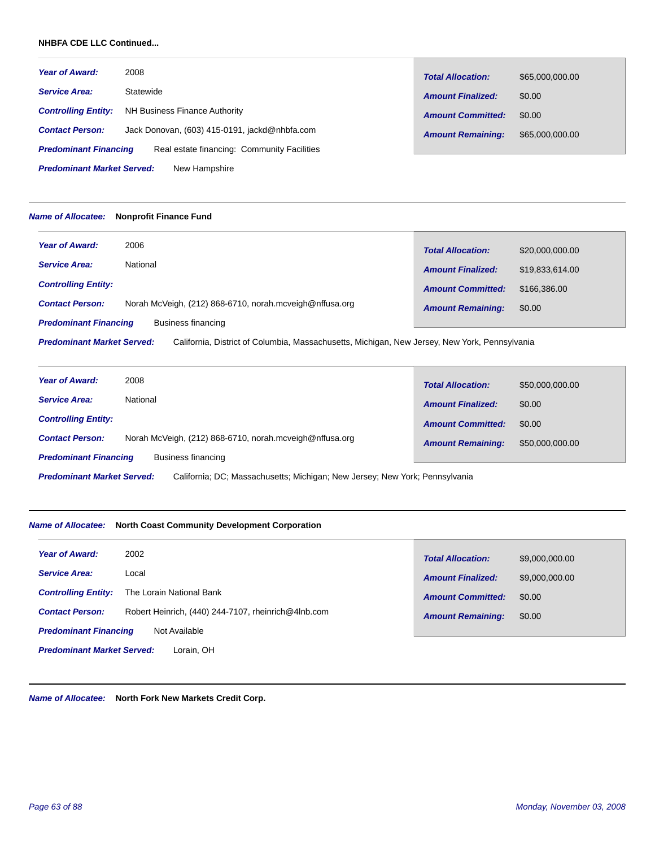### **NHBFA CDE LLC Continued...**

| <b>Year of Award:</b>        | 2008                                          | <b>Total Allocation:</b> | \$65,000,000.00 |
|------------------------------|-----------------------------------------------|--------------------------|-----------------|
| <b>Service Area:</b>         | Statewide                                     | <b>Amount Finalized:</b> | \$0.00          |
| <b>Controlling Entity:</b>   | NH Business Finance Authority                 | <b>Amount Committed:</b> | \$0.00          |
| <b>Contact Person:</b>       | Jack Donovan, (603) 415-0191, jackd@nhbfa.com | <b>Amount Remaining:</b> | \$65,000,000.00 |
| <b>Predominant Financing</b> | Real estate financing: Community Facilities   |                          |                 |

New Hampshire *Predominant Market Served:*

#### *Name of Allocatee:* **Nonprofit Finance Fund**

| <b>Year of Award:</b>                                                                                                              | 2006                                                    | <b>Total Allocation:</b> | \$20,000,000.00 |
|------------------------------------------------------------------------------------------------------------------------------------|---------------------------------------------------------|--------------------------|-----------------|
| <b>Service Area:</b>                                                                                                               | National                                                | <b>Amount Finalized:</b> | \$19,833,614.00 |
| <b>Controlling Entity:</b>                                                                                                         |                                                         | <b>Amount Committed:</b> | \$166,386,00    |
| <b>Contact Person:</b>                                                                                                             | Norah McVeigh, (212) 868-6710, norah.mcveigh@nffusa.org | <b>Amount Remaining:</b> | \$0.00          |
| <b>Predominant Financing</b>                                                                                                       | Business financing                                      |                          |                 |
| <b>Predominant Market Served:</b><br>California, District of Columbia, Massachusetts, Michigan, New Jersey, New York, Pennsylvania |                                                         |                          |                 |

| <b>Year of Award:</b>              | 2008                                                                               | <b>Total Allocation:</b> | \$50,000,000.00 |
|------------------------------------|------------------------------------------------------------------------------------|--------------------------|-----------------|
| <b>Service Area:</b>               | National                                                                           | <b>Amount Finalized:</b> | \$0.00          |
| <b>Controlling Entity:</b>         |                                                                                    | <b>Amount Committed:</b> | \$0.00          |
| <b>Contact Person:</b>             | Norah McVeigh, (212) 868-6710, norah.mcveigh@nffusa.org                            | <b>Amount Remaining:</b> | \$50,000,000.00 |
| <b>Predominant Financing</b>       | Business financing                                                                 |                          |                 |
| Dua de principal Maulent Capusa de | . Oalifaania: D.O. Maaaaakuusutta: Miskinaa: Maur Jaasaru Maur Vaalu Dannardusais. |                          |                 |

California; DC; Massachusetts; Michigan; New Jersey; New York; Pennsylvania *Predominant Market Served:*

#### *Name of Allocatee:* **North Coast Community Development Corporation**

| <b>Year of Award:</b>                           | 2002                                                | <b>Total Allocation:</b> | \$9,000,000.00 |
|-------------------------------------------------|-----------------------------------------------------|--------------------------|----------------|
| <b>Service Area:</b>                            | Local                                               | <b>Amount Finalized:</b> | \$9,000,000.00 |
| <b>Controlling Entity:</b>                      | The Lorain National Bank                            | <b>Amount Committed:</b> | \$0.00         |
| <b>Contact Person:</b>                          | Robert Heinrich, (440) 244-7107, rheinrich@4lnb.com | <b>Amount Remaining:</b> | \$0.00         |
| <b>Predominant Financing</b>                    | Not Available                                       |                          |                |
| <b>Predominant Market Served:</b><br>Lorain, OH |                                                     |                          |                |

*Name of Allocatee:* **North Fork New Markets Credit Corp.**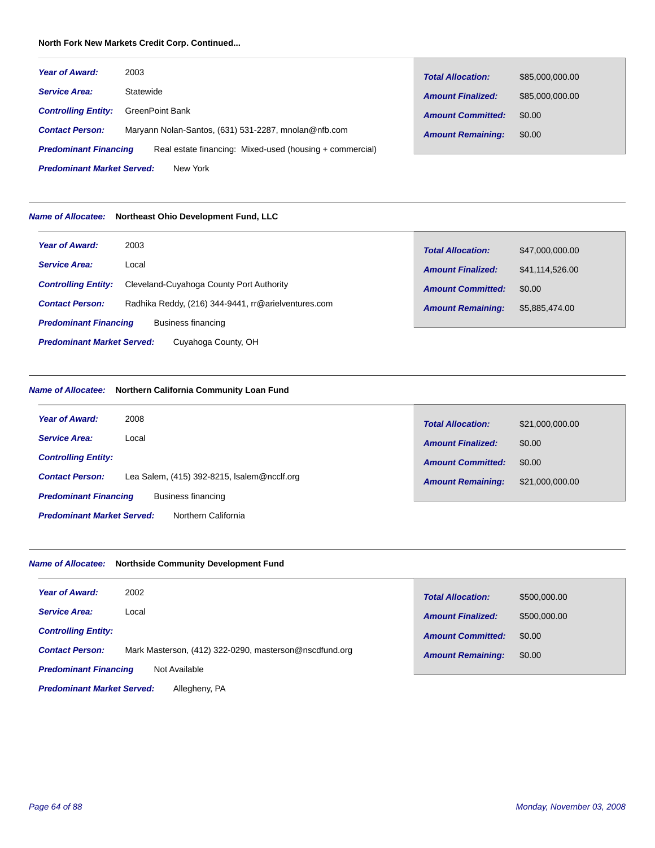# **North Fork New Markets Credit Corp. Continued...**

| Year of Award:                                | 2003                                                     | <b>Total Allocation:</b> | \$85,000,000.00 |
|-----------------------------------------------|----------------------------------------------------------|--------------------------|-----------------|
| <b>Service Area:</b>                          | Statewide                                                | <b>Amount Finalized:</b> | \$85,000,000.00 |
| <b>Controlling Entity:</b>                    | <b>GreenPoint Bank</b>                                   | <b>Amount Committed:</b> | \$0.00          |
| <b>Contact Person:</b>                        | Maryann Nolan-Santos, (631) 531-2287, mnolan@nfb.com     | <b>Amount Remaining:</b> | \$0.00          |
| <b>Predominant Financing</b>                  | Real estate financing: Mixed-used (housing + commercial) |                          |                 |
| <b>Predominant Market Served:</b><br>New York |                                                          |                          |                 |

# *Name of Allocatee:* **Northeast Ohio Development Fund, LLC**

| <b>Year of Award:</b>             | 2003                                                | <b>Total Allocation:</b> | \$47,000,000.00 |
|-----------------------------------|-----------------------------------------------------|--------------------------|-----------------|
| <b>Service Area:</b>              | Local                                               | <b>Amount Finalized:</b> | \$41,114,526.00 |
| <b>Controlling Entity:</b>        | Cleveland-Cuyahoga County Port Authority            | <b>Amount Committed:</b> | \$0.00          |
| <b>Contact Person:</b>            | Radhika Reddy, (216) 344-9441, rr@arielventures.com | <b>Amount Remaining:</b> | \$5,885,474.00  |
| <b>Predominant Financing</b>      | <b>Business financing</b>                           |                          |                 |
| <b>Predominant Market Served:</b> | Cuyahoga County, OH                                 |                          |                 |

# *Name of Allocatee:* **Northern California Community Loan Fund**

| <b>Year of Award:</b>             | 2008                                        | <b>Total Allocation:</b> | \$21,000,000.00 |
|-----------------------------------|---------------------------------------------|--------------------------|-----------------|
| <b>Service Area:</b>              | Local                                       | <b>Amount Finalized:</b> | \$0.00          |
| <b>Controlling Entity:</b>        |                                             | <b>Amount Committed:</b> | \$0.00          |
| <b>Contact Person:</b>            | Lea Salem, (415) 392-8215, Isalem@ncclf.org | <b>Amount Remaining:</b> | \$21,000,000.00 |
| <b>Predominant Financing</b>      | Business financing                          |                          |                 |
| <b>Predominant Market Served:</b> | Northern California                         |                          |                 |

# *Name of Allocatee:* **Northside Community Development Fund**

| <b>Year of Award:</b>                         | 2002                                                   | <b>Total Allocation:</b> | \$500,000.00 |
|-----------------------------------------------|--------------------------------------------------------|--------------------------|--------------|
| <b>Service Area:</b>                          | Local                                                  | <b>Amount Finalized:</b> | \$500,000,00 |
| <b>Controlling Entity:</b>                    |                                                        | <b>Amount Committed:</b> | \$0.00       |
| <b>Contact Person:</b>                        | Mark Masterson, (412) 322-0290, masterson@nscdfund.org | <b>Amount Remaining:</b> | \$0.00       |
| <b>Predominant Financing</b><br>Not Available |                                                        |                          |              |
| <b>Predominant Market Served:</b>             | Allegheny, PA                                          |                          |              |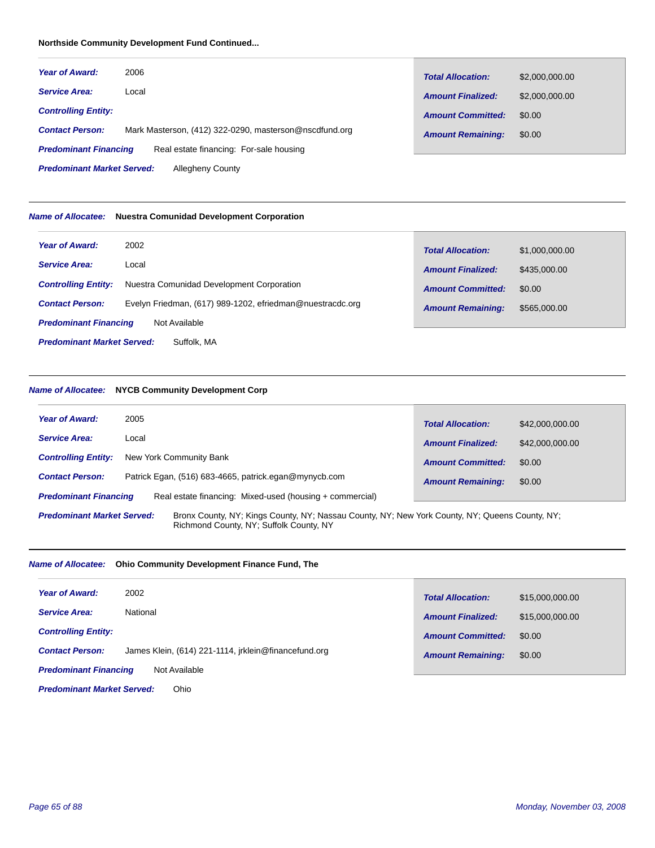# **Northside Community Development Fund Continued...**

| <b>Year of Award:</b>        | 2006                                                   | <b>Total Allocation:</b> | \$2,000,000.00 |
|------------------------------|--------------------------------------------------------|--------------------------|----------------|
| <b>Service Area:</b>         | Local                                                  | <b>Amount Finalized:</b> | \$2,000,000.00 |
| <b>Controlling Entity:</b>   |                                                        | <b>Amount Committed:</b> | \$0.00         |
| <b>Contact Person:</b>       | Mark Masterson, (412) 322-0290, masterson@nscdfund.org | <b>Amount Remaining:</b> | \$0.00         |
| <b>Predominant Financing</b> | Real estate financing: For-sale housing                |                          |                |

Allegheny County *Predominant Market Served:*

#### *Name of Allocatee:* **Nuestra Comunidad Development Corporation**

| <b>Year of Award:</b>                            | 2002                                                      | <b>Total Allocation:</b> | \$1,000,000.00 |
|--------------------------------------------------|-----------------------------------------------------------|--------------------------|----------------|
| <b>Service Area:</b>                             | Local                                                     | <b>Amount Finalized:</b> | \$435,000.00   |
| <b>Controlling Entity:</b>                       | Nuestra Comunidad Development Corporation                 | <b>Amount Committed:</b> | \$0.00         |
| <b>Contact Person:</b>                           | Evelyn Friedman, (617) 989-1202, efriedman@nuestracdc.org | <b>Amount Remaining:</b> | \$565,000.00   |
| <b>Predominant Financing</b>                     | Not Available                                             |                          |                |
| <b>Predominant Market Served:</b><br>Suffolk, MA |                                                           |                          |                |

#### *Name of Allocatee:* **NYCB Community Development Corp**

| <b>Year of Award:</b>                                                                                                                                                          | <b>Total Allocation:</b> |
|--------------------------------------------------------------------------------------------------------------------------------------------------------------------------------|--------------------------|
| 2005                                                                                                                                                                           | \$42,000,000.00          |
| <b>Service Area:</b>                                                                                                                                                           | <b>Amount Finalized:</b> |
| Local                                                                                                                                                                          | \$42,000,000.00          |
| New York Community Bank                                                                                                                                                        | <b>Amount Committed:</b> |
| <b>Controlling Entity:</b>                                                                                                                                                     | \$0.00                   |
| Patrick Egan, (516) 683-4665, patrick.egan@mynycb.com                                                                                                                          | \$0.00                   |
| <b>Contact Person:</b>                                                                                                                                                         | <b>Amount Remaining:</b> |
| <b>Predominant Financing</b><br>Real estate financing: Mixed-used (housing + commercial)                                                                                       |                          |
| Bronx County, NY; Kings County, NY; Nassau County, NY; New York County, NY; Queens County, NY;<br><b>Predominant Market Served:</b><br>Richmond County, NY; Suffolk County, NY |                          |

#### *Name of Allocatee:* **Ohio Community Development Finance Fund, The**

| <b>Year of Award:</b>        | 2002                                                 | <b>Total Allocation:</b> | \$15,000,000.00 |
|------------------------------|------------------------------------------------------|--------------------------|-----------------|
| <b>Service Area:</b>         | National                                             | <b>Amount Finalized:</b> | \$15,000,000.00 |
| <b>Controlling Entity:</b>   |                                                      | <b>Amount Committed:</b> | \$0.00          |
| <b>Contact Person:</b>       | James Klein, (614) 221-1114, irklein@financefund.org | <b>Amount Remaining:</b> | \$0.00          |
| <b>Predominant Financing</b> | Not Available                                        |                          |                 |

Ohio *Predominant Market Served:*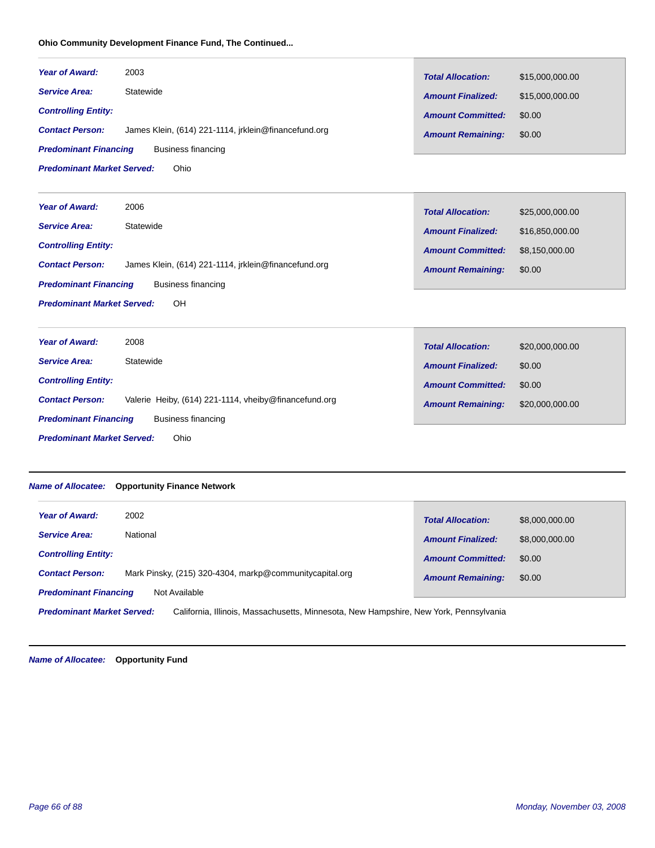# **Ohio Community Development Finance Fund, The Continued...**

| <b>Year of Award:</b><br><b>Service Area:</b><br><b>Controlling Entity:</b><br><b>Contact Person:</b><br><b>Predominant Financing</b><br><b>Predominant Market Served:</b> | 2003<br>Statewide<br>James Klein, (614) 221-1114, jrklein@financefund.org<br><b>Business financing</b><br>Ohio      | <b>Total Allocation:</b><br><b>Amount Finalized:</b><br><b>Amount Committed:</b><br><b>Amount Remaining:</b> | \$15,000,000.00<br>\$15,000,000.00<br>\$0.00<br>\$0.00         |
|----------------------------------------------------------------------------------------------------------------------------------------------------------------------------|---------------------------------------------------------------------------------------------------------------------|--------------------------------------------------------------------------------------------------------------|----------------------------------------------------------------|
| <b>Year of Award:</b><br><b>Service Area:</b><br><b>Controlling Entity:</b><br><b>Contact Person:</b><br><b>Predominant Financing</b><br><b>Predominant Market Served:</b> | 2006<br>Statewide<br>James Klein, (614) 221-1114, jrklein@financefund.org<br><b>Business financing</b><br><b>OH</b> | <b>Total Allocation:</b><br><b>Amount Finalized:</b><br><b>Amount Committed:</b><br><b>Amount Remaining:</b> | \$25,000,000.00<br>\$16,850,000.00<br>\$8,150,000.00<br>\$0.00 |
| <b>Year of Award:</b>                                                                                                                                                      | 2008                                                                                                                | <b>Total Allocation:</b>                                                                                     | \$20,000,000.00                                                |

| <b>Service Area:</b><br>Statewide                                               | <b>Amount Finalized:</b> | \$0.00          |
|---------------------------------------------------------------------------------|--------------------------|-----------------|
| <b>Controlling Entity:</b>                                                      | <b>Amount Committed:</b> | \$0.00          |
| Valerie Heiby, (614) 221-1114, vheiby@financefund.org<br><b>Contact Person:</b> | <b>Amount Remaining:</b> | \$20,000,000.00 |
| <b>Predominant Financing</b><br>Business financing                              |                          |                 |
| <b>Predominant Market Served:</b><br>Ohio                                       |                          |                 |

# *Name of Allocatee:* **Opportunity Finance Network**

| 2002<br><b>Year of Award:</b>                                                                                              | <b>Total Allocation:</b> | \$8,000,000.00 |
|----------------------------------------------------------------------------------------------------------------------------|--------------------------|----------------|
| National<br><b>Service Area:</b>                                                                                           | <b>Amount Finalized:</b> | \$8,000,000.00 |
| <b>Controlling Entity:</b>                                                                                                 | <b>Amount Committed:</b> | \$0.00         |
| Mark Pinsky, (215) 320-4304, markp@communitycapital.org<br><b>Contact Person:</b>                                          | <b>Amount Remaining:</b> | \$0.00         |
| <b>Predominant Financing</b><br>Not Available                                                                              |                          |                |
| <b>Predominant Market Served:</b><br>California, Illinois, Massachusetts, Minnesota, New Hampshire, New York, Pennsylvania |                          |                |

*Name of Allocatee:* **Opportunity Fund**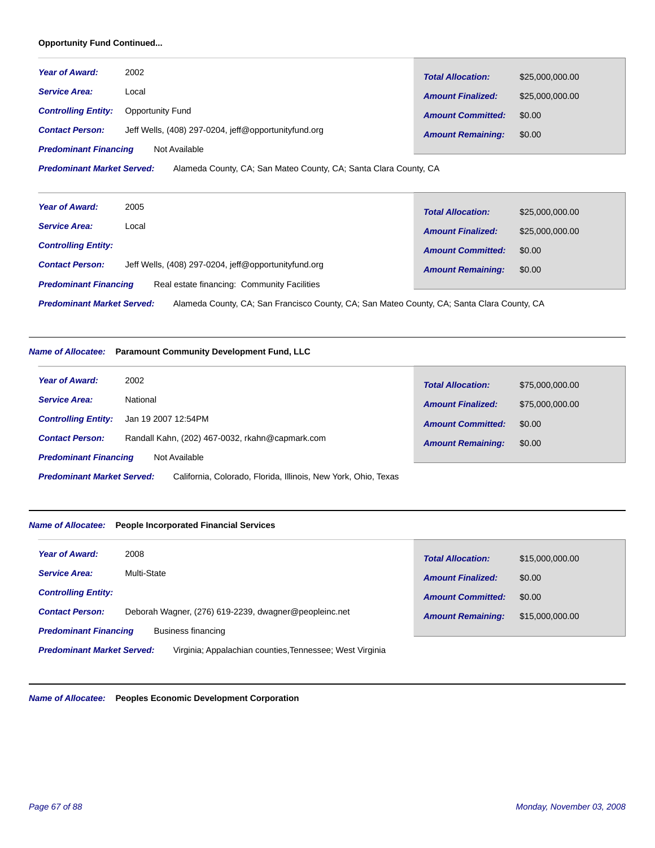# **Opportunity Fund Continued...**

| <b>Year of Award:</b>        | 2002                                                 | <b>Total Allocation:</b> |                 |
|------------------------------|------------------------------------------------------|--------------------------|-----------------|
| <b>Service Area:</b>         | Local                                                |                          | \$25,000,000.00 |
|                              |                                                      | <b>Amount Finalized:</b> | \$25,000,000.00 |
| <b>Controlling Entity:</b>   | <b>Opportunity Fund</b>                              | <b>Amount Committed:</b> | \$0.00          |
| <b>Contact Person:</b>       | Jeff Wells, (408) 297-0204, jeff@opportunityfund.org | <b>Amount Remaining:</b> | \$0.00          |
| <b>Predominant Financing</b> | Not Available                                        |                          |                 |

Alameda County, CA; San Mateo County, CA; Santa Clara County, CA *Predominant Market Served:*

| <b>Year of Award:</b>        | 2005                                                 | <b>Total Allocation:</b> | \$25,000,000.00 |
|------------------------------|------------------------------------------------------|--------------------------|-----------------|
| <b>Service Area:</b>         | Local                                                | <b>Amount Finalized:</b> | \$25,000,000.00 |
| <b>Controlling Entity:</b>   |                                                      | <b>Amount Committed:</b> | \$0.00          |
| <b>Contact Person:</b>       | Jeff Wells, (408) 297-0204, jeff@opportunityfund.org | <b>Amount Remaining:</b> | \$0.00          |
| <b>Predominant Financing</b> | Real estate financing: Community Facilities          |                          |                 |

Alameda County, CA; San Francisco County, CA; San Mateo County, CA; Santa Clara County, CA *Predominant Market Served:*

#### *Name of Allocatee:* **Paramount Community Development Fund, LLC**

| <b>Year of Award:</b>             | 2002                                                           | <b>Total Allocation:</b> | \$75,000,000.00 |
|-----------------------------------|----------------------------------------------------------------|--------------------------|-----------------|
| <b>Service Area:</b>              | National                                                       | <b>Amount Finalized:</b> | \$75,000,000.00 |
| <b>Controlling Entity:</b>        | Jan 19 2007 12:54PM                                            | <b>Amount Committed:</b> | \$0.00          |
| <b>Contact Person:</b>            | Randall Kahn, (202) 467-0032, rkahn@capmark.com                | <b>Amount Remaining:</b> | \$0.00          |
| <b>Predominant Financing</b>      | Not Available                                                  |                          |                 |
| <b>Predominant Market Served:</b> | California, Colorado, Florida, Illinois, New York, Ohio, Texas |                          |                 |

#### *Name of Allocatee:* **People Incorporated Financial Services**

| <b>Year of Award:</b><br>2008                                                                 | <b>Total Allocation:</b> | \$15,000,000.00 |
|-----------------------------------------------------------------------------------------------|--------------------------|-----------------|
| Multi-State<br><b>Service Area:</b>                                                           | <b>Amount Finalized:</b> | \$0.00          |
| <b>Controlling Entity:</b>                                                                    | <b>Amount Committed:</b> | \$0.00          |
| Deborah Wagner, (276) 619-2239, dwagner@peopleinc.net<br><b>Contact Person:</b>               | <b>Amount Remaining:</b> | \$15,000,000.00 |
| <b>Predominant Financing</b><br>Business financing                                            |                          |                 |
| <b>Predominant Market Served:</b><br>Virginia: Appalachian counties, Tennessee: West Virginia |                          |                 |

*Name of Allocatee:* **Peoples Economic Development Corporation**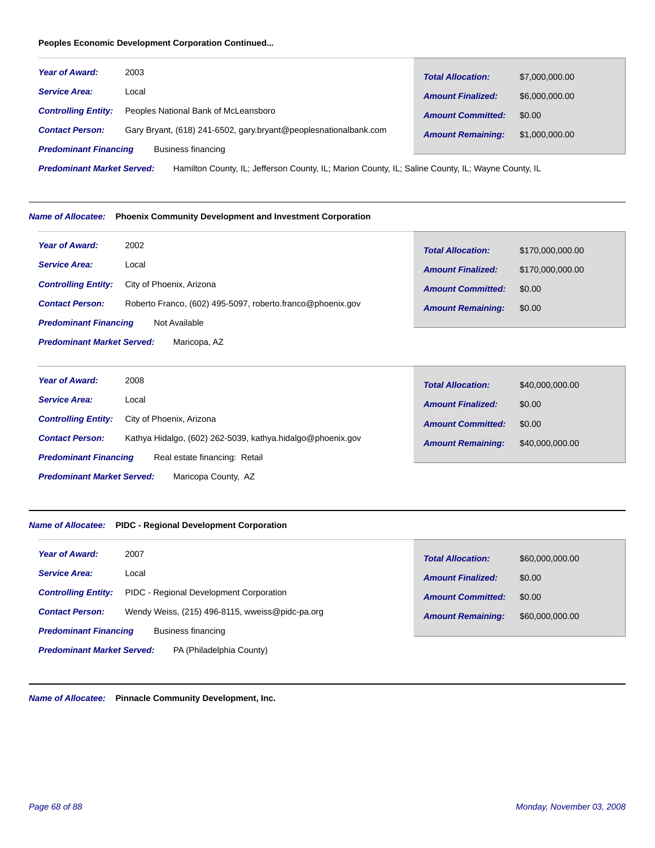# **Peoples Economic Development Corporation Continued...**

| <b>Year of Award:</b>        | 2003                                                             | <b>Total Allocation:</b> | \$7,000,000.00 |
|------------------------------|------------------------------------------------------------------|--------------------------|----------------|
| <b>Service Area:</b>         | Local                                                            | <b>Amount Finalized:</b> | \$6,000,000.00 |
| <b>Controlling Entity:</b>   | Peoples National Bank of McLeansboro                             | <b>Amount Committed:</b> | \$0.00         |
| <b>Contact Person:</b>       | Gary Bryant, (618) 241-6502, gary.bryant@peoplesnationalbank.com | <b>Amount Remaining:</b> | \$1,000,000.00 |
| <b>Predominant Financing</b> | Business financing                                               |                          |                |

Hamilton County, IL; Jefferson County, IL; Marion County, IL; Saline County, IL; Wayne County, IL *Predominant Market Served:*

#### *Name of Allocatee:* **Phoenix Community Development and Investment Corporation**

| <b>Year of Award:</b>                             | 2002                                                       | <b>Total Allocation:</b> | \$170,000,000.00 |
|---------------------------------------------------|------------------------------------------------------------|--------------------------|------------------|
| <b>Service Area:</b>                              | Local                                                      | <b>Amount Finalized:</b> | \$170,000,000.00 |
| <b>Controlling Entity:</b>                        | City of Phoenix, Arizona                                   | <b>Amount Committed:</b> | \$0.00           |
| <b>Contact Person:</b>                            | Roberto Franco, (602) 495-5097, roberto franco@phoenix.gov | <b>Amount Remaining:</b> | \$0.00           |
| <b>Predominant Financing</b>                      | Not Available                                              |                          |                  |
| <b>Predominant Market Served:</b><br>Maricopa, AZ |                                                            |                          |                  |

| <b>Year of Award:</b>                                    | 2008                                                       | <b>Total Allocation:</b> | \$40,000,000.00 |
|----------------------------------------------------------|------------------------------------------------------------|--------------------------|-----------------|
| <b>Service Area:</b>                                     | Local                                                      | <b>Amount Finalized:</b> | \$0.00          |
| <b>Controlling Entity:</b>                               | City of Phoenix, Arizona                                   | <b>Amount Committed:</b> | \$0.00          |
| <b>Contact Person:</b>                                   | Kathya Hidalgo, (602) 262-5039, kathya hidalgo@phoenix.gov | <b>Amount Remaining:</b> | \$40,000,000.00 |
| <b>Predominant Financing</b>                             | Real estate financing: Retail                              |                          |                 |
| <b>Predominant Market Served:</b><br>Maricopa County, AZ |                                                            |                          |                 |

п

#### *Name of Allocatee:* **PIDC - Regional Development Corporation**

| <b>Year of Award:</b><br>2007                                             | <b>Total Allocation:</b> | \$60,000,000.00 |
|---------------------------------------------------------------------------|--------------------------|-----------------|
| <b>Service Area:</b><br>Local                                             | <b>Amount Finalized:</b> | \$0.00          |
| PIDC - Regional Development Corporation<br><b>Controlling Entity:</b>     | <b>Amount Committed:</b> | \$0.00          |
| Wendy Weiss, (215) 496-8115, wweiss@pidc-pa.org<br><b>Contact Person:</b> | <b>Amount Remaining:</b> | \$60,000,000.00 |
| <b>Predominant Financing</b><br>Business financing                        |                          |                 |
| <b>Predominant Market Served:</b><br>PA (Philadelphia County)             |                          |                 |

*Name of Allocatee:* **Pinnacle Community Development, Inc.**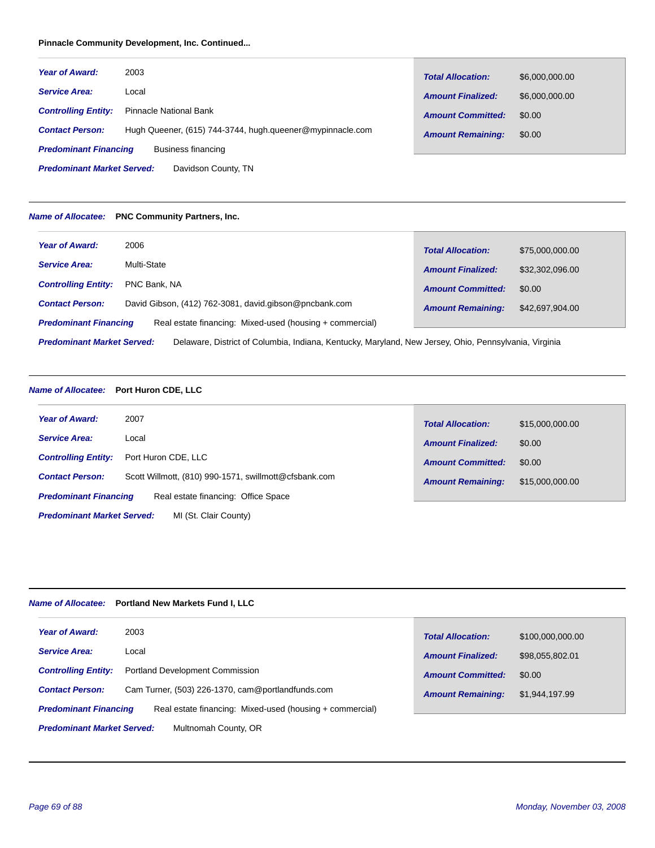# **Pinnacle Community Development, Inc. Continued...**

| <b>Year of Award:</b>        | 2003                                                      | <b>Total Allocation:</b> | \$6,000,000.00 |
|------------------------------|-----------------------------------------------------------|--------------------------|----------------|
| <b>Service Area:</b>         | Local                                                     | <b>Amount Finalized:</b> | \$6,000,000.00 |
| <b>Controlling Entity:</b>   | Pinnacle National Bank                                    | <b>Amount Committed:</b> | \$0.00         |
| <b>Contact Person:</b>       | Hugh Queener, (615) 744-3744, hugh queener@mypinnacle.com | <b>Amount Remaining:</b> | \$0.00         |
| <b>Predominant Financing</b> | Business financing                                        |                          |                |

Davidson County, TN *Predominant Market Served:*

#### *Name of Allocatee:* **PNC Community Partners, Inc.**

| <b>Year of Award:</b>                                                                                                                      | 2006                                                   | <b>Total Allocation:</b> | \$75,000,000.00 |
|--------------------------------------------------------------------------------------------------------------------------------------------|--------------------------------------------------------|--------------------------|-----------------|
| <b>Service Area:</b>                                                                                                                       | Multi-State                                            | <b>Amount Finalized:</b> | \$32,302,096.00 |
| <b>Controlling Entity:</b>                                                                                                                 | PNC Bank, NA                                           | <b>Amount Committed:</b> | \$0.00          |
| <b>Contact Person:</b>                                                                                                                     | David Gibson, (412) 762-3081, david.gibson@pncbank.com | <b>Amount Remaining:</b> | \$42,697,904.00 |
| Real estate financing: Mixed-used (housing + commercial)<br><b>Predominant Financing</b>                                                   |                                                        |                          |                 |
| <b>Predominant Market Served:</b><br>Delaware, District of Columbia, Indiana, Kentucky, Maryland, New Jersey, Ohio, Pennsylvania, Virginia |                                                        |                          |                 |

# *Name of Allocatee:* **Port Huron CDE, LLC**

| <b>Year of Award:</b>                                      | 2007                                                  | <b>Total Allocation:</b> | \$15,000,000.00 |
|------------------------------------------------------------|-------------------------------------------------------|--------------------------|-----------------|
| <b>Service Area:</b>                                       | Local                                                 | <b>Amount Finalized:</b> | \$0.00          |
| <b>Controlling Entity:</b>                                 | Port Huron CDE, LLC                                   | <b>Amount Committed:</b> | \$0.00          |
| <b>Contact Person:</b>                                     | Scott Willmott, (810) 990-1571, swillmott@cfsbank.com | <b>Amount Remaining:</b> | \$15,000,000.00 |
| <b>Predominant Financing</b>                               | Real estate financing: Office Space                   |                          |                 |
| <b>Predominant Market Served:</b><br>MI (St. Clair County) |                                                       |                          |                 |

# *Name of Allocatee:* **Portland New Markets Fund I, LLC**

| <b>Year of Award:</b>                                     | 2003                                                     | <b>Total Allocation:</b> | \$100,000,000.00 |
|-----------------------------------------------------------|----------------------------------------------------------|--------------------------|------------------|
| <b>Service Area:</b>                                      | Local                                                    | <b>Amount Finalized:</b> | \$98.055.802.01  |
| <b>Controlling Entity:</b>                                | <b>Portland Development Commission</b>                   | <b>Amount Committed:</b> | \$0.00           |
| <b>Contact Person:</b>                                    | Cam Turner, (503) 226-1370, cam@portlandfunds.com        | <b>Amount Remaining:</b> | \$1,944,197.99   |
| <b>Predominant Financing</b>                              | Real estate financing: Mixed-used (housing + commercial) |                          |                  |
| Multnomah County, OR<br><b>Predominant Market Served:</b> |                                                          |                          |                  |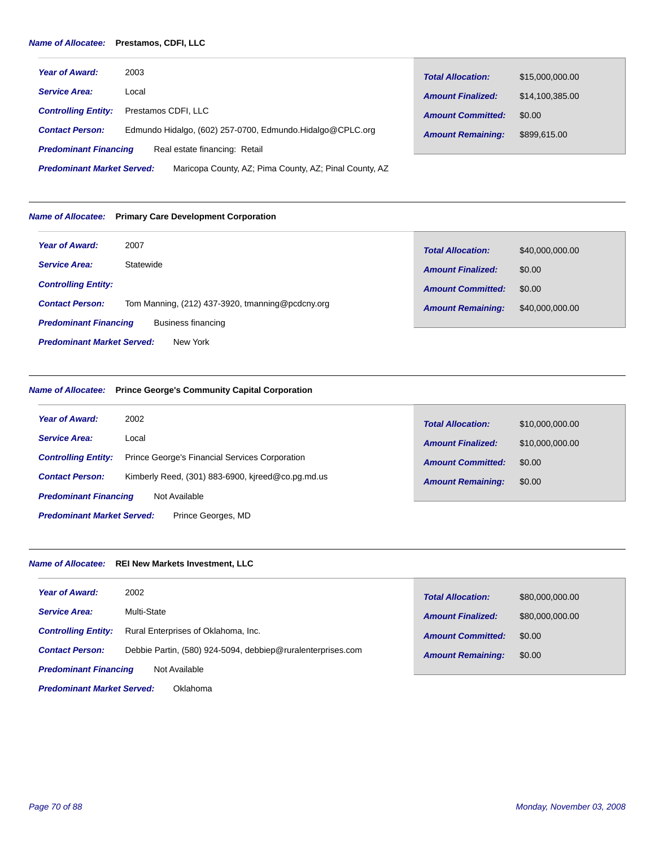# *Name of Allocatee:* **Prestamos, CDFI, LLC**

| <b>Year of Award:</b>                                                                       | 2003                                                      | <b>Total Allocation:</b> | \$15,000,000.00 |
|---------------------------------------------------------------------------------------------|-----------------------------------------------------------|--------------------------|-----------------|
| <b>Service Area:</b>                                                                        | Local                                                     | <b>Amount Finalized:</b> | \$14,100,385.00 |
| <b>Controlling Entity:</b>                                                                  | Prestamos CDFI. LLC                                       | <b>Amount Committed:</b> | \$0.00          |
| <b>Contact Person:</b>                                                                      | Edmundo Hidalgo, (602) 257-0700, Edmundo.Hidalgo@CPLC.org | <b>Amount Remaining:</b> | \$899,615,00    |
| <b>Predominant Financing</b>                                                                | Real estate financing: Retail                             |                          |                 |
| <b>Predominant Market Served:</b><br>Maricopa County, AZ; Pima County, AZ; Pinal County, AZ |                                                           |                          |                 |

#### *Name of Allocatee:* **Primary Care Development Corporation**

| <b>Year of Award:</b>                              | 2007                                             | <b>Total Allocation:</b> | \$40,000,000.00 |
|----------------------------------------------------|--------------------------------------------------|--------------------------|-----------------|
| <b>Service Area:</b>                               | Statewide                                        | <b>Amount Finalized:</b> | \$0.00          |
| <b>Controlling Entity:</b>                         |                                                  | <b>Amount Committed:</b> | \$0.00          |
| <b>Contact Person:</b>                             | Tom Manning, (212) 437-3920, tmanning@pcdcny.org | <b>Amount Remaining:</b> | \$40,000,000.00 |
| <b>Predominant Financing</b><br>Business financing |                                                  |                          |                 |
| <b>Predominant Market Served:</b><br>New York      |                                                  |                          |                 |

# *Name of Allocatee:* **Prince George's Community Capital Corporation**

| 2002<br><b>Year of Award:</b>                                                       | <b>Total Allocation:</b> | \$10,000,000.00 |
|-------------------------------------------------------------------------------------|--------------------------|-----------------|
| <b>Service Area:</b><br>Local                                                       | <b>Amount Finalized:</b> | \$10,000,000.00 |
| <b>Prince George's Financial Services Corporation</b><br><b>Controlling Entity:</b> | <b>Amount Committed:</b> | \$0.00          |
| Kimberly Reed, (301) 883-6900, kireed@co.pg.md.us<br><b>Contact Person:</b>         | <b>Amount Remaining:</b> | \$0.00          |
| <b>Predominant Financing</b><br>Not Available                                       |                          |                 |
| <b>Predominant Market Served:</b><br>Prince Georges, MD                             |                          |                 |

# *Name of Allocatee:* **REI New Markets Investment, LLC**

| <b>Year of Award:</b>                         | 2002                                                        | <b>Total Allocation:</b> | \$80,000,000.00 |
|-----------------------------------------------|-------------------------------------------------------------|--------------------------|-----------------|
| <b>Service Area:</b>                          | Multi-State                                                 | <b>Amount Finalized:</b> | \$80,000,000.00 |
| <b>Controlling Entity:</b>                    | Rural Enterprises of Oklahoma, Inc.                         | <b>Amount Committed:</b> | \$0.00          |
| <b>Contact Person:</b>                        | Debbie Partin, (580) 924-5094, debbiep@ruralenterprises.com | <b>Amount Remaining:</b> | \$0.00          |
| <b>Predominant Financing</b>                  | Not Available                                               |                          |                 |
| <b>Predominant Market Served:</b><br>Oklahoma |                                                             |                          |                 |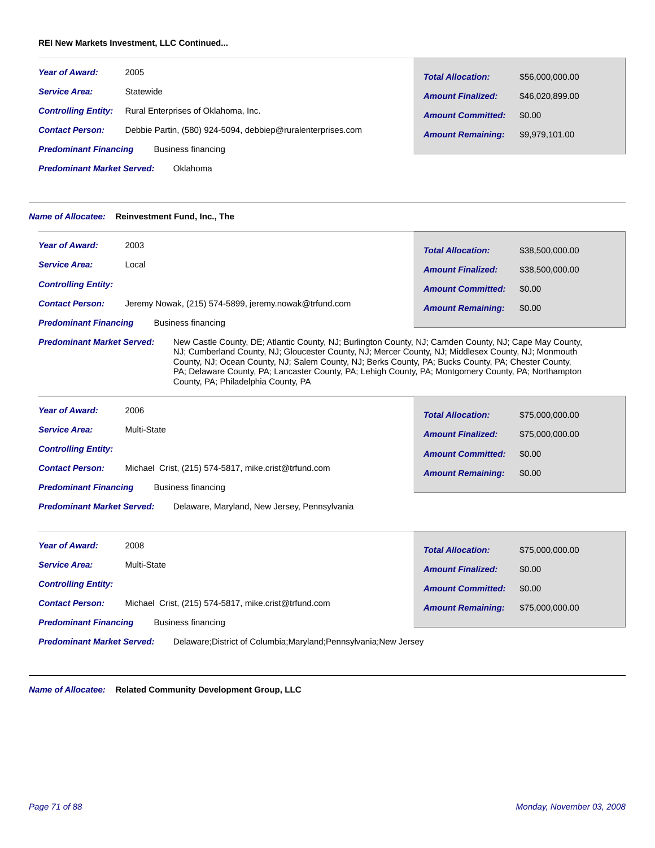#### **REI New Markets Investment, LLC Continued...**

| <b>Year of Award:</b>                              | 2005                                                        | <b>Total Allocation:</b> | \$56,000,000.00 |
|----------------------------------------------------|-------------------------------------------------------------|--------------------------|-----------------|
| <b>Service Area:</b>                               | Statewide                                                   | <b>Amount Finalized:</b> | \$46,020,899.00 |
| <b>Controlling Entity:</b>                         | Rural Enterprises of Oklahoma, Inc.                         | <b>Amount Committed:</b> | \$0.00          |
| <b>Contact Person:</b>                             | Debbie Partin, (580) 924-5094, debbiep@ruralenterprises.com | <b>Amount Remaining:</b> | \$9,979,101.00  |
| <b>Predominant Financing</b><br>Business financing |                                                             |                          |                 |
| <b>Predominant Market Served:</b><br>Oklahoma      |                                                             |                          |                 |

*Name of Allocatee:* **Reinvestment Fund, Inc., The**

| <b>Year of Award:</b>                              | 2003                                                  | <b>Total Allocation:</b> | \$38,500,000.00 |
|----------------------------------------------------|-------------------------------------------------------|--------------------------|-----------------|
| <b>Service Area:</b>                               | Local                                                 | <b>Amount Finalized:</b> | \$38,500,000.00 |
| <b>Controlling Entity:</b>                         |                                                       | <b>Amount Committed:</b> | \$0.00          |
| <b>Contact Person:</b>                             | Jeremy Nowak, (215) 574-5899, jeremy.nowak@trfund.com | <b>Amount Remaining:</b> | \$0.00          |
| <b>Predominant Financing</b><br>Business financing |                                                       |                          |                 |

*Predominant Market Served:*

New Castle County, DE; Atlantic County, NJ; Burlington County, NJ; Camden County, NJ; Cape May County, NJ; Cumberland County, NJ; Gloucester County, NJ; Mercer County, NJ; Middlesex County, NJ; Monmouth County, NJ; Ocean County, NJ; Salem County, NJ; Berks County, PA; Bucks County, PA; Chester County, PA; Delaware County, PA; Lancaster County, PA; Lehigh County, PA; Montgomery County, PA; Northampton County, PA; Philadelphia County, PA

| <b>Year of Award:</b>        | 2006                                                 | <b>Total Allocation:</b> | \$75,000,000.00 |
|------------------------------|------------------------------------------------------|--------------------------|-----------------|
| <b>Service Area:</b>         | Multi-State                                          | <b>Amount Finalized:</b> | \$75,000,000,00 |
| <b>Controlling Entity:</b>   |                                                      | <b>Amount Committed:</b> | \$0.00          |
| <b>Contact Person:</b>       | Michael Crist, (215) 574-5817, mike.crist@trfund.com | <b>Amount Remaining:</b> | \$0.00          |
| <b>Predominant Financing</b> | Business financing                                   |                          |                 |

Delaware, Maryland, New Jersey, Pennsylvania *Predominant Market Served:*

| <b>Year of Award:</b>             | 2008                                                 | <b>Total Allocation:</b> | \$75,000,000.00 |
|-----------------------------------|------------------------------------------------------|--------------------------|-----------------|
| <b>Service Area:</b>              | Multi-State                                          | <b>Amount Finalized:</b> | \$0.00          |
| <b>Controlling Entity:</b>        |                                                      | <b>Amount Committed:</b> | \$0.00          |
| <b>Contact Person:</b>            | Michael Crist, (215) 574-5817, mike.crist@trfund.com | <b>Amount Remaining:</b> | \$75,000,000.00 |
| <b>Predominant Financing</b>      | Business financing                                   |                          |                 |
| Due de milionné Meutres Course de |                                                      |                          |                 |

Delaware;District of Columbia;Maryland;Pennsylvania;New Jersey *Predominant Market Served:*

*Name of Allocatee:* **Related Community Development Group, LLC**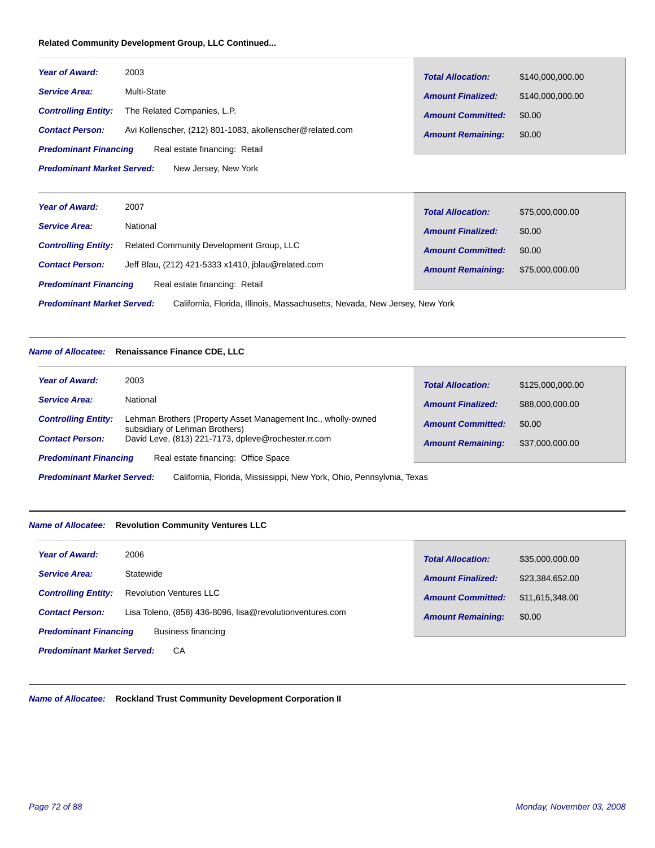#### **Related Community Development Group, LLC Continued...**

| <b>Year of Award:</b>                                     | 2003                                                      | <b>Total Allocation:</b> | \$140,000,000.00 |
|-----------------------------------------------------------|-----------------------------------------------------------|--------------------------|------------------|
| <b>Service Area:</b>                                      | Multi-State                                               | <b>Amount Finalized:</b> | \$140,000,000.00 |
| <b>Controlling Entity:</b>                                | The Related Companies, L.P.                               | <b>Amount Committed:</b> | \$0.00           |
| <b>Contact Person:</b>                                    | Avi Kollenscher, (212) 801-1083, akollenscher@related.com | <b>Amount Remaining:</b> | \$0.00           |
| <b>Predominant Financing</b>                              | Real estate financing: Retail                             |                          |                  |
| <b>Predominant Market Served:</b><br>New Jersey, New York |                                                           |                          |                  |

| <b>Year of Award:</b>                                                                                           | 2007                                               | <b>Total Allocation:</b> | \$75,000,000.00 |
|-----------------------------------------------------------------------------------------------------------------|----------------------------------------------------|--------------------------|-----------------|
| <b>Service Area:</b>                                                                                            | National                                           | <b>Amount Finalized:</b> | \$0.00          |
| <b>Controlling Entity:</b>                                                                                      | <b>Related Community Development Group, LLC</b>    | <b>Amount Committed:</b> | \$0.00          |
| <b>Contact Person:</b>                                                                                          | Jeff Blau, (212) 421-5333 x1410, iblau@related.com | <b>Amount Remaining:</b> | \$75,000,000.00 |
| <b>Predominant Financing</b>                                                                                    | Real estate financing: Retail                      |                          |                 |
| <b>Predominant Market Served:</b><br>California, Florida, Illinois, Massachusetts, Nevada, New Jersey, New York |                                                    |                          |                 |

#### *Name of Allocatee:* **Renaissance Finance CDE, LLC**

| <b>Year of Award:</b>        | 2003                                                                                            | <b>Total Allocation:</b> | \$125,000,000.00 |
|------------------------------|-------------------------------------------------------------------------------------------------|--------------------------|------------------|
| <b>Service Area:</b>         | National                                                                                        | <b>Amount Finalized:</b> | \$88,000,000.00  |
| <b>Controlling Entity:</b>   | Lehman Brothers (Property Asset Management Inc., wholly-owned<br>subsidiary of Lehman Brothers) | <b>Amount Committed:</b> | \$0.00           |
| <b>Contact Person:</b>       | David Leve, (813) 221-7173, dpleve@rochester.rr.com                                             | <b>Amount Remaining:</b> | \$37,000,000.00  |
| <b>Predominant Financing</b> | Real estate financing: Office Space                                                             |                          |                  |

**Tara** 

California, Florida, Mississippi, New York, Ohio, Pennsylvnia, Texas *Predominant Market Served:*

#### *Name of Allocatee:* **Revolution Community Ventures LLC**

| <b>Year of Award:</b>                   | 2006                                                     | <b>Total Allocation:</b> | \$35,000,000.00 |
|-----------------------------------------|----------------------------------------------------------|--------------------------|-----------------|
| <b>Service Area:</b>                    | Statewide                                                | <b>Amount Finalized:</b> | \$23,384,652.00 |
| <b>Controlling Entity:</b>              | <b>Revolution Ventures LLC</b>                           | <b>Amount Committed:</b> | \$11.615.348.00 |
| <b>Contact Person:</b>                  | Lisa Toleno, (858) 436-8096, lisa@revolutionventures.com | <b>Amount Remaining:</b> | \$0.00          |
| <b>Predominant Financing</b>            | Business financing                                       |                          |                 |
| <b>Predominant Market Served:</b><br>СA |                                                          |                          |                 |

*Name of Allocatee:* **Rockland Trust Community Development Corporation II**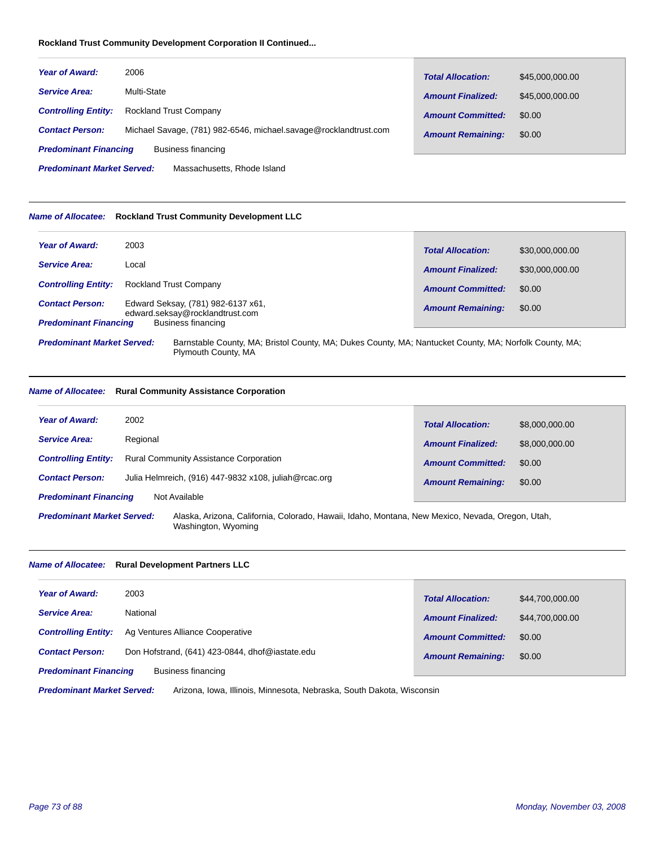# **Rockland Trust Community Development Corporation II Continued...**

| <b>Year of Award:</b>        | 2006                                                             | <b>Total Allocation:</b> | \$45,000,000,00 |
|------------------------------|------------------------------------------------------------------|--------------------------|-----------------|
| <b>Service Area:</b>         | Multi-State                                                      | <b>Amount Finalized:</b> | \$45,000,000,00 |
| <b>Controlling Entity:</b>   | <b>Rockland Trust Company</b>                                    | <b>Amount Committed:</b> | \$0.00          |
| <b>Contact Person:</b>       | Michael Savage, (781) 982-6546, michael.savage@rocklandtrust.com | <b>Amount Remaining:</b> | \$0.00          |
| <b>Predominant Financing</b> | Business financing                                               |                          |                 |

Massachusetts, Rhode Island *Predominant Market Served:*

#### *Name of Allocatee:* **Rockland Trust Community Development LLC**

| <b>Year of Award:</b>                                                                                                                       | 2003                                                                  | <b>Total Allocation:</b> | \$30,000,000,00 |
|---------------------------------------------------------------------------------------------------------------------------------------------|-----------------------------------------------------------------------|--------------------------|-----------------|
| <b>Service Area:</b>                                                                                                                        | Local                                                                 | <b>Amount Finalized:</b> | \$30,000,000,00 |
| <b>Controlling Entity:</b>                                                                                                                  | <b>Rockland Trust Company</b>                                         | <b>Amount Committed:</b> | \$0.00          |
| <b>Contact Person:</b>                                                                                                                      | Edward Seksay, (781) 982-6137 x61,<br>edward.seksay@rocklandtrust.com | <b>Amount Remaining:</b> | \$0.00          |
| <b>Predominant Financing</b>                                                                                                                | Business financing                                                    |                          |                 |
| Barnstable County, MA; Bristol County, MA; Dukes County, MA; Nantucket County, MA; Norfolk County, MA;<br><b>Predominant Market Served:</b> |                                                                       |                          |                 |

# Plymouth County, MA

# *Name of Allocatee:* **Rural Community Assistance Corporation**

| <b>Year of Award:</b><br>2002                 |                                                       | <b>Total Allocation:</b> | \$8,000,000.00 |
|-----------------------------------------------|-------------------------------------------------------|--------------------------|----------------|
| Regional<br><b>Service Area:</b>              |                                                       | <b>Amount Finalized:</b> | \$8,000,000.00 |
| <b>Controlling Entity:</b>                    | <b>Rural Community Assistance Corporation</b>         | <b>Amount Committed:</b> | \$0.00         |
| <b>Contact Person:</b>                        | Julia Helmreich, (916) 447-9832 x108, juliah@rcac.org | <b>Amount Remaining:</b> | \$0.00         |
| <b>Predominant Financing</b><br>Not Available |                                                       |                          |                |
|                                               |                                                       |                          |                |

Alaska, Arizona, California, Colorado, Hawaii, Idaho, Montana, New Mexico, Nevada, Oregon, Utah, Washington, Wyoming *Predominant Market Served:*

#### *Name of Allocatee:* **Rural Development Partners LLC**

| <b>Year of Award:</b>                              | 2003                                            | <b>Total Allocation:</b> | \$44,700,000.00 |
|----------------------------------------------------|-------------------------------------------------|--------------------------|-----------------|
| <b>Service Area:</b>                               | National                                        | <b>Amount Finalized:</b> | \$44,700,000,00 |
| <b>Controlling Entity:</b>                         | Ag Ventures Alliance Cooperative                | <b>Amount Committed:</b> | \$0.00          |
| <b>Contact Person:</b>                             | Don Hofstrand, (641) 423-0844, dhof@iastate.edu | <b>Amount Remaining:</b> | \$0.00          |
| <b>Predominant Financing</b><br>Business financing |                                                 |                          |                 |
|                                                    |                                                 |                          |                 |

Arizona, Iowa, Illinois, Minnesota, Nebraska, South Dakota, Wisconsin *Predominant Market Served:*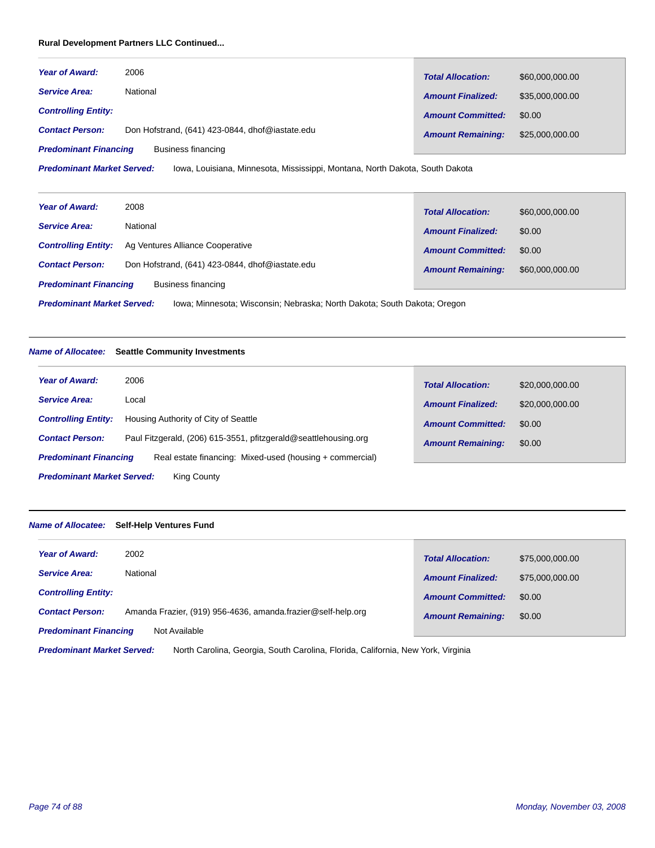# **Rural Development Partners LLC Continued...**

| <b>Year of Award:</b>                              | 2006                                            | <b>Total Allocation:</b> | \$60,000,000.00 |
|----------------------------------------------------|-------------------------------------------------|--------------------------|-----------------|
| <b>Service Area:</b>                               | National                                        | <b>Amount Finalized:</b> | \$35,000,000,00 |
| <b>Controlling Entity:</b>                         |                                                 | <b>Amount Committed:</b> | \$0.00          |
| <b>Contact Person:</b>                             | Don Hofstrand, (641) 423-0844, dhof@iastate.edu | <b>Amount Remaining:</b> | \$25,000,000.00 |
| Business financing<br><b>Predominant Financing</b> |                                                 |                          |                 |

Iowa, Louisiana, Minnesota, Mississippi, Montana, North Dakota, South Dakota *Predominant Market Served:*

| <b>Year of Award:</b>                                                                                         | 2008                                            | <b>Total Allocation:</b> | \$60,000,000.00 |  |
|---------------------------------------------------------------------------------------------------------------|-------------------------------------------------|--------------------------|-----------------|--|
| <b>Service Area:</b>                                                                                          | National                                        | <b>Amount Finalized:</b> | \$0.00          |  |
| <b>Controlling Entity:</b>                                                                                    | Ag Ventures Alliance Cooperative                | <b>Amount Committed:</b> | \$0.00          |  |
| <b>Contact Person:</b>                                                                                        | Don Hofstrand, (641) 423-0844, dhof@iastate.edu | <b>Amount Remaining:</b> | \$60,000,000.00 |  |
| <b>Predominant Financing</b><br>Business financing                                                            |                                                 |                          |                 |  |
| <b>Predominant Market Served:</b><br>Iowa; Minnesota; Wisconsin; Nebraska; North Dakota; South Dakota; Oregon |                                                 |                          |                 |  |

# *Name of Allocatee:* **Seattle Community Investments**

| Year of Award:                                                                           | 2006                                                            | <b>Total Allocation:</b> | \$20,000,000.00 |  |
|------------------------------------------------------------------------------------------|-----------------------------------------------------------------|--------------------------|-----------------|--|
| <b>Service Area:</b>                                                                     | Local                                                           | <b>Amount Finalized:</b> | \$20,000,000.00 |  |
| <b>Controlling Entity:</b>                                                               | Housing Authority of City of Seattle                            | <b>Amount Committed:</b> | \$0.00          |  |
| <b>Contact Person:</b>                                                                   | Paul Fitzgerald, (206) 615-3551, pfitzgerald@seattlehousing.org | <b>Amount Remaining:</b> | \$0.00          |  |
| <b>Predominant Financing</b><br>Real estate financing: Mixed-used (housing + commercial) |                                                                 |                          |                 |  |
| <b>Predominant Market Served:</b><br><b>King County</b>                                  |                                                                 |                          |                 |  |

#### *Name of Allocatee:* **Self-Help Ventures Fund**

| <b>Year of Award:</b>                         | 2002                                                         | <b>Total Allocation:</b> | \$75,000,000.00 |
|-----------------------------------------------|--------------------------------------------------------------|--------------------------|-----------------|
| <b>Service Area:</b>                          | National                                                     | <b>Amount Finalized:</b> | \$75,000,000,00 |
| <b>Controlling Entity:</b>                    |                                                              | <b>Amount Committed:</b> | \$0.00          |
| <b>Contact Person:</b>                        | Amanda Frazier, (919) 956-4636, amanda frazier@self-help.org | <b>Amount Remaining:</b> | \$0.00          |
| <b>Predominant Financing</b><br>Not Available |                                                              |                          |                 |

North Carolina, Georgia, South Carolina, Florida, California, New York, Virginia *Predominant Market Served:*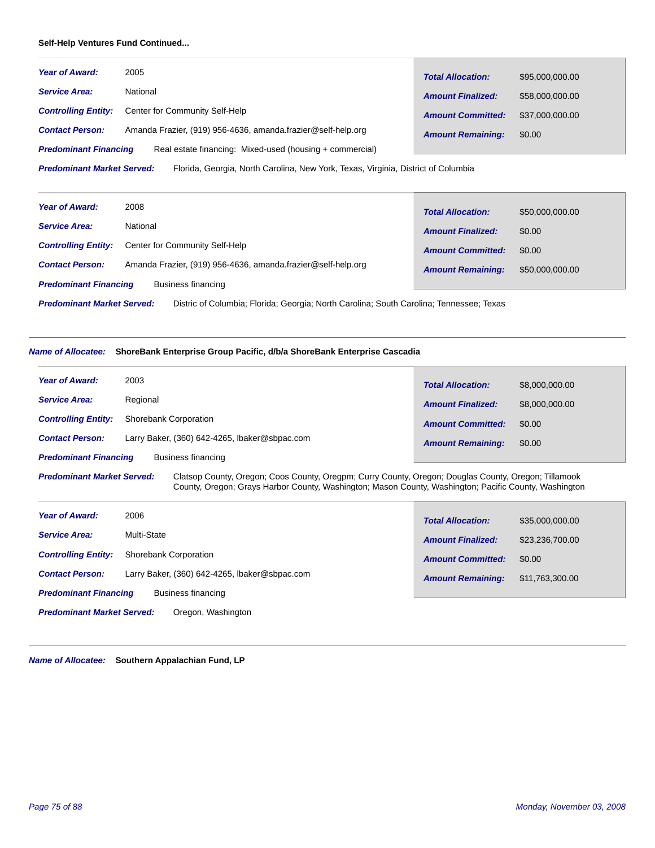#### **Self-Help Ventures Fund Continued...**

| <b>Year of Award:</b>                                                                                                  | 2005                                                         | <b>Total Allocation:</b> | \$95,000,000.00 |  |
|------------------------------------------------------------------------------------------------------------------------|--------------------------------------------------------------|--------------------------|-----------------|--|
| <b>Service Area:</b>                                                                                                   | National                                                     | <b>Amount Finalized:</b> | \$58,000,000.00 |  |
| <b>Controlling Entity:</b>                                                                                             | Center for Community Self-Help                               | <b>Amount Committed:</b> | \$37,000,000,00 |  |
| <b>Contact Person:</b>                                                                                                 | Amanda Frazier, (919) 956-4636, amanda frazier@self-help.org | <b>Amount Remaining:</b> | \$0.00          |  |
| Real estate financing: Mixed-used (housing + commercial)<br><b>Predominant Financing</b>                               |                                                              |                          |                 |  |
| <b>Predominant Market Served:</b><br>Florida, Georgia, North Carolina, New York, Texas, Virginia, District of Columbia |                                                              |                          |                 |  |

| <b>Year of Award:</b>                                                                                                        | 2008                                                         | <b>Total Allocation:</b> | \$50,000,000.00 |  |
|------------------------------------------------------------------------------------------------------------------------------|--------------------------------------------------------------|--------------------------|-----------------|--|
| <b>Service Area:</b>                                                                                                         | National                                                     | <b>Amount Finalized:</b> | \$0.00          |  |
| <b>Controlling Entity:</b>                                                                                                   | Center for Community Self-Help                               | <b>Amount Committed:</b> | \$0.00          |  |
| <b>Contact Person:</b>                                                                                                       | Amanda Frazier, (919) 956-4636, amanda frazier@self-help.org | <b>Amount Remaining:</b> | \$50,000,000.00 |  |
| <b>Predominant Financing</b><br>Business financing                                                                           |                                                              |                          |                 |  |
| <b>Predominant Market Served:</b><br>Distric of Columbia; Florida; Georgia; North Carolina; South Carolina; Tennessee; Texas |                                                              |                          |                 |  |

# *Name of Allocatee:* **ShoreBank Enterprise Group Pacific, d/b/a ShoreBank Enterprise Cascadia**

| <b>Year of Award:</b>        | 2003                                          | <b>Total Allocation:</b> | \$8,000,000,00 |
|------------------------------|-----------------------------------------------|--------------------------|----------------|
| <b>Service Area:</b>         | Regional                                      | <b>Amount Finalized:</b> | \$8,000,000.00 |
| <b>Controlling Entity:</b>   | <b>Shorebank Corporation</b>                  | <b>Amount Committed:</b> | \$0.00         |
| <b>Contact Person:</b>       | Larry Baker, (360) 642-4265, Ibaker@sbpac.com | <b>Amount Remaining:</b> | \$0.00         |
| <b>Predominant Financing</b> | Business financing                            |                          |                |

#### Clatsop County, Oregon; Coos County, Oregpm; Curry County, Oregon; Douglas County, Oregon; Tillamook County, Oregon; Grays Harbor County, Washington; Mason County, Washington; Pacific County, Washington *Predominant Market Served:*

| <b>Year of Award:</b>                                   | 2006                                          | <b>Total Allocation:</b> | \$35,000,000.00 |
|---------------------------------------------------------|-----------------------------------------------|--------------------------|-----------------|
| <b>Service Area:</b>                                    | Multi-State                                   | <b>Amount Finalized:</b> | \$23,236,700.00 |
| <b>Controlling Entity:</b>                              | Shorebank Corporation                         | <b>Amount Committed:</b> | \$0.00          |
| <b>Contact Person:</b>                                  | Larry Baker, (360) 642-4265, Ibaker@sbpac.com | <b>Amount Remaining:</b> | \$11,763,300.00 |
| <b>Predominant Financing</b>                            | Business financing                            |                          |                 |
| <b>Predominant Market Served:</b><br>Oregon, Washington |                                               |                          |                 |

*Name of Allocatee:* **Southern Appalachian Fund, LP**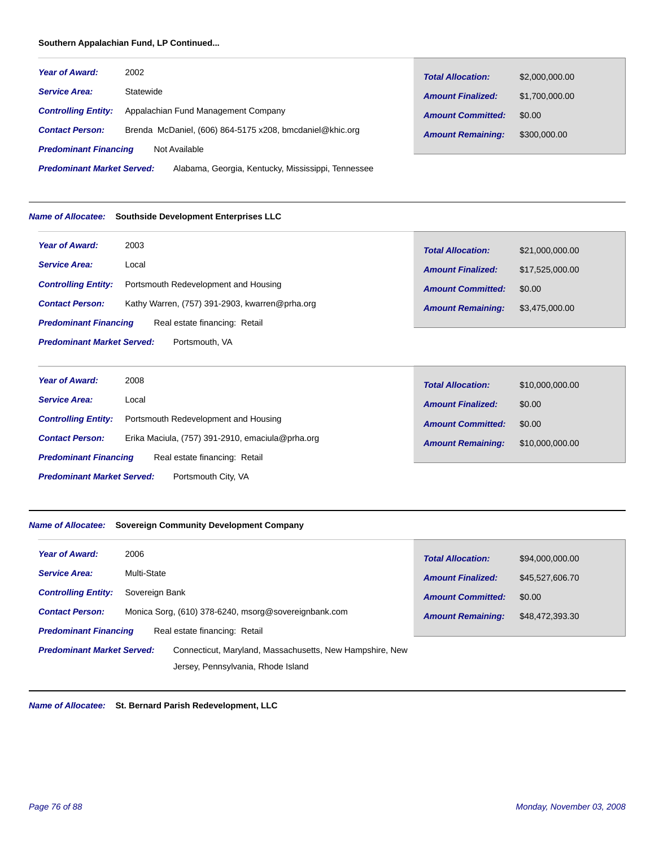# **Southern Appalachian Fund, LP Continued...**

| <b>Year of Award:</b>                                                                   | 2002                                                     | <b>Total Allocation:</b> | \$2,000,000.00 |
|-----------------------------------------------------------------------------------------|----------------------------------------------------------|--------------------------|----------------|
| <b>Service Area:</b>                                                                    | Statewide                                                | <b>Amount Finalized:</b> | \$1,700,000,00 |
| <b>Controlling Entity:</b>                                                              | Appalachian Fund Management Company                      | <b>Amount Committed:</b> | \$0.00         |
| <b>Contact Person:</b>                                                                  | Brenda McDaniel, (606) 864-5175 x208, bmcdaniel@khic.org | <b>Amount Remaining:</b> | \$300,000,00   |
| <b>Predominant Financing</b>                                                            | Not Available                                            |                          |                |
| <b>Predominant Market Served:</b><br>Alabama, Georgia, Kentucky, Mississippi, Tennessee |                                                          |                          |                |

# *Name of Allocatee:* **Southside Development Enterprises LLC**

| <b>Year of Award:</b>                               | 2003                                           | <b>Total Allocation:</b> | \$21,000,000.00 |
|-----------------------------------------------------|------------------------------------------------|--------------------------|-----------------|
| <b>Service Area:</b>                                | Local                                          | <b>Amount Finalized:</b> | \$17,525,000.00 |
| <b>Controlling Entity:</b>                          | Portsmouth Redevelopment and Housing           | <b>Amount Committed:</b> | \$0.00          |
| <b>Contact Person:</b>                              | Kathy Warren, (757) 391-2903, kwarren@prha.org | <b>Amount Remaining:</b> | \$3,475,000.00  |
| <b>Predominant Financing</b>                        | Real estate financing: Retail                  |                          |                 |
| <b>Predominant Market Served:</b><br>Portsmouth, VA |                                                |                          |                 |

| <b>Year of Award:</b>                                    | 2008                                             | <b>Total Allocation:</b> | \$10,000,000.00 |  |
|----------------------------------------------------------|--------------------------------------------------|--------------------------|-----------------|--|
| <b>Service Area:</b>                                     | Local                                            | <b>Amount Finalized:</b> | \$0.00          |  |
| <b>Controlling Entity:</b>                               | Portsmouth Redevelopment and Housing             | <b>Amount Committed:</b> | \$0.00          |  |
| <b>Contact Person:</b>                                   | Erika Maciula, (757) 391-2910, emaciula@prha.org | <b>Amount Remaining:</b> | \$10,000,000.00 |  |
| <b>Predominant Financing</b>                             | Real estate financing: Retail                    |                          |                 |  |
| <b>Predominant Market Served:</b><br>Portsmouth City, VA |                                                  |                          |                 |  |

Г

#### *Name of Allocatee:* **Sovereign Community Development Company**

| <b>Year of Award:</b>             | 2006           |                                                          | <b>Total Allocation:</b> | \$94,000,000.00 |  |
|-----------------------------------|----------------|----------------------------------------------------------|--------------------------|-----------------|--|
| <b>Service Area:</b>              | Multi-State    |                                                          | <b>Amount Finalized:</b> | \$45,527,606.70 |  |
| <b>Controlling Entity:</b>        | Sovereign Bank |                                                          | <b>Amount Committed:</b> | \$0.00          |  |
| <b>Contact Person:</b>            |                | Monica Sorg, (610) 378-6240, msorg@sovereignbank.com     | <b>Amount Remaining:</b> | \$48,472,393.30 |  |
| <b>Predominant Financing</b>      |                | Real estate financing: Retail                            |                          |                 |  |
| <b>Predominant Market Served:</b> |                | Connecticut, Maryland, Massachusetts, New Hampshire, New |                          |                 |  |
|                                   |                | Jersey, Pennsylvania, Rhode Island                       |                          |                 |  |

*Name of Allocatee:* **St. Bernard Parish Redevelopment, LLC**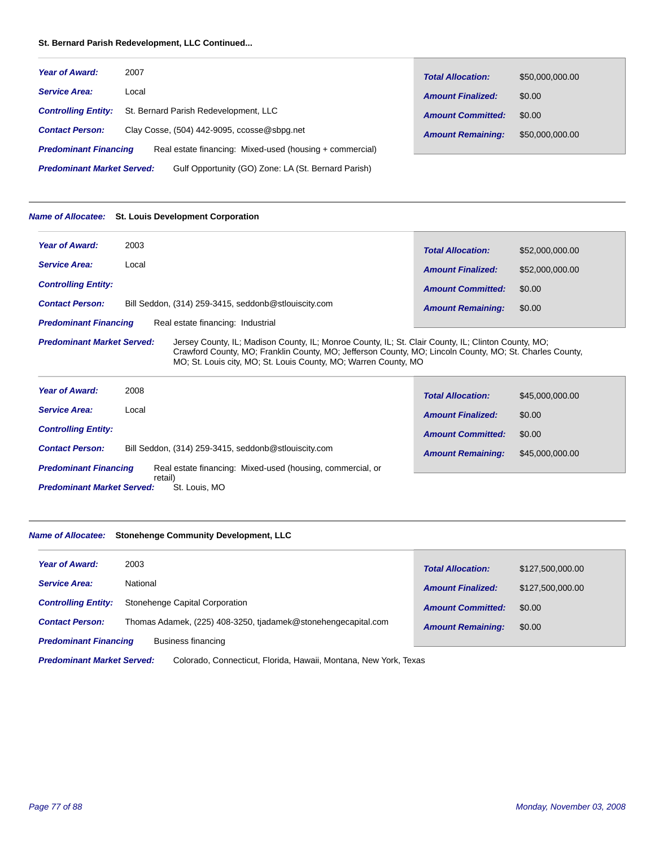#### **St. Bernard Parish Redevelopment, LLC Continued...**

| <b>Year of Award:</b>             | 2007                                                     | <b>Total Allocation:</b> | \$50,000,000.00 |
|-----------------------------------|----------------------------------------------------------|--------------------------|-----------------|
| <b>Service Area:</b>              | Local                                                    | <b>Amount Finalized:</b> | \$0.00          |
| <b>Controlling Entity:</b>        | St. Bernard Parish Redevelopment, LLC                    | <b>Amount Committed:</b> | \$0.00          |
| <b>Contact Person:</b>            | Clay Cosse, (504) 442-9095, ccosse@sbpg.net              | <b>Amount Remaining:</b> | \$50,000,000.00 |
| <b>Predominant Financing</b>      | Real estate financing: Mixed-used (housing + commercial) |                          |                 |
| <b>Predominant Market Served:</b> | Gulf Opportunity (GO) Zone: LA (St. Bernard Parish)      |                          |                 |

# *Name of Allocatee:* **St. Louis Development Corporation**

| <b>Year of Award:</b>                                                                                                                    | 2003                                                 | <b>Total Allocation:</b> | \$52,000,000,00 |
|------------------------------------------------------------------------------------------------------------------------------------------|------------------------------------------------------|--------------------------|-----------------|
| <b>Service Area:</b>                                                                                                                     | Local                                                | <b>Amount Finalized:</b> | \$52,000,000.00 |
| <b>Controlling Entity:</b>                                                                                                               |                                                      | <b>Amount Committed:</b> | \$0.00          |
| <b>Contact Person:</b>                                                                                                                   | Bill Seddon, (314) 259-3415, seddonb@stlouiscity.com | <b>Amount Remaining:</b> | \$0.00          |
| <b>Predominant Financing</b>                                                                                                             | Real estate financing: Industrial                    |                          |                 |
| <b>Predominant Market Served:</b><br>Jersey County, IL; Madison County, IL; Monroe County, IL; St. Clair County, IL; Clinton County, MO; |                                                      |                          |                 |

Crawford County, MO; Franklin County, MO; Jefferson County, MO; Lincoln County, MO; St. Charles County, MO; St. Louis city, MO; St. Louis County, MO; Warren County, MO

| <b>Year of Award:</b>             | 2008                                                       | <b>Total Allocation:</b> | \$45,000,000.00 |
|-----------------------------------|------------------------------------------------------------|--------------------------|-----------------|
| <b>Service Area:</b>              | Local                                                      | <b>Amount Finalized:</b> | \$0.00          |
| <b>Controlling Entity:</b>        |                                                            | <b>Amount Committed:</b> | \$0.00          |
| <b>Contact Person:</b>            | Bill Seddon, (314) 259-3415, seddonb@stlouiscity.com       | <b>Amount Remaining:</b> | \$45,000,000.00 |
| <b>Predominant Financing</b>      | Real estate financing: Mixed-used (housing, commercial, or |                          |                 |
| <b>Predominant Market Served:</b> | retail)<br>St. Louis, MO                                   |                          |                 |

# *Name of Allocatee:* **Stonehenge Community Development, LLC**

| <b>Year of Award:</b>        | 2003                                                          | <b>Total Allocation:</b> | \$127,500,000.00 |
|------------------------------|---------------------------------------------------------------|--------------------------|------------------|
| <b>Service Area:</b>         | National                                                      | <b>Amount Finalized:</b> | \$127,500,000.00 |
| <b>Controlling Entity:</b>   | Stonehenge Capital Corporation                                | <b>Amount Committed:</b> | \$0.00           |
| <b>Contact Person:</b>       | Thomas Adamek, (225) 408-3250, tjadamek@stonehengecapital.com | <b>Amount Remaining:</b> | \$0.00           |
| <b>Predominant Financing</b> | Business financing                                            |                          |                  |

Colorado, Connecticut, Florida, Hawaii, Montana, New York, Texas *Predominant Market Served:*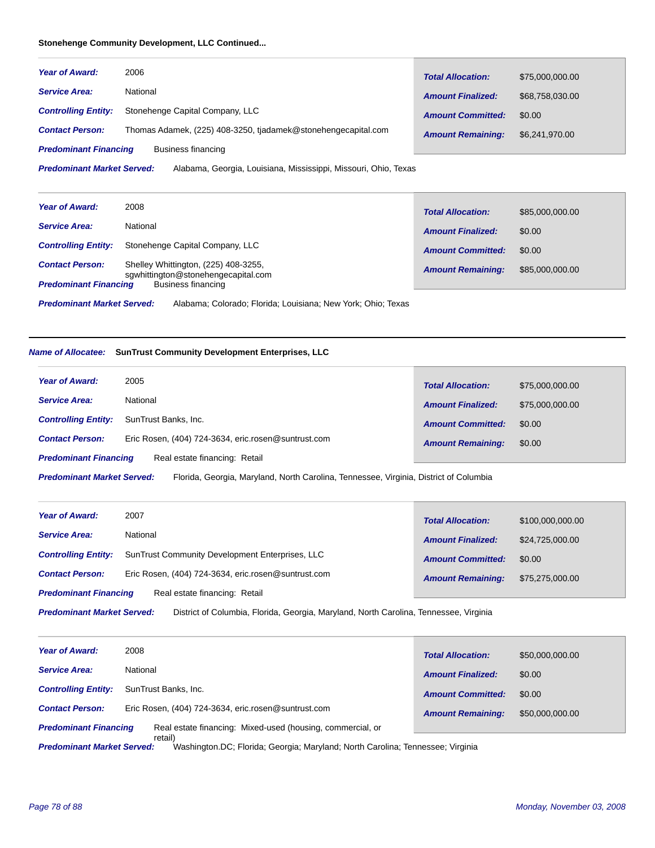#### **Stonehenge Community Development, LLC Continued...**

| <b>Year of Award:</b>        | 2006                                                          | <b>Total Allocation:</b> | \$75,000,000.00 |
|------------------------------|---------------------------------------------------------------|--------------------------|-----------------|
| <b>Service Area:</b>         | National                                                      | <b>Amount Finalized:</b> | \$68,758,030.00 |
| <b>Controlling Entity:</b>   | Stonehenge Capital Company, LLC                               | <b>Amount Committed:</b> | \$0.00          |
| <b>Contact Person:</b>       | Thomas Adamek, (225) 408-3250, tjadamek@stonehengecapital.com | <b>Amount Remaining:</b> | \$6,241,970.00  |
| <b>Predominant Financing</b> | Business financing                                            |                          |                 |

Alabama, Georgia, Louisiana, Mississippi, Missouri, Ohio, Texas *Predominant Market Served:*

| <b>Year of Award:</b>        | 2008                                                                        | <b>Total Allocation:</b> | \$85,000,000.00 |
|------------------------------|-----------------------------------------------------------------------------|--------------------------|-----------------|
| <b>Service Area:</b>         | National                                                                    | <b>Amount Finalized:</b> | \$0.00          |
| <b>Controlling Entity:</b>   | Stonehenge Capital Company, LLC                                             | <b>Amount Committed:</b> | \$0.00          |
| <b>Contact Person:</b>       | Shelley Whittington, (225) 408-3255,<br>sqwhittington@stonehengecapital.com | <b>Amount Remaining:</b> | \$85,000,000.00 |
| <b>Predominant Financing</b> | Business financing                                                          |                          |                 |

Alabama; Colorado; Florida; Louisiana; New York; Ohio; Texas *Predominant Market Served:*

# *Name of Allocatee:* **SunTrust Community Development Enterprises, LLC**

| <b>Year of Award:</b>        | 2005                                                | <b>Total Allocation:</b> | \$75,000,000.00 |
|------------------------------|-----------------------------------------------------|--------------------------|-----------------|
| <b>Service Area:</b>         | National                                            | <b>Amount Finalized:</b> | \$75,000,000.00 |
| <b>Controlling Entity:</b>   | SunTrust Banks, Inc.                                | <b>Amount Committed:</b> | \$0.00          |
| <b>Contact Person:</b>       | Eric Rosen, (404) 724-3634, eric.rosen@suntrust.com | <b>Amount Remaining:</b> | \$0.00          |
| <b>Predominant Financing</b> | Real estate financing: Retail                       |                          |                 |

Florida, Georgia, Maryland, North Carolina, Tennessee, Virginia, District of Columbia *Predominant Market Served:*

| <b>Year of Award:</b>        | 2007                                                   | <b>Total Allocation:</b> | \$100,000,000.00 |
|------------------------------|--------------------------------------------------------|--------------------------|------------------|
| <b>Service Area:</b>         | National                                               | <b>Amount Finalized:</b> | \$24,725,000.00  |
| <b>Controlling Entity:</b>   | <b>SunTrust Community Development Enterprises, LLC</b> | <b>Amount Committed:</b> | \$0.00           |
| <b>Contact Person:</b>       | Eric Rosen, (404) 724-3634, eric.rosen@suntrust.com    | <b>Amount Remaining:</b> | \$75,275,000.00  |
| <b>Predominant Financing</b> | Real estate financing: Retail                          |                          |                  |
|                              |                                                        |                          |                  |

District of Columbia, Florida, Georgia, Maryland, North Carolina, Tennessee, Virginia *Predominant Market Served:*

| <b>Year of Award:</b>        | 2008                                                       | <b>Total Allocation:</b> | \$50,000,000.00 |
|------------------------------|------------------------------------------------------------|--------------------------|-----------------|
| <b>Service Area:</b>         | National                                                   | <b>Amount Finalized:</b> | \$0.00          |
| <b>Controlling Entity:</b>   | SunTrust Banks, Inc.                                       | <b>Amount Committed:</b> | \$0.00          |
| <b>Contact Person:</b>       | Eric Rosen, (404) 724-3634, eric.rosen@suntrust.com        | <b>Amount Remaining:</b> | \$50,000,000.00 |
| <b>Predominant Financing</b> | Real estate financing: Mixed-used (housing, commercial, or |                          |                 |
|                              | retail)                                                    |                          |                 |

Washington.DC; Florida; Georgia; Maryland; North Carolina; Tennessee; Virginia *Predominant Market Served:*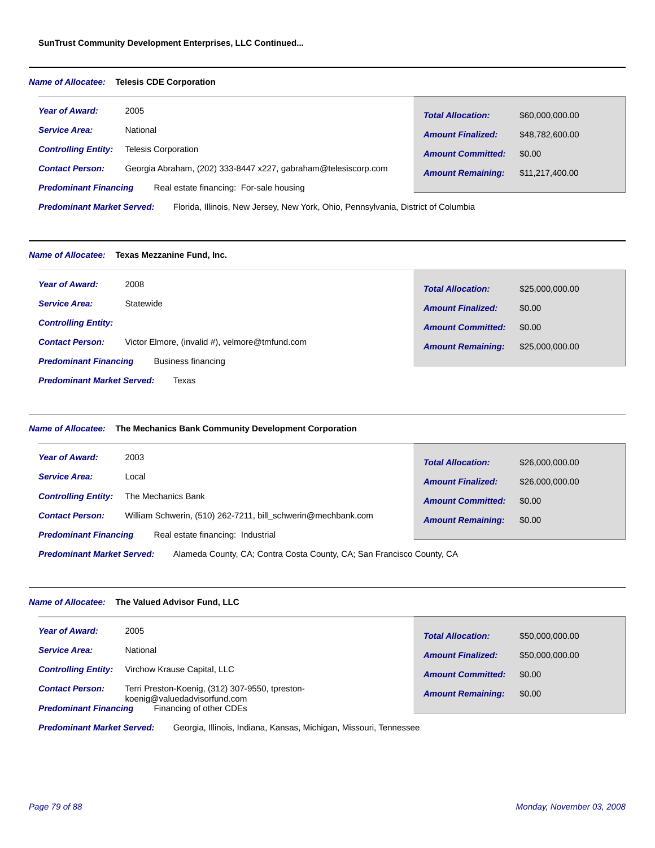#### *Name of Allocatee:* **Telesis CDE Corporation**

| <b>Year of Award:</b>             | 2005                                                                              | <b>Total Allocation:</b> | \$60,000,000.00 |
|-----------------------------------|-----------------------------------------------------------------------------------|--------------------------|-----------------|
| <b>Service Area:</b>              | National                                                                          | <b>Amount Finalized:</b> | \$48,782,600,00 |
| <b>Controlling Entity:</b>        | <b>Telesis Corporation</b>                                                        | <b>Amount Committed:</b> | \$0.00          |
| <b>Contact Person:</b>            | Georgia Abraham, (202) 333-8447 x227, gabraham@telesiscorp.com                    | <b>Amount Remaining:</b> | \$11,217,400.00 |
| <b>Predominant Financing</b>      | Real estate financing: For-sale housing                                           |                          |                 |
| <b>Predominant Market Served:</b> | Florida, Illinois, New Jersey, New York, Ohio, Pennsylvania, District of Columbia |                          |                 |

#### *Name of Allocatee:* **Texas Mezzanine Fund, Inc.**

| <b>Year of Award:</b><br>2008                                            | <b>Total Allocation:</b> | \$25,000,000.00 |
|--------------------------------------------------------------------------|--------------------------|-----------------|
| Statewide<br><b>Service Area:</b>                                        | <b>Amount Finalized:</b> | \$0.00          |
| <b>Controlling Entity:</b>                                               | <b>Amount Committed:</b> | \$0.00          |
| Victor Elmore, (invalid #), velmore@tmfund.com<br><b>Contact Person:</b> | <b>Amount Remaining:</b> | \$25,000,000.00 |
| <b>Predominant Financing</b><br>Business financing                       |                          |                 |
| <b>Predominant Market Served:</b><br>Texas                               |                          |                 |

#### *Name of Allocatee:* **The Mechanics Bank Community Development Corporation** 2003 Local *Year of Award: Service Area: Total Allocation: Amount Finalized: Amount Committed: Amount Remaining:* \$26,000,000.00 \$26,000,000.00 \$0.00 Contact Person: William Schwerin, (510) 262-7211, bill\_schwerin@mechbank.com **Amount Remaining:** \$0.00 *Controlling Entity:* The Mechanics Bank

*Predominant Financing* Real estate financing: Industrial

Alameda County, CA; Contra Costa County, CA; San Francisco County, CA *Predominant Market Served:*

#### *Name of Allocatee:* **The Valued Advisor Fund, LLC**

| <b>Year of Award:</b>                                  | 2005                                                                                                       | <b>Total Allocation:</b> | \$50,000,000.00 |
|--------------------------------------------------------|------------------------------------------------------------------------------------------------------------|--------------------------|-----------------|
| <b>Service Area:</b>                                   | National                                                                                                   | <b>Amount Finalized:</b> | \$50,000,000.00 |
| <b>Controlling Entity:</b>                             | Virchow Krause Capital, LLC                                                                                | <b>Amount Committed:</b> | \$0.00          |
| <b>Contact Person:</b><br><b>Predominant Financing</b> | Terri Preston-Koenig, (312) 307-9550, tpreston-<br>koenig@valuedadvisorfund.com<br>Financing of other CDEs | <b>Amount Remaining:</b> | \$0.00          |

Georgia, Illinois, Indiana, Kansas, Michigan, Missouri, Tennessee *Predominant Market Served:*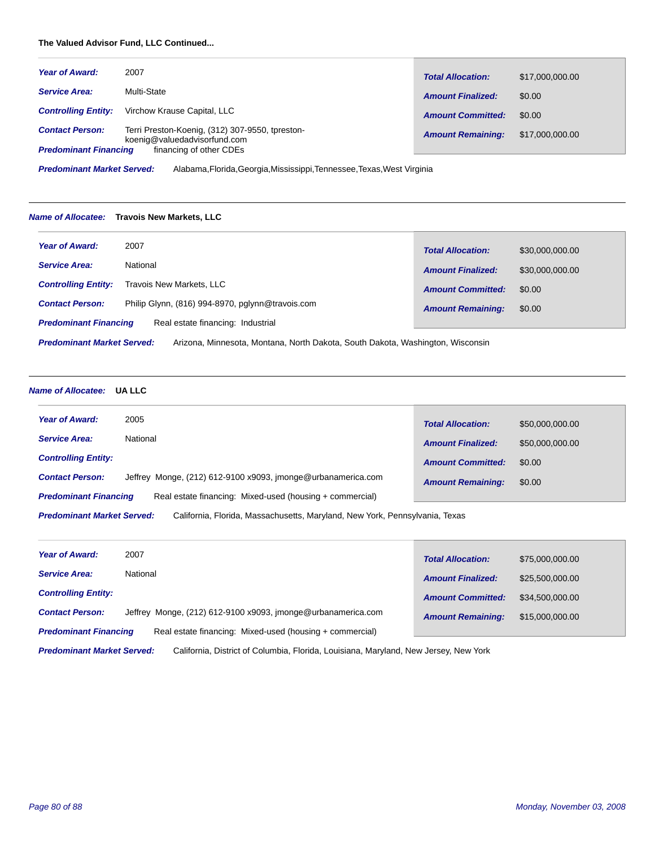# **The Valued Advisor Fund, LLC Continued...**

| <b>Year of Award:</b>                                  | 2007                                                                                                       | <b>Total Allocation:</b> | \$17,000,000.00 |
|--------------------------------------------------------|------------------------------------------------------------------------------------------------------------|--------------------------|-----------------|
| <b>Service Area:</b>                                   | Multi-State                                                                                                | <b>Amount Finalized:</b> | \$0.00          |
| <b>Controlling Entity:</b>                             | Virchow Krause Capital, LLC                                                                                | <b>Amount Committed:</b> | \$0.00          |
| <b>Contact Person:</b><br><b>Predominant Financing</b> | Terri Preston-Koenig, (312) 307-9550, tpreston-<br>koenig@valuedadvisorfund.com<br>financing of other CDEs | <b>Amount Remaining:</b> | \$17,000,000.00 |

Alabama,Florida,Georgia,Mississippi,Tennessee,Texas,West Virginia *Predominant Market Served:*

#### *Name of Allocatee:* **Travois New Markets, LLC**

| <b>Year of Award:</b>                                                                                         | 2007                                             | <b>Total Allocation:</b> | \$30,000,000.00 |
|---------------------------------------------------------------------------------------------------------------|--------------------------------------------------|--------------------------|-----------------|
| <b>Service Area:</b>                                                                                          | National                                         | <b>Amount Finalized:</b> | \$30,000,000,00 |
| <b>Controlling Entity:</b>                                                                                    | Travois New Markets, LLC                         | <b>Amount Committed:</b> | \$0.00          |
| <b>Contact Person:</b>                                                                                        | Philip Glynn, (816) 994-8970, pglynn@travois.com | <b>Amount Remaining:</b> | \$0.00          |
| <b>Predominant Financing</b>                                                                                  | Real estate financing: Industrial                |                          |                 |
| <b>Dradominant Market Served:</b><br>Arizona Minnesota Montana North Dakota South Dakota Washington Wisconsin |                                                  |                          |                 |

Arizona, Minnesota, Montana, North Dakota, South Dakota, Washington, Wisconsin *Predominant Market Served:*

# *Name of Allocatee:* **UA LLC**

| <b>Year of Award:</b><br>2005                                                            | <b>Total Allocation:</b> | \$50,000,000.00 |
|------------------------------------------------------------------------------------------|--------------------------|-----------------|
| National<br><b>Service Area:</b>                                                         | <b>Amount Finalized:</b> | \$50,000,000,00 |
| <b>Controlling Entity:</b>                                                               | <b>Amount Committed:</b> | \$0.00          |
| Jeffrey Monge, (212) 612-9100 x9093, imonge@urbanamerica.com<br><b>Contact Person:</b>   | <b>Amount Remaining:</b> | \$0.00          |
| Real estate financing: Mixed-used (housing + commercial)<br><b>Predominant Financing</b> |                          |                 |
|                                                                                          |                          |                 |

California, Florida, Massachusetts, Maryland, New York, Pennsylvania, Texas *Predominant Market Served:*

| <b>Year of Award:</b>        | 2007                                                         | <b>Total Allocation:</b> | \$75,000,000.00 |
|------------------------------|--------------------------------------------------------------|--------------------------|-----------------|
| <b>Service Area:</b>         | National                                                     | <b>Amount Finalized:</b> | \$25,500,000.00 |
| <b>Controlling Entity:</b>   |                                                              | <b>Amount Committed:</b> | \$34,500,000,00 |
| <b>Contact Person:</b>       | Jeffrey Monge, (212) 612-9100 x9093, imonge@urbanamerica.com | <b>Amount Remaining:</b> | \$15,000,000,00 |
| <b>Predominant Financing</b> | Real estate financing: Mixed-used (housing + commercial)     |                          |                 |

California, District of Columbia, Florida, Louisiana, Maryland, New Jersey, New York *Predominant Market Served:*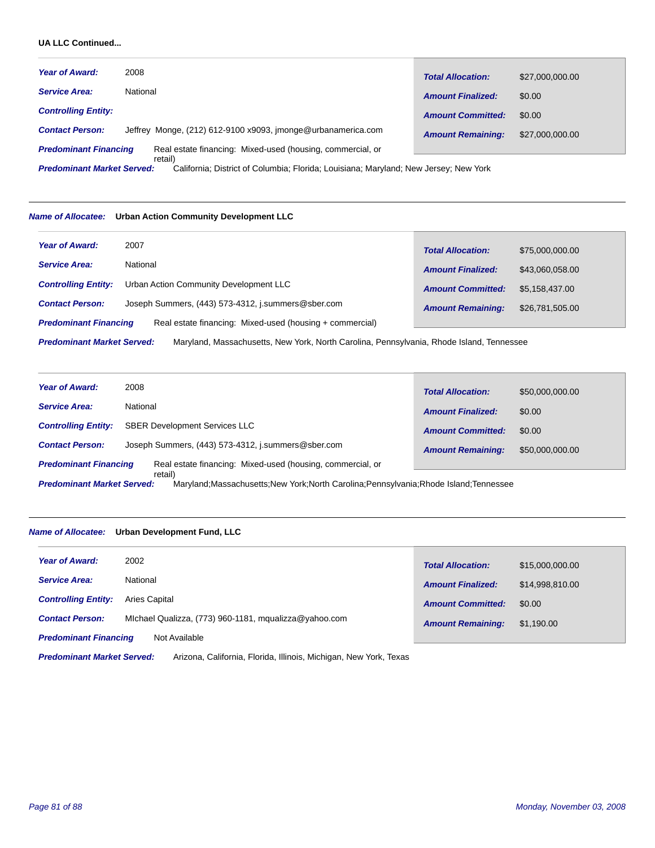# **UA LLC Continued...**

| <b>Year of Award:</b>                     | 2008                                                                                                                                                                          | <b>Total Allocation:</b> | \$27,000,000.00 |
|-------------------------------------------|-------------------------------------------------------------------------------------------------------------------------------------------------------------------------------|--------------------------|-----------------|
| <b>Service Area:</b>                      | National                                                                                                                                                                      | <b>Amount Finalized:</b> | \$0.00          |
| <b>Controlling Entity:</b>                |                                                                                                                                                                               | <b>Amount Committed:</b> | \$0.00          |
| <b>Contact Person:</b>                    | Jeffrey Monge, (212) 612-9100 x9093, imonge@urbanamerica.com                                                                                                                  | <b>Amount Remaining:</b> | \$27,000,000.00 |
| <b>Predominant Financing</b>              | Real estate financing: Mixed-used (housing, commercial, or                                                                                                                    |                          |                 |
| The continuation of the collect Common of | retail)<br>$\bigcap$ -Pf. and $\bigcap$ - $\bigcap$ -there is the $\bigcap$ -th state of a state of a state of a state of a state of $\bigcap$ -there is a state of $\bigcap$ |                          |                 |

California; District of Columbia; Florida; Louisiana; Maryland; New Jersey; New York *Predominant Market Served:*

#### *Name of Allocatee:* **Urban Action Community Development LLC**

| <b>Year of Award:</b>                                                                                                         | 2007                                                     | <b>Total Allocation:</b> | \$75,000,000.00 |
|-------------------------------------------------------------------------------------------------------------------------------|----------------------------------------------------------|--------------------------|-----------------|
| <b>Service Area:</b>                                                                                                          | National                                                 | <b>Amount Finalized:</b> | \$43,060,058.00 |
| <b>Controlling Entity:</b>                                                                                                    | Urban Action Community Development LLC                   | <b>Amount Committed:</b> | \$5.158.437.00  |
| <b>Contact Person:</b>                                                                                                        | Joseph Summers, (443) 573-4312, j.summers@sber.com       | <b>Amount Remaining:</b> | \$26,781,505.00 |
| <b>Predominant Financing</b>                                                                                                  | Real estate financing: Mixed-used (housing + commercial) |                          |                 |
| <b>Predominant Market Served:</b><br>Maryland, Massachusetts, New York, North Carolina, Pennsylvania, Rhode Island, Tennessee |                                                          |                          |                 |

| <b>Year of Award:</b>                                                                                                                    | 2008                                                       | <b>Total Allocation:</b> | \$50,000,000.00 |
|------------------------------------------------------------------------------------------------------------------------------------------|------------------------------------------------------------|--------------------------|-----------------|
| <b>Service Area:</b>                                                                                                                     | National                                                   | <b>Amount Finalized:</b> | \$0.00          |
| <b>Controlling Entity:</b>                                                                                                               | <b>SBER Development Services LLC</b>                       | <b>Amount Committed:</b> | \$0.00          |
| <b>Contact Person:</b>                                                                                                                   | Joseph Summers, (443) 573-4312, j.summers@sber.com         | <b>Amount Remaining:</b> | \$50,000,000.00 |
| <b>Predominant Financing</b>                                                                                                             | Real estate financing: Mixed-used (housing, commercial, or |                          |                 |
| retail)<br><b>Predominant Market Served:</b><br>Maryland: Massachusetts: New York: North Carolina: Pennsylvania: Rhode Island: Tennessee |                                                            |                          |                 |

# *Name of Allocatee:* **Urban Development Fund, LLC**

| <b>Year of Award:</b>        | 2002                                                  | <b>Total Allocation:</b> | \$15,000,000.00 |
|------------------------------|-------------------------------------------------------|--------------------------|-----------------|
| <b>Service Area:</b>         | National                                              | <b>Amount Finalized:</b> | \$14.998.810.00 |
| <b>Controlling Entity:</b>   | Aries Capital                                         | <b>Amount Committed:</b> | \$0.00          |
| <b>Contact Person:</b>       | Michael Qualizza, (773) 960-1181, mqualizza@yahoo.com | <b>Amount Remaining:</b> | \$1,190.00      |
| <b>Predominant Financing</b> | Not Available                                         |                          |                 |

Arizona, California, Florida, Illinois, Michigan, New York, Texas *Predominant Market Served:*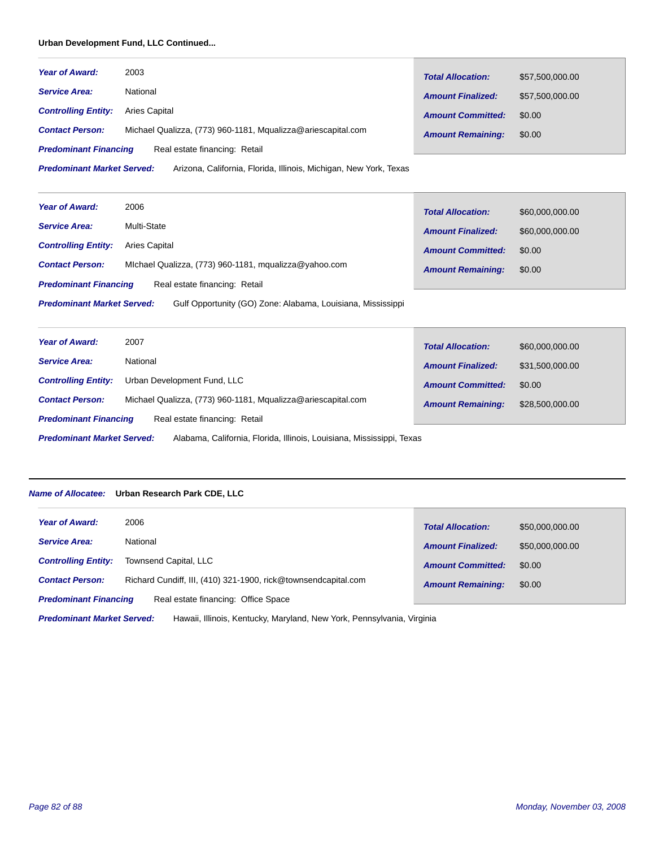#### **Urban Development Fund, LLC Continued...**

| <b>Year of Award:</b>                                                                                  | 2003                                                         | <b>Total Allocation:</b> | \$57,500,000.00 |
|--------------------------------------------------------------------------------------------------------|--------------------------------------------------------------|--------------------------|-----------------|
| <b>Service Area:</b>                                                                                   | National                                                     | <b>Amount Finalized:</b> | \$57,500,000.00 |
| <b>Controlling Entity:</b>                                                                             | Aries Capital                                                | <b>Amount Committed:</b> | \$0.00          |
| <b>Contact Person:</b>                                                                                 | Michael Qualizza, (773) 960-1181, Mqualizza@ariescapital.com | <b>Amount Remaining:</b> | \$0.00          |
| Real estate financing: Retail<br><b>Predominant Financing</b>                                          |                                                              |                          |                 |
| <b>Predominant Market Served:</b><br>Arizona, California, Florida, Illinois, Michigan, New York, Texas |                                                              |                          |                 |

2006 Multi-State *Year of Award: Service Area: Predominant Financing Total Allocation: Amount Finalized: Amount Committed: Amount Remaining:* \$60,000,000.00 \$60,000,000.00 \$0.00 **Contact Person:** Michael Qualizza, (773) 960-1181, mqualizza@yahoo.com **Amount Remaining:** \$0.00 *Controlling Entity:* Aries Capital Real estate financing: Retail

Gulf Opportunity (GO) Zone: Alabama, Louisiana, Mississippi *Predominant Market Served:*

| <b>Year of Award:</b>                                                                                      | 2007                                                         | <b>Total Allocation:</b> | \$60,000,000.00 |  |
|------------------------------------------------------------------------------------------------------------|--------------------------------------------------------------|--------------------------|-----------------|--|
| <b>Service Area:</b>                                                                                       | National                                                     | <b>Amount Finalized:</b> | \$31,500,000.00 |  |
| <b>Controlling Entity:</b>                                                                                 | Urban Development Fund, LLC                                  | <b>Amount Committed:</b> | \$0.00          |  |
| <b>Contact Person:</b>                                                                                     | Michael Qualizza, (773) 960-1181, Mqualizza@ariescapital.com | <b>Amount Remaining:</b> | \$28,500,000.00 |  |
| Real estate financing: Retail<br><b>Predominant Financing</b>                                              |                                                              |                          |                 |  |
| Alabama, California, Florida, Illinois, Louisiana, Mississippi, Texas<br><b>Predominant Market Served:</b> |                                                              |                          |                 |  |

# *Name of Allocatee:* **Urban Research Park CDE, LLC**

| <b>Year of Award:</b>        | 2006                                                           | <b>Total Allocation:</b> | \$50,000,000.00 |
|------------------------------|----------------------------------------------------------------|--------------------------|-----------------|
| <b>Service Area:</b>         | National                                                       | <b>Amount Finalized:</b> | \$50,000,000.00 |
| <b>Controlling Entity:</b>   | Townsend Capital, LLC                                          | <b>Amount Committed:</b> | \$0.00          |
| <b>Contact Person:</b>       | Richard Cundiff, III, (410) 321-1900, rick@townsendcapital.com | <b>Amount Remaining:</b> | \$0.00          |
| <b>Predominant Financing</b> | Real estate financing: Office Space                            |                          |                 |

Hawaii, Illinois, Kentucky, Maryland, New York, Pennsylvania, Virginia *Predominant Market Served:*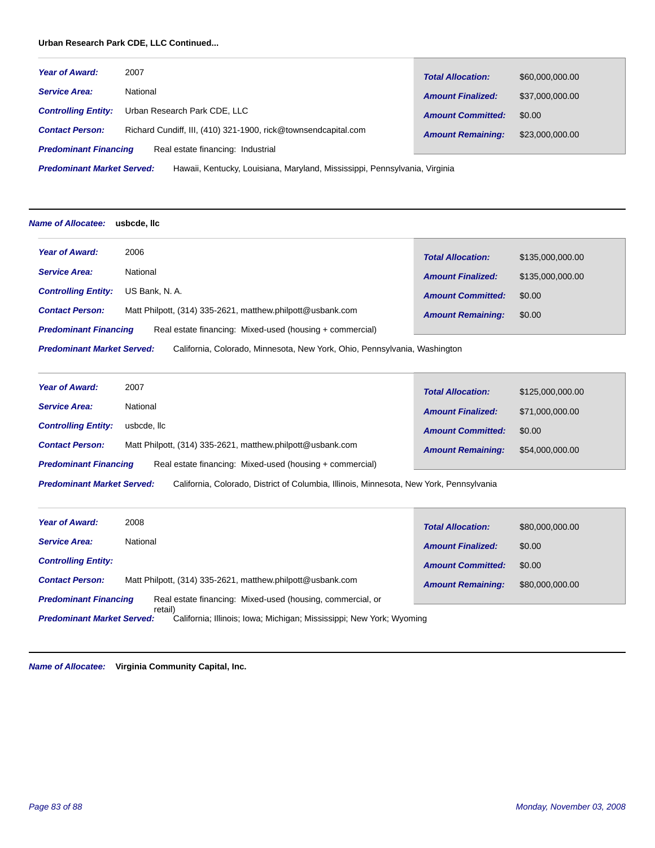# **Urban Research Park CDE, LLC Continued...**

| <b>Year of Award:</b>        | 2007                                                           | <b>Total Allocation:</b> | \$60,000,000.00 |
|------------------------------|----------------------------------------------------------------|--------------------------|-----------------|
| <b>Service Area:</b>         | National                                                       | <b>Amount Finalized:</b> | \$37,000,000.00 |
| <b>Controlling Entity:</b>   | Urban Research Park CDE, LLC                                   | <b>Amount Committed:</b> | \$0.00          |
| <b>Contact Person:</b>       | Richard Cundiff, III, (410) 321-1900, rick@townsendcapital.com | <b>Amount Remaining:</b> | \$23,000,000.00 |
| <b>Predominant Financing</b> | Real estate financing: Industrial                              |                          |                 |
|                              |                                                                |                          |                 |

Hawaii, Kentucky, Louisiana, Maryland, Mississippi, Pennsylvania, Virginia *Predominant Market Served:*

#### *Name of Allocatee:* **usbcde, llc**

| <b>Year of Award:</b>                                                                                          | 2006                                                       | <b>Total Allocation:</b> | \$135,000,000.00 |  |
|----------------------------------------------------------------------------------------------------------------|------------------------------------------------------------|--------------------------|------------------|--|
| <b>Service Area:</b>                                                                                           | National                                                   | <b>Amount Finalized:</b> | \$135,000,000,00 |  |
| <b>Controlling Entity:</b>                                                                                     | US Bank, N.A.                                              | <b>Amount Committed:</b> | \$0.00           |  |
| <b>Contact Person:</b>                                                                                         | Matt Philpott, (314) 335-2621, matthew.philpott@usbank.com | <b>Amount Remaining:</b> | \$0.00           |  |
| Real estate financing: Mixed-used (housing + commercial)<br><b>Predominant Financing</b>                       |                                                            |                          |                  |  |
| <b>Predominant Market Served:</b><br>California, Colorado, Minnesota, New York, Ohio, Pennsylvania, Washington |                                                            |                          |                  |  |

| <b>Year of Award:</b>        | 2007                                                       | <b>Total Allocation:</b> | \$125,000,000.00 |
|------------------------------|------------------------------------------------------------|--------------------------|------------------|
| <b>Service Area:</b>         | National                                                   | <b>Amount Finalized:</b> | \$71,000,000.00  |
| <b>Controlling Entity:</b>   | usbcde. Ilc                                                | <b>Amount Committed:</b> | \$0.00           |
| <b>Contact Person:</b>       | Matt Philpott, (314) 335-2621, matthew.philpott@usbank.com | <b>Amount Remaining:</b> | \$54,000,000.00  |
| <b>Predominant Financing</b> | Real estate financing: Mixed-used (housing + commercial)   |                          |                  |

California, Colorado, District of Columbia, Illinois, Minnesota, New York, Pennsylvania *Predominant Market Served:*

| <b>Year of Award:</b>                                                                                                | 2008                                                       | <b>Total Allocation:</b> | \$80,000,000.00 |
|----------------------------------------------------------------------------------------------------------------------|------------------------------------------------------------|--------------------------|-----------------|
| <b>Service Area:</b>                                                                                                 | National                                                   | <b>Amount Finalized:</b> | \$0.00          |
| <b>Controlling Entity:</b>                                                                                           |                                                            | <b>Amount Committed:</b> | \$0.00          |
| <b>Contact Person:</b>                                                                                               | Matt Philpott, (314) 335-2621, matthew.philpott@usbank.com | <b>Amount Remaining:</b> | \$80,000,000.00 |
| Real estate financing: Mixed-used (housing, commercial, or<br><b>Predominant Financing</b>                           |                                                            |                          |                 |
| retail)<br><b>Predominant Market Served:</b><br>California; Illinois; Iowa; Michigan; Mississippi; New York; Wyoming |                                                            |                          |                 |

*Name of Allocatee:* **Virginia Community Capital, Inc.**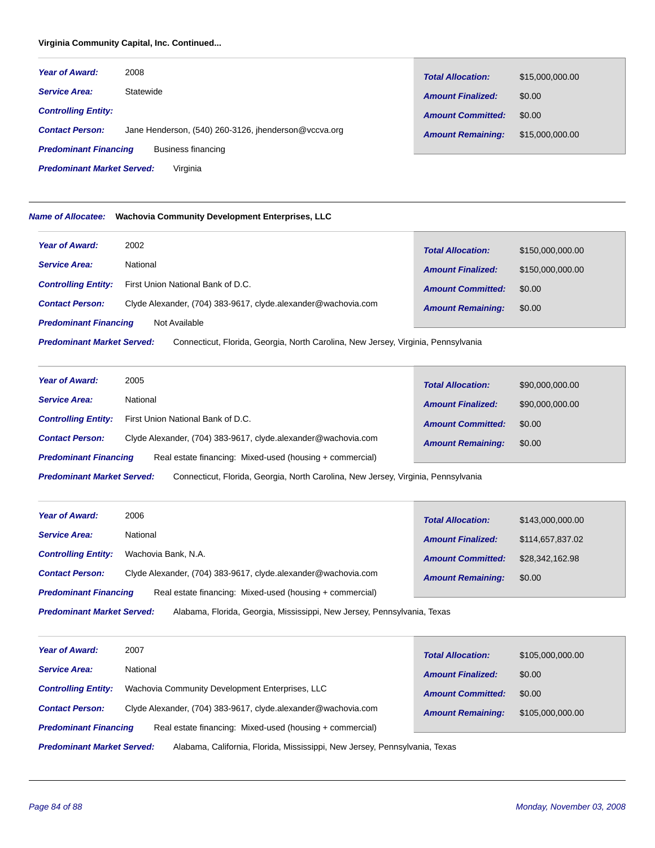# **Virginia Community Capital, Inc. Continued...**

| <b>Year of Award:</b>                              | 2008                                                 | <b>Total Allocation:</b> | \$15,000,000.00 |
|----------------------------------------------------|------------------------------------------------------|--------------------------|-----------------|
| <b>Service Area:</b>                               | Statewide                                            | <b>Amount Finalized:</b> | \$0.00          |
| <b>Controlling Entity:</b>                         |                                                      | <b>Amount Committed:</b> | \$0.00          |
| <b>Contact Person:</b>                             | Jane Henderson, (540) 260-3126, ihenderson@vccva.org | <b>Amount Remaining:</b> | \$15,000,000.00 |
| <b>Predominant Financing</b><br>Business financing |                                                      |                          |                 |

Virginia *Predominant Market Served:*

# *Name of Allocatee:* **Wachovia Community Development Enterprises, LLC**

| <b>Year of Award:</b>                                                                                                  | 2002                                                          | <b>Total Allocation:</b> | \$150,000,000.00 |  |
|------------------------------------------------------------------------------------------------------------------------|---------------------------------------------------------------|--------------------------|------------------|--|
| <b>Service Area:</b>                                                                                                   | National                                                      | <b>Amount Finalized:</b> | \$150,000,000.00 |  |
| <b>Controlling Entity:</b>                                                                                             | First Union National Bank of D.C.                             | <b>Amount Committed:</b> | \$0.00           |  |
| <b>Contact Person:</b>                                                                                                 | Clyde Alexander, (704) 383-9617, clyde alexander@wachovia.com | <b>Amount Remaining:</b> | \$0.00           |  |
| <b>Predominant Financing</b><br>Not Available                                                                          |                                                               |                          |                  |  |
| <b>Predominant Market Served:</b><br>Connecticut, Florida, Georgia, North Carolina, New Jersey, Virginia, Pennsylvania |                                                               |                          |                  |  |

| <b>Year of Award:</b>        | 2005                                                          | <b>Total Allocation:</b> | \$90,000,000.00 |
|------------------------------|---------------------------------------------------------------|--------------------------|-----------------|
| <b>Service Area:</b>         | National                                                      | <b>Amount Finalized:</b> | \$90,000,000.00 |
| <b>Controlling Entity:</b>   | First Union National Bank of D.C.                             | <b>Amount Committed:</b> | \$0.00          |
| <b>Contact Person:</b>       | Clyde Alexander, (704) 383-9617, clyde alexander@wachovia.com | <b>Amount Remaining:</b> | \$0.00          |
| <b>Predominant Financing</b> | Real estate financing: Mixed-used (housing + commercial)      |                          |                 |
|                              |                                                               |                          |                 |

Connecticut, Florida, Georgia, North Carolina, New Jersey, Virginia, Pennsylvania *Predominant Market Served:*

| <b>Year of Award:</b>                                                                                        | 2006                                                          | <b>Total Allocation:</b> | \$143,000,000.00 |  |
|--------------------------------------------------------------------------------------------------------------|---------------------------------------------------------------|--------------------------|------------------|--|
| <b>Service Area:</b>                                                                                         | National                                                      | <b>Amount Finalized:</b> | \$114,657,837.02 |  |
| <b>Controlling Entity:</b>                                                                                   | Wachovia Bank, N.A.                                           | <b>Amount Committed:</b> | \$28,342,162.98  |  |
| <b>Contact Person:</b>                                                                                       | Clyde Alexander, (704) 383-9617, clyde alexander@wachovia.com | <b>Amount Remaining:</b> | \$0.00           |  |
| <b>Predominant Financing</b><br>Real estate financing: Mixed-used (housing + commercial)                     |                                                               |                          |                  |  |
| <b>Predominant Market Served:</b><br>Alabama, Florida, Georgia, Mississippi, New Jersey, Pennsylvania, Texas |                                                               |                          |                  |  |

| <b>Year of Award:</b>        | 2007                                                          | <b>Total Allocation:</b> | \$105,000,000.00 |
|------------------------------|---------------------------------------------------------------|--------------------------|------------------|
| <b>Service Area:</b>         | National                                                      | <b>Amount Finalized:</b> | \$0.00           |
| <b>Controlling Entity:</b>   | Wachovia Community Development Enterprises, LLC               | <b>Amount Committed:</b> | \$0.00           |
| <b>Contact Person:</b>       | Clyde Alexander, (704) 383-9617, clyde.alexander@wachovia.com | <b>Amount Remaining:</b> | \$105,000,000.00 |
| <b>Predominant Financing</b> | Real estate financing: Mixed-used (housing + commercial)      |                          |                  |
|                              |                                                               |                          |                  |

Alabama, California, Florida, Mississippi, New Jersey, Pennsylvania, Texas *Predominant Market Served:*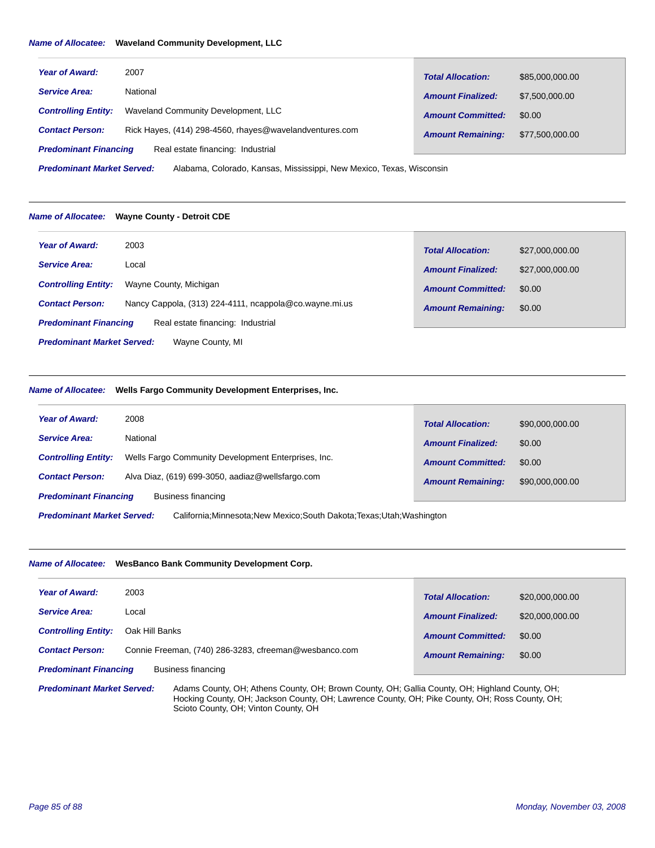#### *Name of Allocatee:* **Waveland Community Development, LLC**

| <b>Year of Award:</b>        | 2007                                                    | <b>Total Allocation:</b> | \$85,000,000.00 |
|------------------------------|---------------------------------------------------------|--------------------------|-----------------|
| <b>Service Area:</b>         | National                                                | <b>Amount Finalized:</b> | \$7,500,000.00  |
| <b>Controlling Entity:</b>   | Waveland Community Development, LLC                     | <b>Amount Committed:</b> | \$0.00          |
| <b>Contact Person:</b>       | Rick Hayes, (414) 298-4560, rhayes@wavelandventures.com | <b>Amount Remaining:</b> | \$77,500,000.00 |
| <b>Predominant Financing</b> | Real estate financing: Industrial                       |                          |                 |

Alabama, Colorado, Kansas, Mississippi, New Mexico, Texas, Wisconsin *Predominant Market Served:*

#### *Name of Allocatee:* **Wayne County - Detroit CDE**

| <b>Year of Award:</b>                                 | 2003                                                   | <b>Total Allocation:</b> | \$27,000,000.00 |  |
|-------------------------------------------------------|--------------------------------------------------------|--------------------------|-----------------|--|
| <b>Service Area:</b>                                  | Local                                                  | <b>Amount Finalized:</b> | \$27,000,000.00 |  |
| <b>Controlling Entity:</b>                            | Wayne County, Michigan                                 | <b>Amount Committed:</b> | \$0.00          |  |
| <b>Contact Person:</b>                                | Nancy Cappola, (313) 224-4111, ncappola@co.wayne.mi.us | <b>Amount Remaining:</b> | \$0.00          |  |
| <b>Predominant Financing</b>                          | Real estate financing: Industrial                      |                          |                 |  |
| <b>Predominant Market Served:</b><br>Wayne County, MI |                                                        |                          |                 |  |

#### *Name of Allocatee:* **Wells Fargo Community Development Enterprises, Inc.**

| <b>Year of Award:</b>        | 2008                                                | <b>Total Allocation:</b> | \$90,000,000.00 |
|------------------------------|-----------------------------------------------------|--------------------------|-----------------|
| <b>Service Area:</b>         | National                                            | <b>Amount Finalized:</b> | \$0.00          |
| <b>Controlling Entity:</b>   | Wells Fargo Community Development Enterprises, Inc. | <b>Amount Committed:</b> | \$0.00          |
| <b>Contact Person:</b>       | Alva Diaz, (619) 699-3050, aadiaz@wellsfargo.com    | <b>Amount Remaining:</b> | \$90,000,000.00 |
| <b>Predominant Financing</b> | Business financing                                  |                          |                 |

California;Minnesota;New Mexico;South Dakota;Texas;Utah;Washington *Predominant Market Served:*

# *Name of Allocatee:* **WesBanco Bank Community Development Corp.**

| <b>Year of Award:</b>        | 2003                                                  | <b>Total Allocation:</b> | \$20,000,000.00 |
|------------------------------|-------------------------------------------------------|--------------------------|-----------------|
| <b>Service Area:</b>         | Local                                                 | <b>Amount Finalized:</b> | \$20,000,000.00 |
| <b>Controlling Entity:</b>   | Oak Hill Banks                                        | <b>Amount Committed:</b> | \$0.00          |
| <b>Contact Person:</b>       | Connie Freeman, (740) 286-3283, cfreeman@wesbanco.com | <b>Amount Remaining:</b> | \$0.00          |
| <b>Predominant Financing</b> | Business financing                                    |                          |                 |

Adams County, OH; Athens County, OH; Brown County, OH; Gallia County, OH; Highland County, OH; Hocking County, OH; Jackson County, OH; Lawrence County, OH; Pike County, OH; Ross County, OH; Scioto County, OH; Vinton County, OH *Predominant Market Served:*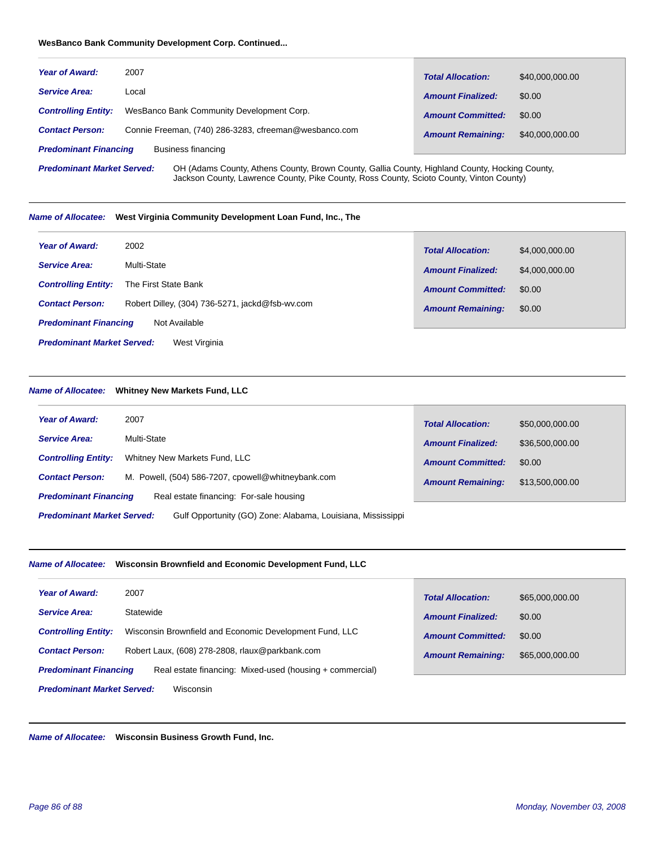#### **WesBanco Bank Community Development Corp. Continued...**

| <b>Year of Award:</b>        | 2007                                                  | <b>Total Allocation:</b> | \$40,000,000.00 |
|------------------------------|-------------------------------------------------------|--------------------------|-----------------|
| <b>Service Area:</b>         | Local                                                 | <b>Amount Finalized:</b> | \$0.00          |
| <b>Controlling Entity:</b>   | WesBanco Bank Community Development Corp.             | <b>Amount Committed:</b> | \$0.00          |
| <b>Contact Person:</b>       | Connie Freeman, (740) 286-3283, cfreeman@wesbanco.com | <b>Amount Remaining:</b> | \$40,000,000,00 |
| <b>Predominant Financing</b> | Business financing                                    |                          |                 |

OH (Adams County, Athens County, Brown County, Gallia County, Highland County, Hocking County, Jackson County, Lawrence County, Pike County, Ross County, Scioto County, Vinton County) *Predominant Market Served:*

#### *Name of Allocatee:* **West Virginia Community Development Loan Fund, Inc., The**

| <b>Year of Award:</b>                              | 2002                                            | <b>Total Allocation:</b> | \$4,000,000.00 |  |
|----------------------------------------------------|-------------------------------------------------|--------------------------|----------------|--|
| <b>Service Area:</b>                               | Multi-State                                     | <b>Amount Finalized:</b> | \$4,000,000.00 |  |
| <b>Controlling Entity:</b>                         | The First State Bank                            | <b>Amount Committed:</b> | \$0.00         |  |
| <b>Contact Person:</b>                             | Robert Dilley, (304) 736-5271, jackd@fsb-wv.com | <b>Amount Remaining:</b> | \$0.00         |  |
| <b>Predominant Financing</b>                       | Not Available                                   |                          |                |  |
| <b>Predominant Market Served:</b><br>West Virginia |                                                 |                          |                |  |

# *Name of Allocatee:* **Whitney New Markets Fund, LLC**

| <b>Year of Award:</b>                                                                            | 2007                                               | <b>Total Allocation:</b> | \$50,000,000.00 |  |
|--------------------------------------------------------------------------------------------------|----------------------------------------------------|--------------------------|-----------------|--|
| <b>Service Area:</b>                                                                             | Multi-State                                        | <b>Amount Finalized:</b> | \$36,500,000.00 |  |
| <b>Controlling Entity:</b>                                                                       | Whitney New Markets Fund, LLC                      | <b>Amount Committed:</b> | \$0.00          |  |
| <b>Contact Person:</b>                                                                           | M. Powell, (504) 586-7207, cpowell@whitneybank.com | <b>Amount Remaining:</b> | \$13,500,000.00 |  |
| <b>Predominant Financing</b>                                                                     | Real estate financing: For-sale housing            |                          |                 |  |
| <b>Predominant Market Served:</b><br>Gulf Opportunity (GO) Zone: Alabama, Louisiana, Mississippi |                                                    |                          |                 |  |

# *Name of Allocatee:* **Wisconsin Brownfield and Economic Development Fund, LLC**

| <b>Year of Award:</b>                          | 2007                                                     | <b>Total Allocation:</b> | \$65,000,000.00 |  |
|------------------------------------------------|----------------------------------------------------------|--------------------------|-----------------|--|
| <b>Service Area:</b>                           | Statewide                                                | <b>Amount Finalized:</b> | \$0.00          |  |
| <b>Controlling Entity:</b>                     | Wisconsin Brownfield and Economic Development Fund, LLC  | <b>Amount Committed:</b> | \$0.00          |  |
| <b>Contact Person:</b>                         | Robert Laux, (608) 278-2808, rlaux@parkbank.com          | <b>Amount Remaining:</b> | \$65,000,000.00 |  |
| <b>Predominant Financing</b>                   | Real estate financing: Mixed-used (housing + commercial) |                          |                 |  |
| <b>Predominant Market Served:</b><br>Wisconsin |                                                          |                          |                 |  |

*Name of Allocatee:* **Wisconsin Business Growth Fund, Inc.**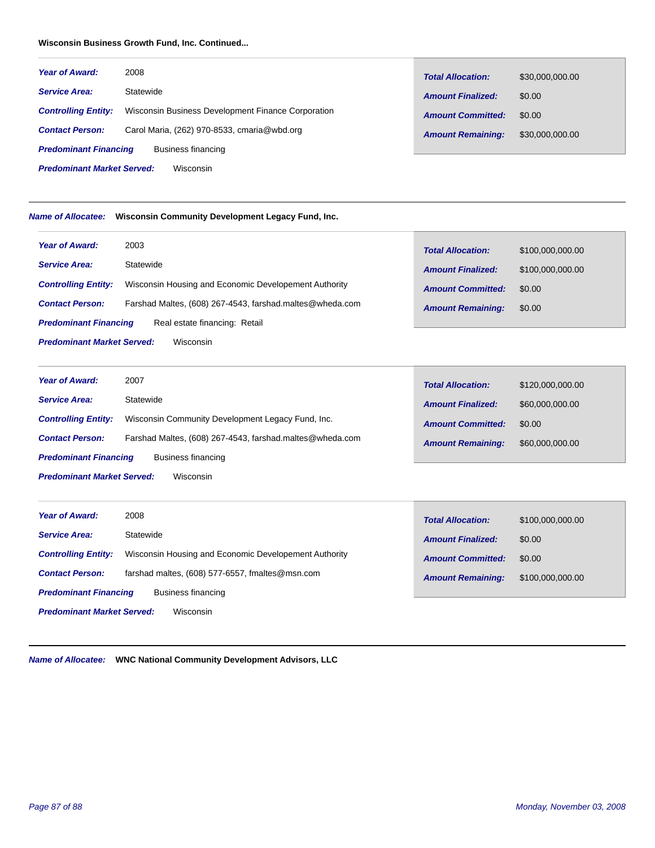# **Wisconsin Business Growth Fund, Inc. Continued...**

| <b>Year of Award:</b>                          | 2008                                               | <b>Total Allocation:</b> | \$30,000,000.00 |  |
|------------------------------------------------|----------------------------------------------------|--------------------------|-----------------|--|
| <b>Service Area:</b>                           | Statewide                                          | <b>Amount Finalized:</b> | \$0.00          |  |
| <b>Controlling Entity:</b>                     | Wisconsin Business Development Finance Corporation | <b>Amount Committed:</b> | \$0.00          |  |
| <b>Contact Person:</b>                         | Carol Maria, (262) 970-8533, cmaria@wbd.org        | <b>Amount Remaining:</b> | \$30,000,000.00 |  |
| <b>Predominant Financing</b>                   | Business financing                                 |                          |                 |  |
| <b>Predominant Market Served:</b><br>Wisconsin |                                                    |                          |                 |  |

# *Name of Allocatee:* **Wisconsin Community Development Legacy Fund, Inc.**

| <b>Year of Award:</b>                          | 2003                                                     | <b>Total Allocation:</b> | \$100,000,000.00 |
|------------------------------------------------|----------------------------------------------------------|--------------------------|------------------|
| <b>Service Area:</b>                           | Statewide                                                | <b>Amount Finalized:</b> | \$100,000,000.00 |
| <b>Controlling Entity:</b>                     | Wisconsin Housing and Economic Developement Authority    | <b>Amount Committed:</b> | \$0.00           |
| <b>Contact Person:</b>                         | Farshad Maltes, (608) 267-4543, farshad.maltes@wheda.com | <b>Amount Remaining:</b> | \$0.00           |
| <b>Predominant Financing</b>                   | Real estate financing: Retail                            |                          |                  |
| <b>Predominant Market Served:</b><br>Wisconsin |                                                          |                          |                  |

| <b>Year of Award:</b>                          | 2007                                                     | <b>Total Allocation:</b> | \$120,000,000.00 |  |
|------------------------------------------------|----------------------------------------------------------|--------------------------|------------------|--|
| <b>Service Area:</b>                           | Statewide                                                | <b>Amount Finalized:</b> | \$60,000,000.00  |  |
| <b>Controlling Entity:</b>                     | Wisconsin Community Development Legacy Fund, Inc.        | <b>Amount Committed:</b> | \$0.00           |  |
| <b>Contact Person:</b>                         | Farshad Maltes, (608) 267-4543, farshad.maltes@wheda.com | <b>Amount Remaining:</b> | \$60,000,000.00  |  |
| <b>Predominant Financing</b>                   | Business financing                                       |                          |                  |  |
| <b>Predominant Market Served:</b><br>Wisconsin |                                                          |                          |                  |  |

 $\mathbb{R}^n$ 

| <b>Year of Award:</b>                          | 2008                                                  | <b>Total Allocation:</b> | \$100,000,000.00 |  |
|------------------------------------------------|-------------------------------------------------------|--------------------------|------------------|--|
| <b>Service Area:</b>                           | Statewide                                             | <b>Amount Finalized:</b> | \$0.00           |  |
| <b>Controlling Entity:</b>                     | Wisconsin Housing and Economic Developement Authority | <b>Amount Committed:</b> | \$0.00           |  |
| <b>Contact Person:</b>                         | farshad maltes, (608) 577-6557, fmaltes@msn.com       | <b>Amount Remaining:</b> | \$100,000,000.00 |  |
| <b>Predominant Financing</b>                   | Business financing                                    |                          |                  |  |
| <b>Predominant Market Served:</b><br>Wisconsin |                                                       |                          |                  |  |

*Name of Allocatee:* **WNC National Community Development Advisors, LLC**